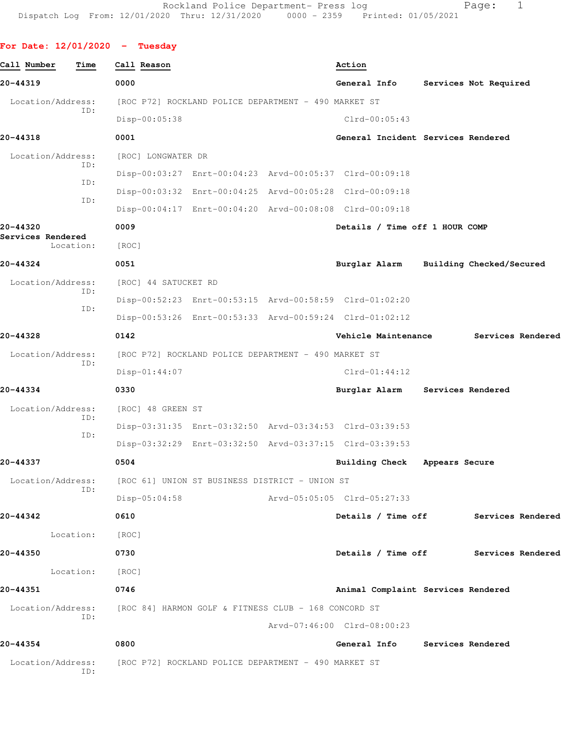|  | For Date: 12/01/2020 |  |  |  | Tuesday |
|--|----------------------|--|--|--|---------|
|--|----------------------|--|--|--|---------|

| Call Number       | Time      | Call Reason                                                            |                                                         |                             | Action        |                       |                                    |                                      |  |
|-------------------|-----------|------------------------------------------------------------------------|---------------------------------------------------------|-----------------------------|---------------|-----------------------|------------------------------------|--------------------------------------|--|
| 20-44319          |           | 0000                                                                   |                                                         |                             | General Info  |                       |                                    | Services Not Required                |  |
| Location/Address: |           |                                                                        | [ROC P72] ROCKLAND POLICE DEPARTMENT - 490 MARKET ST    |                             |               |                       |                                    |                                      |  |
|                   | ID:       | Disp-00:05:38                                                          |                                                         |                             |               | $Clrd-00:05:43$       |                                    |                                      |  |
| 20-44318          |           | 0001                                                                   |                                                         |                             |               |                       | General Incident Services Rendered |                                      |  |
| Location/Address: |           | [ROC] LONGWATER DR                                                     |                                                         |                             |               |                       |                                    |                                      |  |
|                   | ID:       |                                                                        | Disp-00:03:27 Enrt-00:04:23 Arvd-00:05:37 Clrd-00:09:18 |                             |               |                       |                                    |                                      |  |
|                   | ID:       |                                                                        | Disp-00:03:32 Enrt-00:04:25 Arvd-00:05:28 Clrd-00:09:18 |                             |               |                       |                                    |                                      |  |
|                   | ID:       |                                                                        | Disp-00:04:17 Enrt-00:04:20 Arvd-00:08:08 Clrd-00:09:18 |                             |               |                       |                                    |                                      |  |
| 20-44320          |           | 0009                                                                   |                                                         |                             |               |                       | Details / Time off 1 HOUR COMP     |                                      |  |
| Services Rendered | Location: | [ROC]                                                                  |                                                         |                             |               |                       |                                    |                                      |  |
| 20-44324          |           | 0051                                                                   |                                                         |                             | Burglar Alarm |                       |                                    | Building Checked/Secured             |  |
| Location/Address: |           | [ROC] 44 SATUCKET RD                                                   |                                                         |                             |               |                       |                                    |                                      |  |
|                   | ID:       |                                                                        | Disp-00:52:23 Enrt-00:53:15 Arvd-00:58:59 Clrd-01:02:20 |                             |               |                       |                                    |                                      |  |
|                   | ID:       |                                                                        | Disp-00:53:26 Enrt-00:53:33 Arvd-00:59:24 Clrd-01:02:12 |                             |               |                       |                                    |                                      |  |
| 20-44328          |           | 0142                                                                   |                                                         |                             |               | Vehicle Maintenance   |                                    | Services Rendered                    |  |
| Location/Address: |           |                                                                        | [ROC P72] ROCKLAND POLICE DEPARTMENT - 490 MARKET ST    |                             |               |                       |                                    |                                      |  |
|                   | ID:       | $Disp-01:44:07$                                                        |                                                         |                             |               | $Clrd-01:44:12$       |                                    |                                      |  |
| 20-44334          |           | 0330                                                                   |                                                         |                             | Burglar Alarm |                       | Services Rendered                  |                                      |  |
| Location/Address: |           | [ROC] 48 GREEN ST                                                      |                                                         |                             |               |                       |                                    |                                      |  |
|                   | ID:       |                                                                        | Disp-03:31:35 Enrt-03:32:50 Arvd-03:34:53 Clrd-03:39:53 |                             |               |                       |                                    |                                      |  |
|                   | ID:       |                                                                        | Disp-03:32:29 Enrt-03:32:50 Arvd-03:37:15 Clrd-03:39:53 |                             |               |                       |                                    |                                      |  |
| 20-44337          |           | 0504                                                                   |                                                         |                             |               | <b>Building Check</b> | Appears Secure                     |                                      |  |
| Location/Address: |           | [ROC 61] UNION ST BUSINESS DISTRICT - UNION ST                         |                                                         |                             |               |                       |                                    |                                      |  |
|                   | ID:       | $Disp-05:04:58$                                                        |                                                         | Arvd-05:05:05 Clrd-05:27:33 |               |                       |                                    |                                      |  |
| 20-44342          |           | 0610                                                                   |                                                         |                             |               |                       | Details / Time off                 | Services Rendered                    |  |
|                   | Location: | [ROC]                                                                  |                                                         |                             |               |                       |                                    |                                      |  |
| 20-44350          |           | 0730                                                                   |                                                         |                             |               |                       |                                    | Details / Time off Services Rendered |  |
|                   | Location: | [ROC]                                                                  |                                                         |                             |               |                       |                                    |                                      |  |
| 20-44351          |           | 0746                                                                   |                                                         |                             |               |                       | Animal Complaint Services Rendered |                                      |  |
|                   |           | Location/Address: [ROC 84] HARMON GOLF & FITNESS CLUB - 168 CONCORD ST |                                                         |                             |               |                       |                                    |                                      |  |
|                   | ID:       |                                                                        |                                                         | Arvd-07:46:00 Clrd-08:00:23 |               |                       |                                    |                                      |  |
| 20-44354          |           | 0800                                                                   |                                                         |                             |               |                       | General Info Services Rendered     |                                      |  |
|                   | ID:       | Location/Address: [ROC P72] ROCKLAND POLICE DEPARTMENT - 490 MARKET ST |                                                         |                             |               |                       |                                    |                                      |  |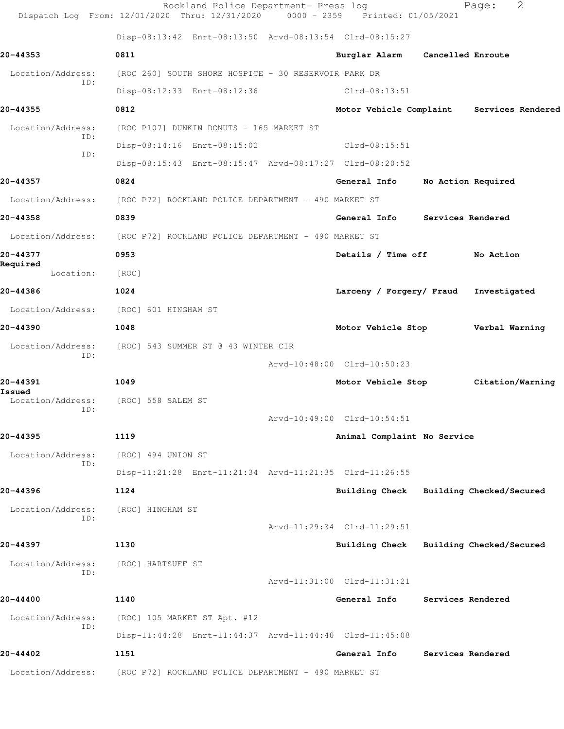|                          | Rockland Police Department- Press log<br>Dispatch Log From: 12/01/2020 Thru: 12/31/2020 0000 - 2359 Printed: 01/05/2021 |                                         |                   | 2<br>Page:                                |
|--------------------------|-------------------------------------------------------------------------------------------------------------------------|-----------------------------------------|-------------------|-------------------------------------------|
|                          | Disp-08:13:42 Enrt-08:13:50 Arvd-08:13:54 Clrd-08:15:27                                                                 |                                         |                   |                                           |
| 20-44353                 | 0811                                                                                                                    | Burglar Alarm                           | Cancelled Enroute |                                           |
| Location/Address:        | [ROC 260] SOUTH SHORE HOSPICE - 30 RESERVOIR PARK DR                                                                    |                                         |                   |                                           |
| ID:                      | Disp-08:12:33 Enrt-08:12:36                                                                                             | Clrd-08:13:51                           |                   |                                           |
| 20-44355                 | 0812                                                                                                                    |                                         |                   | Motor Vehicle Complaint Services Rendered |
| Location/Address:        | [ROC P107] DUNKIN DONUTS - 165 MARKET ST                                                                                |                                         |                   |                                           |
| ID:                      | Disp-08:14:16 Enrt-08:15:02                                                                                             | Clrd-08:15:51                           |                   |                                           |
| ID:                      | Disp-08:15:43 Enrt-08:15:47 Arvd-08:17:27 Clrd-08:20:52                                                                 |                                         |                   |                                           |
| 20-44357                 | 0824                                                                                                                    | General Info                            |                   | No Action Required                        |
| Location/Address:        | [ROC P72] ROCKLAND POLICE DEPARTMENT - 490 MARKET ST                                                                    |                                         |                   |                                           |
| 20-44358                 | 0839                                                                                                                    | General Info                            | Services Rendered |                                           |
| Location/Address:        | [ROC P72] ROCKLAND POLICE DEPARTMENT - 490 MARKET ST                                                                    |                                         |                   |                                           |
| 20-44377                 | 0953                                                                                                                    | Details / Time off                      |                   | No Action                                 |
| Required<br>Location:    | [ROC]                                                                                                                   |                                         |                   |                                           |
| 20-44386                 | 1024                                                                                                                    | Larceny / Forgery/ Fraud                |                   | Investigated                              |
| Location/Address:        | [ROC] 601 HINGHAM ST                                                                                                    |                                         |                   |                                           |
| 20-44390                 | 1048                                                                                                                    | Motor Vehicle Stop                      |                   | Verbal Warning                            |
| Location/Address:        | [ROC] 543 SUMMER ST @ 43 WINTER CIR                                                                                     |                                         |                   |                                           |
| ID:                      |                                                                                                                         | Arvd-10:48:00 Clrd-10:50:23             |                   |                                           |
| 20-44391<br>Issued       | 1049                                                                                                                    | Motor Vehicle Stop                      |                   | Citation/Warning                          |
| Location/Address:        | [ROC] 558 SALEM ST                                                                                                      |                                         |                   |                                           |
| ID:                      |                                                                                                                         | Arvd-10:49:00 Clrd-10:54:51             |                   |                                           |
| 20-44395                 | 1119                                                                                                                    | Animal Complaint No Service             |                   |                                           |
| Location/Address:<br>ID: | [ROC] 494 UNION ST                                                                                                      |                                         |                   |                                           |
|                          | Disp-11:21:28 Enrt-11:21:34 Arvd-11:21:35 Clrd-11:26:55                                                                 |                                         |                   |                                           |
| 20-44396                 | 1124                                                                                                                    | Building Check Building Checked/Secured |                   |                                           |
| Location/Address:<br>ID: | [ROC] HINGHAM ST                                                                                                        |                                         |                   |                                           |
|                          |                                                                                                                         | Arvd-11:29:34 Clrd-11:29:51             |                   |                                           |
| 20-44397                 | 1130                                                                                                                    | Building Check Building Checked/Secured |                   |                                           |
| Location/Address:<br>ID: | [ROC] HARTSUFF ST                                                                                                       |                                         |                   |                                           |
|                          |                                                                                                                         | Arvd-11:31:00 Clrd-11:31:21             |                   |                                           |
| 20-44400                 | 1140                                                                                                                    | General Info                            | Services Rendered |                                           |
| Location/Address:<br>ID: | [ROC] 105 MARKET ST Apt. #12                                                                                            |                                         |                   |                                           |
|                          | Disp-11:44:28 Enrt-11:44:37 Arvd-11:44:40 Clrd-11:45:08                                                                 |                                         |                   |                                           |
| 20-44402                 | 1151                                                                                                                    | General Info                            | Services Rendered |                                           |
| Location/Address:        | [ROC P72] ROCKLAND POLICE DEPARTMENT - 490 MARKET ST                                                                    |                                         |                   |                                           |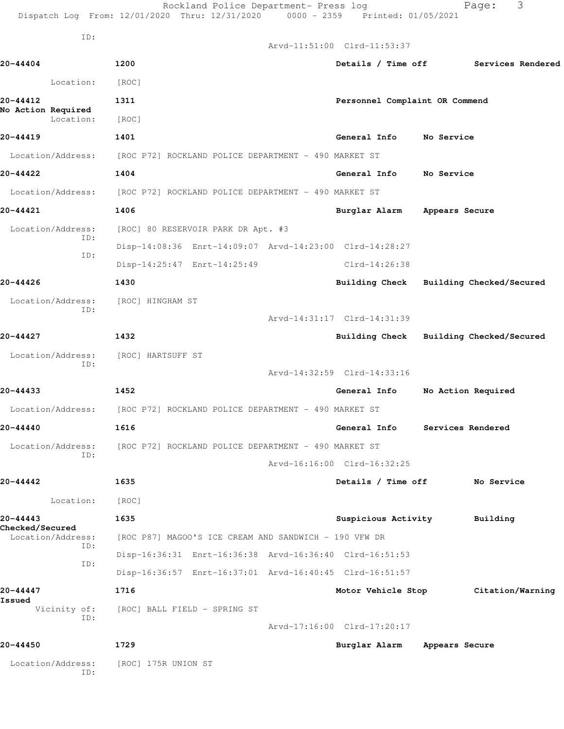|                                             | Rockland Police Department- Press log<br>Dispatch Log From: 12/01/2020 Thru: 12/31/2020 0000 - 2359 Printed: 01/05/2021 |                                | 3<br>Page:                              |
|---------------------------------------------|-------------------------------------------------------------------------------------------------------------------------|--------------------------------|-----------------------------------------|
| ID:                                         |                                                                                                                         |                                |                                         |
|                                             |                                                                                                                         | Arvd-11:51:00 Clrd-11:53:37    |                                         |
| $20 - 44404$                                | 1200                                                                                                                    | Details / Time off             | Services Rendered                       |
| Location:                                   | [ROC]                                                                                                                   |                                |                                         |
| 20-44412<br>No Action Required<br>Location: | 1311<br>[ROC]                                                                                                           | Personnel Complaint OR Commend |                                         |
| 20-44419                                    | 1401                                                                                                                    | General Info                   | No Service                              |
| Location/Address:                           | [ROC P72] ROCKLAND POLICE DEPARTMENT - 490 MARKET ST                                                                    |                                |                                         |
| 20-44422                                    | 1404                                                                                                                    | General Info                   | No Service                              |
| Location/Address:                           | [ROC P72] ROCKLAND POLICE DEPARTMENT - 490 MARKET ST                                                                    |                                |                                         |
| 20-44421                                    | 1406                                                                                                                    | Burglar Alarm                  | Appears Secure                          |
| Location/Address:                           | [ROC] 80 RESERVOIR PARK DR Apt. #3                                                                                      |                                |                                         |
| ID:                                         | Disp-14:08:36 Enrt-14:09:07 Arvd-14:23:00 Clrd-14:28:27                                                                 |                                |                                         |
| ID:                                         | Disp-14:25:47 Enrt-14:25:49                                                                                             | Clrd-14:26:38                  |                                         |
| 20-44426                                    | 1430                                                                                                                    |                                | Building Check Building Checked/Secured |
| Location/Address:                           | [ROC] HINGHAM ST                                                                                                        |                                |                                         |
| ID:                                         |                                                                                                                         | Arvd-14:31:17 Clrd-14:31:39    |                                         |
| 20-44427                                    | 1432                                                                                                                    | <b>Building Check</b>          | Building Checked/Secured                |
| Location/Address:                           | [ROC] HARTSUFF ST                                                                                                       |                                |                                         |
| ID:                                         |                                                                                                                         | Arvd-14:32:59 Clrd-14:33:16    |                                         |
| 20-44433                                    | 1452                                                                                                                    | General Info                   | No Action Required                      |
| Location/Address:                           | [ROC P72] ROCKLAND POLICE DEPARTMENT - 490 MARKET ST                                                                    |                                |                                         |
| 20-44440                                    | 1616                                                                                                                    |                                | General Info Services Rendered          |
| Location/Address:<br>ID:                    | [ROC P72] ROCKLAND POLICE DEPARTMENT - 490 MARKET ST                                                                    |                                |                                         |
|                                             |                                                                                                                         | Arvd-16:16:00 Clrd-16:32:25    |                                         |
| 20-44442                                    | 1635                                                                                                                    | Details / Time off             | No Service                              |
| Location:                                   | [ROC]                                                                                                                   |                                |                                         |
| 20-44443<br><b>Checked/Secured</b>          | 1635                                                                                                                    | Suspicious Activity            | Building                                |
| Location/Address:<br>ID:                    | [ROC P87] MAGOO'S ICE CREAM AND SANDWICH - 190 VFW DR                                                                   |                                |                                         |
| ID:                                         | Disp-16:36:31 Enrt-16:36:38 Arvd-16:36:40 Clrd-16:51:53                                                                 |                                |                                         |
|                                             | Disp-16:36:57 Enrt-16:37:01 Arvd-16:40:45 Clrd-16:51:57                                                                 |                                |                                         |
| 20-44447<br>Issued                          | 1716                                                                                                                    | Motor Vehicle Stop             | Citation/Warning                        |
| Vicinity of:<br>ID:                         | [ROC] BALL FIELD - SPRING ST                                                                                            |                                |                                         |
|                                             |                                                                                                                         | Arvd-17:16:00 Clrd-17:20:17    |                                         |
| 20-44450                                    | 1729                                                                                                                    | Burglar Alarm                  | Appears Secure                          |
| Location/Address:<br>ID:                    | [ROC] 175R UNION ST                                                                                                     |                                |                                         |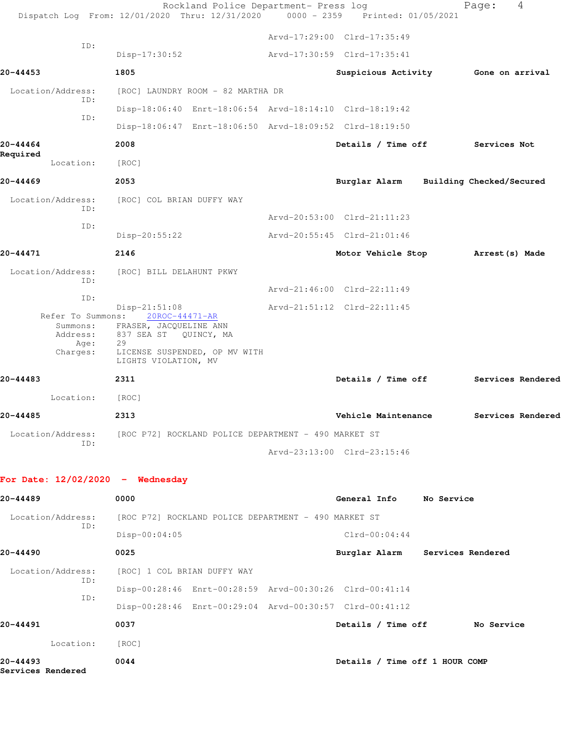|                                                   | Rockland Police Department- Press log<br>Dispatch Log From: 12/01/2020 Thru: 12/31/2020 0000 - 2359                                                          | Printed: 01/05/2021             | 4<br>Page:               |
|---------------------------------------------------|--------------------------------------------------------------------------------------------------------------------------------------------------------------|---------------------------------|--------------------------|
|                                                   |                                                                                                                                                              | Arvd-17:29:00 Clrd-17:35:49     |                          |
| ID:                                               | $Disp-17:30:52$                                                                                                                                              | Arvd-17:30:59 Clrd-17:35:41     |                          |
| 20-44453                                          | 1805                                                                                                                                                         | Suspicious Activity             | Gone on arrival          |
| Location/Address:                                 | [ROC] LAUNDRY ROOM - 82 MARTHA DR                                                                                                                            |                                 |                          |
| ID:                                               | Disp-18:06:40 Enrt-18:06:54 Arvd-18:14:10 Clrd-18:19:42                                                                                                      |                                 |                          |
| ID:                                               | Disp-18:06:47 Enrt-18:06:50 Arvd-18:09:52 Clrd-18:19:50                                                                                                      |                                 |                          |
| 20-44464                                          | 2008                                                                                                                                                         | Details / Time off              | Services Not             |
| Required<br>Location:                             | [ROC]                                                                                                                                                        |                                 |                          |
| 20-44469                                          | 2053                                                                                                                                                         | Burglar Alarm                   | Building Checked/Secured |
| Location/Address:                                 | [ROC] COL BRIAN DUFFY WAY                                                                                                                                    |                                 |                          |
| ID:                                               |                                                                                                                                                              | Arvd-20:53:00 Clrd-21:11:23     |                          |
| ID:                                               | Disp-20:55:22                                                                                                                                                | Arvd-20:55:45 Clrd-21:01:46     |                          |
| 20-44471                                          | 2146                                                                                                                                                         | Motor Vehicle Stop              | Arrest (s) Made          |
| Location/Address:<br>ID:                          | [ROC] BILL DELAHUNT PKWY                                                                                                                                     |                                 |                          |
| ID:                                               |                                                                                                                                                              | Arvd-21:46:00 Clrd-22:11:49     |                          |
| Refer To Summons:<br>Address:<br>Age:<br>Charges: | $Disp-21:51:08$<br>20ROC-44471-AR<br>Summons: FRASER, JACQUELINE ANN<br>837 SEA ST QUINCY, MA<br>29<br>LICENSE SUSPENDED, OP MV WITH<br>LIGHTS VIOLATION, MV | Arvd-21:51:12 Clrd-22:11:45     |                          |
| 20-44483                                          | 2311                                                                                                                                                         | Details / Time off              | Services Rendered        |
| Location:                                         | [ROC]                                                                                                                                                        |                                 |                          |
| 20-44485                                          | 2313                                                                                                                                                         | Vehicle Maintenance             | Services Rendered        |
| Location/Address:                                 | [ROC P72] ROCKLAND POLICE DEPARTMENT - 490 MARKET ST                                                                                                         |                                 |                          |
| ID:                                               |                                                                                                                                                              | Arvd-23:13:00 Clrd-23:15:46     |                          |
| For Date: $12/02/2020 -$ Wednesday                |                                                                                                                                                              |                                 |                          |
| 20-44489                                          | 0000                                                                                                                                                         | General Info No Service         |                          |
| Location/Address:<br>ID:                          | [ROC P72] ROCKLAND POLICE DEPARTMENT - 490 MARKET ST                                                                                                         |                                 |                          |
|                                                   | $Disp-00:04:05$                                                                                                                                              | $Clrd-00:04:44$                 |                          |
| 20-44490                                          | 0025                                                                                                                                                         | Burglar Alarm Services Rendered |                          |
| Location/Address:<br>ID:                          | [ROC] 1 COL BRIAN DUFFY WAY                                                                                                                                  |                                 |                          |
| ID:                                               | Disp-00:28:46 Enrt-00:28:59 Arvd-00:30:26 Clrd-00:41:14                                                                                                      |                                 |                          |
|                                                   | Disp-00:28:46 Enrt-00:29:04 Arvd-00:30:57 Clrd-00:41:12                                                                                                      |                                 |                          |
| 20-44491                                          | 0037                                                                                                                                                         | Details / Time off No Service   |                          |
| Location:                                         | [ROC]                                                                                                                                                        |                                 |                          |
| 20-44493<br>Services Rendered                     | 0044                                                                                                                                                         | Details / Time off 1 HOUR COMP  |                          |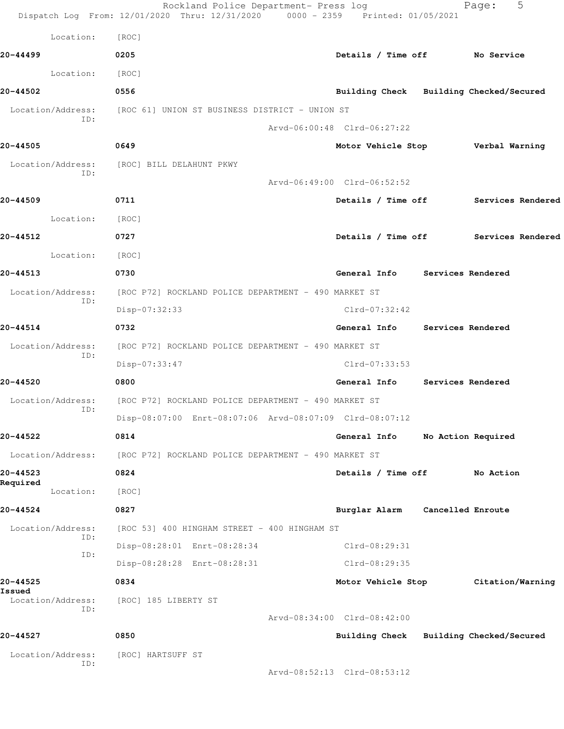|                          | Rockland Police Department- Press log<br>Dispatch Log From: 12/01/2020 Thru: 12/31/2020 0000 - 2359 Printed: 01/05/2021 |                             | 5<br>Page:                              |  |
|--------------------------|-------------------------------------------------------------------------------------------------------------------------|-----------------------------|-----------------------------------------|--|
| Location:                | [ROC]                                                                                                                   |                             |                                         |  |
| 20-44499                 | 0205                                                                                                                    |                             | Details / Time off No Service           |  |
| Location:                | [ROC]                                                                                                                   |                             |                                         |  |
| 20-44502                 | 0556                                                                                                                    |                             | Building Check Building Checked/Secured |  |
| Location/Address:        | [ROC 61] UNION ST BUSINESS DISTRICT - UNION ST                                                                          |                             |                                         |  |
| ID:                      |                                                                                                                         | Arvd-06:00:48 Clrd-06:27:22 |                                         |  |
| 20-44505                 | 0649                                                                                                                    |                             | Motor Vehicle Stop Verbal Warning       |  |
| Location/Address:        | [ROC] BILL DELAHUNT PKWY                                                                                                |                             |                                         |  |
| ID:                      |                                                                                                                         | Arvd-06:49:00 Clrd-06:52:52 |                                         |  |
| 20-44509                 | 0711                                                                                                                    |                             | Details / Time off Services Rendered    |  |
| Location:                | [ROC]                                                                                                                   |                             |                                         |  |
| 20-44512                 | 0727                                                                                                                    |                             | Details / Time off Services Rendered    |  |
| Location:                | [ROC]                                                                                                                   |                             |                                         |  |
| 20-44513                 | 0730                                                                                                                    |                             | General Info Services Rendered          |  |
| Location/Address:        | [ROC P72] ROCKLAND POLICE DEPARTMENT - 490 MARKET ST                                                                    |                             |                                         |  |
| ID:                      | Disp-07:32:33                                                                                                           | Clrd-07:32:42               |                                         |  |
| 20-44514                 | 0732                                                                                                                    | General Info                | Services Rendered                       |  |
| Location/Address:        | [ROC P72] ROCKLAND POLICE DEPARTMENT - 490 MARKET ST                                                                    |                             |                                         |  |
| ID:                      | Disp-07:33:47                                                                                                           | Clrd-07:33:53               |                                         |  |
| 20-44520                 | 0800                                                                                                                    | General Info                | Services Rendered                       |  |
| Location/Address:<br>ID: | [ROC P72] ROCKLAND POLICE DEPARTMENT - 490 MARKET ST                                                                    |                             |                                         |  |
|                          | Disp-08:07:00 Enrt-08:07:06 Arvd-08:07:09 Clrd-08:07:12                                                                 |                             |                                         |  |
| 20-44522                 | 0814                                                                                                                    | General Info                | No Action Required                      |  |
| Location/Address:        | [ROC P72] ROCKLAND POLICE DEPARTMENT - 490 MARKET ST                                                                    |                             |                                         |  |
| 20-44523<br>Required     | 0824                                                                                                                    | Details / Time off          | No Action                               |  |
| Location:                | [ROC]                                                                                                                   |                             |                                         |  |
| 20-44524                 | 0827                                                                                                                    | Burglar Alarm               | Cancelled Enroute                       |  |
| Location/Address:<br>ID: | [ROC 53] 400 HINGHAM STREET - 400 HINGHAM ST                                                                            |                             |                                         |  |
| ID:                      | Disp-08:28:01 Enrt-08:28:34                                                                                             | Clrd-08:29:31               |                                         |  |
|                          | Disp-08:28:28 Enrt-08:28:31                                                                                             | Clrd-08:29:35               |                                         |  |
| 20-44525<br>Issued       | 0834                                                                                                                    | Motor Vehicle Stop          | Citation/Warning                        |  |
| Location/Address:<br>ID: | [ROC] 185 LIBERTY ST                                                                                                    |                             |                                         |  |
|                          |                                                                                                                         | Arvd-08:34:00 Clrd-08:42:00 |                                         |  |
| 20-44527                 | 0850                                                                                                                    | Building Check              | Building Checked/Secured                |  |
| Location/Address:<br>ID: | [ROC] HARTSUFF ST                                                                                                       |                             |                                         |  |
|                          |                                                                                                                         | Arvd-08:52:13 Clrd-08:53:12 |                                         |  |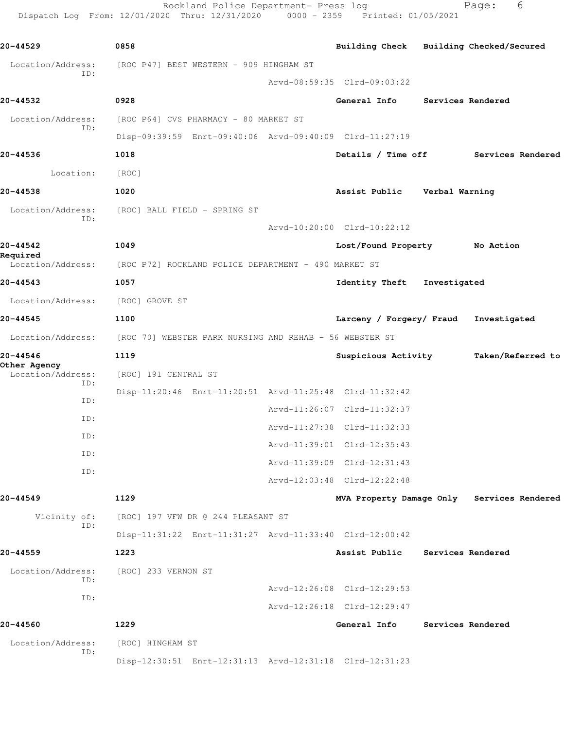Rockland Police Department- Press log entitled and Page: 6 Dispatch Log From: 12/01/2020 Thru: 12/31/2020 0000 - 2359 Printed: 01/05/2021

| 20-44529                          | 0858                                                    | Building Check Building Checked/Secured |              |                                            |
|-----------------------------------|---------------------------------------------------------|-----------------------------------------|--------------|--------------------------------------------|
| Location/Address:                 | [ROC P47] BEST WESTERN - 909 HINGHAM ST                 |                                         |              |                                            |
| ID:                               |                                                         | Arvd-08:59:35 Clrd-09:03:22             |              |                                            |
| 20-44532                          | 0928                                                    | General Info                            |              | Services Rendered                          |
| Location/Address:                 | [ROC P64] CVS PHARMACY - 80 MARKET ST                   |                                         |              |                                            |
| ID:                               | Disp-09:39:59 Enrt-09:40:06 Arvd-09:40:09 Clrd-11:27:19 |                                         |              |                                            |
| 20-44536                          | 1018                                                    | Details / Time off                      |              | Services Rendered                          |
| Location:                         | [ROC]                                                   |                                         |              |                                            |
| 20-44538                          | 1020                                                    | Assist Public Verbal Warning            |              |                                            |
| Location/Address:                 | [ROC] BALL FIELD - SPRING ST                            |                                         |              |                                            |
| ID:                               |                                                         | Arvd-10:20:00 Clrd-10:22:12             |              |                                            |
| 20-44542                          | 1049                                                    | Lost/Found Property No Action           |              |                                            |
| Required<br>Location/Address:     | [ROC P72] ROCKLAND POLICE DEPARTMENT - 490 MARKET ST    |                                         |              |                                            |
| 20-44543                          | 1057                                                    | <b>Identity Theft</b>                   | Investigated |                                            |
| Location/Address:                 | [ROC] GROVE ST                                          |                                         |              |                                            |
| 20-44545                          | 1100                                                    | Larceny / Forgery/ Fraud                |              | Investigated                               |
| Location/Address:                 | [ROC 70] WEBSTER PARK NURSING AND REHAB - 56 WEBSTER ST |                                         |              |                                            |
| 20-44546                          | 1119                                                    | Suspicious Activity                     |              | Taken/Referred to                          |
| Other Agency<br>Location/Address: | [ROC] 191 CENTRAL ST                                    |                                         |              |                                            |
| ID:                               | Disp-11:20:46 Enrt-11:20:51 Arvd-11:25:48 Clrd-11:32:42 |                                         |              |                                            |
| ID:                               |                                                         | Arvd-11:26:07 Clrd-11:32:37             |              |                                            |
| ID:                               |                                                         | Arvd-11:27:38 Clrd-11:32:33             |              |                                            |
| ID:                               |                                                         | Arvd-11:39:01 Clrd-12:35:43             |              |                                            |
| ID:<br>ID:                        |                                                         | Arvd-11:39:09 Clrd-12:31:43             |              |                                            |
|                                   |                                                         | Arvd-12:03:48 Clrd-12:22:48             |              |                                            |
| 20-44549                          | 1129                                                    |                                         |              | MVA Property Damage Only Services Rendered |
| Vicinity of:<br>ID:               | [ROC] 197 VFW DR @ 244 PLEASANT ST                      |                                         |              |                                            |
|                                   | Disp-11:31:22 Enrt-11:31:27 Arvd-11:33:40 Clrd-12:00:42 |                                         |              |                                            |
| 20-44559                          | 1223                                                    | Assist Public                           |              | Services Rendered                          |
| Location/Address:<br>ID:          | [ROC] 233 VERNON ST                                     |                                         |              |                                            |
| ID:                               |                                                         | Arvd-12:26:08 Clrd-12:29:53             |              |                                            |
|                                   |                                                         | Arvd-12:26:18 Clrd-12:29:47             |              |                                            |
| 20-44560                          | 1229                                                    | General Info                            |              | Services Rendered                          |
| Location/Address:<br>ID:          | [ROC] HINGHAM ST                                        |                                         |              |                                            |
|                                   | Disp-12:30:51 Enrt-12:31:13 Arvd-12:31:18 Clrd-12:31:23 |                                         |              |                                            |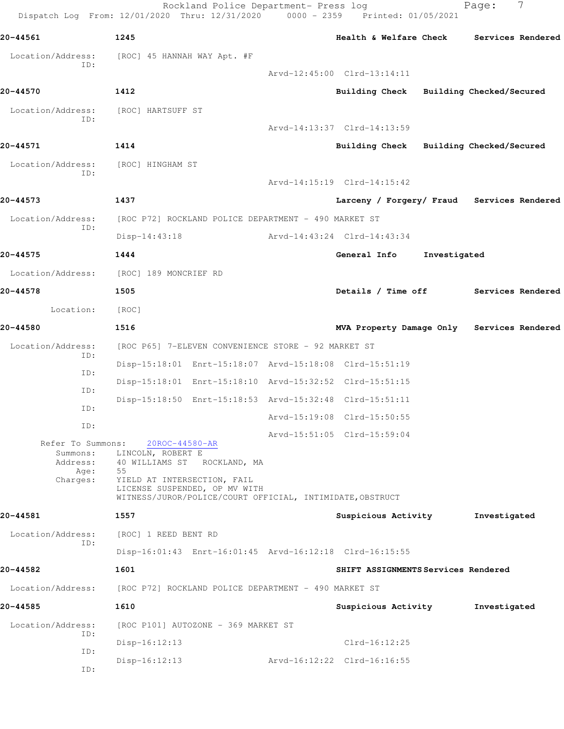Rockland Police Department- Press log Fage: 7 Dispatch Log From: 12/01/2020 Thru: 12/31/2020 0000 - 2359 Printed: 01/05/2021 **20-44561 1245 Health & Welfare Check Services Rendered** Location/Address: [ROC] 45 HANNAH WAY Apt. #F ID: Arvd-12:45:00 Clrd-13:14:11 **20-44570 1412 Building Check Building Checked/Secured** Location/Address: [ROC] HARTSUFF ST ID: Arvd-14:13:37 Clrd-14:13:59 **20-44571 1414 Building Check Building Checked/Secured** Location/Address: [ROC] HINGHAM ST ID: Arvd-14:15:19 Clrd-14:15:42 **20-44573 1437 Larceny / Forgery/ Fraud Services Rendered** Location/Address: [ROC P72] ROCKLAND POLICE DEPARTMENT - 490 MARKET ST ID: Disp-14:43:18 Arvd-14:43:24 Clrd-14:43:34 **20-44575 1444 General Info Investigated** Location/Address: [ROC] 189 MONCRIEF RD **20-44578 1505 Details / Time off Services Rendered** Location: [ROC] **20-44580 1516 MVA Property Damage Only Services Rendered** Location/Address: [ROC P65] 7-ELEVEN CONVENIENCE STORE - 92 MARKET ST ID: Disp-15:18:01 Enrt-15:18:07 Arvd-15:18:08 Clrd-15:51:19 ID: Disp-15:18:01 Enrt-15:18:10 Arvd-15:32:52 Clrd-15:51:15 ID: Disp-15:18:50 Enrt-15:18:53 Arvd-15:32:48 Clrd-15:51:11 ID: Arvd-15:19:08 Clrd-15:50:55 ID: Arvd-15:51:05 Clrd-15:59:04 Refer To Summons: 20ROC-44580-AR Summons: LINCOLN, ROBERT E Address: 40 WILLIAMS ST ROCKLAND, MA Age: 55 Charges: YIELD AT INTERSECTION, FAIL LICENSE SUSPENDED, OP MV WITH WITNESS/JUROR/POLICE/COURT OFFICIAL, INTIMIDATE,OBSTRUCT **20-44581 1557 Suspicious Activity Investigated** Location/Address: [ROC] 1 REED BENT RD ID: Disp-16:01:43 Enrt-16:01:45 Arvd-16:12:18 Clrd-16:15:55 **20-44582 1601 SHIFT ASSIGNMENTS Services Rendered** Location/Address: [ROC P72] ROCKLAND POLICE DEPARTMENT - 490 MARKET ST **20-44585 1610 Suspicious Activity Investigated** Location/Address: [ROC P101] AUTOZONE - 369 MARKET ST ID: Disp-16:12:13 Clrd-16:12:25 ID: Disp-16:12:13 Arvd-16:12:22 Clrd-16:16:55 ID: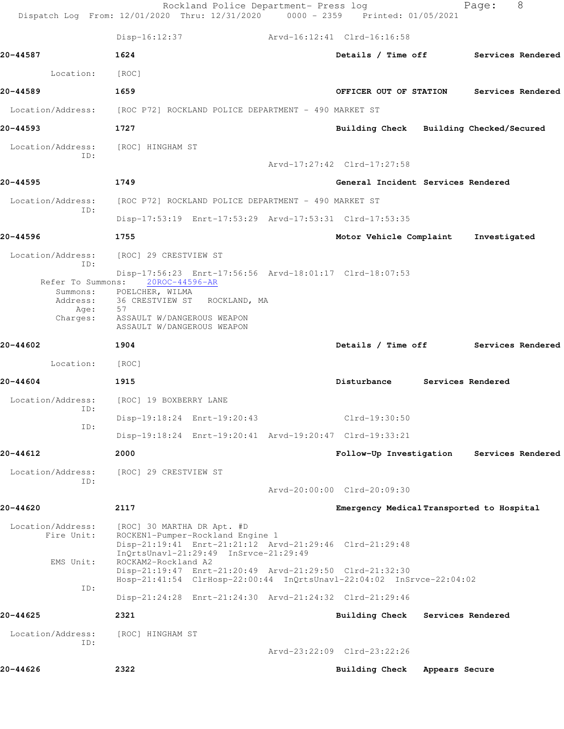|                                                                               | Rockland Police Department- Press log<br>Dispatch Log From: 12/01/2020 Thru: 12/31/2020 0000 - 2359 Printed: 01/05/2021                                                                                                                                                                                                      |                                           |                   | Page:             | 8                 |
|-------------------------------------------------------------------------------|------------------------------------------------------------------------------------------------------------------------------------------------------------------------------------------------------------------------------------------------------------------------------------------------------------------------------|-------------------------------------------|-------------------|-------------------|-------------------|
|                                                                               | $Disp-16:12:37$                                                                                                                                                                                                                                                                                                              | Arvd-16:12:41 Clrd-16:16:58               |                   |                   |                   |
| 20-44587                                                                      | 1624                                                                                                                                                                                                                                                                                                                         | Details / Time off Services Rendered      |                   |                   |                   |
| Location:                                                                     | [ROC]                                                                                                                                                                                                                                                                                                                        |                                           |                   |                   |                   |
| 20-44589                                                                      | 1659                                                                                                                                                                                                                                                                                                                         | OFFICER OUT OF STATION                    |                   |                   | Services Rendered |
|                                                                               | Location/Address: [ROC P72] ROCKLAND POLICE DEPARTMENT - 490 MARKET ST                                                                                                                                                                                                                                                       |                                           |                   |                   |                   |
| 20-44593                                                                      | 1727                                                                                                                                                                                                                                                                                                                         | Building Check Building Checked/Secured   |                   |                   |                   |
| Location/Address:<br>ID:                                                      | [ROC] HINGHAM ST                                                                                                                                                                                                                                                                                                             |                                           |                   |                   |                   |
|                                                                               |                                                                                                                                                                                                                                                                                                                              | Arvd-17:27:42 Clrd-17:27:58               |                   |                   |                   |
| 20-44595                                                                      | 1749                                                                                                                                                                                                                                                                                                                         | General Incident Services Rendered        |                   |                   |                   |
| Location/Address:<br>ID:                                                      | [ROC P72] ROCKLAND POLICE DEPARTMENT - 490 MARKET ST                                                                                                                                                                                                                                                                         |                                           |                   |                   |                   |
|                                                                               | Disp-17:53:19 Enrt-17:53:29 Arvd-17:53:31 Clrd-17:53:35                                                                                                                                                                                                                                                                      |                                           |                   |                   |                   |
| 20-44596                                                                      | 1755                                                                                                                                                                                                                                                                                                                         | Motor Vehicle Complaint Investigated      |                   |                   |                   |
| Location/Address:<br>ID:<br>Refer To Summons:<br>Address:<br>Age:<br>Charges: | [ROC] 29 CRESTVIEW ST<br>Disp-17:56:23 Enrt-17:56:56 Arvd-18:01:17 Clrd-18:07:53<br>20ROC-44596-AR<br>Summons: POELCHER, WILMA<br>36 CRESTVIEW ST<br>ROCKLAND, MA<br>57<br>ASSAULT W/DANGEROUS WEAPON<br>ASSAULT W/DANGEROUS WEAPON                                                                                          |                                           |                   |                   |                   |
| 20-44602                                                                      | 1904                                                                                                                                                                                                                                                                                                                         | Details / Time off Services Rendered      |                   |                   |                   |
| Location:                                                                     | [ROC]                                                                                                                                                                                                                                                                                                                        |                                           |                   |                   |                   |
| 20-44604                                                                      | 1915                                                                                                                                                                                                                                                                                                                         | Disturbance                               | Services Rendered |                   |                   |
| Location/Address:<br>ID:                                                      | [ROC] 19 BOXBERRY LANE                                                                                                                                                                                                                                                                                                       |                                           |                   |                   |                   |
| ID:                                                                           | Disp-19:18:24 Enrt-19:20:43                                                                                                                                                                                                                                                                                                  | Clrd-19:30:50                             |                   |                   |                   |
|                                                                               | Disp-19:18:24 Enrt-19:20:41 Arvd-19:20:47 Clrd-19:33:21                                                                                                                                                                                                                                                                      |                                           |                   |                   |                   |
| 20-44612                                                                      | 2000                                                                                                                                                                                                                                                                                                                         | Follow-Up Investigation                   |                   | Services Rendered |                   |
| Location/Address:<br>ID:                                                      | [ROC] 29 CRESTVIEW ST                                                                                                                                                                                                                                                                                                        | Arvd-20:00:00 Clrd-20:09:30               |                   |                   |                   |
| 20-44620                                                                      | 2117                                                                                                                                                                                                                                                                                                                         | Emergency Medical Transported to Hospital |                   |                   |                   |
| Location/Address:<br>Fire Unit:<br>EMS Unit:                                  | [ROC] 30 MARTHA DR Apt. #D<br>ROCKEN1-Pumper-Rockland Engine 1<br>Disp-21:19:41 Enrt-21:21:12 Arvd-21:29:46 Clrd-21:29:48<br>InQrtsUnavl-21:29:49 InSrvce-21:29:49<br>ROCKAM2-Rockland A2<br>Disp-21:19:47 Enrt-21:20:49 Arvd-21:29:50 Clrd-21:32:30<br>Hosp-21:41:54 ClrHosp-22:00:44 InQrtsUnavl-22:04:02 InSrvce-22:04:02 |                                           |                   |                   |                   |
| ID:                                                                           | Disp-21:24:28 Enrt-21:24:30 Arvd-21:24:32 Clrd-21:29:46                                                                                                                                                                                                                                                                      |                                           |                   |                   |                   |
| 20-44625                                                                      | 2321                                                                                                                                                                                                                                                                                                                         | Building Check                            | Services Rendered |                   |                   |
| Location/Address:<br>ID:                                                      | [ROC] HINGHAM ST                                                                                                                                                                                                                                                                                                             |                                           |                   |                   |                   |
|                                                                               |                                                                                                                                                                                                                                                                                                                              | Arvd-23:22:09 Clrd-23:22:26               |                   |                   |                   |
| 20-44626                                                                      | 2322                                                                                                                                                                                                                                                                                                                         | <b>Building Check</b>                     | Appears Secure    |                   |                   |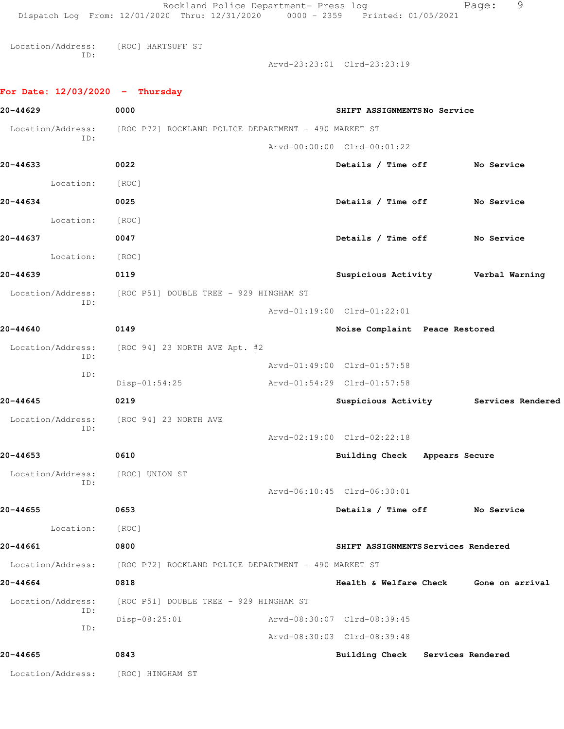|                                    | Rockland Police Department- Press log<br>Dispatch Log From: 12/01/2020 Thru: 12/31/2020 0000 - 2359 Printed: 01/05/2021 |                                        | 9<br>Page: |
|------------------------------------|-------------------------------------------------------------------------------------------------------------------------|----------------------------------------|------------|
| Location/Address:                  | [ROC] HARTSUFF ST                                                                                                       |                                        |            |
| ID:                                |                                                                                                                         | Arvd-23:23:01 Clrd-23:23:19            |            |
| For Date: $12/03/2020 -$ Thursday  |                                                                                                                         |                                        |            |
| 20-44629                           | 0000                                                                                                                    | SHIFT ASSIGNMENTSNo Service            |            |
|                                    |                                                                                                                         |                                        |            |
| Location/Address:<br>ID:           | [ROC P72] ROCKLAND POLICE DEPARTMENT - 490 MARKET ST                                                                    | Arvd-00:00:00 Clrd-00:01:22            |            |
| 20-44633                           | 0022                                                                                                                    | Details / Time off No Service          |            |
|                                    |                                                                                                                         |                                        |            |
| Location:                          | [ROC]                                                                                                                   |                                        |            |
| 20-44634                           | 0025                                                                                                                    | Details / Time off No Service          |            |
| Location:                          | [ROC]                                                                                                                   |                                        |            |
| 20-44637                           | 0047                                                                                                                    | Details / Time off No Service          |            |
| Location:                          | [ROC]                                                                                                                   |                                        |            |
| 20-44639                           | 0119                                                                                                                    | Suspicious Activity Verbal Warning     |            |
| Location/Address:<br>ID:           | [ROC P51] DOUBLE TREE - 929 HINGHAM ST                                                                                  |                                        |            |
|                                    |                                                                                                                         | Arvd-01:19:00 Clrd-01:22:01            |            |
| 20-44640                           | 0149                                                                                                                    | Noise Complaint Peace Restored         |            |
| Location/Address:<br>ID:           | [ROC 94] 23 NORTH AVE Apt. #2                                                                                           |                                        |            |
| ID:                                |                                                                                                                         | Arvd-01:49:00 Clrd-01:57:58            |            |
|                                    | $Disp-01:54:25$                                                                                                         | Arvd-01:54:29 Clrd-01:57:58            |            |
| 20-44645                           | 0219                                                                                                                    | Suspicious Activity Services Rendered  |            |
| ID:                                | Location/Address: [ROC 94] 23 NORTH AVE                                                                                 |                                        |            |
|                                    |                                                                                                                         | Arvd-02:19:00 Clrd-02:22:18            |            |
| 20-44653                           | 0610                                                                                                                    | Building Check Appears Secure          |            |
| Location/Address:<br>ID:           | [ROC] UNION ST                                                                                                          |                                        |            |
|                                    |                                                                                                                         | Arvd-06:10:45 Clrd-06:30:01            |            |
| 20-44655                           | 0653                                                                                                                    | Details / Time off No Service          |            |
| Location: [ROC]                    |                                                                                                                         |                                        |            |
| 20-44661                           | 0800                                                                                                                    | SHIFT ASSIGNMENTS Services Rendered    |            |
| Location/Address:                  | [ROC P72] ROCKLAND POLICE DEPARTMENT - 490 MARKET ST                                                                    |                                        |            |
| 20-44664                           | 0818                                                                                                                    | Health & Welfare Check Gone on arrival |            |
| Location/Address:<br>ID:           | [ROC P51] DOUBLE TREE - 929 HINGHAM ST                                                                                  |                                        |            |
| ID:                                | $Disp-08:25:01$                                                                                                         | Arvd-08:30:07 Clrd-08:39:45            |            |
|                                    |                                                                                                                         | Arvd-08:30:03 Clrd-08:39:48            |            |
| 20-44665                           | 0843                                                                                                                    | Building Check Services Rendered       |            |
| Location/Address: [ROC] HINGHAM ST |                                                                                                                         |                                        |            |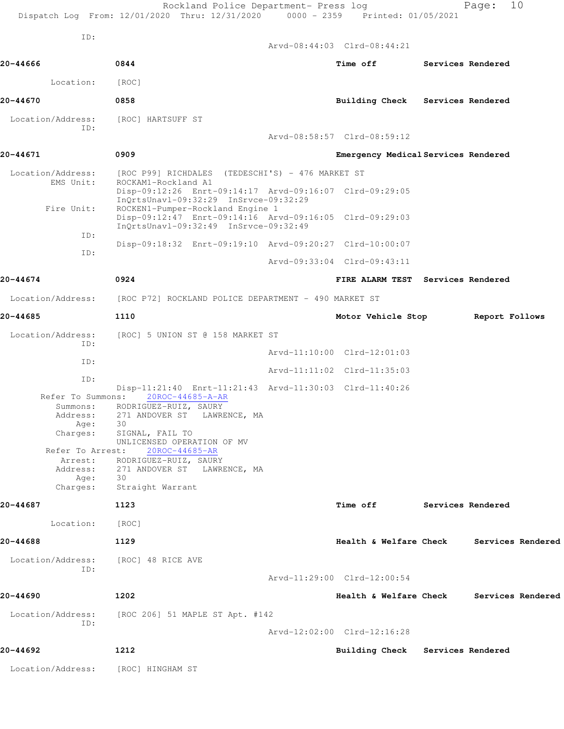| ID:                            |                                                                                                                                      |                                     |                          |
|--------------------------------|--------------------------------------------------------------------------------------------------------------------------------------|-------------------------------------|--------------------------|
|                                |                                                                                                                                      | Arvd-08:44:03 Clrd-08:44:21         |                          |
| 20-44666                       | 0844                                                                                                                                 | <b>Time off</b>                     | <b>Services Rendered</b> |
| Location:                      | [ROC]                                                                                                                                |                                     |                          |
| 20-44670                       | 0858                                                                                                                                 | Building Check Services Rendered    |                          |
| Location/Address:<br>ID:       | [ROC] HARTSUFF ST                                                                                                                    |                                     |                          |
|                                |                                                                                                                                      | Arvd-08:58:57 Clrd-08:59:12         |                          |
| 20-44671                       | 0909                                                                                                                                 | Emergency Medical Services Rendered |                          |
| Location/Address:<br>EMS Unit: | [ROC P99] RICHDALES (TEDESCHI'S) - 476 MARKET ST<br>ROCKAM1-Rockland A1                                                              |                                     |                          |
|                                | Disp-09:12:26 Enrt-09:14:17 Arvd-09:16:07 Clrd-09:29:05<br>InQrtsUnavl-09:32:29 InSrvce-09:32:29                                     |                                     |                          |
| Fire Unit:                     | ROCKEN1-Pumper-Rockland Engine 1<br>Disp-09:12:47 Enrt-09:14:16 Arvd-09:16:05 Clrd-09:29:03<br>InQrtsUnavl-09:32:49 InSrvce-09:32:49 |                                     |                          |
| ID:                            | Disp-09:18:32 Enrt-09:19:10 Arvd-09:20:27 Clrd-10:00:07                                                                              |                                     |                          |
| ID:                            |                                                                                                                                      | Arvd-09:33:04 Clrd-09:43:11         |                          |
| 20-44674                       | 0924                                                                                                                                 | FIRE ALARM TEST Services Rendered   |                          |
| Location/Address:              | [ROC P72] ROCKLAND POLICE DEPARTMENT – 490 MARKET ST                                                                                 |                                     |                          |
| 20-44685                       | 1110                                                                                                                                 | Motor Vehicle Stop                  | Report Follows           |
| Location/Address:              | [ROC] 5 UNION ST @ 158 MARKET ST                                                                                                     |                                     |                          |
| TD:                            |                                                                                                                                      | Arvd-11:10:00 Clrd-12:01:03         |                          |
| ID:                            |                                                                                                                                      | Arvd-11:11:02 Clrd-11:35:03         |                          |
| ID:                            | Disp-11:21:40 Enrt-11:21:43 Arvd-11:30:03 Clrd-11:40:26                                                                              |                                     |                          |
| Refer To Summons:<br>Summons:  | 20ROC-44685-A-AR<br>RODRIGUEZ-RUIZ, SAURY                                                                                            |                                     |                          |
| Address:                       | 271 ANDOVER ST LAWRENCE, MA                                                                                                          |                                     |                          |
| Age:<br>Charges:               | 30<br>SIGNAL, FAIL TO                                                                                                                |                                     |                          |
|                                | UNLICENSED OPERATION OF MV                                                                                                           |                                     |                          |
| Refer To Arrest:<br>Arrest:    | 20ROC-44685-AR<br>RODRIGUEZ-RUIZ, SAURY                                                                                              |                                     |                          |
| Address:                       | 271 ANDOVER ST LAWRENCE, MA                                                                                                          |                                     |                          |
| Age:<br>Charges:               | 30<br>Straight Warrant                                                                                                               |                                     |                          |
| 20-44687                       | 1123                                                                                                                                 | Time off                            | <b>Services Rendered</b> |
| Location:                      | [ROC]                                                                                                                                |                                     |                          |
| 20-44688                       | 1129                                                                                                                                 | Health & Welfare Check              | Services Rendered        |
| Location/Address:              | [ROC] 48 RICE AVE                                                                                                                    |                                     |                          |
| ID:                            |                                                                                                                                      | Arvd-11:29:00 Clrd-12:00:54         |                          |
| 20-44690                       | 1202                                                                                                                                 | Health & Welfare Check              | Services Rendered        |
| Location/Address:              | [ROC 206] 51 MAPLE ST Apt. #142                                                                                                      |                                     |                          |
| ID:                            |                                                                                                                                      | Arvd-12:02:00 Clrd-12:16:28         |                          |
| 20-44692                       | 1212                                                                                                                                 | Building Check Services Rendered    |                          |
| Location/Address:              | [ROC] HINGHAM ST                                                                                                                     |                                     |                          |
|                                |                                                                                                                                      |                                     |                          |

Rockland Police Department- Press log entitled Page: 10

Dispatch Log From: 12/01/2020 Thru: 12/31/2020 0000 - 2359 Printed: 01/05/2021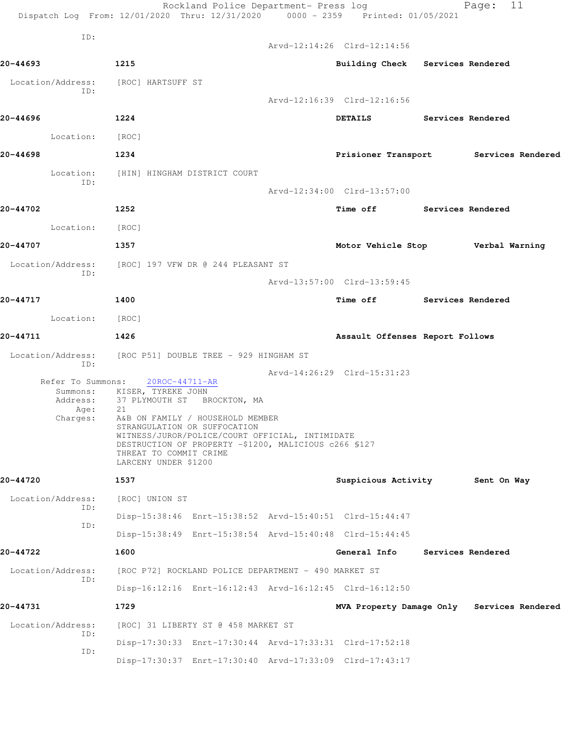|                                                               | Dispatch Log From: 12/01/2020 Thru: 12/31/2020 0000 - 2359 Printed: 01/05/2021                                              | Rockland Police Department- Press log                                                                                                                                        |                                                         |                          | 11<br>Page:                                |
|---------------------------------------------------------------|-----------------------------------------------------------------------------------------------------------------------------|------------------------------------------------------------------------------------------------------------------------------------------------------------------------------|---------------------------------------------------------|--------------------------|--------------------------------------------|
| ID:                                                           |                                                                                                                             |                                                                                                                                                                              | Arvd-12:14:26 Clrd-12:14:56                             |                          |                                            |
| 20-44693                                                      | 1215                                                                                                                        |                                                                                                                                                                              | Building Check Services Rendered                        |                          |                                            |
| Location/Address:                                             | [ROC] HARTSUFF ST                                                                                                           |                                                                                                                                                                              |                                                         |                          |                                            |
| ID:                                                           |                                                                                                                             |                                                                                                                                                                              | Arvd-12:16:39 Clrd-12:16:56                             |                          |                                            |
|                                                               |                                                                                                                             |                                                                                                                                                                              |                                                         |                          |                                            |
| 20-44696                                                      | 1224                                                                                                                        |                                                                                                                                                                              | <b>DETAILS</b>                                          | Services Rendered        |                                            |
| Location: [ROC]                                               |                                                                                                                             |                                                                                                                                                                              |                                                         |                          |                                            |
| 20-44698                                                      | 1234                                                                                                                        |                                                                                                                                                                              |                                                         |                          | Prisioner Transport Services Rendered      |
| Location:<br>ID:                                              | [HIN] HINGHAM DISTRICT COURT                                                                                                |                                                                                                                                                                              |                                                         |                          |                                            |
|                                                               |                                                                                                                             |                                                                                                                                                                              | Arvd-12:34:00 Clrd-13:57:00                             |                          |                                            |
| 20-44702                                                      | 1252                                                                                                                        |                                                                                                                                                                              | Time off Services Rendered                              |                          |                                            |
| Location:                                                     | [ ROC ]                                                                                                                     |                                                                                                                                                                              |                                                         |                          |                                            |
| 20-44707                                                      | 1357                                                                                                                        |                                                                                                                                                                              |                                                         |                          | Motor Vehicle Stop <b>Werbal Warning</b>   |
| Location/Address: [ROC] 197 VFW DR @ 244 PLEASANT ST          |                                                                                                                             |                                                                                                                                                                              |                                                         |                          |                                            |
| ID:                                                           |                                                                                                                             |                                                                                                                                                                              | Arvd-13:57:00 Clrd-13:59:45                             |                          |                                            |
| 20-44717                                                      | 1400                                                                                                                        |                                                                                                                                                                              | Time off Services Rendered                              |                          |                                            |
|                                                               |                                                                                                                             |                                                                                                                                                                              |                                                         |                          |                                            |
| Location: [ROC]                                               |                                                                                                                             |                                                                                                                                                                              |                                                         |                          |                                            |
| 20-44711                                                      | 1426                                                                                                                        |                                                                                                                                                                              | Assault Offenses Report Follows                         |                          |                                            |
| Location/Address:<br>ID:                                      | [ROC P51] DOUBLE TREE - 929 HINGHAM ST                                                                                      |                                                                                                                                                                              |                                                         |                          |                                            |
| Refer To Summons:<br>Summons:<br>Address:<br>Age:<br>Charges: | 20ROC-44711-AR<br>KISER, TYREKE JOHN<br>37 PLYMOUTH ST BROCKTON, MA<br>21<br>THREAT TO COMMIT CRIME<br>LARCENY UNDER \$1200 | A&B ON FAMILY / HOUSEHOLD MEMBER<br>STRANGULATION OR SUFFOCATION<br>WITNESS/JUROR/POLICE/COURT OFFICIAL, INTIMIDATE<br>DESTRUCTION OF PROPERTY -\$1200, MALICIOUS c266 \$127 | Arvd-14:26:29 Clrd-15:31:23                             |                          |                                            |
| 20-44720                                                      | 1537                                                                                                                        |                                                                                                                                                                              | Suspicious Activity                                     |                          | Sent On Way                                |
| Location/Address:                                             | [ROC] UNION ST                                                                                                              |                                                                                                                                                                              |                                                         |                          |                                            |
| ID:                                                           |                                                                                                                             |                                                                                                                                                                              | Disp-15:38:46 Enrt-15:38:52 Arvd-15:40:51 Clrd-15:44:47 |                          |                                            |
| ID:                                                           |                                                                                                                             |                                                                                                                                                                              | Disp-15:38:49 Enrt-15:38:54 Arvd-15:40:48 Clrd-15:44:45 |                          |                                            |
| 20-44722                                                      | 1600                                                                                                                        |                                                                                                                                                                              | General Info                                            | <b>Services Rendered</b> |                                            |
| Location/Address:                                             |                                                                                                                             | [ROC P72] ROCKLAND POLICE DEPARTMENT - 490 MARKET ST                                                                                                                         |                                                         |                          |                                            |
| ID:                                                           |                                                                                                                             |                                                                                                                                                                              | Disp-16:12:16 Enrt-16:12:43 Arvd-16:12:45 Clrd-16:12:50 |                          |                                            |
|                                                               |                                                                                                                             |                                                                                                                                                                              |                                                         |                          |                                            |
| 20-44731                                                      | 1729                                                                                                                        |                                                                                                                                                                              |                                                         |                          | MVA Property Damage Only Services Rendered |
| Location/Address:<br>ID:                                      |                                                                                                                             | [ROC] 31 LIBERTY ST @ 458 MARKET ST                                                                                                                                          |                                                         |                          |                                            |
| ID:                                                           |                                                                                                                             |                                                                                                                                                                              | Disp-17:30:33 Enrt-17:30:44 Arvd-17:33:31 Clrd-17:52:18 |                          |                                            |
|                                                               |                                                                                                                             |                                                                                                                                                                              | Disp-17:30:37 Enrt-17:30:40 Arvd-17:33:09 Clrd-17:43:17 |                          |                                            |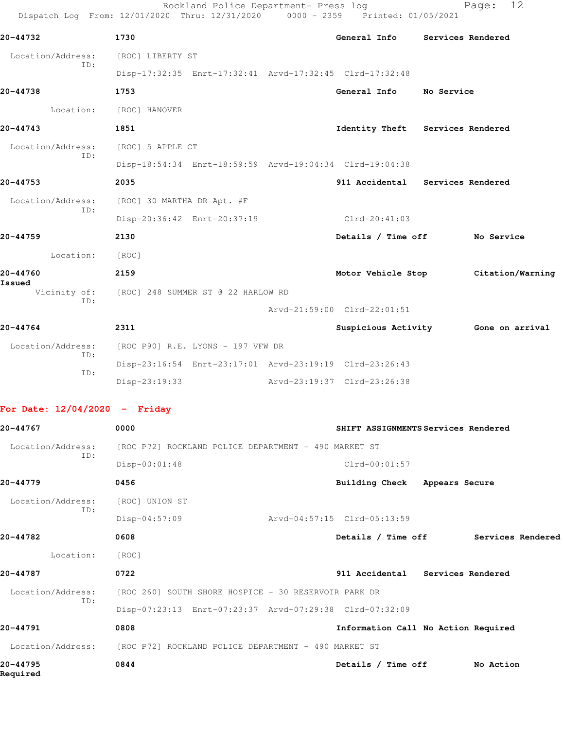|                                 | Rockland Police Department- Press log<br>Dispatch Log From: 12/01/2020 Thru: 12/31/2020 0000 - 2359 Printed: 01/05/2021 |                                     |                   | 12<br>Page:       |
|---------------------------------|-------------------------------------------------------------------------------------------------------------------------|-------------------------------------|-------------------|-------------------|
| 20-44732                        | 1730                                                                                                                    | <b>General Info</b>                 | Services Rendered |                   |
| Location/Address:               | [ROC] LIBERTY ST                                                                                                        |                                     |                   |                   |
| ID:                             | Disp-17:32:35 Enrt-17:32:41 Arvd-17:32:45 Clrd-17:32:48                                                                 |                                     |                   |                   |
| 20-44738                        | 1753                                                                                                                    | General Info                        | No Service        |                   |
| Location:                       | [ROC] HANOVER                                                                                                           |                                     |                   |                   |
| 20-44743                        | 1851                                                                                                                    | Identity Theft                      | Services Rendered |                   |
| Location/Address:               | [ROC] 5 APPLE CT                                                                                                        |                                     |                   |                   |
| ID:                             | Disp-18:54:34 Enrt-18:59:59 Arvd-19:04:34 Clrd-19:04:38                                                                 |                                     |                   |                   |
| 20-44753                        | 2035                                                                                                                    | 911 Accidental Services Rendered    |                   |                   |
| Location/Address:               | [ROC] 30 MARTHA DR Apt. #F                                                                                              |                                     |                   |                   |
| ID:                             | Disp-20:36:42 Enrt-20:37:19                                                                                             | $Clrd-20:41:03$                     |                   |                   |
| 20-44759                        | 2130                                                                                                                    | Details / Time off                  |                   | No Service        |
| Location:                       | [ROC]                                                                                                                   |                                     |                   |                   |
| 20-44760                        | 2159                                                                                                                    | Motor Vehicle Stop                  |                   | Citation/Warning  |
| Issued<br>Vicinity of:          | [ROC] 248 SUMMER ST @ 22 HARLOW RD                                                                                      |                                     |                   |                   |
| ID:                             |                                                                                                                         | Arvd-21:59:00 Clrd-22:01:51         |                   |                   |
| 20-44764                        | 2311                                                                                                                    | Suspicious Activity 6one on arrival |                   |                   |
| Location/Address:               | [ROC P90] R.E. LYONS - 197 VFW DR                                                                                       |                                     |                   |                   |
| ID:<br>ID:                      | Disp-23:16:54 Enrt-23:17:01 Arvd-23:19:19 Clrd-23:26:43                                                                 |                                     |                   |                   |
|                                 | Disp-23:19:33                                                                                                           | Arvd-23:19:37 Clrd-23:26:38         |                   |                   |
| For Date: $12/04/2020$ - Friday |                                                                                                                         |                                     |                   |                   |
| 20-44767                        | 0000                                                                                                                    | SHIFT ASSIGNMENTS Services Rendered |                   |                   |
| Location/Address:               | [ROC P72] ROCKLAND POLICE DEPARTMENT - 490 MARKET ST                                                                    |                                     |                   |                   |
| ID:                             | Disp-00:01:48                                                                                                           | $Clrd-00:01:57$                     |                   |                   |
| 20-44779                        | 0456                                                                                                                    | Building Check Appears Secure       |                   |                   |
| Location/Address:               | [ROC] UNION ST                                                                                                          |                                     |                   |                   |
| ID:                             | $Disp-04:57:09$                                                                                                         | Arvd-04:57:15 Clrd-05:13:59         |                   |                   |
| 20-44782                        | 0608                                                                                                                    | Details / Time off                  |                   | Services Rendered |
| Location:                       | [ROC]                                                                                                                   |                                     |                   |                   |
| 20-44787                        | 0722                                                                                                                    | 911 Accidental Services Rendered    |                   |                   |
| Location/Address:               | [ROC 260] SOUTH SHORE HOSPICE - 30 RESERVOIR PARK DR                                                                    |                                     |                   |                   |
| ID:                             | Disp-07:23:13 Enrt-07:23:37 Arvd-07:29:38 Clrd-07:32:09                                                                 |                                     |                   |                   |
| 20-44791                        | 0808                                                                                                                    | Information Call No Action Required |                   |                   |
| Location/Address:               | [ROC P72] ROCKLAND POLICE DEPARTMENT - 490 MARKET ST                                                                    |                                     |                   |                   |
| 20-44795<br>Required            | 0844                                                                                                                    | Details / Time off                  |                   | No Action         |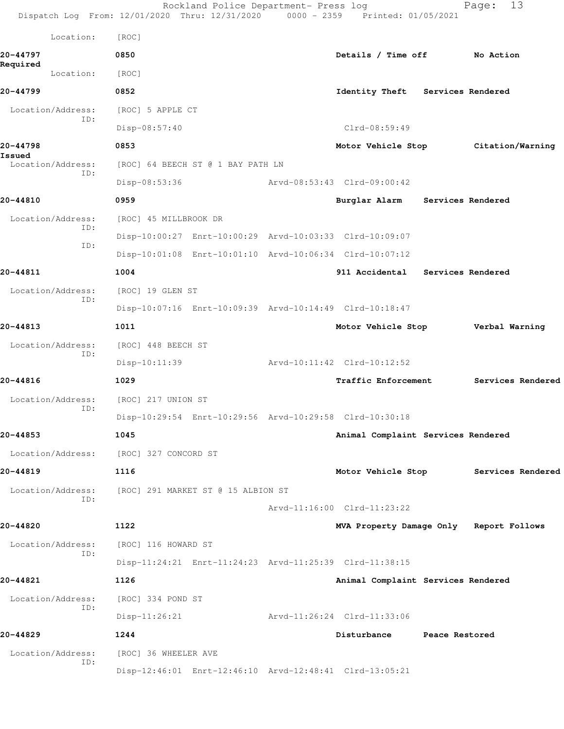|                   |                   | Rockland Police Department- Press log<br>Dispatch Log From: 12/01/2020 Thru: 12/31/2020 0000 - 2359 Printed: 01/05/2021 |                                    |                   | 13<br>Page:                             |
|-------------------|-------------------|-------------------------------------------------------------------------------------------------------------------------|------------------------------------|-------------------|-----------------------------------------|
|                   | Location:         | [ROC]                                                                                                                   |                                    |                   |                                         |
| 20-44797          |                   | 0850                                                                                                                    | Details / Time off                 |                   | No Action                               |
| Required          | Location:         | [ROC]                                                                                                                   |                                    |                   |                                         |
| 20-44799          |                   | 0852                                                                                                                    | Identity Theft Services Rendered   |                   |                                         |
|                   | Location/Address: | [ROC] 5 APPLE CT                                                                                                        |                                    |                   |                                         |
|                   | ID:               | Disp-08:57:40                                                                                                           | $Clrd-08:59:49$                    |                   |                                         |
| 20-44798          |                   | 0853                                                                                                                    |                                    |                   | Motor Vehicle Stop Citation/Warning     |
| Issued            | Location/Address: | [ROC] 64 BEECH ST @ 1 BAY PATH LN                                                                                       |                                    |                   |                                         |
|                   | ID:               | Disp-08:53:36                                                                                                           | Arvd-08:53:43 Clrd-09:00:42        |                   |                                         |
| 20-44810          |                   | 0959                                                                                                                    | Burglar Alarm                      | Services Rendered |                                         |
|                   | Location/Address: | [ROC] 45 MILLBROOK DR                                                                                                   |                                    |                   |                                         |
|                   | ID:               | Disp-10:00:27 Enrt-10:00:29 Arvd-10:03:33 Clrd-10:09:07                                                                 |                                    |                   |                                         |
|                   | ID:               | Disp-10:01:08 Enrt-10:01:10 Arvd-10:06:34 Clrd-10:07:12                                                                 |                                    |                   |                                         |
| 20-44811          |                   | 1004                                                                                                                    | 911 Accidental Services Rendered   |                   |                                         |
|                   | Location/Address: | [ROC] 19 GLEN ST                                                                                                        |                                    |                   |                                         |
|                   | ID:               | Disp-10:07:16 Enrt-10:09:39 Arvd-10:14:49 Clrd-10:18:47                                                                 |                                    |                   |                                         |
| 20-44813          |                   | 1011                                                                                                                    | Motor Vehicle Stop                 |                   | Verbal Warning                          |
| Location/Address: |                   | [ROC] 448 BEECH ST                                                                                                      |                                    |                   |                                         |
|                   | ID:               | $Disp-10:11:39$                                                                                                         | Arvd-10:11:42 Clrd-10:12:52        |                   |                                         |
| 20-44816          |                   | 1029                                                                                                                    | Traffic Enforcement                |                   | Services Rendered                       |
|                   | Location/Address: | [ROC] 217 UNION ST                                                                                                      |                                    |                   |                                         |
|                   | ID:               | Disp-10:29:54 Enrt-10:29:56 Arvd-10:29:58 Clrd-10:30:18                                                                 |                                    |                   |                                         |
| 20-44853          |                   | 1045                                                                                                                    | Animal Complaint Services Rendered |                   |                                         |
|                   | Location/Address: | [ROC] 327 CONCORD ST                                                                                                    |                                    |                   |                                         |
| 20-44819          |                   | 1116                                                                                                                    |                                    |                   | Motor Vehicle Stop Services Rendered    |
|                   | Location/Address: | [ROC] 291 MARKET ST @ 15 ALBION ST                                                                                      |                                    |                   |                                         |
|                   | ID:               |                                                                                                                         | Arvd-11:16:00 Clrd-11:23:22        |                   |                                         |
| 20-44820          |                   | 1122                                                                                                                    |                                    |                   | MVA Property Damage Only Report Follows |
|                   | Location/Address: | [ROC] 116 HOWARD ST                                                                                                     |                                    |                   |                                         |
|                   | ID:               | Disp-11:24:21 Enrt-11:24:23 Arvd-11:25:39 Clrd-11:38:15                                                                 |                                    |                   |                                         |
| 20-44821          |                   | 1126                                                                                                                    | Animal Complaint Services Rendered |                   |                                         |
|                   | Location/Address: | [ROC] 334 POND ST                                                                                                       |                                    |                   |                                         |
|                   | ID:               | $Disp-11:26:21$                                                                                                         | Arvd-11:26:24 Clrd-11:33:06        |                   |                                         |
| 20-44829          |                   | 1244                                                                                                                    | Disturbance                        | Peace Restored    |                                         |
|                   | Location/Address: | [ROC] 36 WHEELER AVE                                                                                                    |                                    |                   |                                         |
|                   | ID:               | Disp-12:46:01 Enrt-12:46:10 Arvd-12:48:41 Clrd-13:05:21                                                                 |                                    |                   |                                         |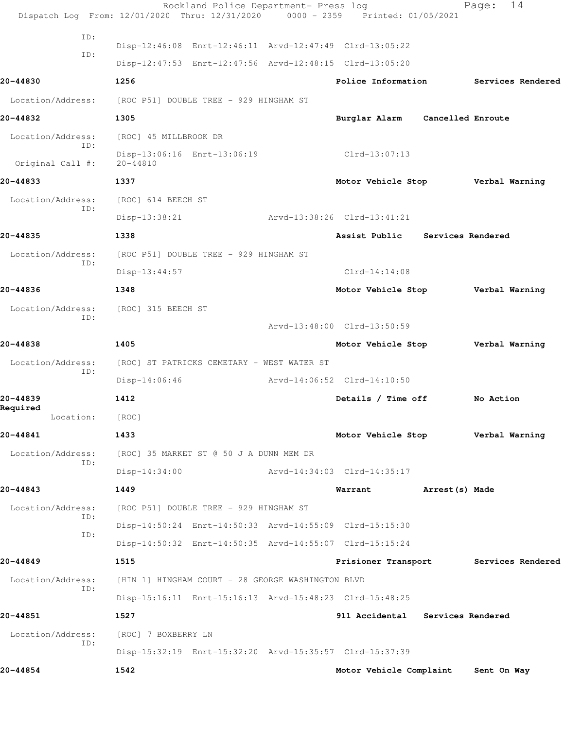|                          | Rockland Police Department- Press log<br>Dispatch Log From: 12/01/2020 Thru: 12/31/2020 0000 - 2359 Printed: 01/05/2021 |                                   |                   | 14<br>Page:       |
|--------------------------|-------------------------------------------------------------------------------------------------------------------------|-----------------------------------|-------------------|-------------------|
|                          |                                                                                                                         |                                   |                   |                   |
| ID:                      | Disp-12:46:08 Enrt-12:46:11 Arvd-12:47:49 Clrd-13:05:22                                                                 |                                   |                   |                   |
| ID:                      | Disp-12:47:53 Enrt-12:47:56 Arvd-12:48:15 Clrd-13:05:20                                                                 |                                   |                   |                   |
| 20-44830                 | 1256                                                                                                                    | Police Information                |                   | Services Rendered |
| Location/Address:        | [ROC P51] DOUBLE TREE - 929 HINGHAM ST                                                                                  |                                   |                   |                   |
| 20-44832                 | 1305                                                                                                                    | Burglar Alarm                     | Cancelled Enroute |                   |
| Location/Address:        | [ROC] 45 MILLBROOK DR                                                                                                   |                                   |                   |                   |
| ID:<br>Original Call #:  | Disp-13:06:16 Enrt-13:06:19<br>$20 - 44810$                                                                             | $Clrd-13:07:13$                   |                   |                   |
| 20-44833                 | 1337                                                                                                                    | Motor Vehicle Stop                |                   | Verbal Warning    |
| Location/Address:        | [ROC] 614 BEECH ST                                                                                                      |                                   |                   |                   |
| ID:                      | Disp-13:38:21                                                                                                           | Arvd-13:38:26 Clrd-13:41:21       |                   |                   |
| 20-44835                 | 1338                                                                                                                    | Assist Public Services Rendered   |                   |                   |
| Location/Address:        | [ROC P51] DOUBLE TREE - 929 HINGHAM ST                                                                                  |                                   |                   |                   |
| ID:                      | Disp-13:44:57                                                                                                           | $Clrd-14:14:08$                   |                   |                   |
| 20-44836                 | 1348                                                                                                                    | Motor Vehicle Stop                |                   | Verbal Warning    |
| Location/Address:        | [ROC] 315 BEECH ST                                                                                                      |                                   |                   |                   |
| ID:                      |                                                                                                                         | Arvd-13:48:00 Clrd-13:50:59       |                   |                   |
| 20-44838                 | 1405                                                                                                                    | Motor Vehicle Stop                |                   | Verbal Warning    |
| Location/Address:        | [ROC] ST PATRICKS CEMETARY - WEST WATER ST                                                                              |                                   |                   |                   |
| ID:                      | $Disp-14:06:46$                                                                                                         | Arvd-14:06:52 Clrd-14:10:50       |                   |                   |
| 20-44839                 | 1412                                                                                                                    | Details / Time off                |                   | No Action         |
| Required<br>Location:    | [ROC]                                                                                                                   |                                   |                   |                   |
| 20-44841                 | 1433                                                                                                                    | Motor Vehicle Stop Verbal Warning |                   |                   |
| Location/Address:<br>ID: | [ROC] 35 MARKET ST @ 50 J A DUNN MEM DR                                                                                 |                                   |                   |                   |
|                          | $Disp-14:34:00$                                                                                                         | Arvd-14:34:03 Clrd-14:35:17       |                   |                   |
| 20-44843                 | 1449                                                                                                                    | Warrant                           | Arrest (s) Made   |                   |
| Location/Address:<br>ID: | [ROC P51] DOUBLE TREE - 929 HINGHAM ST                                                                                  |                                   |                   |                   |
| ID:                      | Disp-14:50:24 Enrt-14:50:33 Arvd-14:55:09 Clrd-15:15:30                                                                 |                                   |                   |                   |
|                          | Disp-14:50:32 Enrt-14:50:35 Arvd-14:55:07 Clrd-15:15:24                                                                 |                                   |                   |                   |
| 20-44849                 | 1515                                                                                                                    | Prisioner Transport               |                   | Services Rendered |
| Location/Address:<br>ID: | [HIN 1] HINGHAM COURT - 28 GEORGE WASHINGTON BLVD                                                                       |                                   |                   |                   |
|                          | Disp-15:16:11 Enrt-15:16:13 Arvd-15:48:23 Clrd-15:48:25                                                                 |                                   |                   |                   |
| 20-44851                 | 1527                                                                                                                    | 911 Accidental Services Rendered  |                   |                   |
| Location/Address:<br>ID: | [ROC] 7 BOXBERRY LN                                                                                                     |                                   |                   |                   |
|                          | Disp-15:32:19 Enrt-15:32:20 Arvd-15:35:57 Clrd-15:37:39                                                                 |                                   |                   |                   |
| 20-44854                 | 1542                                                                                                                    | Motor Vehicle Complaint           |                   | Sent On Way       |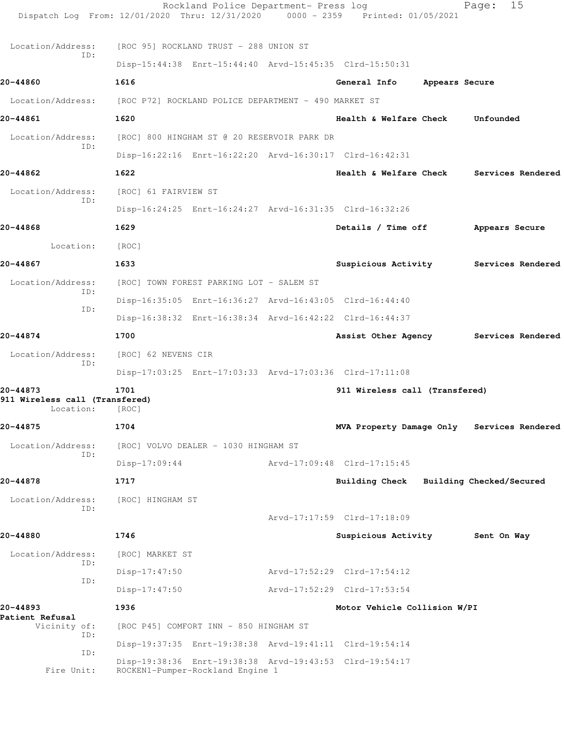|                                                               | Rockland Police Department- Press log<br>Dispatch Log From: 12/01/2020 Thru: 12/31/2020 0000 - 2359 Printed: 01/05/2021 |                                   |                | 15<br>Page:                                |
|---------------------------------------------------------------|-------------------------------------------------------------------------------------------------------------------------|-----------------------------------|----------------|--------------------------------------------|
| Location/Address:                                             | [ROC 95] ROCKLAND TRUST - 288 UNION ST                                                                                  |                                   |                |                                            |
| ID:                                                           | Disp-15:44:38 Enrt-15:44:40 Arvd-15:45:35 Clrd-15:50:31                                                                 |                                   |                |                                            |
| 20-44860                                                      | 1616                                                                                                                    | General Info                      | Appears Secure |                                            |
|                                                               | Location/Address: [ROC P72] ROCKLAND POLICE DEPARTMENT - 490 MARKET ST                                                  |                                   |                |                                            |
| 20-44861                                                      | 1620                                                                                                                    | <b>Health &amp; Welfare Check</b> |                | Unfounded                                  |
| Location/Address:                                             | [ROC] 800 HINGHAM ST @ 20 RESERVOIR PARK DR                                                                             |                                   |                |                                            |
| ID:                                                           | Disp-16:22:16 Enrt-16:22:20 Arvd-16:30:17 Clrd-16:42:31                                                                 |                                   |                |                                            |
| 20-44862                                                      | 1622                                                                                                                    |                                   |                | Health & Welfare Check Services Rendered   |
| Location/Address:                                             | [ROC] 61 FAIRVIEW ST                                                                                                    |                                   |                |                                            |
| ID:                                                           | Disp-16:24:25 Enrt-16:24:27 Arvd-16:31:35 Clrd-16:32:26                                                                 |                                   |                |                                            |
| 20-44868                                                      | 1629                                                                                                                    | Details / Time off                |                | Appears Secure                             |
| Location:                                                     | [ROC]                                                                                                                   |                                   |                |                                            |
| 20-44867                                                      | 1633                                                                                                                    |                                   |                | Suspicious Activity Services Rendered      |
| Location/Address:                                             | [ROC] TOWN FOREST PARKING LOT - SALEM ST                                                                                |                                   |                |                                            |
| ID:                                                           | Disp-16:35:05 Enrt-16:36:27 Arvd-16:43:05 Clrd-16:44:40                                                                 |                                   |                |                                            |
| ID:                                                           | Disp-16:38:32 Enrt-16:38:34 Arvd-16:42:22 Clrd-16:44:37                                                                 |                                   |                |                                            |
| 20-44874                                                      | 1700                                                                                                                    | Assist Other Agency               |                | Services Rendered                          |
| Location/Address:                                             | [ROC] 62 NEVENS CIR                                                                                                     |                                   |                |                                            |
| ID:                                                           | Disp-17:03:25 Enrt-17:03:33 Arvd-17:03:36 Clrd-17:11:08                                                                 |                                   |                |                                            |
| 20-44873<br>911 Wireless call (Transfered)<br>Location: [ROC] | 1701                                                                                                                    | 911 Wireless call (Transfered)    |                |                                            |
| 20-44875                                                      | 1704                                                                                                                    |                                   |                | MVA Property Damage Only Services Rendered |
| Location/Address:                                             | [ROC] VOLVO DEALER - 1030 HINGHAM ST                                                                                    |                                   |                |                                            |
| ID:                                                           | $Disp-17:09:44$                                                                                                         | Arvd-17:09:48 Clrd-17:15:45       |                |                                            |
| 20-44878                                                      | 1717                                                                                                                    | <b>Building Check</b>             |                | Building Checked/Secured                   |
| Location/Address:                                             | [ROC] HINGHAM ST                                                                                                        |                                   |                |                                            |
| ID:                                                           |                                                                                                                         | Arvd-17:17:59 Clrd-17:18:09       |                |                                            |
| 20-44880                                                      | 1746                                                                                                                    | Suspicious Activity               |                | Sent On Way                                |
| Location/Address:<br>ID:                                      | [ROC] MARKET ST                                                                                                         |                                   |                |                                            |
| ID:                                                           | $Disp-17:47:50$                                                                                                         | Arvd-17:52:29 Clrd-17:54:12       |                |                                            |
|                                                               | $Disp-17:47:50$                                                                                                         | Arvd-17:52:29 Clrd-17:53:54       |                |                                            |
| 20-44893<br>Patient Refusal                                   | 1936                                                                                                                    | Motor Vehicle Collision W/PI      |                |                                            |
| Vicinity of:<br>ID:                                           | [ROC P45] COMFORT INN - 850 HINGHAM ST                                                                                  |                                   |                |                                            |
| ID:                                                           | Disp-19:37:35 Enrt-19:38:38 Arvd-19:41:11 Clrd-19:54:14                                                                 |                                   |                |                                            |
| Fire Unit:                                                    | Disp-19:38:36 Enrt-19:38:38 Arvd-19:43:53 Clrd-19:54:17<br>ROCKEN1-Pumper-Rockland Engine 1                             |                                   |                |                                            |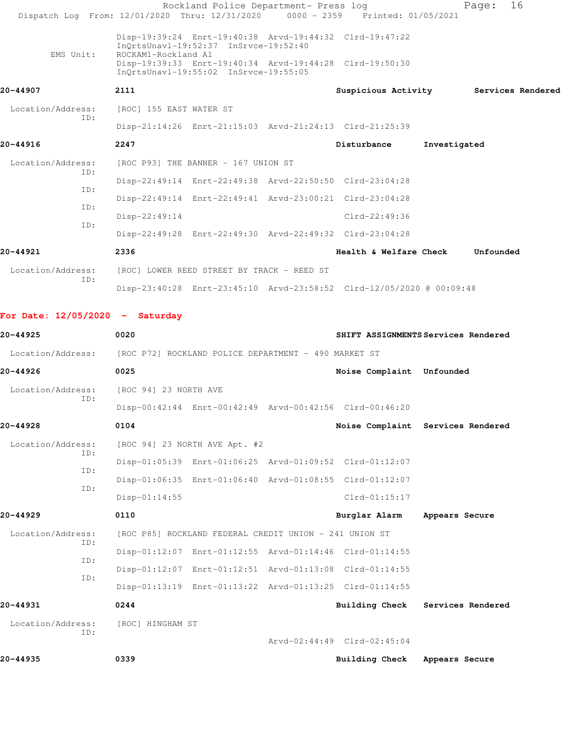| Dispatch Log From: 12/01/2020 Thru: 12/31/2020                         |                                            | Rockland Police Department- Press log                  | 0000 - 2359 Printed: 01/05/2021                                      |                | 16<br>Page:       |  |
|------------------------------------------------------------------------|--------------------------------------------|--------------------------------------------------------|----------------------------------------------------------------------|----------------|-------------------|--|
|                                                                        |                                            | InQrtsUnavl-19:52:37 InSrvce-19:52:40                  | Disp-19:39:24 Enrt-19:40:38 Arvd-19:44:32 Clrd-19:47:22              |                |                   |  |
| EMS Unit:                                                              | ROCKAM1-Rockland A1                        | InQrtsUnavl-19:55:02 InSrvce-19:55:05                  | Disp-19:39:33 Enrt-19:40:34 Arvd-19:44:28 Clrd-19:50:30              |                |                   |  |
| 20-44907                                                               | 2111                                       |                                                        | Suspicious Activity                                                  |                | Services Rendered |  |
| Location/Address:                                                      | [ROC] 155 EAST WATER ST                    |                                                        |                                                                      |                |                   |  |
| ID:                                                                    |                                            |                                                        | Disp-21:14:26 Enrt-21:15:03 Arvd-21:24:13 Clrd-21:25:39              |                |                   |  |
| 20-44916                                                               | 2247                                       |                                                        | Disturbance                                                          | Investigated   |                   |  |
| Location/Address:                                                      |                                            | [ROC P93] THE BANNER - 167 UNION ST                    |                                                                      |                |                   |  |
| ID:                                                                    |                                            |                                                        | Disp-22:49:14 Enrt-22:49:38 Arvd-22:50:50 Clrd-23:04:28              |                |                   |  |
| ID:                                                                    |                                            |                                                        | Disp-22:49:14 Enrt-22:49:41 Arvd-23:00:21 Clrd-23:04:28              |                |                   |  |
| ID:                                                                    | $Disp-22:49:14$                            |                                                        | Clrd-22:49:36                                                        |                |                   |  |
| ID:                                                                    |                                            |                                                        | Disp-22:49:28 Enrt-22:49:30 Arvd-22:49:32 Clrd-23:04:28              |                |                   |  |
| 20-44921                                                               | 2336                                       |                                                        | <b>Health &amp; Welfare Check</b>                                    |                | Unfounded         |  |
| Location/Address:                                                      | [ROC] LOWER REED STREET BY TRACK - REED ST |                                                        |                                                                      |                |                   |  |
| ID:                                                                    |                                            |                                                        | Disp-23:40:28 Enrt-23:45:10 Arvd-23:58:52 Clrd-12/05/2020 @ 00:09:48 |                |                   |  |
| For Date: $12/05/2020 -$ Saturday                                      |                                            |                                                        |                                                                      |                |                   |  |
| 20-44925                                                               | 0020                                       |                                                        | SHIFT ASSIGNMENTS Services Rendered                                  |                |                   |  |
| Location/Address: [ROC P72] ROCKLAND POLICE DEPARTMENT - 490 MARKET ST |                                            |                                                        |                                                                      |                |                   |  |
| 20-44926                                                               | 0025                                       |                                                        | Noise Complaint Unfounded                                            |                |                   |  |
| Location/Address:                                                      | [ROC 94] 23 NORTH AVE                      |                                                        |                                                                      |                |                   |  |
| ID:                                                                    |                                            |                                                        | Disp-00:42:44 Enrt-00:42:49 Arvd-00:42:56 Clrd-00:46:20              |                |                   |  |
| 20-44928                                                               | 0104                                       |                                                        | Noise Complaint Services Rendered                                    |                |                   |  |
| Location/Address:                                                      |                                            | [ROC 94] 23 NORTH AVE Apt. #2                          |                                                                      |                |                   |  |
| ID:                                                                    |                                            |                                                        | Disp-01:05:39 Enrt-01:06:25 Arvd-01:09:52 Clrd-01:12:07              |                |                   |  |
| ID:                                                                    |                                            |                                                        | Disp-01:06:35 Enrt-01:06:40 Arvd-01:08:55 Clrd-01:12:07              |                |                   |  |
| ID:                                                                    | $Disp-01:14:55$                            |                                                        | $Clrd-01:15:17$                                                      |                |                   |  |
| 20-44929                                                               | 0110                                       |                                                        | Burglar Alarm                                                        | Appears Secure |                   |  |
| Location/Address:                                                      |                                            | [ROC P85] ROCKLAND FEDERAL CREDIT UNION - 241 UNION ST |                                                                      |                |                   |  |
| ID:                                                                    |                                            |                                                        | Disp-01:12:07 Enrt-01:12:55 Arvd-01:14:46 Clrd-01:14:55              |                |                   |  |

 ID: Disp-01:12:07 Enrt-01:12:51 Arvd-01:13:08 Clrd-01:14:55 ID:

 Disp-01:13:19 Enrt-01:13:22 Arvd-01:13:25 Clrd-01:14:55 **20-44931 0244 Building Check Services Rendered** Location/Address: [ROC] HINGHAM ST ID: Arvd-02:44:49 Clrd-02:45:04

**20-44935 0339 Building Check Appears Secure**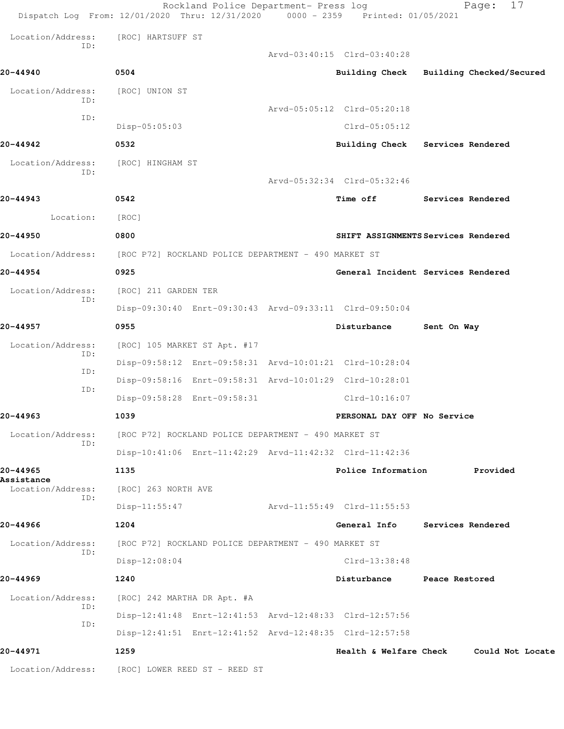|                          | Rockland Police Department- Press log<br>Dispatch Log From: 12/01/2020 Thru: 12/31/2020 0000 - 2359 Printed: 01/05/2021 |                             | 17<br>Page:                             |
|--------------------------|-------------------------------------------------------------------------------------------------------------------------|-----------------------------|-----------------------------------------|
| Location/Address:        | [ROC] HARTSUFF ST                                                                                                       |                             |                                         |
| ID:                      |                                                                                                                         | Arvd-03:40:15 Clrd-03:40:28 |                                         |
| 20-44940                 | 0504                                                                                                                    |                             | Building Check Building Checked/Secured |
| Location/Address:        | [ROC] UNION ST                                                                                                          |                             |                                         |
| ID:<br>ID:               |                                                                                                                         | Arvd-05:05:12 Clrd-05:20:18 |                                         |
|                          | Disp-05:05:03                                                                                                           | Clrd-05:05:12               |                                         |
| 20-44942                 | 0532                                                                                                                    |                             | Building Check Services Rendered        |
| Location/Address:<br>ID: | [ROC] HINGHAM ST                                                                                                        |                             |                                         |
|                          |                                                                                                                         | Arvd-05:32:34 Clrd-05:32:46 |                                         |
| 20-44943                 | 0542                                                                                                                    | Time off                    | Services Rendered                       |
| Location:                | [ROC]                                                                                                                   |                             |                                         |
| 20-44950                 | 0800                                                                                                                    |                             | SHIFT ASSIGNMENTS Services Rendered     |
| Location/Address:        | [ROC P72] ROCKLAND POLICE DEPARTMENT - 490 MARKET ST                                                                    |                             |                                         |
| 20-44954                 | 0925                                                                                                                    |                             | General Incident Services Rendered      |
| Location/Address:<br>ID: | [ROC] 211 GARDEN TER                                                                                                    |                             |                                         |
|                          | Disp-09:30:40 Enrt-09:30:43 Arvd-09:33:11 Clrd-09:50:04                                                                 |                             |                                         |
| 20-44957                 | 0955                                                                                                                    | Disturbance                 | Sent On Way                             |
| Location/Address:<br>ID: | [ROC] 105 MARKET ST Apt. #17                                                                                            |                             |                                         |
| ID:                      | Disp-09:58:12 Enrt-09:58:31 Arvd-10:01:21 Clrd-10:28:04                                                                 |                             |                                         |
| ID:                      | Disp-09:58:16 Enrt-09:58:31 Arvd-10:01:29 Clrd-10:28:01                                                                 |                             |                                         |
|                          | Disp-09:58:28 Enrt-09:58:31                                                                                             | $Clrd-10:16:07$             |                                         |
| 20-44963                 | 1039                                                                                                                    | PERSONAL DAY OFF No Service |                                         |
| Location/Address:<br>ID: | [ROC P72] ROCKLAND POLICE DEPARTMENT - 490 MARKET ST                                                                    |                             |                                         |
|                          | Disp-10:41:06 Enrt-11:42:29 Arvd-11:42:32 Clrd-11:42:36                                                                 |                             |                                         |
| 20-44965<br>Assistance   | 1135                                                                                                                    | Police Information          | Provided                                |
| Location/Address:<br>ID: | [ROC] 263 NORTH AVE                                                                                                     |                             |                                         |
|                          | $Disp-11:55:47$                                                                                                         | Arvd-11:55:49 Clrd-11:55:53 |                                         |
| 20-44966                 | 1204                                                                                                                    | General Info                | Services Rendered                       |
| Location/Address:<br>ID: | [ROC P72] ROCKLAND POLICE DEPARTMENT - 490 MARKET ST                                                                    |                             |                                         |
|                          | $Disp-12:08:04$                                                                                                         | Clrd-13:38:48               |                                         |
| 20-44969                 | 1240                                                                                                                    | Disturbance                 | Peace Restored                          |
| Location/Address:<br>ID: | [ROC] 242 MARTHA DR Apt. #A                                                                                             |                             |                                         |
| ID:                      | Disp-12:41:48 Enrt-12:41:53 Arvd-12:48:33 Clrd-12:57:56                                                                 |                             |                                         |
|                          | Disp-12:41:51 Enrt-12:41:52 Arvd-12:48:35 Clrd-12:57:58                                                                 |                             |                                         |
| 20-44971                 | 1259                                                                                                                    |                             | Health & Welfare Check Could Not Locate |
| Location/Address:        | [ROC] LOWER REED ST - REED ST                                                                                           |                             |                                         |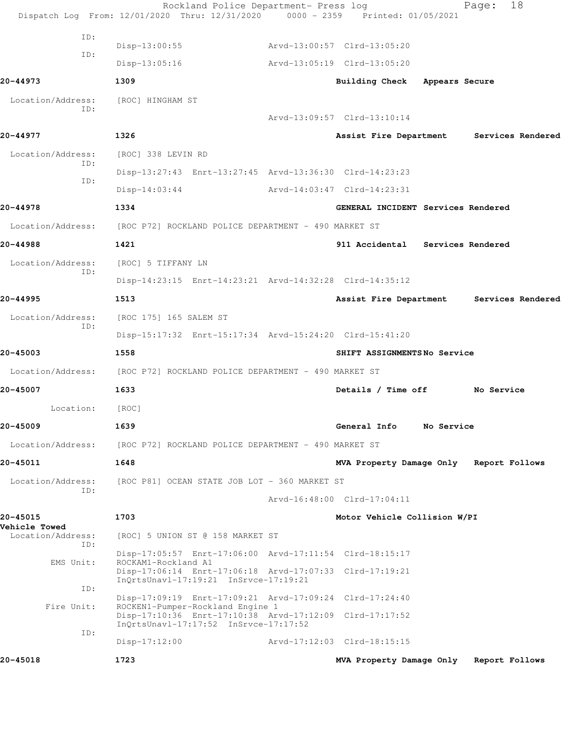|                                  | Rockland Police Department- Press log<br>Dispatch Log From: 12/01/2020 Thru: 12/31/2020 0000 - 2359 Printed: 01/05/2021 |                                         |            | Page:          | 18                |
|----------------------------------|-------------------------------------------------------------------------------------------------------------------------|-----------------------------------------|------------|----------------|-------------------|
| ID:                              |                                                                                                                         |                                         |            |                |                   |
| ID:                              | $Disp-13:00:55$                                                                                                         | Arvd-13:00:57 Clrd-13:05:20             |            |                |                   |
|                                  | $Disp-13:05:16$                                                                                                         | Arvd-13:05:19 Clrd-13:05:20             |            |                |                   |
| 20-44973                         | 1309                                                                                                                    | Building Check Appears Secure           |            |                |                   |
| Location/Address:<br>ID:         | [ROC] HINGHAM ST                                                                                                        |                                         |            |                |                   |
|                                  |                                                                                                                         | Arvd-13:09:57 Clrd-13:10:14             |            |                |                   |
| 20-44977                         | 1326                                                                                                                    | Assist Fire Department                  |            |                | Services Rendered |
| Location/Address:<br>ID:         | [ROC] 338 LEVIN RD                                                                                                      |                                         |            |                |                   |
| ID:                              | Disp-13:27:43 Enrt-13:27:45 Arvd-13:36:30 Clrd-14:23:23                                                                 |                                         |            |                |                   |
|                                  | $Disp-14:03:44$                                                                                                         | Arvd-14:03:47 Clrd-14:23:31             |            |                |                   |
| 20-44978                         | 1334                                                                                                                    | GENERAL INCIDENT Services Rendered      |            |                |                   |
| Location/Address:                | [ROC P72] ROCKLAND POLICE DEPARTMENT - 490 MARKET ST                                                                    |                                         |            |                |                   |
| 20-44988                         | 1421                                                                                                                    | 911 Accidental Services Rendered        |            |                |                   |
| Location/Address:<br>ID:         | [ROC] 5 TIFFANY LN                                                                                                      |                                         |            |                |                   |
|                                  | Disp-14:23:15 Enrt-14:23:21 Arvd-14:32:28 Clrd-14:35:12                                                                 |                                         |            |                |                   |
| 20-44995                         | 1513                                                                                                                    | Assist Fire Department                  |            |                | Services Rendered |
| Location/Address:<br>ID:         | [ROC 175] 165 SALEM ST                                                                                                  |                                         |            |                |                   |
|                                  | Disp-15:17:32 Enrt-15:17:34 Arvd-15:24:20 Clrd-15:41:20                                                                 |                                         |            |                |                   |
| 20-45003                         | 1558                                                                                                                    | SHIFT ASSIGNMENTSNo Service             |            |                |                   |
| Location/Address:                | [ROC P72] ROCKLAND POLICE DEPARTMENT - 490 MARKET ST                                                                    |                                         |            |                |                   |
| 20-45007                         | 1633                                                                                                                    | Details / Time off                      |            | No Service     |                   |
| Location:                        | [ROC]                                                                                                                   |                                         |            |                |                   |
| 20-45009                         | 1639                                                                                                                    | General Info                            | No Service |                |                   |
| Location/Address:                | [ROC P72] ROCKLAND POLICE DEPARTMENT - 490 MARKET ST                                                                    |                                         |            |                |                   |
| 20-45011                         | 1648                                                                                                                    | MVA Property Damage Only Report Follows |            |                |                   |
| Location/Address:                | [ROC P81] OCEAN STATE JOB LOT - 360 MARKET ST                                                                           |                                         |            |                |                   |
| ID:                              |                                                                                                                         | Arvd-16:48:00 Clrd-17:04:11             |            |                |                   |
| 20-45015<br><b>Vehicle Towed</b> | 1703                                                                                                                    | Motor Vehicle Collision W/PI            |            |                |                   |
| Location/Address:                | [ROC] 5 UNION ST @ 158 MARKET ST                                                                                        |                                         |            |                |                   |
| ID:<br>EMS Unit:                 | Disp-17:05:57 Enrt-17:06:00 Arvd-17:11:54 Clrd-18:15:17<br>ROCKAM1-Rockland A1                                          |                                         |            |                |                   |
|                                  | Disp-17:06:14 Enrt-17:06:18 Arvd-17:07:33 Clrd-17:19:21<br>InQrtsUnavl-17:19:21 InSrvce-17:19:21                        |                                         |            |                |                   |
| ID:                              | Disp-17:09:19 Enrt-17:09:21 Arvd-17:09:24 Clrd-17:24:40                                                                 |                                         |            |                |                   |
| Fire Unit:                       | ROCKEN1-Pumper-Rockland Engine 1<br>Disp-17:10:36 Enrt-17:10:38 Arvd-17:12:09 Clrd-17:17:52                             |                                         |            |                |                   |
| ID:                              | InQrtsUnavl-17:17:52 InSrvce-17:17:52                                                                                   |                                         |            |                |                   |
|                                  | $Disp-17:12:00$                                                                                                         | Arvd-17:12:03 Clrd-18:15:15             |            |                |                   |
| 20-45018                         | 1723                                                                                                                    | MVA Property Damage Only                |            | Report Follows |                   |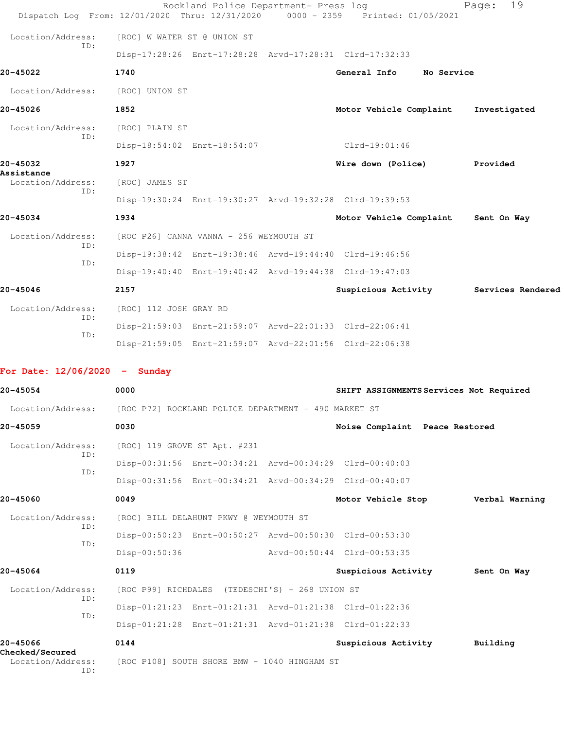|                                                                        |                                         | Rockland Police Department- Press log           | Dispatch Log From: 12/01/2020 Thru: 12/31/2020 0000 - 2359 Printed: 01/05/2021 | 19<br>Page:       |
|------------------------------------------------------------------------|-----------------------------------------|-------------------------------------------------|--------------------------------------------------------------------------------|-------------------|
| Location/Address:                                                      | [ROC] W WATER ST @ UNION ST             |                                                 |                                                                                |                   |
| ID:                                                                    |                                         |                                                 | Disp-17:28:26 Enrt-17:28:28 Arvd-17:28:31 Clrd-17:32:33                        |                   |
| 20-45022                                                               | 1740                                    |                                                 | General Info No Service                                                        |                   |
| Location/Address:                                                      | [ROC] UNION ST                          |                                                 |                                                                                |                   |
| 20-45026                                                               | 1852                                    |                                                 | Motor Vehicle Complaint                                                        | Investigated      |
| Location/Address:                                                      | [ROC] PLAIN ST                          |                                                 |                                                                                |                   |
| ID:                                                                    |                                         | Disp-18:54:02 Enrt-18:54:07                     | $Clrd-19:01:46$                                                                |                   |
| 20-45032                                                               | 1927                                    |                                                 | Wire down (Police) Provided                                                    |                   |
| Assistance<br>Location/Address:                                        | [ROC] JAMES ST                          |                                                 |                                                                                |                   |
| ID:                                                                    |                                         |                                                 | Disp-19:30:24 Enrt-19:30:27 Arvd-19:32:28 Clrd-19:39:53                        |                   |
| 20-45034                                                               | 1934                                    |                                                 | Motor Vehicle Complaint                                                        | Sent On Way       |
| Location/Address:                                                      | [ROC P26] CANNA VANNA - 256 WEYMOUTH ST |                                                 |                                                                                |                   |
| ID:                                                                    |                                         |                                                 | Disp-19:38:42 Enrt-19:38:46 Arvd-19:44:40 Clrd-19:46:56                        |                   |
| ID:                                                                    |                                         |                                                 | Disp-19:40:40 Enrt-19:40:42 Arvd-19:44:38 Clrd-19:47:03                        |                   |
| 20-45046                                                               | 2157                                    |                                                 | Suspicious Activity                                                            | Services Rendered |
| Location/Address:                                                      | [ROC] 112 JOSH GRAY RD                  |                                                 |                                                                                |                   |
| TD:                                                                    |                                         |                                                 | Disp-21:59:03 Enrt-21:59:07 Arvd-22:01:33 Clrd-22:06:41                        |                   |
| ID:                                                                    |                                         |                                                 | Disp-21:59:05 Enrt-21:59:07 Arvd-22:01:56 Clrd-22:06:38                        |                   |
| For Date: $12/06/2020 -$ Sunday                                        |                                         |                                                 |                                                                                |                   |
| 20-45054                                                               | 0000                                    |                                                 | SHIFT ASSIGNMENTS Services Not Required                                        |                   |
| Location/Address: [ROC P72] ROCKLAND POLICE DEPARTMENT - 490 MARKET ST |                                         |                                                 |                                                                                |                   |
| 20-45059                                                               | 0030                                    |                                                 | Noise Complaint Peace Restored                                                 |                   |
| Location/Address:                                                      | [ROC] 119 GROVE ST Apt. #231            |                                                 |                                                                                |                   |
| ID:                                                                    |                                         |                                                 | Disp-00:31:56 Enrt-00:34:21 Arvd-00:34:29 Clrd-00:40:03                        |                   |
| ID:                                                                    |                                         |                                                 | Disp-00:31:56 Enrt-00:34:21 Arvd-00:34:29 Clrd-00:40:07                        |                   |
| 20-45060                                                               | 0049                                    |                                                 | Motor Vehicle Stop Verbal Warning                                              |                   |
| Location/Address:                                                      |                                         | [ROC] BILL DELAHUNT PKWY @ WEYMOUTH ST          |                                                                                |                   |
| ID:                                                                    |                                         |                                                 | Disp-00:50:23 Enrt-00:50:27 Arvd-00:50:30 Clrd-00:53:30                        |                   |
| ID:                                                                    | $Disp-00:50:36$                         |                                                 | Arvd-00:50:44 Clrd-00:53:35                                                    |                   |
| 20-45064                                                               | 0119                                    |                                                 | Suspicious Activity                                                            | Sent On Way       |
| Location/Address:                                                      |                                         | [ROC P99] RICHDALES (TEDESCHI'S) - 268 UNION ST |                                                                                |                   |
| ID:                                                                    |                                         |                                                 | Disp-01:21:23 Enrt-01:21:31 Arvd-01:21:38 Clrd-01:22:36                        |                   |
| ID:                                                                    |                                         |                                                 | Disp-01:21:28 Enrt-01:21:31 Arvd-01:21:38 Clrd-01:22:33                        |                   |
|                                                                        |                                         |                                                 |                                                                                |                   |

**20-45066 0144 Suspicious Activity Building Checked/Secured**  Location/Address: [ROC P108] SOUTH SHORE BMW - 1040 HINGHAM ST ID: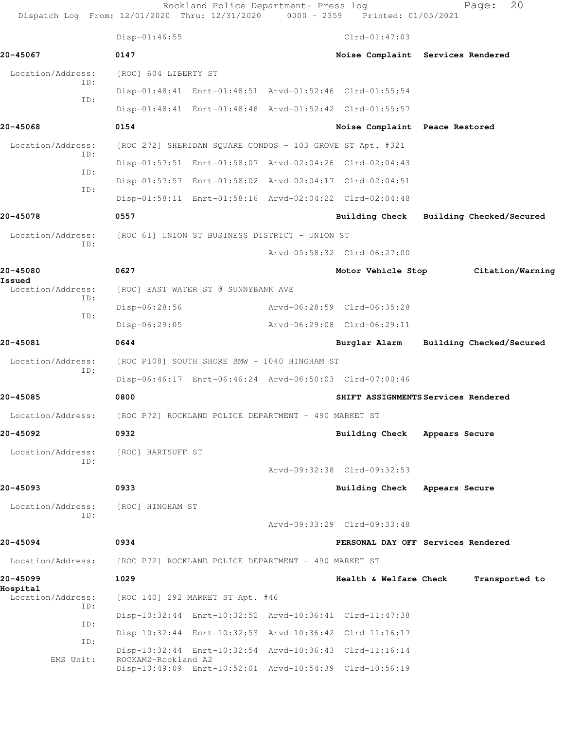| Dispatch Log From: 12/01/2020 Thru: 12/31/2020 0000 - 2359 Printed: 01/05/2021 |                                                           | Rockland Police Department- Press log |                                                         | 20<br>Page:                             |  |
|--------------------------------------------------------------------------------|-----------------------------------------------------------|---------------------------------------|---------------------------------------------------------|-----------------------------------------|--|
|                                                                                | Disp-01:46:55                                             |                                       | $Clrd-01:47:03$                                         |                                         |  |
| 20-45067                                                                       | 0147                                                      |                                       |                                                         | Noise Complaint Services Rendered       |  |
| Location/Address:                                                              | [ROC] 604 LIBERTY ST                                      |                                       |                                                         |                                         |  |
| TD:<br>ID:                                                                     |                                                           |                                       | Disp-01:48:41 Enrt-01:48:51 Arvd-01:52:46 Clrd-01:55:54 |                                         |  |
|                                                                                |                                                           |                                       | Disp-01:48:41 Enrt-01:48:48 Arvd-01:52:42 Clrd-01:55:57 |                                         |  |
| 20-45068                                                                       | 0154                                                      |                                       | Noise Complaint Peace Restored                          |                                         |  |
| Location/Address:<br>ID:                                                       | [ROC 272] SHERIDAN SQUARE CONDOS - 103 GROVE ST Apt. #321 |                                       |                                                         |                                         |  |
| ID:                                                                            |                                                           |                                       | Disp-01:57:51 Enrt-01:58:07 Arvd-02:04:26 Clrd-02:04:43 |                                         |  |
| ID:                                                                            |                                                           |                                       | Disp-01:57:57 Enrt-01:58:02 Arvd-02:04:17 Clrd-02:04:51 |                                         |  |
|                                                                                |                                                           |                                       | Disp-01:58:11 Enrt-01:58:16 Arvd-02:04:22 Clrd-02:04:48 |                                         |  |
| 20-45078                                                                       | 0557                                                      |                                       |                                                         | Building Check Building Checked/Secured |  |
| Location/Address:                                                              | [ROC 61] UNION ST BUSINESS DISTRICT - UNION ST            |                                       |                                                         |                                         |  |
| ID:                                                                            |                                                           |                                       | Arvd-05:58:32 Clrd-06:27:00                             |                                         |  |
| 20-45080                                                                       | 0627                                                      |                                       | Motor Vehicle Stop                                      | Citation/Warning                        |  |
| Issued<br>Location/Address:                                                    | [ROC] EAST WATER ST @ SUNNYBANK AVE                       |                                       |                                                         |                                         |  |
| ID:                                                                            | Disp-06:28:56                                             |                                       | Arvd-06:28:59 Clrd-06:35:28                             |                                         |  |
| ID:                                                                            | $Disp-06:29:05$                                           |                                       | Arvd-06:29:08 Clrd-06:29:11                             |                                         |  |
| 20-45081                                                                       | 0644                                                      |                                       | Burglar Alarm                                           | Building Checked/Secured                |  |
| Location/Address:                                                              | [ROC P108] SOUTH SHORE BMW - 1040 HINGHAM ST              |                                       |                                                         |                                         |  |
| ID:                                                                            |                                                           |                                       | Disp-06:46:17 Enrt-06:46:24 Arvd-06:50:03 Clrd-07:00:46 |                                         |  |
| 20-45085                                                                       | 0800                                                      |                                       |                                                         | SHIFT ASSIGNMENTS Services Rendered     |  |
| Location/Address:                                                              | [ROC P72] ROCKLAND POLICE DEPARTMENT - 490 MARKET ST      |                                       |                                                         |                                         |  |
| 20-45092                                                                       | 0932                                                      |                                       | Building Check Appears Secure                           |                                         |  |
| Location/Address:                                                              | [ROC] HARTSUFF ST                                         |                                       |                                                         |                                         |  |
| ID:                                                                            |                                                           |                                       | Arvd-09:32:38 Clrd-09:32:53                             |                                         |  |
| 20-45093                                                                       | 0933                                                      |                                       | Building Check Appears Secure                           |                                         |  |
| Location/Address:                                                              | [ROC] HINGHAM ST                                          |                                       |                                                         |                                         |  |
| ID:                                                                            |                                                           |                                       | Arvd-09:33:29 Clrd-09:33:48                             |                                         |  |
| 20-45094                                                                       | 0934                                                      |                                       |                                                         | PERSONAL DAY OFF Services Rendered      |  |
| Location/Address:                                                              | [ROC P72] ROCKLAND POLICE DEPARTMENT - 490 MARKET ST      |                                       |                                                         |                                         |  |
| 20-45099                                                                       | 1029                                                      |                                       | Health & Welfare Check                                  | Transported to                          |  |
| Hospital<br>Location/Address:                                                  | [ROC 140] 292 MARKET ST Apt. #46                          |                                       |                                                         |                                         |  |
| TD:                                                                            |                                                           |                                       | Disp-10:32:44 Enrt-10:32:52 Arvd-10:36:41 Clrd-11:47:38 |                                         |  |
| ID:                                                                            |                                                           |                                       | Disp-10:32:44 Enrt-10:32:53 Arvd-10:36:42 Clrd-11:16:17 |                                         |  |
| ID:                                                                            |                                                           |                                       | Disp-10:32:44 Enrt-10:32:54 Arvd-10:36:43 Clrd-11:16:14 |                                         |  |
| EMS Unit:                                                                      | ROCKAM2-Rockland A2                                       |                                       | Disp-10:49:09 Enrt-10:52:01 Arvd-10:54:39 Clrd-10:56:19 |                                         |  |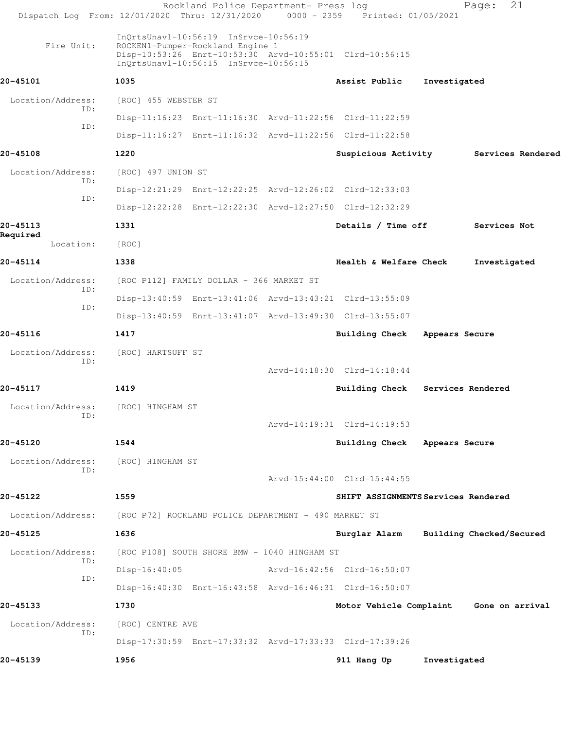|                       | Rockland Police Department- Press log<br>Dispatch Log From: 12/01/2020 Thru: 12/31/2020 0000 - 2359 Printed: 01/05/2021                                                       |                                         |                   | 21<br>Page:              |
|-----------------------|-------------------------------------------------------------------------------------------------------------------------------------------------------------------------------|-----------------------------------------|-------------------|--------------------------|
| Fire Unit:            | InQrtsUnavl-10:56:19 InSrvce-10:56:19<br>ROCKEN1-Pumper-Rockland Engine 1<br>Disp-10:53:26 Enrt-10:53:30 Arvd-10:55:01 Clrd-10:56:15<br>InQrtsUnavl-10:56:15 InSrvce-10:56:15 |                                         |                   |                          |
| 20-45101              | 1035                                                                                                                                                                          | Assist Public                           | Investigated      |                          |
| Location/Address:     | [ROC] 455 WEBSTER ST                                                                                                                                                          |                                         |                   |                          |
| ID:                   | Disp-11:16:23 Enrt-11:16:30 Arvd-11:22:56 Clrd-11:22:59                                                                                                                       |                                         |                   |                          |
| ID:                   | Disp-11:16:27 Enrt-11:16:32 Arvd-11:22:56 Clrd-11:22:58                                                                                                                       |                                         |                   |                          |
| 20-45108              | 1220                                                                                                                                                                          | Suspicious Activity                     |                   | Services Rendered        |
| Location/Address:     | [ROC] 497 UNION ST                                                                                                                                                            |                                         |                   |                          |
| TD:                   | Disp-12:21:29 Enrt-12:22:25 Arvd-12:26:02 Clrd-12:33:03                                                                                                                       |                                         |                   |                          |
| ID:                   | Disp-12:22:28 Enrt-12:22:30 Arvd-12:27:50 Clrd-12:32:29                                                                                                                       |                                         |                   |                          |
| 20-45113              | 1331                                                                                                                                                                          | Details / Time off                      |                   | Services Not             |
| Required<br>Location: | [ROC]                                                                                                                                                                         |                                         |                   |                          |
| 20-45114              | 1338                                                                                                                                                                          | Health & Welfare Check                  |                   | Investigated             |
| Location/Address:     | [ROC P112] FAMILY DOLLAR - 366 MARKET ST                                                                                                                                      |                                         |                   |                          |
| ID:                   | Disp-13:40:59 Enrt-13:41:06 Arvd-13:43:21 Clrd-13:55:09                                                                                                                       |                                         |                   |                          |
| ID:                   | Disp-13:40:59 Enrt-13:41:07 Arvd-13:49:30 Clrd-13:55:07                                                                                                                       |                                         |                   |                          |
| 20-45116              | 1417                                                                                                                                                                          | Building Check                          | Appears Secure    |                          |
| Location/Address:     | [ROC] HARTSUFF ST                                                                                                                                                             |                                         |                   |                          |
| ID:                   |                                                                                                                                                                               | Arvd-14:18:30 Clrd-14:18:44             |                   |                          |
| 20-45117              | 1419                                                                                                                                                                          | <b>Building Check</b>                   | Services Rendered |                          |
| Location/Address:     | [ROC] HINGHAM ST                                                                                                                                                              |                                         |                   |                          |
| ID:                   |                                                                                                                                                                               | Arvd-14:19:31 Clrd-14:19:53             |                   |                          |
| 20-45120              | 1544                                                                                                                                                                          | Building Check Appears Secure           |                   |                          |
| Location/Address:     | [ROC] HINGHAM ST                                                                                                                                                              |                                         |                   |                          |
| ID:                   |                                                                                                                                                                               | Arvd-15:44:00 Clrd-15:44:55             |                   |                          |
| 20-45122              | 1559                                                                                                                                                                          | SHIFT ASSIGNMENTS Services Rendered     |                   |                          |
| Location/Address:     | [ROC P72] ROCKLAND POLICE DEPARTMENT - 490 MARKET ST                                                                                                                          |                                         |                   |                          |
| 20-45125              | 1636                                                                                                                                                                          | Burglar Alarm                           |                   | Building Checked/Secured |
| Location/Address:     | [ROC P108] SOUTH SHORE BMW - 1040 HINGHAM ST                                                                                                                                  |                                         |                   |                          |
| ID:                   | $Disp-16:40:05$                                                                                                                                                               | Arvd-16:42:56 Clrd-16:50:07             |                   |                          |
| ID:                   | Disp-16:40:30 Enrt-16:43:58 Arvd-16:46:31 Clrd-16:50:07                                                                                                                       |                                         |                   |                          |
| 20-45133              | 1730                                                                                                                                                                          | Motor Vehicle Complaint Gone on arrival |                   |                          |
| Location/Address:     | [ROC] CENTRE AVE                                                                                                                                                              |                                         |                   |                          |
| ID:                   | Disp-17:30:59 Enrt-17:33:32 Arvd-17:33:33 Clrd-17:39:26                                                                                                                       |                                         |                   |                          |
| 20-45139              | 1956                                                                                                                                                                          | 911 Hang Up                             | Investigated      |                          |
|                       |                                                                                                                                                                               |                                         |                   |                          |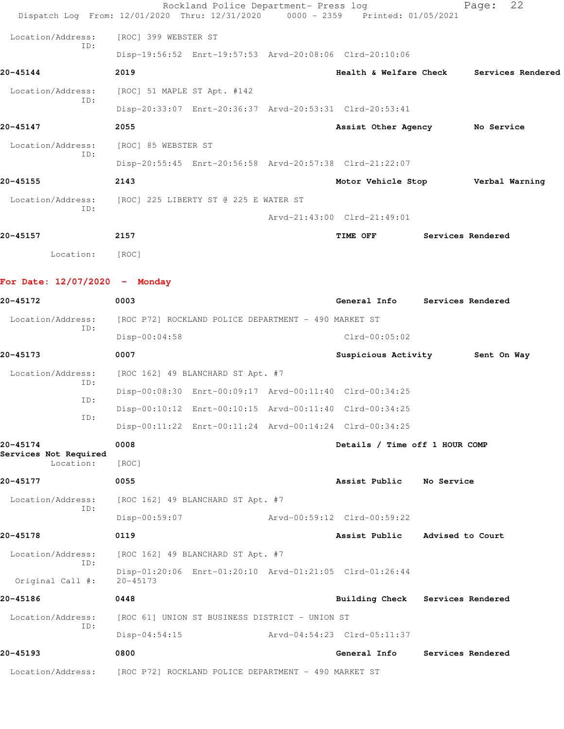|                                   | Rockland Police Department- Press log<br>Dispatch Log From: 12/01/2020 Thru: 12/31/2020 0000 - 2359 Printed: 01/05/2021 |                                |                  | 22<br>Page:       |  |
|-----------------------------------|-------------------------------------------------------------------------------------------------------------------------|--------------------------------|------------------|-------------------|--|
| Location/Address:                 | [ROC] 399 WEBSTER ST                                                                                                    |                                |                  |                   |  |
| TD:                               | Disp-19:56:52 Enrt-19:57:53 Arvd-20:08:06 Clrd-20:10:06                                                                 |                                |                  |                   |  |
| 20-45144                          | 2019                                                                                                                    | Health & Welfare Check         |                  | Services Rendered |  |
| Location/Address:                 | [ROC] 51 MAPLE ST Apt. #142                                                                                             |                                |                  |                   |  |
| ID:                               | Disp-20:33:07 Enrt-20:36:37 Arvd-20:53:31 Clrd-20:53:41                                                                 |                                |                  |                   |  |
| 20-45147                          | 2055                                                                                                                    | Assist Other Agency No Service |                  |                   |  |
| Location/Address:                 | [ROC] 85 WEBSTER ST                                                                                                     |                                |                  |                   |  |
| ID:                               | Disp-20:55:45 Enrt-20:56:58 Arvd-20:57:38 Clrd-21:22:07                                                                 |                                |                  |                   |  |
| 20-45155                          | 2143                                                                                                                    | Motor Vehicle Stop             |                  | Verbal Warning    |  |
| Location/Address:                 | [ROC] 225 LIBERTY ST @ 225 E WATER ST                                                                                   |                                |                  |                   |  |
| ID:                               |                                                                                                                         | Arvd-21:43:00 Clrd-21:49:01    |                  |                   |  |
| 20-45157                          | 2157                                                                                                                    | TIME OFF                       |                  | Services Rendered |  |
| Location:                         | [ROC]                                                                                                                   |                                |                  |                   |  |
| For Date: $12/07/2020 -$ Monday   |                                                                                                                         |                                |                  |                   |  |
| 20-45172                          | 0003                                                                                                                    | General Info Services Rendered |                  |                   |  |
| Location/Address:                 | [ROC P72] ROCKLAND POLICE DEPARTMENT - 490 MARKET ST                                                                    |                                |                  |                   |  |
| ID:                               | $Disp-00:04:58$                                                                                                         | $Clrd-00:05:02$                |                  |                   |  |
| 20-45173                          | 0007                                                                                                                    | Suspicious Activity            |                  | Sent On Way       |  |
| Location/Address:<br>ID:          | [ROC 162] 49 BLANCHARD ST Apt. #7                                                                                       |                                |                  |                   |  |
| ID:                               | Disp-00:08:30 Enrt-00:09:17 Arvd-00:11:40 Clrd-00:34:25                                                                 |                                |                  |                   |  |
| ID:                               | Disp-00:10:12 Enrt-00:10:15 Arvd-00:11:40 Clrd-00:34:25                                                                 |                                |                  |                   |  |
|                                   | Disp-00:11:22 Enrt-00:11:24 Arvd-00:14:24 Clrd-00:34:25                                                                 |                                |                  |                   |  |
| 20-45174<br>Services Not Required | 0008                                                                                                                    | Details / Time off 1 HOUR COMP |                  |                   |  |
| Location:                         | [ROC]                                                                                                                   |                                |                  |                   |  |
| 20-45177                          | 0055                                                                                                                    | Assist Public                  | No Service       |                   |  |
| Location/Address:<br>ID:          | [ROC 162] 49 BLANCHARD ST Apt. #7                                                                                       |                                |                  |                   |  |
|                                   | Disp-00:59:07                                                                                                           | Arvd-00:59:12 Clrd-00:59:22    |                  |                   |  |
| 20-45178                          | 0119                                                                                                                    | Assist Public                  | Advised to Court |                   |  |
| Location/Address:<br>ID:          | [ROC 162] 49 BLANCHARD ST Apt. #7                                                                                       |                                |                  |                   |  |
| Original Call #:                  | Disp-01:20:06 Enrt-01:20:10 Arvd-01:21:05 Clrd-01:26:44<br>$20 - 45173$                                                 |                                |                  |                   |  |
| 20-45186                          | 0448                                                                                                                    | <b>Building Check</b>          |                  | Services Rendered |  |
| Location/Address:                 | [ROC 61] UNION ST BUSINESS DISTRICT - UNION ST                                                                          |                                |                  |                   |  |
| ID:                               | $Disp-04:54:15$                                                                                                         | Arvd-04:54:23 Clrd-05:11:37    |                  |                   |  |
| 20-45193                          | 0800                                                                                                                    | General Info                   |                  | Services Rendered |  |
| Location/Address:                 | [ROC P72] ROCKLAND POLICE DEPARTMENT - 490 MARKET ST                                                                    |                                |                  |                   |  |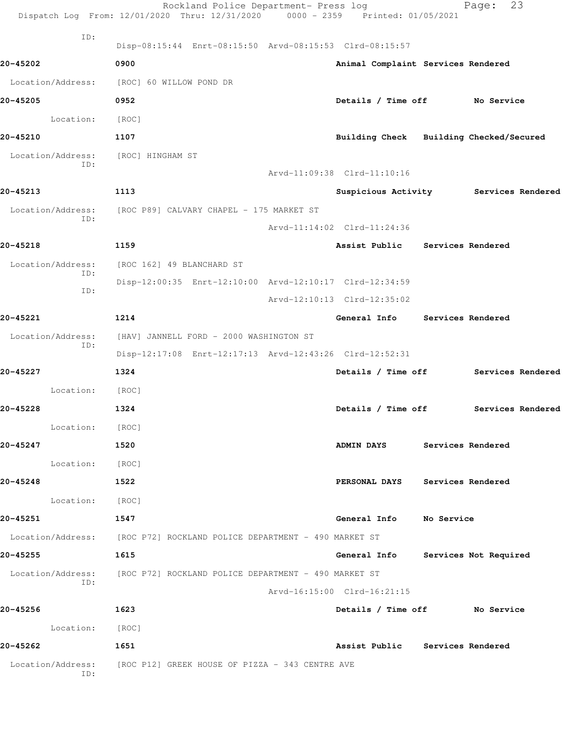|                          | Rockland Police Department- Press log<br>Dispatch Log From: 12/01/2020 Thru: 12/31/2020 0000 - 2359 Printed: 01/05/2021 |                                         | 23<br>Page:                           |
|--------------------------|-------------------------------------------------------------------------------------------------------------------------|-----------------------------------------|---------------------------------------|
| ID:                      | Disp-08:15:44 Enrt-08:15:50 Arvd-08:15:53 Clrd-08:15:57                                                                 |                                         |                                       |
| 20-45202                 | 0900                                                                                                                    | Animal Complaint Services Rendered      |                                       |
| Location/Address:        | [ROC] 60 WILLOW POND DR                                                                                                 |                                         |                                       |
| 20-45205                 | 0952                                                                                                                    | Details / Time off No Service           |                                       |
| Location:                | [ROC]                                                                                                                   |                                         |                                       |
| 20-45210                 | 1107                                                                                                                    | Building Check Building Checked/Secured |                                       |
| Location/Address:<br>ID: | [ROC] HINGHAM ST                                                                                                        | Arvd-11:09:38 Clrd-11:10:16             |                                       |
| 20-45213                 | 1113                                                                                                                    |                                         | Suspicious Activity Services Rendered |
| Location/Address:        | [ROC P89] CALVARY CHAPEL - 175 MARKET ST                                                                                |                                         |                                       |
| ID:                      |                                                                                                                         | Arvd-11:14:02 Clrd-11:24:36             |                                       |
| 20-45218                 | 1159                                                                                                                    | Assist Public Services Rendered         |                                       |
| Location/Address:        | [ROC 162] 49 BLANCHARD ST                                                                                               |                                         |                                       |
| ID:                      | Disp-12:00:35 Enrt-12:10:00 Arvd-12:10:17 Clrd-12:34:59                                                                 |                                         |                                       |
| ID:                      |                                                                                                                         | Arvd-12:10:13 Clrd-12:35:02             |                                       |
| 20-45221                 | 1214                                                                                                                    | General Info Services Rendered          |                                       |
| Location/Address:        | [HAV] JANNELL FORD - 2000 WASHINGTON ST                                                                                 |                                         |                                       |
| ID:                      | Disp-12:17:08 Enrt-12:17:13 Arvd-12:43:26 Clrd-12:52:31                                                                 |                                         |                                       |
| 20-45227                 | 1324                                                                                                                    | Details / Time off                      | Services Rendered                     |
| Location:                | [ROC]                                                                                                                   |                                         |                                       |
| 20-45228                 | 1324                                                                                                                    | Details / Time off                      | Services Rendered                     |
| Location:                | [ROC]                                                                                                                   |                                         |                                       |
| 20-45247                 | 1520                                                                                                                    | ADMIN DAYS Services Rendered            |                                       |
| Location: [ROC]          |                                                                                                                         |                                         |                                       |
| 20-45248                 | 1522                                                                                                                    | PERSONAL DAYS Services Rendered         |                                       |
| Location: [ROC]          |                                                                                                                         |                                         |                                       |
| 20-45251                 | 1547                                                                                                                    | General Info No Service                 |                                       |
|                          | Location/Address: [ROC P72] ROCKLAND POLICE DEPARTMENT - 490 MARKET ST                                                  |                                         |                                       |
| 20-45255                 | 1615                                                                                                                    | General Info Services Not Required      |                                       |
|                          | Location/Address: [ROC P72] ROCKLAND POLICE DEPARTMENT - 490 MARKET ST                                                  |                                         |                                       |
| ID:                      |                                                                                                                         | Arvd-16:15:00 Clrd-16:21:15             |                                       |
| 20-45256                 | 1623                                                                                                                    | Details / Time off No Service           |                                       |
| Location: [ROC]          |                                                                                                                         |                                         |                                       |
| 20-45262                 | 1651                                                                                                                    | Assist Public Services Rendered         |                                       |
| Location/Address:<br>ID: | [ROC P12] GREEK HOUSE OF PIZZA - 343 CENTRE AVE                                                                         |                                         |                                       |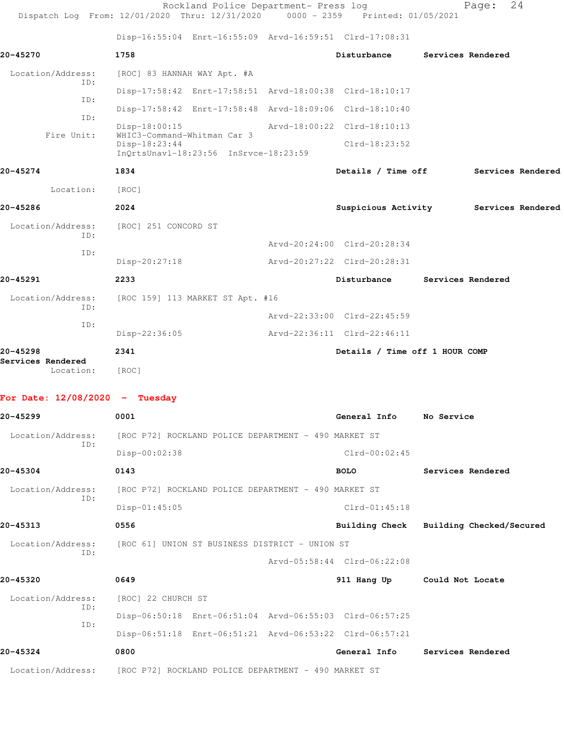Rockland Police Department- Press log entitled Page: 24 Dispatch Log From: 12/01/2020 Thru: 12/31/2020 0000 - 2359 Printed: 01/05/2021

Disp-16:55:04 Enrt-16:55:09 Arvd-16:59:51 Clrd-17:08:31

| 20-45270                      | 1758                                                                                  | Disturbance                    | Services Rendered |  |
|-------------------------------|---------------------------------------------------------------------------------------|--------------------------------|-------------------|--|
| Location/Address:             | [ROC] 83 HANNAH WAY Apt. #A                                                           |                                |                   |  |
| TD:                           | Disp-17:58:42 Enrt-17:58:51 Arvd-18:00:38 Clrd-18:10:17                               |                                |                   |  |
| ID:                           | Disp-17:58:42 Enrt-17:58:48 Arvd-18:09:06 Clrd-18:10:40                               |                                |                   |  |
| ID:                           | Disp-18:00:15                                                                         | Arvd-18:00:22 Clrd-18:10:13    |                   |  |
| Fire Unit:                    | WHIC3-Command-Whitman Car 3<br>Disp-18:23:44<br>InQrtsUnavl-18:23:56 InSrvce-18:23:59 | $Clrd-18:23:52$                |                   |  |
| 20-45274                      | 1834                                                                                  | Details / Time off             | Services Rendered |  |
| Location:                     | [ROC]                                                                                 |                                |                   |  |
| 20-45286                      | 2024                                                                                  | Suspicious Activity            | Services Rendered |  |
| Location/Address:<br>TD:      | [ROC] 251 CONCORD ST                                                                  |                                |                   |  |
| ID:                           |                                                                                       | Arvd-20:24:00 Clrd-20:28:34    |                   |  |
|                               | Disp-20:27:18                                                                         | Arvd-20:27:22 Clrd-20:28:31    |                   |  |
| 20-45291                      | 2233                                                                                  | Disturbance                    | Services Rendered |  |
| Location/Address:             | [ROC 159] 113 MARKET ST Apt. #16                                                      |                                |                   |  |
| ID:                           |                                                                                       | Arvd-22:33:00 Clrd-22:45:59    |                   |  |
| ID:                           | Disp-22:36:05                                                                         | Arvd-22:36:11 Clrd-22:46:11    |                   |  |
|                               |                                                                                       |                                |                   |  |
| 20-45298<br>Services Rendered | 2341                                                                                  | Details / Time off 1 HOUR COMP |                   |  |

| $20 - 45299$             | 0001                                                                   | General Info                | No Service                              |
|--------------------------|------------------------------------------------------------------------|-----------------------------|-----------------------------------------|
| Location/Address:        | [ROC P72] ROCKLAND POLICE DEPARTMENT - 490 MARKET ST                   |                             |                                         |
| ID:                      | Disp-00:02:38                                                          | $Clrd-00:02:45$             |                                         |
| $20 - 45304$             | 0143                                                                   | <b>BOLO</b>                 | Services Rendered                       |
| Location/Address:        | [ROC P72] ROCKLAND POLICE DEPARTMENT - 490 MARKET ST                   |                             |                                         |
| ID:                      | $Disp-01:45:05$                                                        | $Clrd-01:45:18$             |                                         |
| 20-45313                 | 0556                                                                   |                             | Building Check Building Checked/Secured |
| Location/Address:<br>ID: | [ROC 61] UNION ST BUSINESS DISTRICT - UNION ST                         |                             |                                         |
|                          |                                                                        | Arvd-05:58:44 Clrd-06:22:08 |                                         |
| 20-45320                 | 0649                                                                   |                             | 911 Hang Up Could Not Locate            |
| Location/Address:<br>ID: | [ROC] 22 CHURCH ST                                                     |                             |                                         |
| ID:                      | Disp-06:50:18 Enrt-06:51:04 Arvd-06:55:03 Clrd-06:57:25                |                             |                                         |
|                          | Disp-06:51:18 Enrt-06:51:21 Arvd-06:53:22 Clrd-06:57:21                |                             |                                         |
| 20-45324                 | 0800                                                                   | General Info                | Services Rendered                       |
|                          | Location/Address: [ROC P72] ROCKLAND POLICE DEPARTMENT - 490 MARKET ST |                             |                                         |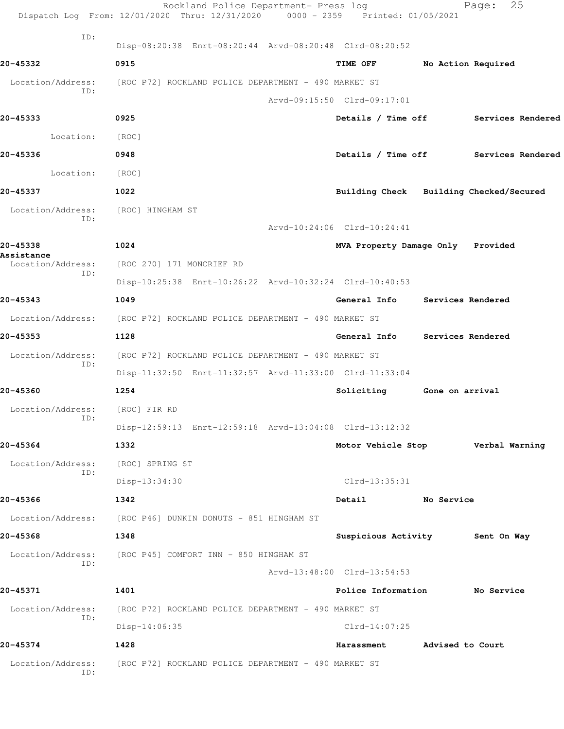|                          | Rockland Police Department- Press log<br>Dispatch Log From: 12/01/2020 Thru: 12/31/2020 0000 - 2359 Printed: 01/05/2021 |                                         | 25<br>Page:        |
|--------------------------|-------------------------------------------------------------------------------------------------------------------------|-----------------------------------------|--------------------|
| ID:                      |                                                                                                                         |                                         |                    |
|                          | Disp-08:20:38 Enrt-08:20:44 Arvd-08:20:48 Clrd-08:20:52                                                                 |                                         |                    |
| 20-45332                 | 0915                                                                                                                    | <b>TIME OFF</b>                         | No Action Required |
| ID:                      | Location/Address: [ROC P72] ROCKLAND POLICE DEPARTMENT - 490 MARKET ST                                                  |                                         |                    |
|                          |                                                                                                                         | Arvd-09:15:50 Clrd-09:17:01             |                    |
| 20-45333                 | 0925                                                                                                                    | Details / Time off                      | Services Rendered  |
| Location:                | [ROC]                                                                                                                   |                                         |                    |
| 20-45336                 | 0948                                                                                                                    | Details / Time off                      | Services Rendered  |
| Location:                | [ROC]                                                                                                                   |                                         |                    |
| 20-45337                 | 1022                                                                                                                    | Building Check Building Checked/Secured |                    |
| Location/Address:<br>ID: | [ROC] HINGHAM ST                                                                                                        |                                         |                    |
|                          |                                                                                                                         | Arvd-10:24:06 Clrd-10:24:41             |                    |
| 20-45338<br>Assistance   | 1024                                                                                                                    | MVA Property Damage Only Provided       |                    |
| Location/Address:<br>ID: | [ROC 270] 171 MONCRIEF RD                                                                                               |                                         |                    |
|                          | Disp-10:25:38 Enrt-10:26:22 Arvd-10:32:24 Clrd-10:40:53                                                                 |                                         |                    |
| 20-45343                 | 1049                                                                                                                    | General Info                            | Services Rendered  |
|                          | Location/Address: [ROC P72] ROCKLAND POLICE DEPARTMENT - 490 MARKET ST                                                  |                                         |                    |
| 20-45353                 | 1128                                                                                                                    | General Info                            | Services Rendered  |
| Location/Address:<br>ID: | [ROC P72] ROCKLAND POLICE DEPARTMENT - 490 MARKET ST                                                                    |                                         |                    |
|                          | Disp-11:32:50 Enrt-11:32:57 Arvd-11:33:00 Clrd-11:33:04                                                                 |                                         |                    |
| 20-45360                 | 1254                                                                                                                    | Soliciting                              | Gone on arrival    |
| Location/Address:<br>ID: | [ROC] FIR RD                                                                                                            |                                         |                    |
|                          | Disp-12:59:13 Enrt-12:59:18 Arvd-13:04:08 Clrd-13:12:32                                                                 |                                         |                    |
| 20-45364                 | 1332                                                                                                                    | Motor Vehicle Stop                      | Verbal Warning     |
| Location/Address:<br>ID: | [ROC] SPRING ST                                                                                                         |                                         |                    |
|                          | Disp-13:34:30                                                                                                           | Clrd-13:35:31                           |                    |
| 20-45366                 | 1342                                                                                                                    | Detail<br>No Service                    |                    |
|                          | Location/Address: [ROC P46] DUNKIN DONUTS - 851 HINGHAM ST                                                              |                                         |                    |
| 20-45368                 | 1348                                                                                                                    | Suspicious Activity 5ent On Way         |                    |
| Location/Address:<br>ID: | [ROC P45] COMFORT INN - 850 HINGHAM ST                                                                                  |                                         |                    |
|                          |                                                                                                                         | Arvd-13:48:00 Clrd-13:54:53             |                    |
| 20-45371                 | 1401                                                                                                                    | Police Information No Service           |                    |
| Location/Address:<br>ID: | [ROC P72] ROCKLAND POLICE DEPARTMENT - 490 MARKET ST                                                                    |                                         |                    |
|                          | $Disp-14:06:35$                                                                                                         | $Clrd-14:07:25$                         |                    |
| 20-45374                 | 1428                                                                                                                    | Harassment                              | Advised to Court   |
| Location/Address:<br>ID: | [ROC P72] ROCKLAND POLICE DEPARTMENT - 490 MARKET ST                                                                    |                                         |                    |
|                          |                                                                                                                         |                                         |                    |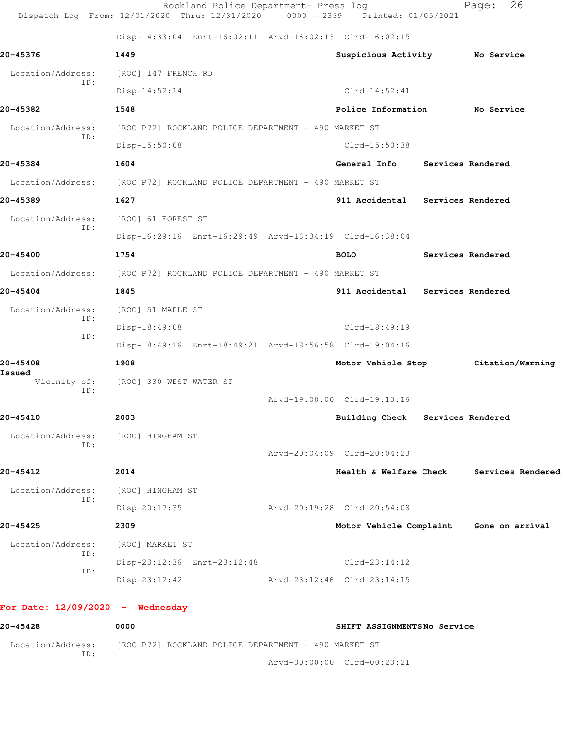|                                    | Dispatch Log From: 12/01/2020 Thru: 12/31/2020                         | $0000 - 2359$ | Printed: 01/05/2021              |                                         |
|------------------------------------|------------------------------------------------------------------------|---------------|----------------------------------|-----------------------------------------|
|                                    | Disp-14:33:04 Enrt-16:02:11 Arvd-16:02:13 Clrd-16:02:15                |               |                                  |                                         |
| 20-45376                           | 1449                                                                   |               | Suspicious Activity No Service   |                                         |
| Location/Address:<br>ID:           | [ROC] 147 FRENCH RD                                                    |               |                                  |                                         |
|                                    | $Disp-14:52:14$                                                        |               | $Clrd-14:52:41$                  |                                         |
| 20-45382                           | 1548                                                                   |               | Police Information               | No Service                              |
| Location/Address:<br>ID:           | [ROC P72] ROCKLAND POLICE DEPARTMENT - 490 MARKET ST                   |               |                                  |                                         |
|                                    | Disp-15:50:08                                                          |               | Clrd-15:50:38                    |                                         |
| 20-45384                           | 1604                                                                   |               | General Info                     | Services Rendered                       |
| Location/Address:                  | [ROC P72] ROCKLAND POLICE DEPARTMENT - 490 MARKET ST                   |               |                                  |                                         |
| 20-45389                           | 1627                                                                   |               | 911 Accidental Services Rendered |                                         |
| Location/Address:<br>ID:           | [ROC] 61 FOREST ST                                                     |               |                                  |                                         |
|                                    | Disp-16:29:16 Enrt-16:29:49 Arvd-16:34:19 Clrd-16:38:04                |               |                                  |                                         |
| 20-45400                           | 1754                                                                   |               | <b>BOLO</b>                      | Services Rendered                       |
|                                    | Location/Address: [ROC P72] ROCKLAND POLICE DEPARTMENT - 490 MARKET ST |               |                                  |                                         |
| 20-45404                           | 1845                                                                   |               | 911 Accidental Services Rendered |                                         |
| Location/Address:                  | [ROC] 51 MAPLE ST                                                      |               |                                  |                                         |
| ID:                                | Disp-18:49:08                                                          |               | $Clrd-18:49:19$                  |                                         |
| ID:                                | Disp-18:49:16 Enrt-18:49:21 Arvd-18:56:58 Clrd-19:04:16                |               |                                  |                                         |
| 20-45408<br>Issued                 | 1908                                                                   |               | Motor Vehicle Stop               | Citation/Warning                        |
| Vicinity of:<br>ID:                | [ROC] 330 WEST WATER ST                                                |               |                                  |                                         |
|                                    |                                                                        |               | Arvd-19:08:00 Clrd-19:13:16      |                                         |
| 20-45410                           | 2003                                                                   |               | Building Check Services Rendered |                                         |
| Location/Address:<br>ID:           | [ROC] HINGHAM ST                                                       |               |                                  |                                         |
|                                    |                                                                        |               | Arvd-20:04:09 Clrd-20:04:23      |                                         |
| 20-45412                           | 2014                                                                   |               | Health & Welfare Check           | Services Rendered                       |
| Location/Address:                  | [ROC] HINGHAM ST                                                       |               |                                  |                                         |
| ID:                                | Disp-20:17:35                                                          |               | Arvd-20:19:28 Clrd-20:54:08      |                                         |
| 20-45425                           | 2309                                                                   |               |                                  | Motor Vehicle Complaint Gone on arrival |
| Location/Address:                  | [ROC] MARKET ST                                                        |               |                                  |                                         |
| ID:                                | Disp-23:12:36 Enrt-23:12:48                                            |               | $Clrd-23:14:12$                  |                                         |
| ID:                                | $Disp-23:12:42$                                                        |               | Arvd-23:12:46 Clrd-23:14:15      |                                         |
| For Date: $12/09/2020 -$ Wednesday |                                                                        |               |                                  |                                         |
| 20-45428                           | 0000                                                                   |               | SHIFT ASSIGNMENTSNo Service      |                                         |

Location/Address: [ROC P72] ROCKLAND POLICE DEPARTMENT - 490 MARKET ST ID: Arvd-00:00:00 Clrd-00:20:21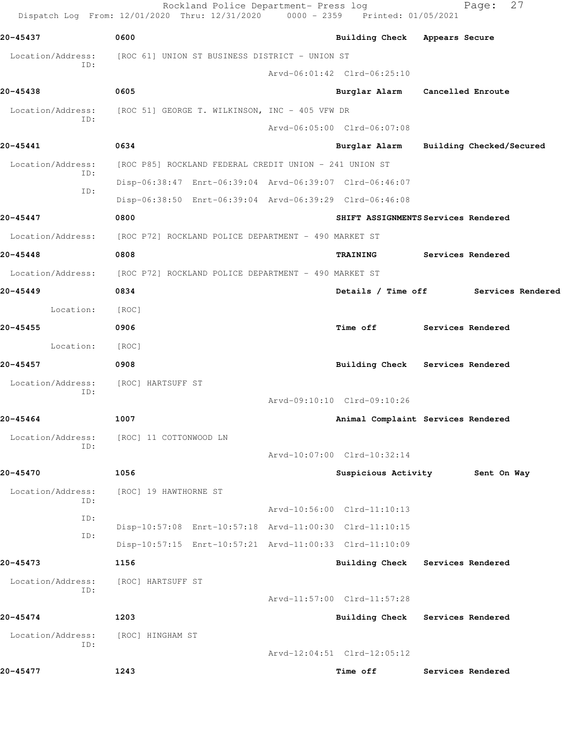|                          | Rockland Police Department- Press log<br>Dispatch Log From: 12/01/2020 Thru: 12/31/2020 0000 - 2359 Printed: 01/05/2021 |                                     |                   | 27<br>Page:              |
|--------------------------|-------------------------------------------------------------------------------------------------------------------------|-------------------------------------|-------------------|--------------------------|
| 20-45437                 | 0600                                                                                                                    | Building Check Appears Secure       |                   |                          |
| Location/Address:        | [ROC 61] UNION ST BUSINESS DISTRICT - UNION ST                                                                          |                                     |                   |                          |
| ID:                      |                                                                                                                         | Arvd-06:01:42 Clrd-06:25:10         |                   |                          |
| 20-45438                 | 0605                                                                                                                    | Burglar Alarm                       | Cancelled Enroute |                          |
| Location/Address:        | [ROC 51] GEORGE T. WILKINSON, INC - 405 VFW DR                                                                          |                                     |                   |                          |
| ID:                      |                                                                                                                         | Arvd-06:05:00 Clrd-06:07:08         |                   |                          |
| 20-45441                 | 0634                                                                                                                    | Burglar Alarm                       |                   | Building Checked/Secured |
| Location/Address:        | [ROC P85] ROCKLAND FEDERAL CREDIT UNION - 241 UNION ST                                                                  |                                     |                   |                          |
| ID:                      | Disp-06:38:47 Enrt-06:39:04 Arvd-06:39:07 Clrd-06:46:07                                                                 |                                     |                   |                          |
| ID:                      | Disp-06:38:50 Enrt-06:39:04 Arvd-06:39:29 Clrd-06:46:08                                                                 |                                     |                   |                          |
| $20 - 45447$             | 0800                                                                                                                    | SHIFT ASSIGNMENTS Services Rendered |                   |                          |
| Location/Address:        | [ROC P72] ROCKLAND POLICE DEPARTMENT - 490 MARKET ST                                                                    |                                     |                   |                          |
| 20-45448                 | 0808                                                                                                                    | TRAINING                            | Services Rendered |                          |
| Location/Address:        | [ROC P72] ROCKLAND POLICE DEPARTMENT - 490 MARKET ST                                                                    |                                     |                   |                          |
| 20-45449                 | 0834                                                                                                                    | Details / Time off                  |                   | Services Rendered        |
| Location:                | [ROC]                                                                                                                   |                                     |                   |                          |
| 20-45455                 | 0906                                                                                                                    | Time off                            | Services Rendered |                          |
| Location:                | [ROC]                                                                                                                   |                                     |                   |                          |
| 20-45457                 | 0908                                                                                                                    | Building Check Services Rendered    |                   |                          |
| Location/Address:        | [ROC] HARTSUFF ST                                                                                                       |                                     |                   |                          |
| ID:                      |                                                                                                                         | Arvd-09:10:10 Clrd-09:10:26         |                   |                          |
| 20-45464                 | 1007                                                                                                                    | Animal Complaint Services Rendered  |                   |                          |
| Location/Address:        | [ROC] 11 COTTONWOOD LN                                                                                                  |                                     |                   |                          |
| ID:                      |                                                                                                                         | Arvd-10:07:00 Clrd-10:32:14         |                   |                          |
| 20-45470                 | 1056                                                                                                                    | Suspicious Activity                 |                   | Sent On Way              |
| Location/Address:        | [ROC] 19 HAWTHORNE ST                                                                                                   |                                     |                   |                          |
| ID:                      |                                                                                                                         | Arvd-10:56:00 Clrd-11:10:13         |                   |                          |
| ID:                      | Disp-10:57:08 Enrt-10:57:18 Arvd-11:00:30 Clrd-11:10:15                                                                 |                                     |                   |                          |
| ID:                      | Disp-10:57:15 Enrt-10:57:21 Arvd-11:00:33 Clrd-11:10:09                                                                 |                                     |                   |                          |
| 20-45473                 | 1156                                                                                                                    | <b>Building Check</b>               | Services Rendered |                          |
| Location/Address:<br>ID: | [ROC] HARTSUFF ST                                                                                                       |                                     |                   |                          |
|                          |                                                                                                                         | Arvd-11:57:00 Clrd-11:57:28         |                   |                          |
| 20-45474                 | 1203                                                                                                                    | <b>Building Check</b>               | Services Rendered |                          |
| Location/Address:<br>ID: | [ROC] HINGHAM ST                                                                                                        |                                     |                   |                          |
|                          |                                                                                                                         | Arvd-12:04:51 Clrd-12:05:12         |                   |                          |
| 20-45477                 | 1243                                                                                                                    | Time off                            | Services Rendered |                          |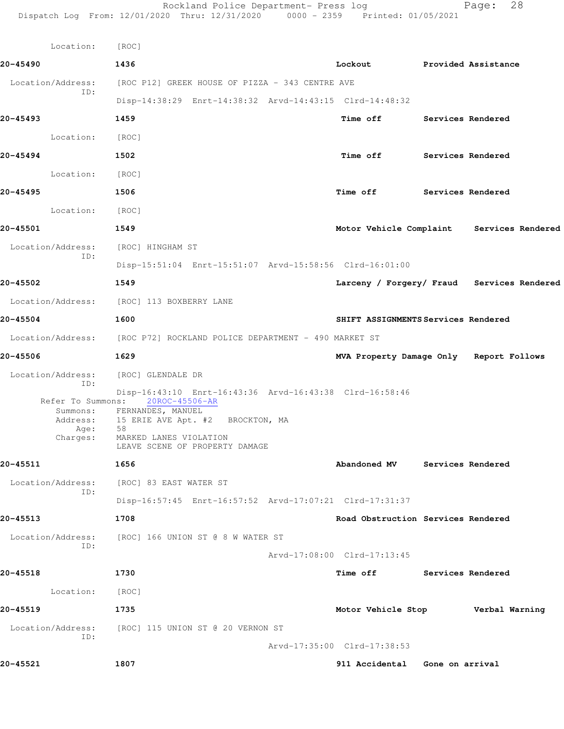| 20-45490<br>1436<br>Lockout Provided Assistance<br>Location/Address:<br>[ROC P12] GREEK HOUSE OF PIZZA - 343 CENTRE AVE<br>ID:<br>Disp-14:38:29 Enrt-14:38:32 Arvd-14:43:15 Clrd-14:48:32<br>20-45493<br>1459<br>Time off Services Rendered<br>Location: [ROC]<br>20-45494<br>1502<br>Time off Services Rendered<br>Location: [ROC]<br>20-45495<br>Time off Services Rendered<br>1506<br>Location: [ROC]<br>20-45501<br>Motor Vehicle Complaint Services Rendered<br>1549<br>Location/Address: [ROC] HINGHAM ST<br>ID:<br>Disp-15:51:04 Enrt-15:51:07 Arvd-15:58:56 Clrd-16:01:00<br>20-45502<br>Larceny / Forgery/ Fraud Services Rendered<br>1549<br>Location/Address: [ROC] 113 BOXBERRY LANE<br>20-45504<br>1600<br>SHIFT ASSIGNMENTS Services Rendered<br>Location/Address: [ROC P72] ROCKLAND POLICE DEPARTMENT - 490 MARKET ST<br>20-45506<br>1629<br>MVA Property Damage Only Report Follows<br>Location/Address: [ROC] GLENDALE DR<br>ID:<br>Disp-16:43:10 Enrt-16:43:36 Arvd-16:43:38 Clrd-16:58:46<br>Refer To Summons: 20ROC-45506-AR<br>Summons: FERNANDES, MANUEL<br>15 ERIE AVE Apt. #2 BROCKTON, MA<br>Address:<br>58<br>Age:<br>Charges:<br>MARKED LANES VIOLATION<br>LEAVE SCENE OF PROPERTY DAMAGE<br>20-45511<br>1656<br>Abandoned MV Services Rendered<br>Location/Address:<br>[ROC] 83 EAST WATER ST<br>ID:<br>Disp-16:57:45 Enrt-16:57:52 Arvd-17:07:21 Clrd-17:31:37<br>20-45513<br>1708<br>Road Obstruction Services Rendered<br>Location/Address:<br>[ROC] 166 UNION ST @ 8 W WATER ST<br>ID:<br>Arvd-17:08:00 Clrd-17:13:45<br>20-45518<br>Time off Services Rendered<br>1730<br>Location:<br>[ROC]<br>20-45519<br>1735<br>Motor Vehicle Stop<br>Location/Address: [ROC] 115 UNION ST @ 20 VERNON ST<br>ID:<br>Arvd-17:35:00 Clrd-17:38:53<br>20-45521<br>1807<br>911 Accidental Gone on arrival | Location: | [ROC] |  |                |
|-----------------------------------------------------------------------------------------------------------------------------------------------------------------------------------------------------------------------------------------------------------------------------------------------------------------------------------------------------------------------------------------------------------------------------------------------------------------------------------------------------------------------------------------------------------------------------------------------------------------------------------------------------------------------------------------------------------------------------------------------------------------------------------------------------------------------------------------------------------------------------------------------------------------------------------------------------------------------------------------------------------------------------------------------------------------------------------------------------------------------------------------------------------------------------------------------------------------------------------------------------------------------------------------------------------------------------------------------------------------------------------------------------------------------------------------------------------------------------------------------------------------------------------------------------------------------------------------------------------------------------------------------------------------------------------------------------------------------------------------------------------------------------------------------------------------------------|-----------|-------|--|----------------|
|                                                                                                                                                                                                                                                                                                                                                                                                                                                                                                                                                                                                                                                                                                                                                                                                                                                                                                                                                                                                                                                                                                                                                                                                                                                                                                                                                                                                                                                                                                                                                                                                                                                                                                                                                                                                                             |           |       |  |                |
|                                                                                                                                                                                                                                                                                                                                                                                                                                                                                                                                                                                                                                                                                                                                                                                                                                                                                                                                                                                                                                                                                                                                                                                                                                                                                                                                                                                                                                                                                                                                                                                                                                                                                                                                                                                                                             |           |       |  |                |
|                                                                                                                                                                                                                                                                                                                                                                                                                                                                                                                                                                                                                                                                                                                                                                                                                                                                                                                                                                                                                                                                                                                                                                                                                                                                                                                                                                                                                                                                                                                                                                                                                                                                                                                                                                                                                             |           |       |  |                |
|                                                                                                                                                                                                                                                                                                                                                                                                                                                                                                                                                                                                                                                                                                                                                                                                                                                                                                                                                                                                                                                                                                                                                                                                                                                                                                                                                                                                                                                                                                                                                                                                                                                                                                                                                                                                                             |           |       |  |                |
|                                                                                                                                                                                                                                                                                                                                                                                                                                                                                                                                                                                                                                                                                                                                                                                                                                                                                                                                                                                                                                                                                                                                                                                                                                                                                                                                                                                                                                                                                                                                                                                                                                                                                                                                                                                                                             |           |       |  |                |
|                                                                                                                                                                                                                                                                                                                                                                                                                                                                                                                                                                                                                                                                                                                                                                                                                                                                                                                                                                                                                                                                                                                                                                                                                                                                                                                                                                                                                                                                                                                                                                                                                                                                                                                                                                                                                             |           |       |  |                |
|                                                                                                                                                                                                                                                                                                                                                                                                                                                                                                                                                                                                                                                                                                                                                                                                                                                                                                                                                                                                                                                                                                                                                                                                                                                                                                                                                                                                                                                                                                                                                                                                                                                                                                                                                                                                                             |           |       |  |                |
|                                                                                                                                                                                                                                                                                                                                                                                                                                                                                                                                                                                                                                                                                                                                                                                                                                                                                                                                                                                                                                                                                                                                                                                                                                                                                                                                                                                                                                                                                                                                                                                                                                                                                                                                                                                                                             |           |       |  |                |
|                                                                                                                                                                                                                                                                                                                                                                                                                                                                                                                                                                                                                                                                                                                                                                                                                                                                                                                                                                                                                                                                                                                                                                                                                                                                                                                                                                                                                                                                                                                                                                                                                                                                                                                                                                                                                             |           |       |  |                |
|                                                                                                                                                                                                                                                                                                                                                                                                                                                                                                                                                                                                                                                                                                                                                                                                                                                                                                                                                                                                                                                                                                                                                                                                                                                                                                                                                                                                                                                                                                                                                                                                                                                                                                                                                                                                                             |           |       |  |                |
|                                                                                                                                                                                                                                                                                                                                                                                                                                                                                                                                                                                                                                                                                                                                                                                                                                                                                                                                                                                                                                                                                                                                                                                                                                                                                                                                                                                                                                                                                                                                                                                                                                                                                                                                                                                                                             |           |       |  |                |
|                                                                                                                                                                                                                                                                                                                                                                                                                                                                                                                                                                                                                                                                                                                                                                                                                                                                                                                                                                                                                                                                                                                                                                                                                                                                                                                                                                                                                                                                                                                                                                                                                                                                                                                                                                                                                             |           |       |  |                |
|                                                                                                                                                                                                                                                                                                                                                                                                                                                                                                                                                                                                                                                                                                                                                                                                                                                                                                                                                                                                                                                                                                                                                                                                                                                                                                                                                                                                                                                                                                                                                                                                                                                                                                                                                                                                                             |           |       |  |                |
|                                                                                                                                                                                                                                                                                                                                                                                                                                                                                                                                                                                                                                                                                                                                                                                                                                                                                                                                                                                                                                                                                                                                                                                                                                                                                                                                                                                                                                                                                                                                                                                                                                                                                                                                                                                                                             |           |       |  |                |
|                                                                                                                                                                                                                                                                                                                                                                                                                                                                                                                                                                                                                                                                                                                                                                                                                                                                                                                                                                                                                                                                                                                                                                                                                                                                                                                                                                                                                                                                                                                                                                                                                                                                                                                                                                                                                             |           |       |  |                |
|                                                                                                                                                                                                                                                                                                                                                                                                                                                                                                                                                                                                                                                                                                                                                                                                                                                                                                                                                                                                                                                                                                                                                                                                                                                                                                                                                                                                                                                                                                                                                                                                                                                                                                                                                                                                                             |           |       |  |                |
|                                                                                                                                                                                                                                                                                                                                                                                                                                                                                                                                                                                                                                                                                                                                                                                                                                                                                                                                                                                                                                                                                                                                                                                                                                                                                                                                                                                                                                                                                                                                                                                                                                                                                                                                                                                                                             |           |       |  |                |
|                                                                                                                                                                                                                                                                                                                                                                                                                                                                                                                                                                                                                                                                                                                                                                                                                                                                                                                                                                                                                                                                                                                                                                                                                                                                                                                                                                                                                                                                                                                                                                                                                                                                                                                                                                                                                             |           |       |  |                |
|                                                                                                                                                                                                                                                                                                                                                                                                                                                                                                                                                                                                                                                                                                                                                                                                                                                                                                                                                                                                                                                                                                                                                                                                                                                                                                                                                                                                                                                                                                                                                                                                                                                                                                                                                                                                                             |           |       |  |                |
|                                                                                                                                                                                                                                                                                                                                                                                                                                                                                                                                                                                                                                                                                                                                                                                                                                                                                                                                                                                                                                                                                                                                                                                                                                                                                                                                                                                                                                                                                                                                                                                                                                                                                                                                                                                                                             |           |       |  |                |
|                                                                                                                                                                                                                                                                                                                                                                                                                                                                                                                                                                                                                                                                                                                                                                                                                                                                                                                                                                                                                                                                                                                                                                                                                                                                                                                                                                                                                                                                                                                                                                                                                                                                                                                                                                                                                             |           |       |  |                |
|                                                                                                                                                                                                                                                                                                                                                                                                                                                                                                                                                                                                                                                                                                                                                                                                                                                                                                                                                                                                                                                                                                                                                                                                                                                                                                                                                                                                                                                                                                                                                                                                                                                                                                                                                                                                                             |           |       |  |                |
|                                                                                                                                                                                                                                                                                                                                                                                                                                                                                                                                                                                                                                                                                                                                                                                                                                                                                                                                                                                                                                                                                                                                                                                                                                                                                                                                                                                                                                                                                                                                                                                                                                                                                                                                                                                                                             |           |       |  |                |
|                                                                                                                                                                                                                                                                                                                                                                                                                                                                                                                                                                                                                                                                                                                                                                                                                                                                                                                                                                                                                                                                                                                                                                                                                                                                                                                                                                                                                                                                                                                                                                                                                                                                                                                                                                                                                             |           |       |  |                |
|                                                                                                                                                                                                                                                                                                                                                                                                                                                                                                                                                                                                                                                                                                                                                                                                                                                                                                                                                                                                                                                                                                                                                                                                                                                                                                                                                                                                                                                                                                                                                                                                                                                                                                                                                                                                                             |           |       |  |                |
|                                                                                                                                                                                                                                                                                                                                                                                                                                                                                                                                                                                                                                                                                                                                                                                                                                                                                                                                                                                                                                                                                                                                                                                                                                                                                                                                                                                                                                                                                                                                                                                                                                                                                                                                                                                                                             |           |       |  |                |
|                                                                                                                                                                                                                                                                                                                                                                                                                                                                                                                                                                                                                                                                                                                                                                                                                                                                                                                                                                                                                                                                                                                                                                                                                                                                                                                                                                                                                                                                                                                                                                                                                                                                                                                                                                                                                             |           |       |  |                |
|                                                                                                                                                                                                                                                                                                                                                                                                                                                                                                                                                                                                                                                                                                                                                                                                                                                                                                                                                                                                                                                                                                                                                                                                                                                                                                                                                                                                                                                                                                                                                                                                                                                                                                                                                                                                                             |           |       |  | Verbal Warning |
|                                                                                                                                                                                                                                                                                                                                                                                                                                                                                                                                                                                                                                                                                                                                                                                                                                                                                                                                                                                                                                                                                                                                                                                                                                                                                                                                                                                                                                                                                                                                                                                                                                                                                                                                                                                                                             |           |       |  |                |
|                                                                                                                                                                                                                                                                                                                                                                                                                                                                                                                                                                                                                                                                                                                                                                                                                                                                                                                                                                                                                                                                                                                                                                                                                                                                                                                                                                                                                                                                                                                                                                                                                                                                                                                                                                                                                             |           |       |  |                |
|                                                                                                                                                                                                                                                                                                                                                                                                                                                                                                                                                                                                                                                                                                                                                                                                                                                                                                                                                                                                                                                                                                                                                                                                                                                                                                                                                                                                                                                                                                                                                                                                                                                                                                                                                                                                                             |           |       |  |                |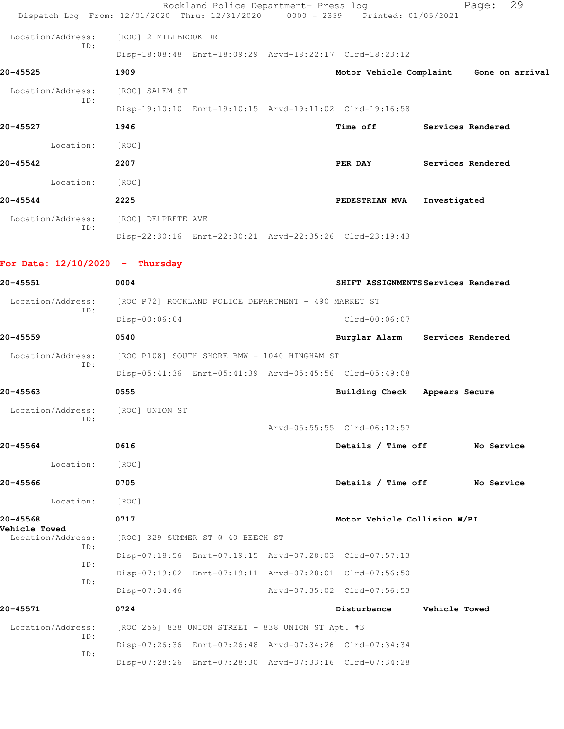|                   |     |                      | Rockland Police Department- Press log                                          |                         |                   | Page:             | 29 |
|-------------------|-----|----------------------|--------------------------------------------------------------------------------|-------------------------|-------------------|-------------------|----|
|                   |     |                      | Dispatch Log From: 12/01/2020 Thru: 12/31/2020 0000 - 2359 Printed: 01/05/2021 |                         |                   |                   |    |
| Location/Address: |     | [ROC] 2 MILLBROOK DR |                                                                                |                         |                   |                   |    |
|                   | ID: |                      | Disp-18:08:48 Enrt-18:09:29 Arvd-18:22:17 Clrd-18:23:12                        |                         |                   |                   |    |
| 20-45525          |     | 1909                 |                                                                                | Motor Vehicle Complaint |                   | Gone on arrival   |    |
| Location/Address: | ID: | [ROC] SALEM ST       |                                                                                |                         |                   |                   |    |
|                   |     |                      | Disp-19:10:10 Enrt-19:10:15 Arvd-19:11:02 Clrd-19:16:58                        |                         |                   |                   |    |
| 20-45527          |     | 1946                 |                                                                                | Time off                | Services Rendered |                   |    |
| Location:         |     | [ROC]                |                                                                                |                         |                   |                   |    |
| 20-45542          |     | 2207                 |                                                                                | PER DAY                 |                   | Services Rendered |    |
| Location:         |     | [ROC]                |                                                                                |                         |                   |                   |    |
| 20-45544          |     | 2225                 |                                                                                | PEDESTRIAN MVA          | Investigated      |                   |    |
| Location/Address: |     | [ROC] DELPRETE AVE   |                                                                                |                         |                   |                   |    |
|                   | TD: |                      | Disp-22:30:16 Enrt-22:30:21 Arvd-22:35:26 Clrd-23:19:43                        |                         |                   |                   |    |
|                   |     |                      |                                                                                |                         |                   |                   |    |

## **For Date: 12/10/2020 - Thursday**

| 20-45551                                  | 0004            |                                                      |                                                         | SHIFT ASSIGNMENTS Services Rendered |
|-------------------------------------------|-----------------|------------------------------------------------------|---------------------------------------------------------|-------------------------------------|
| Location/Address:                         |                 | [ROC P72] ROCKLAND POLICE DEPARTMENT - 490 MARKET ST |                                                         |                                     |
| ID:                                       | Disp-00:06:04   |                                                      | $Clrd-00:06:07$                                         |                                     |
| 20-45559                                  | 0540            |                                                      |                                                         | Burglar Alarm Services Rendered     |
| Location/Address:                         |                 | [ROC P108] SOUTH SHORE BMW - 1040 HINGHAM ST         |                                                         |                                     |
| ID:                                       |                 |                                                      | Disp-05:41:36 Enrt-05:41:39 Arvd-05:45:56 Clrd-05:49:08 |                                     |
| 20-45563                                  | 0555            |                                                      | Building Check Appears Secure                           |                                     |
| Location/Address:                         | [ROC] UNION ST  |                                                      |                                                         |                                     |
| ID:                                       |                 |                                                      | Arvd-05:55:55 Clrd-06:12:57                             |                                     |
| 20-45564                                  | 0616            |                                                      | Details / Time off                                      | No Service                          |
| Location:                                 | [ROC]           |                                                      |                                                         |                                     |
| 20-45566                                  | 0705            |                                                      | Details / Time off                                      | No Service                          |
| Location:                                 | [ROC]           |                                                      |                                                         |                                     |
| 20-45568                                  | 0717            |                                                      | Motor Vehicle Collision W/PI                            |                                     |
| <b>Vehicle Towed</b><br>Location/Address: |                 | [ROC] 329 SUMMER ST @ 40 BEECH ST                    |                                                         |                                     |
| ID:                                       |                 |                                                      | Disp-07:18:56 Enrt-07:19:15 Arvd-07:28:03 Clrd-07:57:13 |                                     |
| ID:                                       |                 |                                                      | Disp-07:19:02 Enrt-07:19:11 Arvd-07:28:01 Clrd-07:56:50 |                                     |
| ID:                                       | $Disp-07:34:46$ |                                                      | Arvd-07:35:02 Clrd-07:56:53                             |                                     |
| 20-45571                                  | 0724            |                                                      | Disturbance                                             | <b>Vehicle Towed</b>                |
| Location/Address:                         |                 | [ROC 256] 838 UNION STREET - 838 UNION ST Apt. #3    |                                                         |                                     |
| ID:<br>TD:                                |                 |                                                      | Disp-07:26:36 Enrt-07:26:48 Arvd-07:34:26 Clrd-07:34:34 |                                     |
|                                           |                 |                                                      | Disp-07:28:26 Enrt-07:28:30 Arvd-07:33:16 Clrd-07:34:28 |                                     |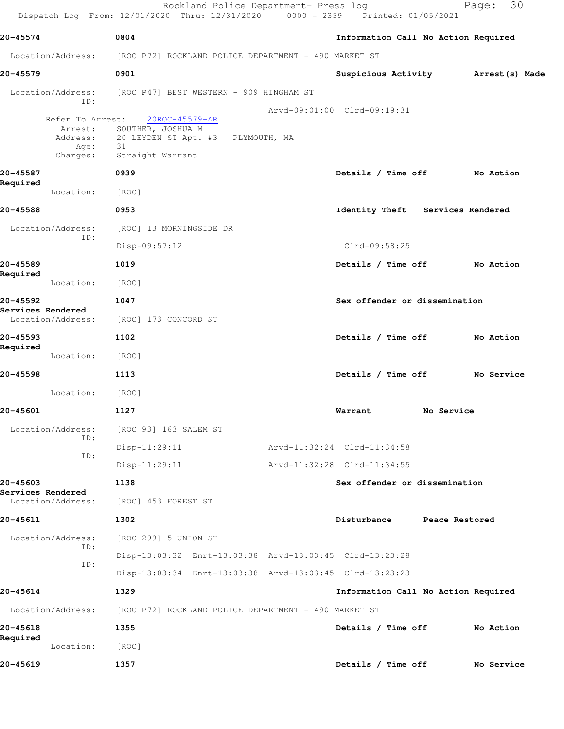|                                                 | Rockland Police Department- Press log<br>Dispatch Log From: 12/01/2020 Thru: 12/31/2020 0000 - 2359 Printed: 01/05/2021 |                                     |                | 30<br>Page:    |  |
|-------------------------------------------------|-------------------------------------------------------------------------------------------------------------------------|-------------------------------------|----------------|----------------|--|
| 20-45574                                        | 0804                                                                                                                    | Information Call No Action Required |                |                |  |
| Location/Address:                               | [ROC P72] ROCKLAND POLICE DEPARTMENT - 490 MARKET ST                                                                    |                                     |                |                |  |
| 20-45579                                        | 0901                                                                                                                    | Suspicious Activity                 |                | Arrest(s) Made |  |
| ID:                                             | Location/Address: [ROC P47] BEST WESTERN - 909 HINGHAM ST                                                               |                                     |                |                |  |
| Refer To Arrest:<br>Arrest:<br>Age:<br>Charges: | 20ROC-45579-AR<br>SOUTHER, JOSHUA M<br>Address: 20 LEYDEN ST Apt. #3 PLYMOUTH, MA<br>31<br>Straight Warrant             | Arvd-09:01:00 Clrd-09:19:31         |                |                |  |
| 20-45587                                        | 0939                                                                                                                    | Details / Time off                  |                | No Action      |  |
| Required<br>Location:                           | [ROC]                                                                                                                   |                                     |                |                |  |
| 20-45588                                        | 0953                                                                                                                    | Identity Theft Services Rendered    |                |                |  |
| Location/Address:                               | [ROC] 13 MORNINGSIDE DR                                                                                                 |                                     |                |                |  |
| ID:                                             | $Disp-09:57:12$                                                                                                         | $Clrd-09:58:25$                     |                |                |  |
| 20-45589<br>Required                            | 1019                                                                                                                    | Details / Time off                  |                | No Action      |  |
| Location:                                       | [ROC]                                                                                                                   |                                     |                |                |  |
| 20-45592<br>Services Rendered                   | 1047                                                                                                                    | Sex offender or dissemination       |                |                |  |
| Location/Address:                               | [ROC] 173 CONCORD ST                                                                                                    |                                     |                |                |  |
| 20-45593<br>Required                            | 1102                                                                                                                    | Details / Time off                  |                | No Action      |  |
| Location:                                       | [ROC]                                                                                                                   |                                     |                |                |  |
| 20-45598                                        | 1113                                                                                                                    | Details / Time off No Service       |                |                |  |
| Location:                                       | [ROC]                                                                                                                   |                                     |                |                |  |
| 20-45601                                        | 1127                                                                                                                    | Warrant                             | No Service     |                |  |
| Location/Address:<br>ID:                        | [ROC 93] 163 SALEM ST                                                                                                   |                                     |                |                |  |
| ID:                                             | Disp-11:29:11                                                                                                           | Arvd-11:32:24 Clrd-11:34:58         |                |                |  |
|                                                 | $Disp-11:29:11$                                                                                                         | Arvd-11:32:28 Clrd-11:34:55         |                |                |  |
| 20-45603<br>Services Rendered                   | 1138                                                                                                                    | Sex offender or dissemination       |                |                |  |
| Location/Address:                               | [ROC] 453 FOREST ST                                                                                                     |                                     |                |                |  |
| 20-45611                                        | 1302                                                                                                                    | Disturbance                         | Peace Restored |                |  |
| Location/Address:<br>ID:                        | [ROC 299] 5 UNION ST                                                                                                    |                                     |                |                |  |
| ID:                                             | Disp-13:03:32 Enrt-13:03:38 Arvd-13:03:45 Clrd-13:23:28                                                                 |                                     |                |                |  |
|                                                 | Disp-13:03:34 Enrt-13:03:38 Arvd-13:03:45 Clrd-13:23:23                                                                 |                                     |                |                |  |
| 20-45614                                        | 1329                                                                                                                    | Information Call No Action Required |                |                |  |
| Location/Address:                               | [ROC P72] ROCKLAND POLICE DEPARTMENT - 490 MARKET ST                                                                    |                                     |                |                |  |
| 20-45618<br>Required                            | 1355                                                                                                                    | Details / Time off                  |                | No Action      |  |
| Location:                                       | [ROC]                                                                                                                   |                                     |                |                |  |
| 20-45619                                        | 1357                                                                                                                    | Details / Time off                  |                | No Service     |  |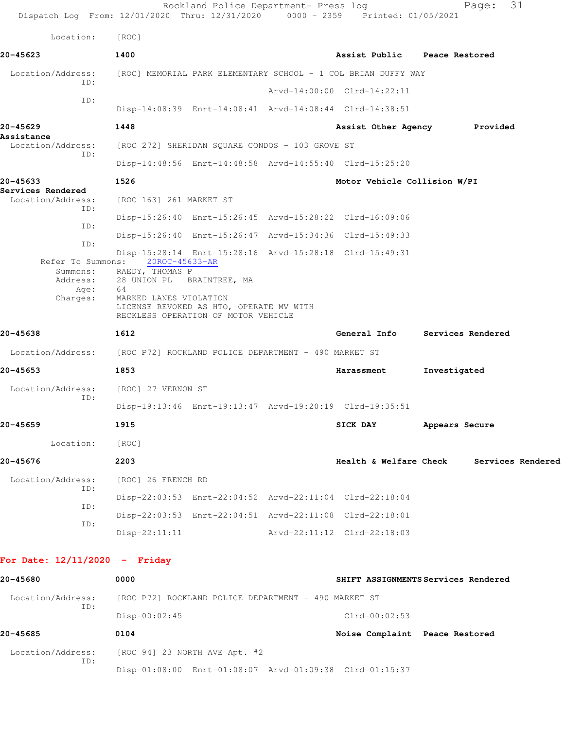|                                                   | Dispatch Log From: 12/01/2020 Thru: 12/31/2020 0000 - 2359 Printed: 01/05/2021                                                                                                                                                                       | Rockland Police Department- Press log |                              | 31<br>Page:                  |  |
|---------------------------------------------------|------------------------------------------------------------------------------------------------------------------------------------------------------------------------------------------------------------------------------------------------------|---------------------------------------|------------------------------|------------------------------|--|
| Location:                                         | [ROC]                                                                                                                                                                                                                                                |                                       |                              |                              |  |
| 20-45623                                          | 1400                                                                                                                                                                                                                                                 |                                       | Assist Public Peace Restored |                              |  |
| Location/Address:<br>TD:                          | [ROC] MEMORIAL PARK ELEMENTARY SCHOOL - 1 COL BRIAN DUFFY WAY                                                                                                                                                                                        |                                       |                              |                              |  |
| ID:                                               |                                                                                                                                                                                                                                                      |                                       | Arvd-14:00:00 Clrd-14:22:11  |                              |  |
|                                                   | Disp-14:08:39 Enrt-14:08:41 Arvd-14:08:44 Clrd-14:38:51                                                                                                                                                                                              |                                       |                              |                              |  |
| 20-45629                                          | 1448                                                                                                                                                                                                                                                 |                                       |                              | Assist Other Agency Provided |  |
| Assistance<br>Location/Address:                   | [ROC 272] SHERIDAN SQUARE CONDOS - 103 GROVE ST                                                                                                                                                                                                      |                                       |                              |                              |  |
| ID:                                               | Disp-14:48:56 Enrt-14:48:58 Arvd-14:55:40 Clrd-15:25:20                                                                                                                                                                                              |                                       |                              |                              |  |
| 20-45633                                          | 1526                                                                                                                                                                                                                                                 |                                       | Motor Vehicle Collision W/PI |                              |  |
| Services Rendered<br>Location/Address:<br>ID:     | [ROC 163] 261 MARKET ST                                                                                                                                                                                                                              |                                       |                              |                              |  |
| ID:                                               | Disp-15:26:40 Enrt-15:26:45 Arvd-15:28:22 Clrd-16:09:06                                                                                                                                                                                              |                                       |                              |                              |  |
| ID:                                               | Disp-15:26:40 Enrt-15:26:47 Arvd-15:34:36 Clrd-15:49:33                                                                                                                                                                                              |                                       |                              |                              |  |
| Refer To Summons:<br>Summons:<br>Age:<br>Charges: | Disp-15:28:14 Enrt-15:28:16 Arvd-15:28:18 Clrd-15:49:31<br>20ROC-45633-AR<br>RAEDY, THOMAS P<br>Address: 28 UNION PL BRAINTREE, MA<br>64<br>MARKED LANES VIOLATION<br>LICENSE REVOKED AS HTO, OPERATE MV WITH<br>RECKLESS OPERATION OF MOTOR VEHICLE |                                       |                              |                              |  |
| 20-45638                                          | 1612                                                                                                                                                                                                                                                 |                                       | General Info                 | Services Rendered            |  |
|                                                   | Location/Address: [ROC P72] ROCKLAND POLICE DEPARTMENT - 490 MARKET ST                                                                                                                                                                               |                                       |                              |                              |  |
| 20-45653                                          | 1853                                                                                                                                                                                                                                                 |                                       | Harassment                   | Investigated                 |  |
| Location/Address:                                 | [ROC] 27 VERNON ST                                                                                                                                                                                                                                   |                                       |                              |                              |  |
| ID:                                               | Disp-19:13:46 Enrt-19:13:47 Arvd-19:20:19 Clrd-19:35:51                                                                                                                                                                                              |                                       |                              |                              |  |
| 20-45659                                          | 1915                                                                                                                                                                                                                                                 |                                       | SICK DAY                     | Appears Secure               |  |
| Location:                                         | [ROC]                                                                                                                                                                                                                                                |                                       |                              |                              |  |
| 20-45676                                          | 2203                                                                                                                                                                                                                                                 |                                       | Health & Welfare Check       | Services Rendered            |  |
| Location/Address:                                 | [ROC] 26 FRENCH RD                                                                                                                                                                                                                                   |                                       |                              |                              |  |
| ID:                                               | Disp-22:03:53 Enrt-22:04:52 Arvd-22:11:04 Clrd-22:18:04                                                                                                                                                                                              |                                       |                              |                              |  |
| ID:                                               | Disp-22:03:53 Enrt-22:04:51 Arvd-22:11:08 Clrd-22:18:01                                                                                                                                                                                              |                                       |                              |                              |  |
| ID:                                               | $Disp-22:11:11$                                                                                                                                                                                                                                      |                                       | Arvd-22:11:12 Clrd-22:18:03  |                              |  |
|                                                   |                                                                                                                                                                                                                                                      |                                       |                              |                              |  |

## **For Date: 12/11/2020 - Friday**

| 20-45680          | 0000                                                    | SHIFT ASSIGNMENTS Services Rendered |
|-------------------|---------------------------------------------------------|-------------------------------------|
| Location/Address: | [ROC P72] ROCKLAND POLICE DEPARTMENT - 490 MARKET ST    |                                     |
| ID:               | $Disp-00:02:45$                                         | $Clrd-00:02:53$                     |
| 20-45685          | 0104                                                    | Noise Complaint Peace Restored      |
| Location/Address: | [ROC 94] 23 NORTH AVE Apt. #2                           |                                     |
| TD:               | Disp-01:08:00 Enrt-01:08:07 Arvd-01:09:38 Clrd-01:15:37 |                                     |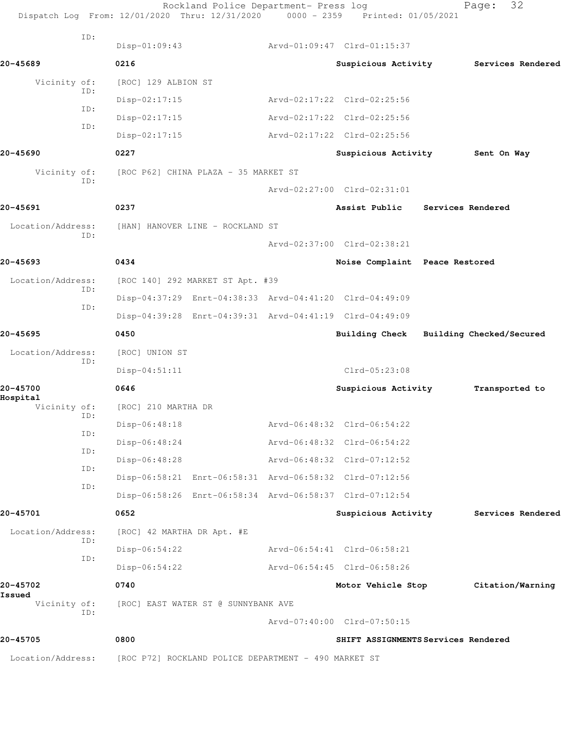|                          | Rockland Police Department- Press log<br>Dispatch Log From: 12/01/2020 Thru: 12/31/2020 0000 - 2359 Printed: 01/05/2021 |                                     | 32<br>Page:              |
|--------------------------|-------------------------------------------------------------------------------------------------------------------------|-------------------------------------|--------------------------|
| ID:                      | $Disp-01:09:43$                                                                                                         | Arvd-01:09:47 Clrd-01:15:37         |                          |
| 20-45689                 | 0216                                                                                                                    | Suspicious Activity                 | Services Rendered        |
| Vicinity of:             | [ROC] 129 ALBION ST                                                                                                     |                                     |                          |
| ID:                      | Disp-02:17:15                                                                                                           | Arvd-02:17:22 Clrd-02:25:56         |                          |
| ID:                      | $Disp-02:17:15$                                                                                                         | Arvd-02:17:22 Clrd-02:25:56         |                          |
| ID:                      | $Disp-02:17:15$                                                                                                         | Arvd-02:17:22 Clrd-02:25:56         |                          |
| 20-45690                 | 0227                                                                                                                    | Suspicious Activity                 | Sent On Way              |
| Vicinity of:             | [ROC P62] CHINA PLAZA - 35 MARKET ST                                                                                    |                                     |                          |
| ID:                      |                                                                                                                         | Arvd-02:27:00 Clrd-02:31:01         |                          |
| 20-45691                 | 0237                                                                                                                    | Assist Public                       | Services Rendered        |
| Location/Address:        | [HAN] HANOVER LINE - ROCKLAND ST                                                                                        |                                     |                          |
| ID:                      |                                                                                                                         | Arvd-02:37:00 Clrd-02:38:21         |                          |
| 20-45693                 | 0434                                                                                                                    | Noise Complaint Peace Restored      |                          |
| Location/Address:        | [ROC 140] 292 MARKET ST Apt. #39                                                                                        |                                     |                          |
| ID:                      | Disp-04:37:29 Enrt-04:38:33 Arvd-04:41:20 Clrd-04:49:09                                                                 |                                     |                          |
| ID:                      | Disp-04:39:28 Enrt-04:39:31 Arvd-04:41:19 Clrd-04:49:09                                                                 |                                     |                          |
| 20-45695                 | 0450                                                                                                                    | Building Check                      | Building Checked/Secured |
| Location/Address:        | [ROC] UNION ST                                                                                                          |                                     |                          |
| ID:                      | $Disp-04:51:11$                                                                                                         | $Clrd-05:23:08$                     |                          |
| 20-45700                 | 0646                                                                                                                    | Suspicious Activity                 | Transported to           |
| Hospital<br>Vicinity of: | [ROC] 210 MARTHA DR                                                                                                     |                                     |                          |
| ID:                      | Disp-06:48:18                                                                                                           | Arvd-06:48:32 Clrd-06:54:22         |                          |
| ID:                      | $Disp-06:48:24$                                                                                                         | Arvd-06:48:32 Clrd-06:54:22         |                          |
| ID:                      | Disp-06:48:28                                                                                                           | Arvd-06:48:32 Clrd-07:12:52         |                          |
| ID:                      | Disp-06:58:21 Enrt-06:58:31 Arvd-06:58:32 Clrd-07:12:56                                                                 |                                     |                          |
| ID:                      | Disp-06:58:26 Enrt-06:58:34 Arvd-06:58:37 Clrd-07:12:54                                                                 |                                     |                          |
| 20-45701                 | 0652                                                                                                                    | Suspicious Activity                 | Services Rendered        |
| Location/Address:        | [ROC] 42 MARTHA DR Apt. #E                                                                                              |                                     |                          |
| ID:                      | $Disp-06:54:22$                                                                                                         | Arvd-06:54:41 Clrd-06:58:21         |                          |
| ID:                      | $Disp-06:54:22$                                                                                                         | Arvd-06:54:45 Clrd-06:58:26         |                          |
| 20-45702                 | 0740                                                                                                                    | Motor Vehicle Stop                  | Citation/Warning         |
| Issued<br>Vicinity of:   | [ROC] EAST WATER ST @ SUNNYBANK AVE                                                                                     |                                     |                          |
| ID:                      |                                                                                                                         | Arvd-07:40:00 Clrd-07:50:15         |                          |
| 20-45705                 | 0800                                                                                                                    | SHIFT ASSIGNMENTS Services Rendered |                          |
| Location/Address:        | [ROC P72] ROCKLAND POLICE DEPARTMENT - 490 MARKET ST                                                                    |                                     |                          |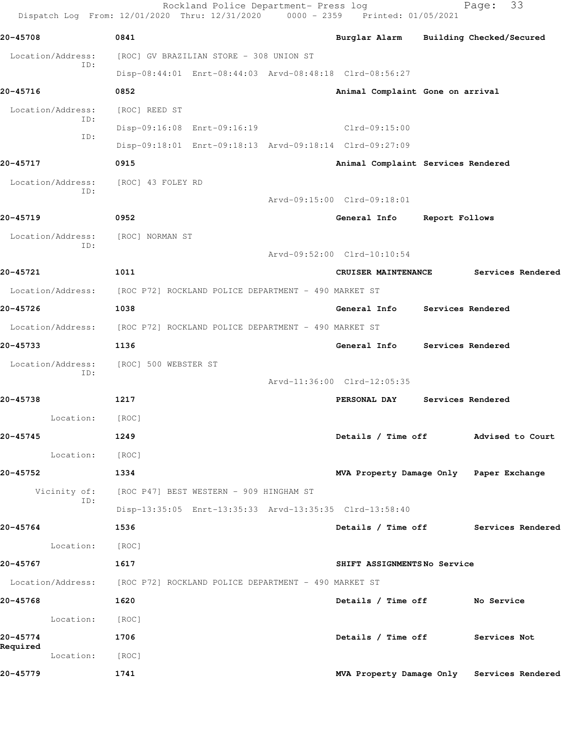|                          | Rockland Police Department- Press log<br>Dispatch Log From: 12/01/2020 Thru: 12/31/2020 0000 - 2359 Printed: 01/05/2021 |                                         |                   | 33<br>Page:                                |
|--------------------------|-------------------------------------------------------------------------------------------------------------------------|-----------------------------------------|-------------------|--------------------------------------------|
| 20-45708                 | 0841                                                                                                                    | Burglar Alarm Building Checked/Secured  |                   |                                            |
| Location/Address:        | [ROC] GV BRAZILIAN STORE - 308 UNION ST                                                                                 |                                         |                   |                                            |
| ID:                      | Disp-08:44:01 Enrt-08:44:03 Arvd-08:48:18 Clrd-08:56:27                                                                 |                                         |                   |                                            |
| 20-45716                 | 0852                                                                                                                    | Animal Complaint Gone on arrival        |                   |                                            |
| Location/Address:        | [ROC] REED ST                                                                                                           |                                         |                   |                                            |
| ID:<br>ID:               | Disp-09:16:08 Enrt-09:16:19                                                                                             | Clrd-09:15:00                           |                   |                                            |
|                          | Disp-09:18:01 Enrt-09:18:13 Arvd-09:18:14 Clrd-09:27:09                                                                 |                                         |                   |                                            |
| 20-45717                 | 0915                                                                                                                    | Animal Complaint Services Rendered      |                   |                                            |
| Location/Address:<br>ID: | [ROC] 43 FOLEY RD                                                                                                       |                                         |                   |                                            |
|                          |                                                                                                                         | Arvd-09:15:00 Clrd-09:18:01             |                   |                                            |
| 20-45719                 | 0952                                                                                                                    | General Info                            | Report Follows    |                                            |
| Location/Address:<br>ID: | [ROC] NORMAN ST                                                                                                         |                                         |                   |                                            |
|                          |                                                                                                                         | Arvd-09:52:00 Clrd-10:10:54             |                   |                                            |
| 20-45721                 | 1011                                                                                                                    | CRUISER MAINTENANCE                     |                   | Services Rendered                          |
| Location/Address:        | [ROC P72] ROCKLAND POLICE DEPARTMENT - 490 MARKET ST                                                                    |                                         |                   |                                            |
| 20-45726                 | 1038                                                                                                                    | General Info                            | Services Rendered |                                            |
| Location/Address:        | [ROC P72] ROCKLAND POLICE DEPARTMENT - 490 MARKET ST                                                                    |                                         |                   |                                            |
| 20-45733                 | 1136                                                                                                                    | General Info                            | Services Rendered |                                            |
| Location/Address:<br>ID: | [ROC] 500 WEBSTER ST                                                                                                    |                                         |                   |                                            |
|                          |                                                                                                                         | Arvd-11:36:00 Clrd-12:05:35             |                   |                                            |
| 20-45738                 | 1217                                                                                                                    | PERSONAL DAY                            | Services Rendered |                                            |
| Location:                | [ROC]                                                                                                                   |                                         |                   |                                            |
| 20-45745                 | 1249                                                                                                                    |                                         |                   | Details / Time off Mdvised to Court        |
| Location:                | [ROC]                                                                                                                   |                                         |                   |                                            |
| 20-45752                 | 1334                                                                                                                    | MVA Property Damage Only Paper Exchange |                   |                                            |
| ID:                      | Vicinity of: [ROC P47] BEST WESTERN - 909 HINGHAM ST                                                                    |                                         |                   |                                            |
|                          | Disp-13:35:05 Enrt-13:35:33 Arvd-13:35:35 Clrd-13:58:40                                                                 |                                         |                   |                                            |
| 20-45764                 | 1536                                                                                                                    |                                         |                   | Details / Time off Services Rendered       |
| Location: [ROC]          |                                                                                                                         |                                         |                   |                                            |
| 20-45767                 | 1617                                                                                                                    | SHIFT ASSIGNMENTSNo Service             |                   |                                            |
|                          | Location/Address: [ROC P72] ROCKLAND POLICE DEPARTMENT - 490 MARKET ST                                                  |                                         |                   |                                            |
| 20-45768                 | 1620                                                                                                                    | Details / Time off No Service           |                   |                                            |
| Location:                | [ROC]                                                                                                                   |                                         |                   |                                            |
| 20-45774<br>Required     | 1706                                                                                                                    | Details / Time off Services Not         |                   |                                            |
| Location: [ROC]          |                                                                                                                         |                                         |                   |                                            |
| 20-45779                 | 1741                                                                                                                    |                                         |                   | MVA Property Damage Only Services Rendered |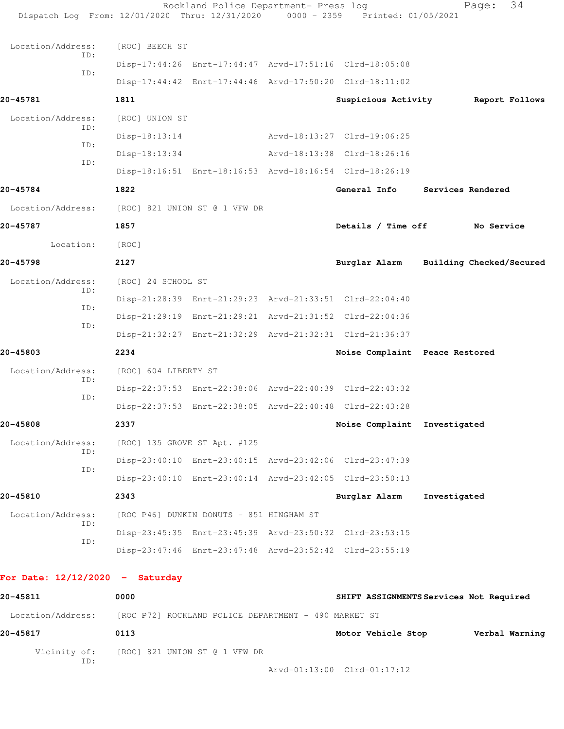| Dispatch Log From: 12/01/2020 Thru: 12/31/2020 0000 - 2359 Printed: 01/05/2021 |                                                      | Rockland Police Department- Press log    |  |                                                         | 34<br>Page:                            |  |  |
|--------------------------------------------------------------------------------|------------------------------------------------------|------------------------------------------|--|---------------------------------------------------------|----------------------------------------|--|--|
| Location/Address:                                                              | [ROC] BEECH ST                                       |                                          |  |                                                         |                                        |  |  |
| ID:<br>ID:                                                                     |                                                      |                                          |  | Disp-17:44:26 Enrt-17:44:47 Arvd-17:51:16 Clrd-18:05:08 |                                        |  |  |
|                                                                                |                                                      |                                          |  | Disp-17:44:42 Enrt-17:44:46 Arvd-17:50:20 Clrd-18:11:02 |                                        |  |  |
| 20-45781                                                                       | 1811                                                 |                                          |  | Suspicious Activity                                     | Report Follows                         |  |  |
| Location/Address:                                                              | [ROC] UNION ST                                       |                                          |  |                                                         |                                        |  |  |
| ID:                                                                            | $Disp-18:13:14$                                      |                                          |  | Arvd-18:13:27 Clrd-19:06:25                             |                                        |  |  |
| TD:                                                                            | $Disp-18:13:34$                                      |                                          |  | Arvd-18:13:38 Clrd-18:26:16                             |                                        |  |  |
| ID:                                                                            |                                                      |                                          |  | Disp-18:16:51 Enrt-18:16:53 Arvd-18:16:54 Clrd-18:26:19 |                                        |  |  |
| 20-45784                                                                       | 1822                                                 |                                          |  | General Info                                            | Services Rendered                      |  |  |
| Location/Address:                                                              |                                                      | [ROC] 821 UNION ST @ 1 VFW DR            |  |                                                         |                                        |  |  |
| 20-45787                                                                       | 1857                                                 |                                          |  | Details / Time off                                      | No Service                             |  |  |
| Location:                                                                      | [ROC]                                                |                                          |  |                                                         |                                        |  |  |
| 20-45798                                                                       | 2127                                                 |                                          |  |                                                         | Burglar Alarm Building Checked/Secured |  |  |
| Location/Address:<br>ID:                                                       | [ROC] 24 SCHOOL ST                                   |                                          |  |                                                         |                                        |  |  |
|                                                                                |                                                      |                                          |  | Disp-21:28:39 Enrt-21:29:23 Arvd-21:33:51 Clrd-22:04:40 |                                        |  |  |
| ID:                                                                            |                                                      |                                          |  | Disp-21:29:19 Enrt-21:29:21 Arvd-21:31:52 Clrd-22:04:36 |                                        |  |  |
| ID:                                                                            |                                                      |                                          |  | Disp-21:32:27 Enrt-21:32:29 Arvd-21:32:31 Clrd-21:36:37 |                                        |  |  |
| 20-45803                                                                       | 2234                                                 |                                          |  | Noise Complaint Peace Restored                          |                                        |  |  |
| Location/Address:                                                              | [ROC] 604 LIBERTY ST                                 |                                          |  |                                                         |                                        |  |  |
| ID:                                                                            |                                                      |                                          |  | Disp-22:37:53 Enrt-22:38:06 Arvd-22:40:39 Clrd-22:43:32 |                                        |  |  |
| ID:                                                                            |                                                      |                                          |  | Disp-22:37:53 Enrt-22:38:05 Arvd-22:40:48 Clrd-22:43:28 |                                        |  |  |
| 20-45808                                                                       | 2337                                                 |                                          |  | Noise Complaint Investigated                            |                                        |  |  |
| Location/Address:<br>ID:<br>ID:                                                |                                                      | [ROC] 135 GROVE ST Apt. #125             |  |                                                         |                                        |  |  |
|                                                                                |                                                      |                                          |  | Disp-23:40:10 Enrt-23:40:15 Arvd-23:42:06 Clrd-23:47:39 |                                        |  |  |
|                                                                                |                                                      |                                          |  | Disp-23:40:10 Enrt-23:40:14 Arvd-23:42:05 Clrd-23:50:13 |                                        |  |  |
| 20-45810                                                                       | 2343                                                 |                                          |  | Burglar Alarm                                           | Investigated                           |  |  |
| Location/Address:<br>ID:<br>ID:                                                |                                                      | [ROC P46] DUNKIN DONUTS - 851 HINGHAM ST |  |                                                         |                                        |  |  |
|                                                                                |                                                      |                                          |  | Disp-23:45:35 Enrt-23:45:39 Arvd-23:50:32 Clrd-23:53:15 |                                        |  |  |
|                                                                                |                                                      |                                          |  | Disp-23:47:46 Enrt-23:47:48 Arvd-23:52:42 Clrd-23:55:19 |                                        |  |  |
| For Date: $12/12/2020 -$ Saturday                                              |                                                      |                                          |  |                                                         |                                        |  |  |
| 20-45811                                                                       | 0000<br>SHIFT ASSIGNMENTS Services Not Required      |                                          |  |                                                         |                                        |  |  |
| Location/Address:                                                              | [ROC P72] ROCKLAND POLICE DEPARTMENT - 490 MARKET ST |                                          |  |                                                         |                                        |  |  |
| 20-45817                                                                       | 0113                                                 |                                          |  | Motor Vehicle Stop                                      | Verbal Warning                         |  |  |

Vicinity of: [ROC] 821 UNION ST @ 1 VFW DR

ID:

Arvd-01:13:00 Clrd-01:17:12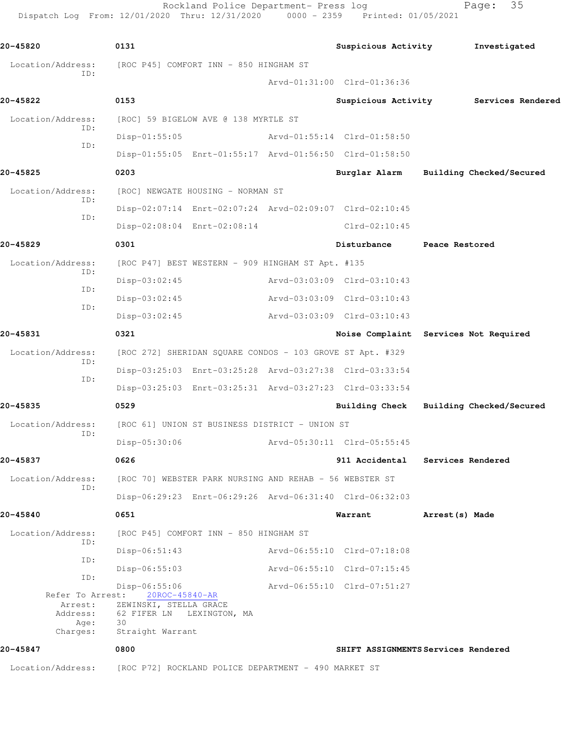Rockland Police Department- Press log Fage: 35 Dispatch Log From: 12/01/2020 Thru: 12/31/2020 0000 - 2359 Printed: 01/05/2021

**20-45820 0131 Suspicious Activity Investigated** Location/Address: [ROC P45] COMFORT INN - 850 HINGHAM ST ID: Arvd-01:31:00 Clrd-01:36:36 **20-45822 0153 Suspicious Activity Services Rendered** Location/Address: [ROC] 59 BIGELOW AVE @ 138 MYRTLE ST ID: Disp-01:55:05 Arvd-01:55:14 Clrd-01:58:50 ID: Disp-01:55:05 Enrt-01:55:17 Arvd-01:56:50 Clrd-01:58:50 **20-45825 0203 Burglar Alarm Building Checked/Secured** Location/Address: [ROC] NEWGATE HOUSING - NORMAN ST ID: Disp-02:07:14 Enrt-02:07:24 Arvd-02:09:07 Clrd-02:10:45 ID: Disp-02:08:04 Enrt-02:08:14 Clrd-02:10:45 **20-45829 0301 Disturbance Peace Restored** Location/Address: [ROC P47] BEST WESTERN - 909 HINGHAM ST Apt. #135 ID: Disp-03:02:45 Arvd-03:03:09 Clrd-03:10:43 ID: Disp-03:02:45 Arvd-03:03:09 Clrd-03:10:43 ID: Disp-03:02:45 Arvd-03:03:09 Clrd-03:10:43 **20-45831 0321 Noise Complaint Services Not Required** Location/Address: [ROC 272] SHERIDAN SQUARE CONDOS - 103 GROVE ST Apt. #329 ID: Disp-03:25:03 Enrt-03:25:28 Arvd-03:27:38 Clrd-03:33:54 ID: Disp-03:25:03 Enrt-03:25:31 Arvd-03:27:23 Clrd-03:33:54 **20-45835 0529 Building Check Building Checked/Secured** Location/Address: [ROC 61] UNION ST BUSINESS DISTRICT - UNION ST ID: Disp-05:30:06 Arvd-05:30:11 Clrd-05:55:45 **20-45837 0626 911 Accidental Services Rendered** Location/Address: [ROC 70] WEBSTER PARK NURSING AND REHAB - 56 WEBSTER ST ID: Disp-06:29:23 Enrt-06:29:26 Arvd-06:31:40 Clrd-06:32:03 **20-45840 0651 Warrant Arrest(s) Made** Location/Address: [ROC P45] COMFORT INN - 850 HINGHAM ST ID: Disp-06:51:43 Arvd-06:55:10 Clrd-07:18:08 ID: Disp-06:55:03 Arvd-06:55:10 Clrd-07:15:45 ID: Disp-06:55:06 Arvd-06:55:10 Clrd-07:51:27 Refer To Arrest: 20ROC-45840-AR Arrest: ZEWINSKI, STELLA GRACE Address: 62 FIFER LN LEXINGTON, MA Age:<br>Charges: Straight Warrant **20-45847 0800 SHIFT ASSIGNMENTS Services Rendered**

Location/Address: [ROC P72] ROCKLAND POLICE DEPARTMENT - 490 MARKET ST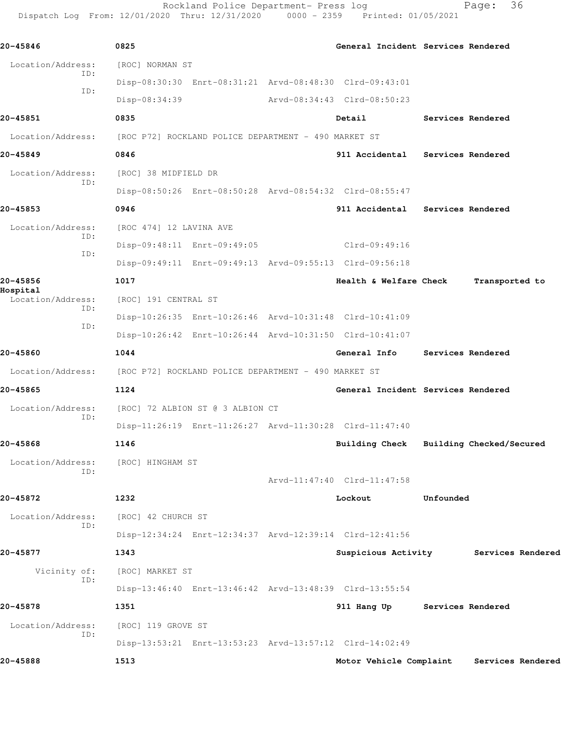Rockland Police Department- Press log entitled and Page: 36 Dispatch Log From: 12/01/2020 Thru: 12/31/2020 0000 - 2359 Printed: 01/05/2021

| 20-45846                                    | 0825                                                                   |                                    | General Incident Services Rendered    |           |                                           |  |  |
|---------------------------------------------|------------------------------------------------------------------------|------------------------------------|---------------------------------------|-----------|-------------------------------------------|--|--|
| Location/Address:                           | [ROC] NORMAN ST                                                        |                                    |                                       |           |                                           |  |  |
| ID:<br>ID:                                  | Disp-08:30:30 Enrt-08:31:21 Arvd-08:48:30 Clrd-09:43:01                |                                    |                                       |           |                                           |  |  |
|                                             | Disp-08:34:39                                                          |                                    | Arvd-08:34:43 Clrd-08:50:23           |           |                                           |  |  |
| 20-45851                                    | 0835                                                                   |                                    | Detail                                |           | Services Rendered                         |  |  |
|                                             | Location/Address: [ROC P72] ROCKLAND POLICE DEPARTMENT - 490 MARKET ST |                                    |                                       |           |                                           |  |  |
| 20-45849                                    | 0846                                                                   |                                    | 911 Accidental Services Rendered      |           |                                           |  |  |
| Location/Address:<br>ID:                    | [ROC] 38 MIDFIELD DR                                                   |                                    |                                       |           |                                           |  |  |
|                                             | Disp-08:50:26 Enrt-08:50:28 Arvd-08:54:32 Clrd-08:55:47                |                                    |                                       |           |                                           |  |  |
| 20-45853                                    | 0946                                                                   |                                    | 911 Accidental Services Rendered      |           |                                           |  |  |
| Location/Address:<br>ID:<br>ID:             | [ROC 474] 12 LAVINA AVE                                                |                                    |                                       |           |                                           |  |  |
|                                             | Disp-09:48:11 Enrt-09:49:05                                            |                                    | $Clrd-09:49:16$                       |           |                                           |  |  |
|                                             | Disp-09:49:11 Enrt-09:49:13 Arvd-09:55:13 Clrd-09:56:18                |                                    |                                       |           |                                           |  |  |
| 20-45856                                    | 1017                                                                   |                                    | Health & Welfare Check                |           | Transported to                            |  |  |
| Hospital<br>Location/Address:<br>ID:<br>ID: | [ROC] 191 CENTRAL ST                                                   |                                    |                                       |           |                                           |  |  |
|                                             | Disp-10:26:35 Enrt-10:26:46 Arvd-10:31:48 Clrd-10:41:09                |                                    |                                       |           |                                           |  |  |
|                                             | Disp-10:26:42 Enrt-10:26:44 Arvd-10:31:50 Clrd-10:41:07                |                                    |                                       |           |                                           |  |  |
| 20-45860                                    | 1044                                                                   |                                    | General Info                          |           | Services Rendered                         |  |  |
| Location/Address:                           | [ROC P72] ROCKLAND POLICE DEPARTMENT - 490 MARKET ST                   |                                    |                                       |           |                                           |  |  |
| 20-45865                                    | 1124                                                                   | General Incident Services Rendered |                                       |           |                                           |  |  |
| Location/Address:<br>ID:                    | [ROC] 72 ALBION ST @ 3 ALBION CT                                       |                                    |                                       |           |                                           |  |  |
|                                             | Disp-11:26:19 Enrt-11:26:27 Arvd-11:30:28 Clrd-11:47:40                |                                    |                                       |           |                                           |  |  |
| 20-45868                                    | 1146                                                                   |                                    | Building Check                        |           | Building Checked/Secured                  |  |  |
| Location/Address:<br>ID:                    | [ROC] HINGHAM ST                                                       |                                    |                                       |           |                                           |  |  |
|                                             |                                                                        |                                    | Arvd-11:47:40 Clrd-11:47:58           |           |                                           |  |  |
| 20-45872                                    | 1232                                                                   |                                    | Lockout                               | Unfounded |                                           |  |  |
| Location/Address:<br>ID:                    | [ROC] 42 CHURCH ST                                                     |                                    |                                       |           |                                           |  |  |
|                                             | Disp-12:34:24 Enrt-12:34:37 Arvd-12:39:14 Clrd-12:41:56                |                                    |                                       |           |                                           |  |  |
| 20-45877                                    | 1343                                                                   |                                    | Suspicious Activity Services Rendered |           |                                           |  |  |
| Vicinity of:<br>ID:                         | [ROC] MARKET ST                                                        |                                    |                                       |           |                                           |  |  |
|                                             | Disp-13:46:40 Enrt-13:46:42 Arvd-13:48:39 Clrd-13:55:54                |                                    |                                       |           |                                           |  |  |
| 20-45878                                    | 1351                                                                   |                                    | 911 Hang Up Services Rendered         |           |                                           |  |  |
| Location/Address:<br>ID:                    | [ROC] 119 GROVE ST                                                     |                                    |                                       |           |                                           |  |  |
|                                             | Disp-13:53:21 Enrt-13:53:23 Arvd-13:57:12 Clrd-14:02:49                |                                    |                                       |           |                                           |  |  |
| 20-45888                                    | 1513                                                                   |                                    |                                       |           | Motor Vehicle Complaint Services Rendered |  |  |
|                                             |                                                                        |                                    |                                       |           |                                           |  |  |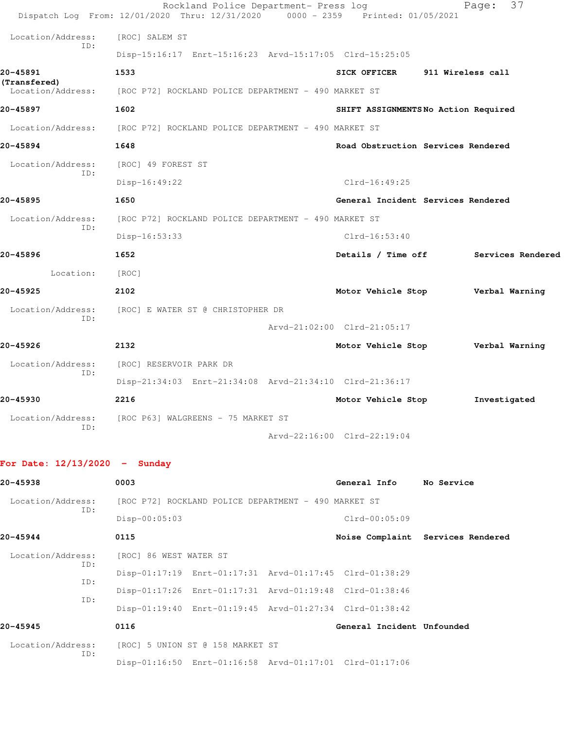|                                   | Rockland Police Department- Press log<br>Dispatch Log From: 12/01/2020 Thru: 12/31/2020 | 0000 - 2359 Printed: 01/05/2021      |                   | 37<br>Page:       |
|-----------------------------------|-----------------------------------------------------------------------------------------|--------------------------------------|-------------------|-------------------|
| Location/Address:                 | [ROC] SALEM ST                                                                          |                                      |                   |                   |
| ID:                               | Disp-15:16:17 Enrt-15:16:23 Arvd-15:17:05 Clrd-15:25:05                                 |                                      |                   |                   |
| 20-45891                          | 1533                                                                                    | SICK OFFICER                         | 911 Wireless call |                   |
| (Transfered)<br>Location/Address: | [ROC P72] ROCKLAND POLICE DEPARTMENT - 490 MARKET ST                                    |                                      |                   |                   |
| 20-45897                          | 1602                                                                                    | SHIFT ASSIGNMENTS No Action Required |                   |                   |
| Location/Address:                 | [ROC P72] ROCKLAND POLICE DEPARTMENT - 490 MARKET ST                                    |                                      |                   |                   |
| 20-45894                          | 1648                                                                                    | Road Obstruction Services Rendered   |                   |                   |
| Location/Address:                 | [ROC] 49 FOREST ST                                                                      |                                      |                   |                   |
| ID:                               | $Disp-16:49:22$                                                                         | $Clrd-16:49:25$                      |                   |                   |
| 20-45895                          | 1650                                                                                    | General Incident Services Rendered   |                   |                   |
| Location/Address:                 | [ROC P72] ROCKLAND POLICE DEPARTMENT - 490 MARKET ST                                    |                                      |                   |                   |
| ID:                               | Disp-16:53:33                                                                           | $Clrd-16:53:40$                      |                   |                   |
| 20-45896                          | 1652                                                                                    | Details / Time off                   |                   | Services Rendered |
| Location:                         | [ROC]                                                                                   |                                      |                   |                   |
| 20-45925                          | 2102                                                                                    | Motor Vehicle Stop Verbal Warning    |                   |                   |
| Location/Address:<br>ID:          | [ROC] E WATER ST @ CHRISTOPHER DR                                                       |                                      |                   |                   |
|                                   |                                                                                         | Arvd-21:02:00 Clrd-21:05:17          |                   |                   |
| 20-45926                          | 2132                                                                                    | Motor Vehicle Stop Verbal Warning    |                   |                   |
| Location/Address:<br>ID:          | [ROC] RESERVOIR PARK DR                                                                 |                                      |                   |                   |
|                                   | Disp-21:34:03 Enrt-21:34:08 Arvd-21:34:10 Clrd-21:36:17                                 |                                      |                   |                   |
| 20-45930                          | 2216                                                                                    | Motor Vehicle Stop                   |                   | Investigated      |
| Location/Address:<br>ID:          | [ROC P63] WALGREENS - 75 MARKET ST                                                      |                                      |                   |                   |
|                                   |                                                                                         | Arvd-22:16:00 Clrd-22:19:04          |                   |                   |
| For Date: $12/13/2020 -$ Sunday   |                                                                                         |                                      |                   |                   |
| 20-45938                          | 0003                                                                                    | General Info                         | No Service        |                   |
| Location/Address:                 | [ROC P72] ROCKLAND POLICE DEPARTMENT - 490 MARKET ST                                    |                                      |                   |                   |
| ID:                               | $Disp-00:05:03$                                                                         | Clrd-00:05:09                        |                   |                   |
| 20-45944                          | 0115                                                                                    | Noise Complaint Services Rendered    |                   |                   |
| Location/Address:                 | [ROC] 86 WEST WATER ST                                                                  |                                      |                   |                   |
| ID:<br>ID:                        | Disp-01:17:19 Enrt-01:17:31 Arvd-01:17:45 Clrd-01:38:29                                 |                                      |                   |                   |
| ID:                               | Disp-01:17:26 Enrt-01:17:31 Arvd-01:19:48 Clrd-01:38:46                                 |                                      |                   |                   |

 Disp-01:19:40 Enrt-01:19:45 Arvd-01:27:34 Clrd-01:38:42 **20-45945 0116 General Incident Unfounded**  Location/Address: [ROC] 5 UNION ST @ 158 MARKET ST ID: Disp-01:16:50 Enrt-01:16:58 Arvd-01:17:01 Clrd-01:17:06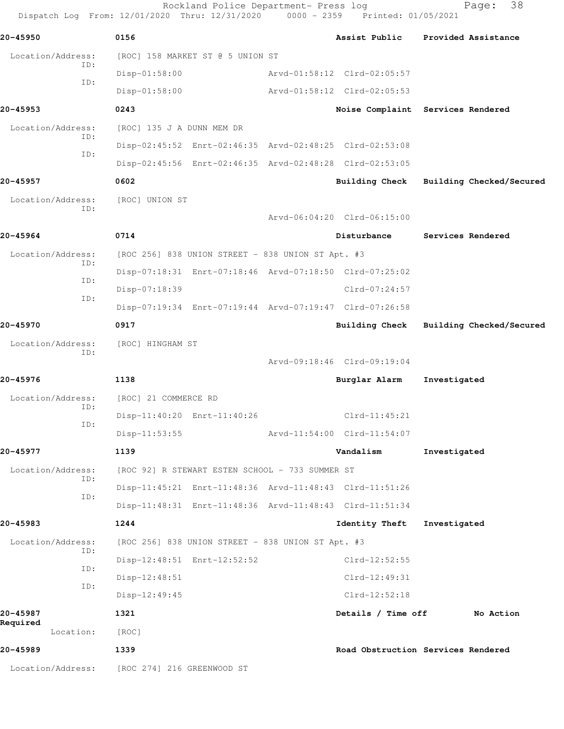Dispatch Log From: 12/01/2020 Thru: 12/31/2020 0000 - 2359 Printed: 01/05/2021 **20-45950 0156 Assist Public Provided Assistance** Location/Address: [ROC] 158 MARKET ST @ 5 UNION ST ID: Disp-01:58:00 Arvd-01:58:12 Clrd-02:05:57 ID: Disp-01:58:00 Arvd-01:58:12 Clrd-02:05:53 **20-45953 0243 Noise Complaint Services Rendered** Location/Address: [ROC] 135 J A DUNN MEM DR ID: Disp-02:45:52 Enrt-02:46:35 Arvd-02:48:25 Clrd-02:53:08 ID: Disp-02:45:56 Enrt-02:46:35 Arvd-02:48:28 Clrd-02:53:05 **20-45957 0602 Building Check Building Checked/Secured** Location/Address: [ROC] UNION ST ID: Arvd-06:04:20 Clrd-06:15:00 **20-45964 0714 Disturbance Services Rendered** Location/Address: [ROC 256] 838 UNION STREET - 838 UNION ST Apt. #3 ID: Disp-07:18:31 Enrt-07:18:46 Arvd-07:18:50 Clrd-07:25:02 ID: Disp-07:18:39 Clrd-07:24:57 ID: Disp-07:19:34 Enrt-07:19:44 Arvd-07:19:47 Clrd-07:26:58 **20-45970 0917 Building Check Building Checked/Secured** Location/Address: [ROC] HINGHAM ST ID: Arvd-09:18:46 Clrd-09:19:04 **20-45976 1138 Burglar Alarm Investigated** Location/Address: [ROC] 21 COMMERCE RD ID: Disp-11:40:20 Enrt-11:40:26 Clrd-11:45:21 ID: Disp-11:53:55 Arvd-11:54:00 Clrd-11:54:07 **20-45977 1139 Vandalism Investigated** Location/Address: [ROC 92] R STEWART ESTEN SCHOOL - 733 SUMMER ST ID: Disp-11:45:21 Enrt-11:48:36 Arvd-11:48:43 Clrd-11:51:26 ID: Disp-11:48:31 Enrt-11:48:36 Arvd-11:48:43 Clrd-11:51:34 **20-45983 1244 Identity Theft Investigated** Location/Address: [ROC 256] 838 UNION STREET - 838 UNION ST Apt. #3 ID: Disp-12:48:51 Enrt-12:52:52 Clrd-12:52:55 ID: Disp-12:48:51 Clrd-12:49:31 ID: Disp-12:49:45 Clrd-12:52:18 **20-45987 1321 Details / Time off No Action Required**  Location: [ROC] **20-45989 1339 Road Obstruction Services Rendered**

Location/Address: [ROC 274] 216 GREENWOOD ST

Rockland Police Department- Press log Fage: 38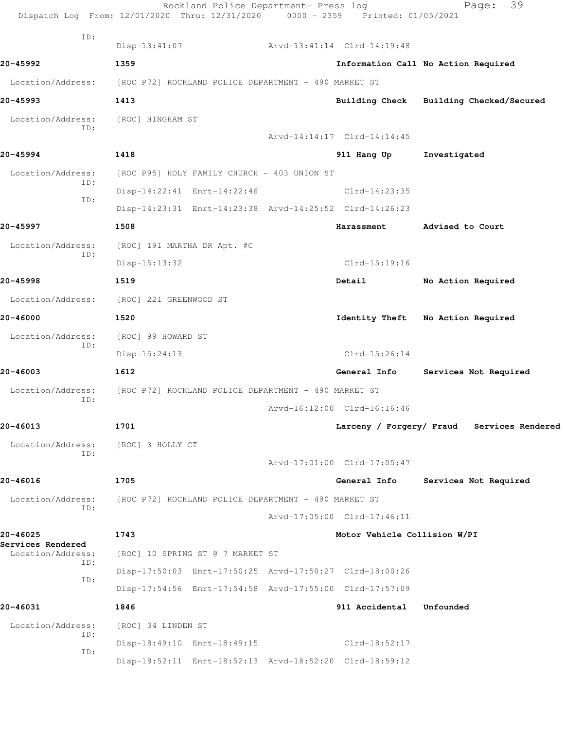|                                               | Rockland Police Department- Press log<br>Dispatch Log From: 12/01/2020 Thru: 12/31/2020 0000 - 2359 Printed: 01/05/2021 |                              | 39<br>Page:                                |
|-----------------------------------------------|-------------------------------------------------------------------------------------------------------------------------|------------------------------|--------------------------------------------|
| ID:                                           | $Disp-13:41:07$                                                                                                         | Arvd-13:41:14 Clrd-14:19:48  |                                            |
| 20-45992                                      | 1359                                                                                                                    |                              | Information Call No Action Required        |
|                                               | Location/Address: [ROC P72] ROCKLAND POLICE DEPARTMENT - 490 MARKET ST                                                  |                              |                                            |
| 20-45993                                      | 1413                                                                                                                    |                              | Building Check Building Checked/Secured    |
| Location/Address:                             | [ROC] HINGHAM ST                                                                                                        |                              |                                            |
| ID:                                           |                                                                                                                         | Arvd-14:14:17 Clrd-14:14:45  |                                            |
| 20-45994                                      | 1418                                                                                                                    | 911 Hang Up                  | Investigated                               |
| Location/Address:                             | [ROC P95] HOLY FAMILY CHURCH - 403 UNION ST                                                                             |                              |                                            |
| ID:                                           | Disp-14:22:41 Enrt-14:22:46                                                                                             | $Clrd-14:23:35$              |                                            |
| ID:                                           | Disp-14:23:31 Enrt-14:23:38 Arvd-14:25:52 Clrd-14:26:23                                                                 |                              |                                            |
| 20-45997                                      | 1508                                                                                                                    | Harassment                   | Advised to Court                           |
| Location/Address:                             | [ROC] 191 MARTHA DR Apt. #C                                                                                             |                              |                                            |
| ID:                                           | $Disp-15:13:32$                                                                                                         | $Clrd-15:19:16$              |                                            |
| 20-45998                                      | 1519                                                                                                                    | Detail                       | No Action Required                         |
| Location/Address:                             | [ROC] 221 GREENWOOD ST                                                                                                  |                              |                                            |
| 20-46000                                      | 1520                                                                                                                    | Identity Theft               | No Action Required                         |
| Location/Address:                             | [ROC] 99 HOWARD ST                                                                                                      |                              |                                            |
| ID:                                           | $Disp-15:24:13$                                                                                                         | $Clrd-15:26:14$              |                                            |
| 20-46003                                      | 1612                                                                                                                    | General Info                 | Services Not Required                      |
| Location/Address:                             | [ROC P72] ROCKLAND POLICE DEPARTMENT - 490 MARKET ST                                                                    |                              |                                            |
| ID:                                           |                                                                                                                         | Arvd-16:12:00 Clrd-16:16:46  |                                            |
| 20-46013                                      | 1701                                                                                                                    |                              | Larceny / Forgery/ Fraud Services Rendered |
| Location/Address:                             | [ROC] 3 HOLLY CT                                                                                                        |                              |                                            |
| ID:                                           |                                                                                                                         | Arvd-17:01:00 Clrd-17:05:47  |                                            |
| 20-46016                                      | 1705                                                                                                                    | General Info                 | Services Not Required                      |
| Location/Address:<br>ID:                      | [ROC P72] ROCKLAND POLICE DEPARTMENT - 490 MARKET ST                                                                    |                              |                                            |
|                                               |                                                                                                                         | Arvd-17:05:00 Clrd-17:46:11  |                                            |
| 20-46025                                      | 1743                                                                                                                    | Motor Vehicle Collision W/PI |                                            |
| Services Rendered<br>Location/Address:<br>ID: | [ROC] 10 SPRING ST @ 7 MARKET ST                                                                                        |                              |                                            |
| ID:                                           | Disp-17:50:03 Enrt-17:50:25 Arvd-17:50:27 Clrd-18:00:26                                                                 |                              |                                            |
|                                               | Disp-17:54:56 Enrt-17:54:58 Arvd-17:55:00 Clrd-17:57:09                                                                 |                              |                                            |
| 20-46031                                      | 1846                                                                                                                    | 911 Accidental Unfounded     |                                            |
| Location/Address:<br>ID:                      | [ROC] 34 LINDEN ST                                                                                                      |                              |                                            |
| ID:                                           | Disp-18:49:10 Enrt-18:49:15                                                                                             | Clrd-18:52:17                |                                            |
|                                               | Disp-18:52:11 Enrt-18:52:13 Arvd-18:52:20 Clrd-18:59:12                                                                 |                              |                                            |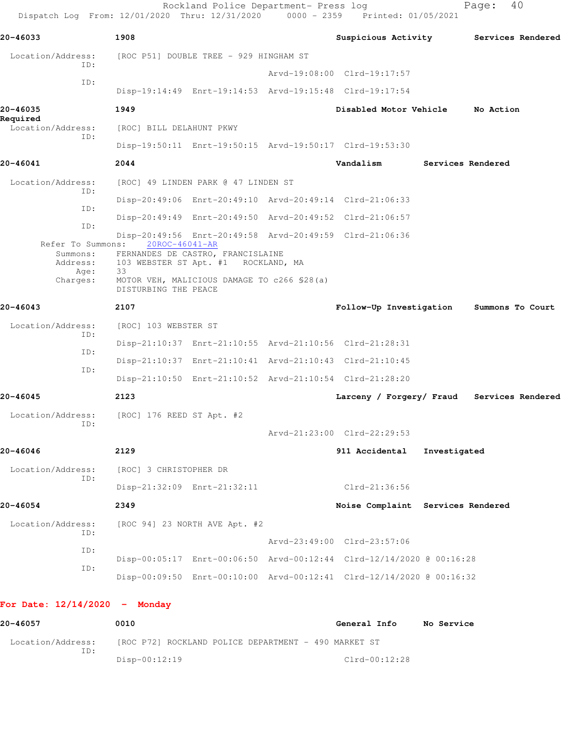| 20-46033                     | 1908                                                                             |                                     | Suspicious Activity                                                  |              | Services Rendered                          |
|------------------------------|----------------------------------------------------------------------------------|-------------------------------------|----------------------------------------------------------------------|--------------|--------------------------------------------|
| Location/Address:            | [ROC P51] DOUBLE TREE - 929 HINGHAM ST                                           |                                     |                                                                      |              |                                            |
| ID:                          |                                                                                  |                                     | Arvd-19:08:00 Clrd-19:17:57                                          |              |                                            |
| ID:                          |                                                                                  |                                     | Disp-19:14:49 Enrt-19:14:53 Arvd-19:15:48 Clrd-19:17:54              |              |                                            |
| 20-46035<br>Required         | 1949                                                                             |                                     | Disabled Motor Vehicle                                               |              | No Action                                  |
| Location/Address:<br>ID:     | [ROC] BILL DELAHUNT PKWY                                                         |                                     |                                                                      |              |                                            |
|                              |                                                                                  |                                     | Disp-19:50:11 Enrt-19:50:15 Arvd-19:50:17 Clrd-19:53:30              |              |                                            |
| 20-46041                     | 2044                                                                             |                                     | Vandalism                                                            |              | Services Rendered                          |
| Location/Address:<br>ID:     |                                                                                  | [ROC] 49 LINDEN PARK @ 47 LINDEN ST |                                                                      |              |                                            |
| ID:                          |                                                                                  |                                     | Disp-20:49:06 Enrt-20:49:10 Arvd-20:49:14 Clrd-21:06:33              |              |                                            |
| ID:                          |                                                                                  |                                     | Disp-20:49:49 Enrt-20:49:50 Arvd-20:49:52 Clrd-21:06:57              |              |                                            |
|                              | Refer To Summons: 20ROC-46041-AR                                                 |                                     | Disp-20:49:56 Enrt-20:49:58 Arvd-20:49:59 Clrd-21:06:36              |              |                                            |
| Summons:<br>Address:<br>Age: | FERNANDES DE CASTRO, FRANCISLAINE<br>103 WEBSTER ST Apt. #1 ROCKLAND, MA<br>- 33 |                                     |                                                                      |              |                                            |
| Charges:                     | MOTOR VEH, MALICIOUS DAMAGE TO c266 \$28(a)<br>DISTURBING THE PEACE              |                                     |                                                                      |              |                                            |
| 20-46043                     | 2107                                                                             |                                     | Follow-Up Investigation                                              |              | Summons To Court                           |
| Location/Address:            | [ROC] 103 WEBSTER ST                                                             |                                     |                                                                      |              |                                            |
| ID:                          |                                                                                  |                                     | Disp-21:10:37 Enrt-21:10:55 Arvd-21:10:56 Clrd-21:28:31              |              |                                            |
| ID:                          |                                                                                  |                                     | Disp-21:10:37 Enrt-21:10:41 Arvd-21:10:43 Clrd-21:10:45              |              |                                            |
| ID:                          |                                                                                  |                                     | Disp-21:10:50 Enrt-21:10:52 Arvd-21:10:54 Clrd-21:28:20              |              |                                            |
| 20-46045                     | 2123                                                                             |                                     |                                                                      |              | Larceny / Forgery/ Fraud Services Rendered |
| Location/Address:            | [ROC] 176 REED ST Apt. #2                                                        |                                     |                                                                      |              |                                            |
| ID:                          |                                                                                  |                                     | Arvd-21:23:00 Clrd-22:29:53                                          |              |                                            |
| 20-46046                     | 2129                                                                             |                                     | 911 Accidental                                                       | Investigated |                                            |
| Location/Address:            | [ROC] 3 CHRISTOPHER DR                                                           |                                     |                                                                      |              |                                            |
| ID:                          |                                                                                  | Disp-21:32:09 Enrt-21:32:11         | $Clrd-21:36:56$                                                      |              |                                            |
| 20-46054                     | 2349                                                                             |                                     | Noise Complaint Services Rendered                                    |              |                                            |
| Location/Address:<br>ID:     |                                                                                  | [ROC 94] 23 NORTH AVE Apt. #2       |                                                                      |              |                                            |
| ID:                          |                                                                                  |                                     | Arvd-23:49:00 Clrd-23:57:06                                          |              |                                            |
| ID:                          |                                                                                  |                                     | Disp-00:05:17 Enrt-00:06:50 Arvd-00:12:44 Clrd-12/14/2020 @ 00:16:28 |              |                                            |
|                              |                                                                                  |                                     | Disp-00:09:50 Enrt-00:10:00 Arvd-00:12:41 Clrd-12/14/2020 @ 00:16:32 |              |                                            |

**20-46057 0010 General Info No Service** Location/Address: [ROC P72] ROCKLAND POLICE DEPARTMENT - 490 MARKET ST ID: Disp-00:12:19 Clrd-00:12:28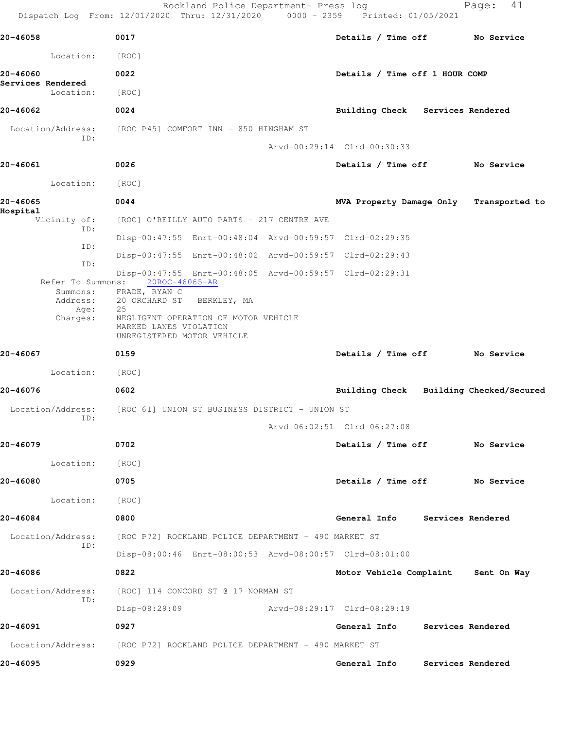Rockland Police Department- Press log entitled and Page: 41 Dispatch Log From: 12/01/2020 Thru: 12/31/2020 0000 - 2359 Printed: 01/05/2021

| 20-46058                       | 0017                                                                                                                  | Details / Time off No Service           |                   |  |
|--------------------------------|-----------------------------------------------------------------------------------------------------------------------|-----------------------------------------|-------------------|--|
| Location:                      | $\lceil \text{ROC} \rceil$                                                                                            |                                         |                   |  |
| 20-46060                       | 0022                                                                                                                  | Details / Time off 1 HOUR COMP          |                   |  |
| Services Rendered<br>Location: | [ROC]                                                                                                                 |                                         |                   |  |
| 20-46062                       | 0024                                                                                                                  | Building Check Services Rendered        |                   |  |
|                                | Location/Address: [ROC P45] COMFORT INN - 850 HINGHAM ST                                                              |                                         |                   |  |
| ID:                            |                                                                                                                       | Arvd-00:29:14 Clrd-00:30:33             |                   |  |
| 20-46061                       | 0026                                                                                                                  | Details / Time off No Service           |                   |  |
| Location: [ROC]                |                                                                                                                       |                                         |                   |  |
| 20-46065                       | 0044                                                                                                                  | MVA Property Damage Only Transported to |                   |  |
| Hospital<br>Vicinity of:       | [ROC] O'REILLY AUTO PARTS - 217 CENTRE AVE                                                                            |                                         |                   |  |
| ID:                            | Disp-00:47:55 Enrt-00:48:04 Arvd-00:59:57 Clrd-02:29:35                                                               |                                         |                   |  |
| ID:                            | Disp-00:47:55 Enrt-00:48:02 Arvd-00:59:57 Clrd-02:29:43                                                               |                                         |                   |  |
| ID:                            | Disp-00:47:55 Enrt-00:48:05 Arvd-00:59:57 Clrd-02:29:31<br>Refer To Summons: 20ROC-46065-AR<br>Summons: FRADE, RYAN C |                                         |                   |  |
| Address:<br>Age:               | 20 ORCHARD ST BERKLEY, MA<br>25                                                                                       |                                         |                   |  |
| Charges:                       | NEGLIGENT OPERATION OF MOTOR VEHICLE<br>MARKED LANES VIOLATION<br>UNREGISTERED MOTOR VEHICLE                          |                                         |                   |  |
| 20-46067                       | 0159                                                                                                                  | Details / Time off No Service           |                   |  |
| Location: [ROC]                |                                                                                                                       |                                         |                   |  |
| 20-46076                       | 0602                                                                                                                  | Building Check Building Checked/Secured |                   |  |
| Location/Address:              | [ROC 61] UNION ST BUSINESS DISTRICT - UNION ST                                                                        |                                         |                   |  |
| ID:                            |                                                                                                                       | Arvd-06:02:51 Clrd-06:27:08             |                   |  |
| 20-46079                       | 0702                                                                                                                  | Details / Time off                      | No Service        |  |
| Location:                      | [ROC]                                                                                                                 |                                         |                   |  |
| 20-46080                       | 0705                                                                                                                  | Details / Time off No Service           |                   |  |
| Location:                      | [ROC]                                                                                                                 |                                         |                   |  |
| 20-46084                       | 0800                                                                                                                  | General Info Services Rendered          |                   |  |
| Location/Address:              | [ROC P72] ROCKLAND POLICE DEPARTMENT - 490 MARKET ST                                                                  |                                         |                   |  |
| ID:                            | Disp-08:00:46 Enrt-08:00:53 Arvd-08:00:57 Clrd-08:01:00                                                               |                                         |                   |  |
| 20-46086                       | 0822                                                                                                                  | Motor Vehicle Complaint Sent On Way     |                   |  |
| Location/Address:              | [ROC] 114 CONCORD ST @ 17 NORMAN ST                                                                                   |                                         |                   |  |
| ID:                            | Disp-08:29:09                                                                                                         | Arvd-08:29:17 Clrd-08:29:19             |                   |  |
| 20-46091                       | 0927                                                                                                                  | General Info                            | Services Rendered |  |
| Location/Address:              | [ROC P72] ROCKLAND POLICE DEPARTMENT - 490 MARKET ST                                                                  |                                         |                   |  |
| 20-46095                       | 0929                                                                                                                  | General Info                            | Services Rendered |  |
|                                |                                                                                                                       |                                         |                   |  |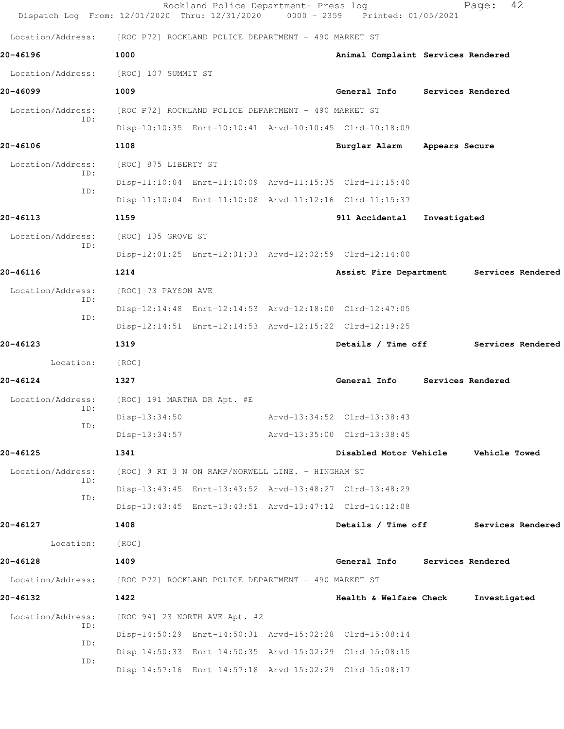| Dispatch Log From: 12/01/2020 Thru: 12/31/2020 |                                                      | Rockland Police Department- Press log                | 0000 - 2359 Printed: 01/05/2021                         |                          | 42<br>Page:          |  |
|------------------------------------------------|------------------------------------------------------|------------------------------------------------------|---------------------------------------------------------|--------------------------|----------------------|--|
| Location/Address:                              | [ROC P72] ROCKLAND POLICE DEPARTMENT - 490 MARKET ST |                                                      |                                                         |                          |                      |  |
| 20-46196                                       | 1000                                                 |                                                      | Animal Complaint Services Rendered                      |                          |                      |  |
| Location/Address:                              | [ROC] 107 SUMMIT ST                                  |                                                      |                                                         |                          |                      |  |
| 20-46099                                       | 1009                                                 |                                                      | General Info                                            | <b>Services Rendered</b> |                      |  |
| Location/Address:                              |                                                      | [ROC P72] ROCKLAND POLICE DEPARTMENT - 490 MARKET ST |                                                         |                          |                      |  |
| ID:                                            |                                                      |                                                      | Disp-10:10:35 Enrt-10:10:41 Arvd-10:10:45 Clrd-10:18:09 |                          |                      |  |
| 20-46106                                       | 1108                                                 |                                                      | Burglar Alarm                                           | Appears Secure           |                      |  |
| Location/Address:                              | [ROC] 875 LIBERTY ST                                 |                                                      |                                                         |                          |                      |  |
| ID:                                            |                                                      |                                                      | Disp-11:10:04 Enrt-11:10:09 Arvd-11:15:35 Clrd-11:15:40 |                          |                      |  |
| ID:                                            |                                                      |                                                      | Disp-11:10:04 Enrt-11:10:08 Arvd-11:12:16 Clrd-11:15:37 |                          |                      |  |
| 20-46113                                       | 1159                                                 |                                                      | 911 Accidental                                          | Investigated             |                      |  |
| Location/Address:<br>ID:                       | [ROC] 135 GROVE ST                                   |                                                      |                                                         |                          |                      |  |
|                                                |                                                      |                                                      | Disp-12:01:25 Enrt-12:01:33 Arvd-12:02:59 Clrd-12:14:00 |                          |                      |  |
| 20-46116                                       | 1214                                                 |                                                      | Assist Fire Department                                  |                          | Services Rendered    |  |
| Location/Address:<br>ID:                       | [ROC] 73 PAYSON AVE                                  |                                                      |                                                         |                          |                      |  |
| ID:                                            |                                                      |                                                      | Disp-12:14:48 Enrt-12:14:53 Arvd-12:18:00 Clrd-12:47:05 |                          |                      |  |
|                                                |                                                      |                                                      | Disp-12:14:51 Enrt-12:14:53 Arvd-12:15:22 Clrd-12:19:25 |                          |                      |  |
| 20-46123                                       | 1319                                                 |                                                      | Details / Time off                                      |                          | Services Rendered    |  |
| Location:                                      | [ROC]                                                |                                                      |                                                         |                          |                      |  |
| 20-46124                                       | 1327                                                 |                                                      | General Info                                            |                          | Services Rendered    |  |
| Location/Address:<br>ID:                       | [ROC] 191 MARTHA DR Apt. #E                          |                                                      |                                                         |                          |                      |  |
| ID:                                            | Disp-13:34:50                                        |                                                      | Arvd-13:34:52 Clrd-13:38:43                             |                          |                      |  |
|                                                | $Disp-13:34:57$                                      |                                                      | Arvd-13:35:00 Clrd-13:38:45                             |                          |                      |  |
| 20-46125                                       | 1341                                                 |                                                      | Disabled Motor Vehicle                                  |                          | <b>Vehicle Towed</b> |  |
| Location/Address:<br>ID:                       |                                                      | [ROC] @ RT 3 N ON RAMP/NORWELL LINE. - HINGHAM ST    |                                                         |                          |                      |  |
| ID:                                            |                                                      |                                                      | Disp-13:43:45 Enrt-13:43:52 Arvd-13:48:27 Clrd-13:48:29 |                          |                      |  |
|                                                |                                                      |                                                      | Disp-13:43:45 Enrt-13:43:51 Arvd-13:47:12 Clrd-14:12:08 |                          |                      |  |
| 20-46127                                       | 1408                                                 |                                                      | Details / Time off                                      |                          | Services Rendered    |  |
| Location:                                      | [ROC]                                                |                                                      |                                                         |                          |                      |  |
| 20-46128                                       | 1409                                                 |                                                      | General Info                                            | Services Rendered        |                      |  |
| Location/Address:                              | [ROC P72] ROCKLAND POLICE DEPARTMENT - 490 MARKET ST |                                                      |                                                         |                          |                      |  |
| 20-46132                                       | 1422                                                 |                                                      | Health & Welfare Check                                  |                          | Investigated         |  |
| Location/Address:<br>ID:                       |                                                      | [ROC 94] 23 NORTH AVE Apt. #2                        | Disp-14:50:29 Enrt-14:50:31 Arvd-15:02:28 Clrd-15:08:14 |                          |                      |  |
| ID:                                            |                                                      |                                                      | Disp-14:50:33 Enrt-14:50:35 Arvd-15:02:29 Clrd-15:08:15 |                          |                      |  |
| ID:                                            |                                                      |                                                      | Disp-14:57:16 Enrt-14:57:18 Arvd-15:02:29 Clrd-15:08:17 |                          |                      |  |
|                                                |                                                      |                                                      |                                                         |                          |                      |  |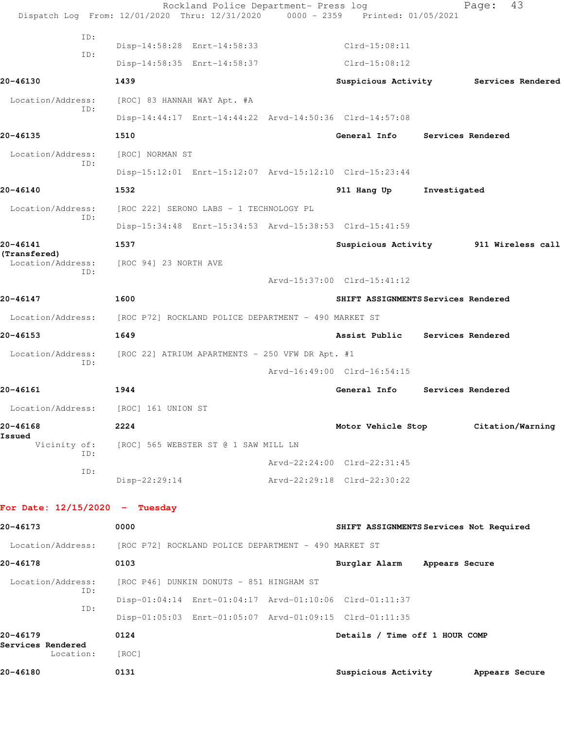|                                   | Dispatch Log From: 12/01/2020 Thru: 12/31/2020 0000 - 2359 Printed: 01/05/2021 | Rockland Police Department- Press log |                                         |              | 43<br>Page:                           |  |
|-----------------------------------|--------------------------------------------------------------------------------|---------------------------------------|-----------------------------------------|--------------|---------------------------------------|--|
|                                   |                                                                                |                                       |                                         |              |                                       |  |
| ID:                               | Disp-14:58:28 Enrt-14:58:33                                                    |                                       | $Clrd-15:08:11$                         |              |                                       |  |
| ID:                               | Disp-14:58:35 Enrt-14:58:37                                                    |                                       | Clrd-15:08:12                           |              |                                       |  |
| 20-46130                          | 1439                                                                           |                                       |                                         |              | Suspicious Activity Services Rendered |  |
| Location/Address:                 | [ROC] 83 HANNAH WAY Apt. #A                                                    |                                       |                                         |              |                                       |  |
| ID:                               | Disp-14:44:17 Enrt-14:44:22 Arvd-14:50:36 Clrd-14:57:08                        |                                       |                                         |              |                                       |  |
| 20-46135                          | 1510                                                                           |                                       | General Info Services Rendered          |              |                                       |  |
| Location/Address:                 | [ROC] NORMAN ST                                                                |                                       |                                         |              |                                       |  |
| ID:                               | Disp-15:12:01 Enrt-15:12:07 Arvd-15:12:10 Clrd-15:23:44                        |                                       |                                         |              |                                       |  |
| 20-46140                          | 1532                                                                           |                                       | 911 Hang Up                             | Investigated |                                       |  |
| Location/Address:                 | [ROC 222] SERONO LABS - 1 TECHNOLOGY PL                                        |                                       |                                         |              |                                       |  |
| ID:                               | Disp-15:34:48 Enrt-15:34:53 Arvd-15:38:53 Clrd-15:41:59                        |                                       |                                         |              |                                       |  |
| 20-46141                          | 1537                                                                           |                                       |                                         |              | Suspicious Activity 911 Wireless call |  |
| (Transfered)<br>Location/Address: | [ROC 94] 23 NORTH AVE                                                          |                                       |                                         |              |                                       |  |
| ID:                               |                                                                                |                                       | Arvd-15:37:00 Clrd-15:41:12             |              |                                       |  |
| 20-46147                          | 1600                                                                           |                                       | SHIFT ASSIGNMENTS Services Rendered     |              |                                       |  |
| Location/Address:                 | [ROC P72] ROCKLAND POLICE DEPARTMENT - 490 MARKET ST                           |                                       |                                         |              |                                       |  |
| 20-46153                          | 1649                                                                           |                                       | Assist Public Services Rendered         |              |                                       |  |
| Location/Address:                 | [ROC 22] ATRIUM APARTMENTS - 250 VFW DR Apt. #1                                |                                       |                                         |              |                                       |  |
| ID:                               |                                                                                |                                       | Arvd-16:49:00 Clrd-16:54:15             |              |                                       |  |
| 20-46161                          | 1944                                                                           |                                       | General Info                            |              | Services Rendered                     |  |
| Location/Address:                 | [ROC] 161 UNION ST                                                             |                                       |                                         |              |                                       |  |
| 20-46168                          | 2224                                                                           |                                       | Motor Vehicle Stop                      |              | Citation/Warning                      |  |
| Issued<br>Vicinity of:            | [ROC] 565 WEBSTER ST @ 1 SAW MILL LN                                           |                                       |                                         |              |                                       |  |
| ID:                               |                                                                                |                                       | Arvd-22:24:00 Clrd-22:31:45             |              |                                       |  |
| ID:                               | Disp-22:29:14                                                                  |                                       | Arvd-22:29:18 Clrd-22:30:22             |              |                                       |  |
| For Date: $12/15/2020 -$ Tuesday  |                                                                                |                                       |                                         |              |                                       |  |
|                                   |                                                                                |                                       |                                         |              |                                       |  |
| 20-46173                          | 0000                                                                           |                                       | SHIFT ASSIGNMENTS Services Not Required |              |                                       |  |
|                                   | Location/Address: [ROC P72] ROCKLAND POLICE DEPARTMENT - 490 MARKET ST         |                                       |                                         |              |                                       |  |
| 20-46178                          | 0103                                                                           |                                       | Burglar Alarm Appears Secure            |              |                                       |  |
| Location/Address:<br>ID:          | [ROC P46] DUNKIN DONUTS - 851 HINGHAM ST                                       |                                       |                                         |              |                                       |  |
| ID:                               | Disp-01:04:14 Enrt-01:04:17 Arvd-01:10:06 Clrd-01:11:37                        |                                       |                                         |              |                                       |  |
|                                   | Disp-01:05:03 Enrt-01:05:07 Arvd-01:09:15 Clrd-01:11:35                        |                                       |                                         |              |                                       |  |
| 20-46179<br>Services Rendered     | 0124                                                                           |                                       | Details / Time off 1 HOUR COMP          |              |                                       |  |
| Location:                         | [ROC]                                                                          |                                       |                                         |              |                                       |  |
| 20-46180                          | 0131                                                                           |                                       | Suspicious Activity                     |              | Appears Secure                        |  |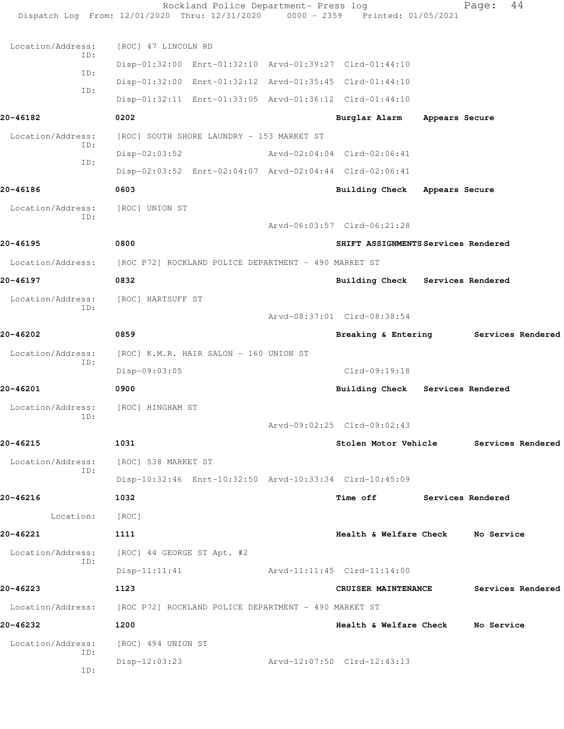|                   | Rockland Police Department- Press log<br>Dispatch Log From: 12/01/2020 Thru: 12/31/2020 0000 - 2359 Printed: 01/05/2021 |                                     |                | 44<br>Page:                            |
|-------------------|-------------------------------------------------------------------------------------------------------------------------|-------------------------------------|----------------|----------------------------------------|
| Location/Address: | [ROC] 47 LINCOLN RD                                                                                                     |                                     |                |                                        |
| ID:               | Disp-01:32:00 Enrt-01:32:10 Arvd-01:39:27 Clrd-01:44:10                                                                 |                                     |                |                                        |
| ID:               | Disp-01:32:00 Enrt-01:32:12 Arvd-01:35:45 Clrd-01:44:10                                                                 |                                     |                |                                        |
| ID:               | Disp-01:32:11 Enrt-01:33:05 Arvd-01:36:12 Clrd-01:44:10                                                                 |                                     |                |                                        |
| 20-46182          | 0202                                                                                                                    | Burglar Alarm                       | Appears Secure |                                        |
| Location/Address: | [ROC] SOUTH SHORE LAUNDRY - 153 MARKET ST                                                                               |                                     |                |                                        |
| ID:               | $Disp-02:03:52$                                                                                                         | Arvd-02:04:04 Clrd-02:06:41         |                |                                        |
| ID:               | Disp-02:03:52 Enrt-02:04:07 Arvd-02:04:44 Clrd-02:06:41                                                                 |                                     |                |                                        |
| 20-46186          | 0603                                                                                                                    | <b>Building Check</b>               | Appears Secure |                                        |
| Location/Address: | [ROC] UNION ST                                                                                                          |                                     |                |                                        |
| ID:               |                                                                                                                         | Arvd-06:03:57 Clrd-06:21:28         |                |                                        |
| 20-46195          | 0800                                                                                                                    | SHIFT ASSIGNMENTS Services Rendered |                |                                        |
| Location/Address: | [ROC P72] ROCKLAND POLICE DEPARTMENT - 490 MARKET ST                                                                    |                                     |                |                                        |
| 20-46197          | 0832                                                                                                                    | Building Check Services Rendered    |                |                                        |
| Location/Address: | [ROC] HARTSUFF ST                                                                                                       |                                     |                |                                        |
| ID:               |                                                                                                                         | Arvd-08:37:01 Clrd-08:38:54         |                |                                        |
| 20-46202          | 0859                                                                                                                    | Breaking & Entering                 |                | Services Rendered                      |
| Location/Address: | [ROC] K.M.R. HAIR SALON - 160 UNION ST                                                                                  |                                     |                |                                        |
| ID:               | Disp-09:03:05                                                                                                           | $Clrd-09:19:18$                     |                |                                        |
| 20-46201          | 0900                                                                                                                    | Building Check Services Rendered    |                |                                        |
| Location/Address: | [ROC] HINGHAM ST                                                                                                        |                                     |                |                                        |
| ID:               |                                                                                                                         | Arvd-09:02:25 Clrd-09:02:43         |                |                                        |
| 20-46215          | 1031                                                                                                                    |                                     |                | Stolen Motor Vehicle Services Rendered |
| Location/Address: | [ROC] 538 MARKET ST                                                                                                     |                                     |                |                                        |
| ID:               | Disp-10:32:46 Enrt-10:32:50 Arvd-10:33:34 Clrd-10:45:09                                                                 |                                     |                |                                        |
| 20-46216          | 1032                                                                                                                    | Time off Services Rendered          |                |                                        |
| Location:         | [ROC]                                                                                                                   |                                     |                |                                        |
| 20-46221          | 1111                                                                                                                    | Health & Welfare Check No Service   |                |                                        |
| Location/Address: | [ROC] 44 GEORGE ST Apt. #2                                                                                              |                                     |                |                                        |
| ID:               | $Disp-11:11:41$                                                                                                         | Arvd-11:11:45 Clrd-11:14:00         |                |                                        |
| 20-46223          | 1123                                                                                                                    | <b>CRUISER MAINTENANCE</b>          |                | Services Rendered                      |
|                   | Location/Address: [ROC P72] ROCKLAND POLICE DEPARTMENT - 490 MARKET ST                                                  |                                     |                |                                        |
| 20-46232          | 1200                                                                                                                    | Health & Welfare Check No Service   |                |                                        |
| Location/Address: | [ROC] 494 UNION ST                                                                                                      |                                     |                |                                        |
| ID:               | $Disp-12:03:23$                                                                                                         | Arvd-12:07:50 Clrd-12:43:13         |                |                                        |
| ID:               |                                                                                                                         |                                     |                |                                        |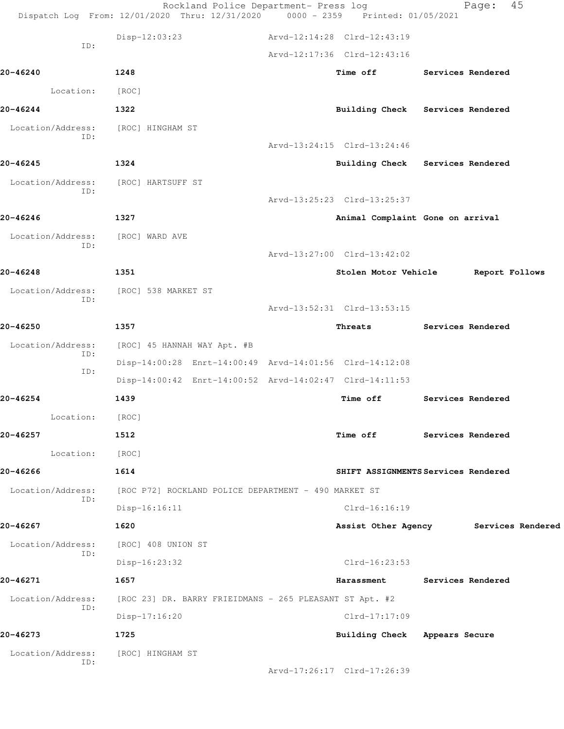|                          | Rockland Police Department- Press log<br>Dispatch Log From: 12/01/2020 Thru: 12/31/2020 0000 - 2359 Printed: 01/05/2021 |                                  | Page:                                 | 45             |
|--------------------------|-------------------------------------------------------------------------------------------------------------------------|----------------------------------|---------------------------------------|----------------|
|                          | Disp-12:03:23                                                                                                           | Arvd-12:14:28 Clrd-12:43:19      |                                       |                |
| ID:                      |                                                                                                                         | Arvd-12:17:36 Clrd-12:43:16      |                                       |                |
| 20-46240                 | 1248                                                                                                                    | Time off                         | <b>Services Rendered</b>              |                |
| Location:                | [ROC]                                                                                                                   |                                  |                                       |                |
| 20-46244                 | 1322                                                                                                                    |                                  | Building Check Services Rendered      |                |
| Location/Address:        | [ROC] HINGHAM ST                                                                                                        |                                  |                                       |                |
| ID:                      |                                                                                                                         | Arvd-13:24:15 Clrd-13:24:46      |                                       |                |
| 20-46245                 | 1324                                                                                                                    |                                  | Building Check Services Rendered      |                |
| Location/Address:        | [ROC] HARTSUFF ST                                                                                                       |                                  |                                       |                |
| ID:                      |                                                                                                                         | Arvd-13:25:23 Clrd-13:25:37      |                                       |                |
| 20-46246                 | 1327                                                                                                                    | Animal Complaint Gone on arrival |                                       |                |
| Location/Address:<br>ID: | [ROC] WARD AVE                                                                                                          |                                  |                                       |                |
|                          |                                                                                                                         | Arvd-13:27:00 Clrd-13:42:02      |                                       |                |
| 20-46248                 | 1351                                                                                                                    | Stolen Motor Vehicle             |                                       | Report Follows |
| Location/Address:<br>ID: | [ROC] 538 MARKET ST                                                                                                     |                                  |                                       |                |
|                          |                                                                                                                         | Arvd-13:52:31 Clrd-13:53:15      |                                       |                |
| 20-46250                 | 1357                                                                                                                    | Threats                          | Services Rendered                     |                |
| Location/Address:<br>ID: | [ROC] 45 HANNAH WAY Apt. #B                                                                                             |                                  |                                       |                |
| ID:                      | Disp-14:00:28 Enrt-14:00:49 Arvd-14:01:56 Clrd-14:12:08                                                                 |                                  |                                       |                |
|                          | Disp-14:00:42 Enrt-14:00:52 Arvd-14:02:47 Clrd-14:11:53                                                                 |                                  |                                       |                |
| 20-46254                 | 1439                                                                                                                    | Time off                         | Services Rendered                     |                |
| Location:                | [ROC]                                                                                                                   |                                  |                                       |                |
| 20-46257                 | 1512                                                                                                                    |                                  | Time off Services Rendered            |                |
| Location:                | [ROC]                                                                                                                   |                                  |                                       |                |
| 20-46266                 | 1614                                                                                                                    |                                  | SHIFT ASSIGNMENTS Services Rendered   |                |
| Location/Address:<br>ID: | [ROC P72] ROCKLAND POLICE DEPARTMENT - 490 MARKET ST                                                                    |                                  |                                       |                |
|                          | $Disp-16:16:11$                                                                                                         | $Clrd-16:16:19$                  |                                       |                |
| 20-46267                 | 1620                                                                                                                    |                                  | Assist Other Agency Services Rendered |                |
| Location/Address:<br>ID: | [ROC] 408 UNION ST                                                                                                      |                                  |                                       |                |
|                          | Disp-16:23:32                                                                                                           | $Clrd-16:23:53$                  |                                       |                |
| 20-46271                 | 1657                                                                                                                    | Harassment                       | Services Rendered                     |                |
| Location/Address:<br>ID: | [ROC 23] DR. BARRY FRIEIDMANS - 265 PLEASANT ST Apt. #2                                                                 |                                  |                                       |                |
|                          | Disp-17:16:20                                                                                                           | $Clrd-17:17:09$                  |                                       |                |
| 20-46273                 | 1725                                                                                                                    | Building Check Appears Secure    |                                       |                |
| Location/Address:<br>ID: | [ROC] HINGHAM ST                                                                                                        |                                  |                                       |                |
|                          |                                                                                                                         | Arvd-17:26:17 Clrd-17:26:39      |                                       |                |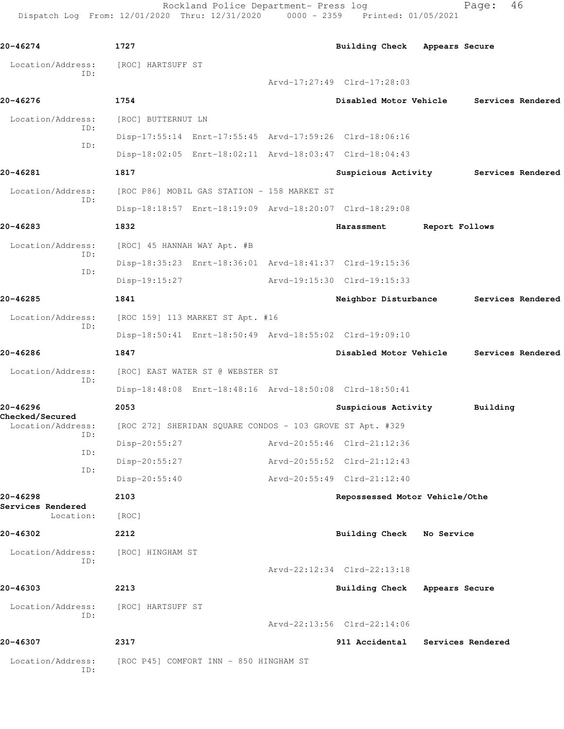Rockland Police Department- Press log Fage: 46 Dispatch Log From: 12/01/2020 Thru: 12/31/2020 0000 - 2359 Printed: 01/05/2021

**20-46274 1727 Building Check Appears Secure** Location/Address: [ROC] HARTSUFF ST ID: Arvd-17:27:49 Clrd-17:28:03 **20-46276 1754 Disabled Motor Vehicle Services Rendered** Location/Address: [ROC] BUTTERNUT LN ID: Disp-17:55:14 Enrt-17:55:45 Arvd-17:59:26 Clrd-18:06:16 ID: Disp-18:02:05 Enrt-18:02:11 Arvd-18:03:47 Clrd-18:04:43 **20-46281 1817 Suspicious Activity Services Rendered** Location/Address: [ROC P86] MOBIL GAS STATION - 158 MARKET ST ID: Disp-18:18:57 Enrt-18:19:09 Arvd-18:20:07 Clrd-18:29:08 **20-46283 1832 Harassment Report Follows** Location/Address: [ROC] 45 HANNAH WAY Apt. #B ID: Disp-18:35:23 Enrt-18:36:01 Arvd-18:41:37 Clrd-19:15:36 ID: Disp-19:15:27 Arvd-19:15:30 Clrd-19:15:33 **20-46285 1841 Neighbor Disturbance Services Rendered** Location/Address: [ROC 159] 113 MARKET ST Apt. #16 ID: Disp-18:50:41 Enrt-18:50:49 Arvd-18:55:02 Clrd-19:09:10 **20-46286 1847 Disabled Motor Vehicle Services Rendered** Location/Address: [ROC] EAST WATER ST @ WEBSTER ST ID: Disp-18:48:08 Enrt-18:48:16 Arvd-18:50:08 Clrd-18:50:41 **20-46296 2053 Suspicious Activity Building Checked/Secured**  Location/Address: [ROC 272] SHERIDAN SQUARE CONDOS - 103 GROVE ST Apt. #329 ID: Disp-20:55:27 Arvd-20:55:46 Clrd-21:12:36 ID: Disp-20:55:27 Arvd-20:55:52 Clrd-21:12:43 ID: Disp-20:55:40 Arvd-20:55:49 Clrd-21:12:40 **20-46298 2103 Repossessed Motor Vehicle/Othe Services Rendered**  Location: [ROC] **20-46302 2212 Building Check No Service** Location/Address: [ROC] HINGHAM ST ID: Arvd-22:12:34 Clrd-22:13:18 **20-46303 2213 Building Check Appears Secure** Location/Address: [ROC] HARTSUFF ST ID: Arvd-22:13:56 Clrd-22:14:06 **20-46307 2317 911 Accidental Services Rendered** Location/Address: [ROC P45] COMFORT INN - 850 HINGHAM ST ID: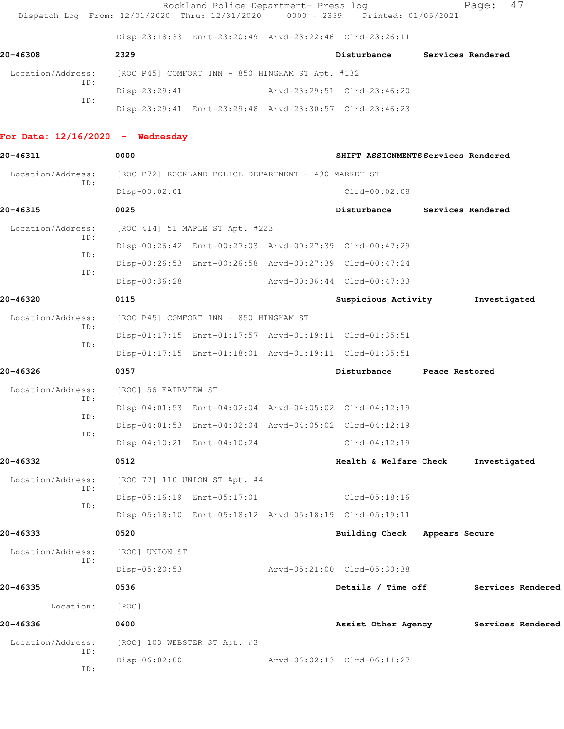|                                    | Dispatch Log From: 12/01/2020 Thru: 12/31/2020 0000 - 2359 Printed: 01/05/2021 | Rockland Police Department- Press log |                                     |                | 47<br>Page:       |
|------------------------------------|--------------------------------------------------------------------------------|---------------------------------------|-------------------------------------|----------------|-------------------|
|                                    | Disp-23:18:33 Enrt-23:20:49 Arvd-23:22:46 Clrd-23:26:11                        |                                       |                                     |                |                   |
| 20-46308                           | 2329                                                                           |                                       | Disturbance                         |                | Services Rendered |
| Location/Address:                  | [ROC P45] COMFORT INN - 850 HINGHAM ST Apt. #132                               |                                       |                                     |                |                   |
| ID:                                | $Disp-23:29:41$                                                                |                                       | Arvd-23:29:51 Clrd-23:46:20         |                |                   |
| ID:                                | Disp-23:29:41 Enrt-23:29:48 Arvd-23:30:57 Clrd-23:46:23                        |                                       |                                     |                |                   |
| For Date: $12/16/2020 -$ Wednesday |                                                                                |                                       |                                     |                |                   |
| 20-46311                           | 0000                                                                           |                                       | SHIFT ASSIGNMENTS Services Rendered |                |                   |
| Location/Address:                  | [ROC P72] ROCKLAND POLICE DEPARTMENT - 490 MARKET ST                           |                                       |                                     |                |                   |
| ID:                                | $Disp-00:02:01$                                                                |                                       | $Clrd-00:02:08$                     |                |                   |
| 20-46315                           | 0025                                                                           |                                       | Disturbance                         |                | Services Rendered |
| Location/Address:                  | [ROC 414] 51 MAPLE ST Apt. #223                                                |                                       |                                     |                |                   |
| ID:                                | Disp-00:26:42 Enrt-00:27:03 Arvd-00:27:39 Clrd-00:47:29                        |                                       |                                     |                |                   |
| TD:                                | Disp-00:26:53 Enrt-00:26:58 Arvd-00:27:39 Clrd-00:47:24                        |                                       |                                     |                |                   |
| ID:                                | Disp-00:36:28                                                                  |                                       | Arvd-00:36:44 Clrd-00:47:33         |                |                   |
| 20-46320                           | 0115                                                                           |                                       | Suspicious Activity                 |                | Investigated      |
| Location/Address:                  | [ROC P45] COMFORT INN - 850 HINGHAM ST                                         |                                       |                                     |                |                   |
| ID:                                | Disp-01:17:15 Enrt-01:17:57 Arvd-01:19:11 Clrd-01:35:51                        |                                       |                                     |                |                   |
| ID:                                | Disp-01:17:15 Enrt-01:18:01 Arvd-01:19:11 Clrd-01:35:51                        |                                       |                                     |                |                   |
| 20-46326                           | 0357                                                                           |                                       | Disturbance                         | Peace Restored |                   |
| Location/Address:                  | [ROC] 56 FAIRVIEW ST                                                           |                                       |                                     |                |                   |
| ID:                                | Disp-04:01:53 Enrt-04:02:04 Arvd-04:05:02 Clrd-04:12:19                        |                                       |                                     |                |                   |
| ID:                                | Disp-04:01:53 Enrt-04:02:04 Arvd-04:05:02 Clrd-04:12:19                        |                                       |                                     |                |                   |
| ID:                                | Disp-04:10:21 Enrt-04:10:24                                                    |                                       | $Clrd-04:12:19$                     |                |                   |
| 20-46332                           | 0512                                                                           |                                       | Health & Welfare Check              |                | Investigated      |
| Location/Address:<br>ID:           | [ROC 77] 110 UNION ST Apt. #4                                                  |                                       |                                     |                |                   |
|                                    | Disp-05:16:19 Enrt-05:17:01                                                    |                                       | Clrd-05:18:16                       |                |                   |
| ID:                                | Disp-05:18:10 Enrt-05:18:12 Arvd-05:18:19 Clrd-05:19:11                        |                                       |                                     |                |                   |
| 20-46333                           | 0520                                                                           |                                       | Building Check Appears Secure       |                |                   |
| Location/Address:                  | [ROC] UNION ST                                                                 |                                       |                                     |                |                   |
| ID:                                | Disp-05:20:53                                                                  |                                       | Arvd-05:21:00 Clrd-05:30:38         |                |                   |
| 20-46335                           | 0536                                                                           |                                       | Details / Time off                  |                | Services Rendered |
| Location:                          | [ROC]                                                                          |                                       |                                     |                |                   |
| 20-46336                           | 0600                                                                           |                                       | Assist Other Agency                 |                | Services Rendered |
| Location/Address:                  | [ROC] 103 WEBSTER ST Apt. #3                                                   |                                       |                                     |                |                   |
| ID:<br>ID:                         | $Disp-06:02:00$                                                                |                                       | Arvd-06:02:13 Clrd-06:11:27         |                |                   |
|                                    |                                                                                |                                       |                                     |                |                   |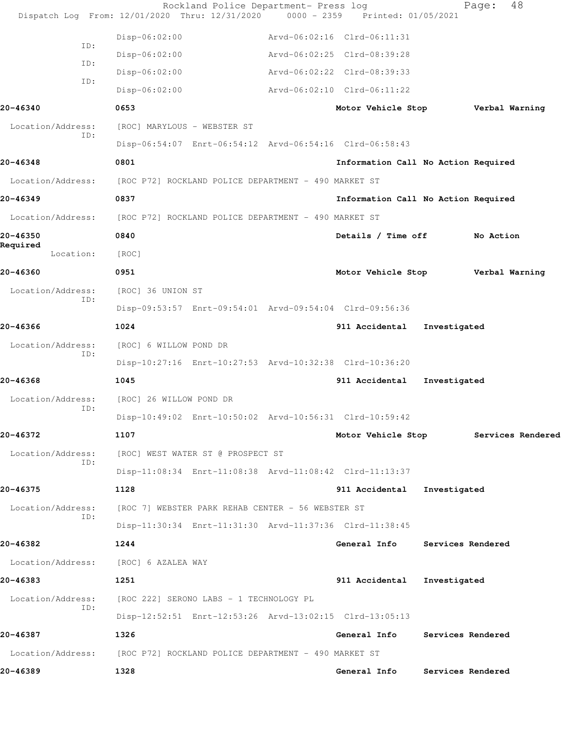|                          | Dispatch Log From: 12/01/2020 Thru: 12/31/2020 0000 - 2359 Printed: 01/05/2021 | Rockland Police Department- Press log |                                     | 48<br>Page:                          |
|--------------------------|--------------------------------------------------------------------------------|---------------------------------------|-------------------------------------|--------------------------------------|
|                          | Disp-06:02:00                                                                  | Arvd-06:02:16 Clrd-06:11:31           |                                     |                                      |
| ID:                      | Disp-06:02:00                                                                  | Arvd-06:02:25 Clrd-08:39:28           |                                     |                                      |
| ID:                      | $Disp-06:02:00$                                                                | Arvd-06:02:22 Clrd-08:39:33           |                                     |                                      |
| ID:                      | $Disp-06:02:00$                                                                | Arvd-06:02:10 Clrd-06:11:22           |                                     |                                      |
| 20-46340                 | 0653                                                                           |                                       | Motor Vehicle Stop                  | Verbal Warning                       |
| Location/Address:        | [ROC] MARYLOUS - WEBSTER ST                                                    |                                       |                                     |                                      |
| ID:                      | Disp-06:54:07 Enrt-06:54:12 Arvd-06:54:16 Clrd-06:58:43                        |                                       |                                     |                                      |
| 20-46348                 | 0801                                                                           |                                       | Information Call No Action Required |                                      |
| Location/Address:        | [ROC P72] ROCKLAND POLICE DEPARTMENT - 490 MARKET ST                           |                                       |                                     |                                      |
| 20-46349                 | 0837                                                                           |                                       | Information Call No Action Required |                                      |
| Location/Address:        | [ROC P72] ROCKLAND POLICE DEPARTMENT - 490 MARKET ST                           |                                       |                                     |                                      |
| 20-46350                 | 0840                                                                           |                                       | Details / Time off                  | No Action                            |
| Required<br>Location:    | [ROC]                                                                          |                                       |                                     |                                      |
| 20-46360                 | 0951                                                                           |                                       | Motor Vehicle Stop                  | Verbal Warning                       |
| Location/Address:        | [ROC] 36 UNION ST                                                              |                                       |                                     |                                      |
| ID:                      | Disp-09:53:57 Enrt-09:54:01 Arvd-09:54:04 Clrd-09:56:36                        |                                       |                                     |                                      |
| 20-46366                 | 1024                                                                           |                                       | 911 Accidental<br>Investigated      |                                      |
| Location/Address:<br>ID: | [ROC] 6 WILLOW POND DR                                                         |                                       |                                     |                                      |
|                          | Disp-10:27:16 Enrt-10:27:53 Arvd-10:32:38 Clrd-10:36:20                        |                                       |                                     |                                      |
| 20-46368                 | 1045                                                                           |                                       | 911 Accidental<br>Investigated      |                                      |
| Location/Address:<br>ID: | [ROC] 26 WILLOW POND DR                                                        |                                       |                                     |                                      |
|                          | Disp-10:49:02 Enrt-10:50:02 Arvd-10:56:31 Clrd-10:59:42                        |                                       |                                     |                                      |
| 20-46372                 | 1107                                                                           |                                       |                                     | Motor Vehicle Stop Services Rendered |
| Location/Address:<br>ID: | [ROC] WEST WATER ST @ PROSPECT ST                                              |                                       |                                     |                                      |
|                          | Disp-11:08:34 Enrt-11:08:38 Arvd-11:08:42 Clrd-11:13:37                        |                                       |                                     |                                      |
| 20-46375                 | 1128                                                                           |                                       | 911 Accidental<br>Investigated      |                                      |
| Location/Address:<br>ID: | [ROC 7] WEBSTER PARK REHAB CENTER - 56 WEBSTER ST                              |                                       |                                     |                                      |
|                          | Disp-11:30:34 Enrt-11:31:30 Arvd-11:37:36 Clrd-11:38:45                        |                                       |                                     |                                      |
| 20-46382                 | 1244                                                                           |                                       | General Info                        | Services Rendered                    |
|                          | Location/Address: [ROC] 6 AZALEA WAY                                           |                                       |                                     |                                      |
| 20-46383                 | 1251                                                                           |                                       | 911 Accidental<br>Investigated      |                                      |
| Location/Address:<br>ID: | [ROC 222] SERONO LABS - 1 TECHNOLOGY PL                                        |                                       |                                     |                                      |
|                          | Disp-12:52:51 Enrt-12:53:26 Arvd-13:02:15 Clrd-13:05:13                        |                                       |                                     |                                      |
| 20-46387                 | 1326                                                                           |                                       | General Info                        | Services Rendered                    |
| Location/Address:        | [ROC P72] ROCKLAND POLICE DEPARTMENT - 490 MARKET ST                           |                                       |                                     |                                      |
| 20-46389                 | 1328                                                                           |                                       | General Info                        | Services Rendered                    |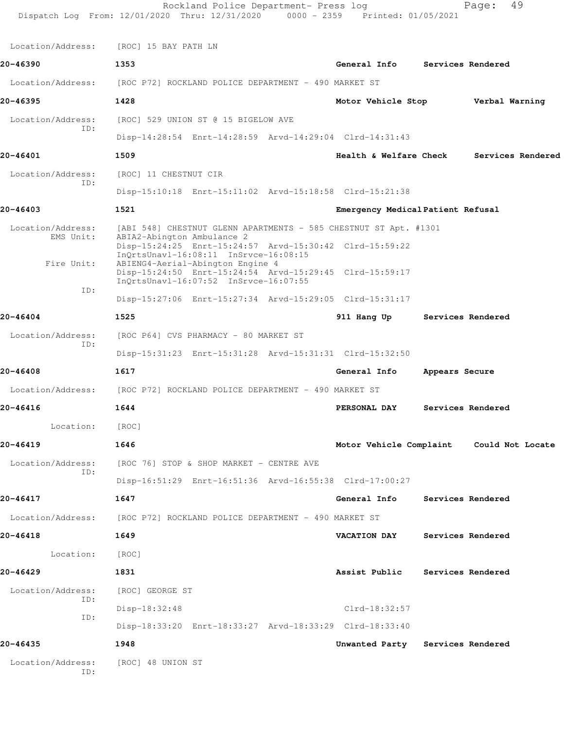|                          | Rockland Police Department- Press log<br>Dispatch Log From: 12/01/2020 Thru: 12/31/2020 0000 - 2359 Printed: 01/05/2021 |                                   |                          | 49<br>Page:                              |
|--------------------------|-------------------------------------------------------------------------------------------------------------------------|-----------------------------------|--------------------------|------------------------------------------|
| Location/Address:        | [ROC] 15 BAY PATH LN                                                                                                    |                                   |                          |                                          |
| 20-46390                 | 1353                                                                                                                    | General Info Services Rendered    |                          |                                          |
| Location/Address:        | [ROC P72] ROCKLAND POLICE DEPARTMENT - 490 MARKET ST                                                                    |                                   |                          |                                          |
| 20-46395                 | 1428                                                                                                                    | Motor Vehicle Stop Verbal Warning |                          |                                          |
| Location/Address:        | [ROC] 529 UNION ST @ 15 BIGELOW AVE                                                                                     |                                   |                          |                                          |
| ID:                      | Disp-14:28:54 Enrt-14:28:59 Arvd-14:29:04 Clrd-14:31:43                                                                 |                                   |                          |                                          |
| 20-46401                 | 1509                                                                                                                    | Health & Welfare Check            |                          | Services Rendered                        |
| Location/Address:        | [ROC] 11 CHESTNUT CIR                                                                                                   |                                   |                          |                                          |
| ID:                      | Disp-15:10:18 Enrt-15:11:02 Arvd-15:18:58 Clrd-15:21:38                                                                 |                                   |                          |                                          |
| 20-46403                 | 1521                                                                                                                    | Emergency Medical Patient Refusal |                          |                                          |
| Location/Address:        | [ABI 548] CHESTNUT GLENN APARTMENTS - 585 CHESTNUT ST Apt. #1301                                                        |                                   |                          |                                          |
| EMS Unit:                | ABIA2-Abington Ambulance 2<br>Disp-15:24:25 Enrt-15:24:57 Arvd-15:30:42 Clrd-15:59:22                                   |                                   |                          |                                          |
| Fire Unit:               | InQrtsUnavl-16:08:11 InSrvce-16:08:15<br>ABIENG4-Aerial-Abington Engine 4                                               |                                   |                          |                                          |
|                          | Disp-15:24:50 Enrt-15:24:54 Arvd-15:29:45 Clrd-15:59:17<br>InQrtsUnavl-16:07:52 InSrvce-16:07:55                        |                                   |                          |                                          |
| ID:                      | Disp-15:27:06 Enrt-15:27:34 Arvd-15:29:05 Clrd-15:31:17                                                                 |                                   |                          |                                          |
| 20-46404                 | 1525                                                                                                                    | 911 Hang Up                       |                          | Services Rendered                        |
| Location/Address:        | [ROC P64] CVS PHARMACY - 80 MARKET ST                                                                                   |                                   |                          |                                          |
| ID:                      | Disp-15:31:23 Enrt-15:31:28 Arvd-15:31:31 Clrd-15:32:50                                                                 |                                   |                          |                                          |
| 20-46408                 | 1617                                                                                                                    | General Info                      | Appears Secure           |                                          |
| Location/Address:        | [ROC P72] ROCKLAND POLICE DEPARTMENT - 490 MARKET ST                                                                    |                                   |                          |                                          |
| 20-46416                 | 1644                                                                                                                    | PERSONAL DAY                      |                          | Services Rendered                        |
| Location:                | [ROC]                                                                                                                   |                                   |                          |                                          |
| 20-46419                 | 1646                                                                                                                    |                                   |                          | Motor Vehicle Complaint Could Not Locate |
| Location/Address:        | [ROC 76] STOP & SHOP MARKET - CENTRE AVE                                                                                |                                   |                          |                                          |
| ID:                      | Disp-16:51:29 Enrt-16:51:36 Arvd-16:55:38 Clrd-17:00:27                                                                 |                                   |                          |                                          |
| 20-46417                 | 1647                                                                                                                    | General Info                      | <b>Services Rendered</b> |                                          |
|                          | Location/Address: [ROC P72] ROCKLAND POLICE DEPARTMENT - 490 MARKET ST                                                  |                                   |                          |                                          |
| 20-46418                 | 1649                                                                                                                    | <b>VACATION DAY</b>               |                          | Services Rendered                        |
| Location:                | [ROC]                                                                                                                   |                                   |                          |                                          |
| 20-46429                 | 1831                                                                                                                    | Assist Public                     | Services Rendered        |                                          |
| Location/Address:        | [ROC] GEORGE ST                                                                                                         |                                   |                          |                                          |
| ID:                      | Disp-18:32:48                                                                                                           | Clrd-18:32:57                     |                          |                                          |
| ID:                      | Disp-18:33:20 Enrt-18:33:27 Arvd-18:33:29 Clrd-18:33:40                                                                 |                                   |                          |                                          |
| 20-46435                 | 1948                                                                                                                    | Unwanted Party Services Rendered  |                          |                                          |
| Location/Address:<br>ID: | [ROC] 48 UNION ST                                                                                                       |                                   |                          |                                          |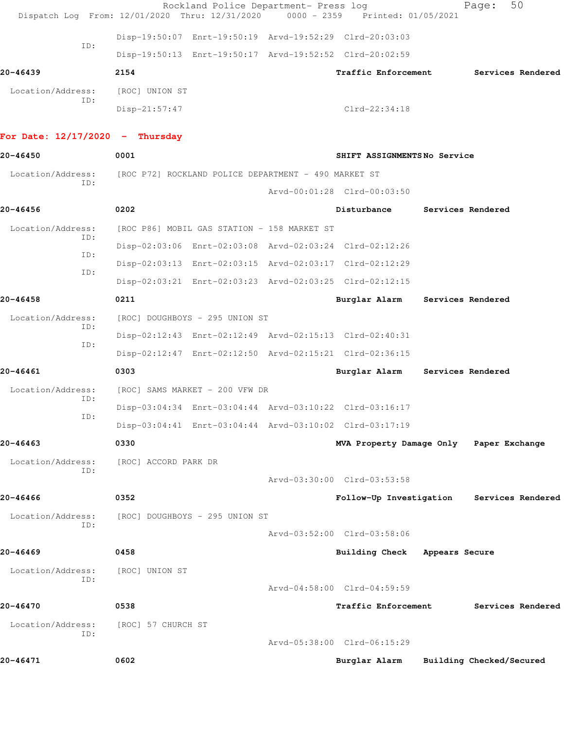| Dispatch Log From: 12/01/2020 Thru: 12/31/2020 |                                                      | Rockland Police Department- Press log       | $0000 - 2359$ | Printed: 01/05/2021                                     |                   | Page:                    | 50                |
|------------------------------------------------|------------------------------------------------------|---------------------------------------------|---------------|---------------------------------------------------------|-------------------|--------------------------|-------------------|
|                                                |                                                      |                                             |               | Disp-19:50:07 Enrt-19:50:19 Arvd-19:52:29 Clrd-20:03:03 |                   |                          |                   |
| ID:                                            |                                                      |                                             |               | Disp-19:50:13 Enrt-19:50:17 Arvd-19:52:52 Clrd-20:02:59 |                   |                          |                   |
| 20-46439                                       | 2154                                                 |                                             |               | Traffic Enforcement                                     |                   |                          | Services Rendered |
| Location/Address:                              | [ROC] UNION ST                                       |                                             |               |                                                         |                   |                          |                   |
| ID:                                            | Disp-21:57:47                                        |                                             |               | $Clrd-22:34:18$                                         |                   |                          |                   |
| For Date: $12/17/2020 -$ Thursday              |                                                      |                                             |               |                                                         |                   |                          |                   |
| 20-46450                                       | 0001                                                 |                                             |               | SHIFT ASSIGNMENTSNo Service                             |                   |                          |                   |
| Location/Address:                              | [ROC P72] ROCKLAND POLICE DEPARTMENT - 490 MARKET ST |                                             |               |                                                         |                   |                          |                   |
| ID:                                            |                                                      |                                             |               | Arvd-00:01:28 Clrd-00:03:50                             |                   |                          |                   |
| 20-46456                                       | 0202                                                 |                                             |               | Disturbance                                             |                   | Services Rendered        |                   |
| Location/Address:                              |                                                      | [ROC P86] MOBIL GAS STATION - 158 MARKET ST |               |                                                         |                   |                          |                   |
| ID:                                            |                                                      |                                             |               | Disp-02:03:06 Enrt-02:03:08 Arvd-02:03:24 Clrd-02:12:26 |                   |                          |                   |
| ID:                                            |                                                      |                                             |               | Disp-02:03:13 Enrt-02:03:15 Arvd-02:03:17 Clrd-02:12:29 |                   |                          |                   |
| ID:                                            |                                                      |                                             |               | Disp-02:03:21 Enrt-02:03:23 Arvd-02:03:25 Clrd-02:12:15 |                   |                          |                   |
| 20-46458                                       | 0211                                                 |                                             |               | Burglar Alarm                                           | Services Rendered |                          |                   |
| Location/Address:                              |                                                      | [ROC] DOUGHBOYS - 295 UNION ST              |               |                                                         |                   |                          |                   |
| ID:                                            |                                                      |                                             |               | Disp-02:12:43 Enrt-02:12:49 Arvd-02:15:13 Clrd-02:40:31 |                   |                          |                   |
| ID:                                            |                                                      |                                             |               | Disp-02:12:47 Enrt-02:12:50 Arvd-02:15:21 Clrd-02:36:15 |                   |                          |                   |
| 20-46461                                       | 0303                                                 |                                             |               | Burglar Alarm                                           | Services Rendered |                          |                   |
| Location/Address:                              |                                                      | [ROC] SAMS MARKET - 200 VFW DR              |               |                                                         |                   |                          |                   |
| ID:                                            |                                                      |                                             |               | Disp-03:04:34 Enrt-03:04:44 Arvd-03:10:22 Clrd-03:16:17 |                   |                          |                   |
| ID:                                            |                                                      |                                             |               | Disp-03:04:41 Enrt-03:04:44 Arvd-03:10:02 Clrd-03:17:19 |                   |                          |                   |
| 20-46463                                       | 0330                                                 |                                             |               | MVA Property Damage Only Paper Exchange                 |                   |                          |                   |
| Location/Address:                              | [ROC] ACCORD PARK DR                                 |                                             |               |                                                         |                   |                          |                   |
| ID:                                            |                                                      |                                             |               | Arvd-03:30:00 Clrd-03:53:58                             |                   |                          |                   |
| 20-46466                                       | 0352                                                 |                                             |               | Follow-Up Investigation                                 |                   |                          | Services Rendered |
| Location/Address:                              |                                                      | [ROC] DOUGHBOYS - 295 UNION ST              |               |                                                         |                   |                          |                   |
| ID:                                            |                                                      |                                             |               | Arvd-03:52:00 Clrd-03:58:06                             |                   |                          |                   |
| 20-46469                                       | 0458                                                 |                                             |               | Building Check                                          | Appears Secure    |                          |                   |
| Location/Address:                              | [ROC] UNION ST                                       |                                             |               |                                                         |                   |                          |                   |
| ID:                                            |                                                      |                                             |               | Arvd-04:58:00 Clrd-04:59:59                             |                   |                          |                   |
| 20-46470                                       | 0538                                                 |                                             |               | Traffic Enforcement                                     |                   |                          | Services Rendered |
| Location/Address:                              | [ROC] 57 CHURCH ST                                   |                                             |               |                                                         |                   |                          |                   |
| ID:                                            |                                                      |                                             |               | Arvd-05:38:00 Clrd-06:15:29                             |                   |                          |                   |
| 20-46471                                       | 0602                                                 |                                             |               | Burglar Alarm                                           |                   | Building Checked/Secured |                   |
|                                                |                                                      |                                             |               |                                                         |                   |                          |                   |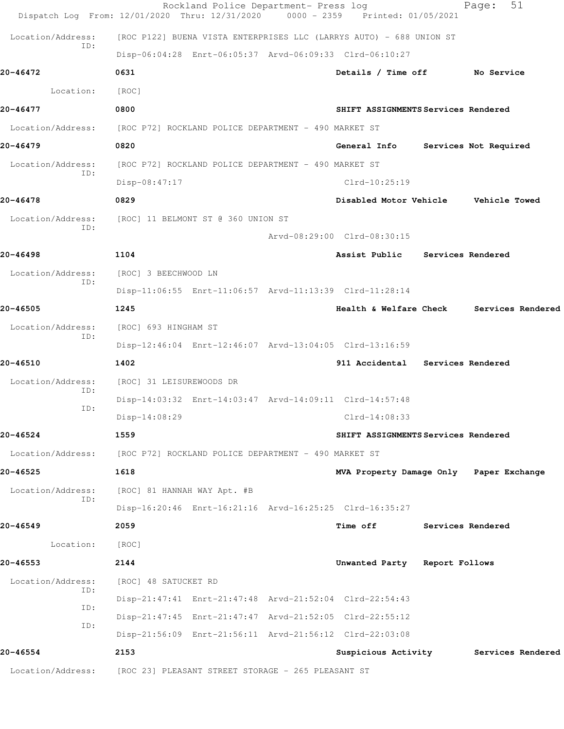|                          | Rockland Police Department- Press log<br>Dispatch Log From: 12/01/2020 Thru: 12/31/2020 | 0000 - 2359 Printed: 01/05/2021          |                   | 51<br>Page:           |  |
|--------------------------|-----------------------------------------------------------------------------------------|------------------------------------------|-------------------|-----------------------|--|
| Location/Address:        | [ROC P122] BUENA VISTA ENTERPRISES LLC (LARRYS AUTO) - 688 UNION ST                     |                                          |                   |                       |  |
| ID:                      | Disp-06:04:28 Enrt-06:05:37 Arvd-06:09:33 Clrd-06:10:27                                 |                                          |                   |                       |  |
| 20-46472                 | 0631                                                                                    | Details / Time off No Service            |                   |                       |  |
| Location:                | [ROC]                                                                                   |                                          |                   |                       |  |
| 20-46477                 | 0800                                                                                    | SHIFT ASSIGNMENTS Services Rendered      |                   |                       |  |
|                          | Location/Address: [ROC P72] ROCKLAND POLICE DEPARTMENT - 490 MARKET ST                  |                                          |                   |                       |  |
| 20-46479                 | 0820                                                                                    | General Info                             |                   | Services Not Required |  |
| Location/Address:        | [ROC P72] ROCKLAND POLICE DEPARTMENT - 490 MARKET ST                                    |                                          |                   |                       |  |
| ID:                      | Disp-08:47:17                                                                           | $Clrd-10:25:19$                          |                   |                       |  |
| 20-46478                 | 0829                                                                                    | Disabled Motor Vehicle Vehicle Towed     |                   |                       |  |
| Location/Address:        | [ROC] 11 BELMONT ST @ 360 UNION ST                                                      |                                          |                   |                       |  |
| ID:                      |                                                                                         | Arvd-08:29:00 Clrd-08:30:15              |                   |                       |  |
| 20-46498                 | 1104                                                                                    | Assist Public Services Rendered          |                   |                       |  |
| Location/Address:<br>ID: | [ROC] 3 BEECHWOOD LN                                                                    |                                          |                   |                       |  |
|                          | Disp-11:06:55 Enrt-11:06:57 Arvd-11:13:39 Clrd-11:28:14                                 |                                          |                   |                       |  |
| 20-46505                 | 1245                                                                                    | Health & Welfare Check Services Rendered |                   |                       |  |
| Location/Address:<br>ID: | [ROC] 693 HINGHAM ST                                                                    |                                          |                   |                       |  |
|                          | Disp-12:46:04 Enrt-12:46:07 Arvd-13:04:05 Clrd-13:16:59                                 |                                          |                   |                       |  |
| 20-46510                 | 1402                                                                                    | 911 Accidental Services Rendered         |                   |                       |  |
| Location/Address:<br>ID: | [ROC] 31 LEISUREWOODS DR                                                                |                                          |                   |                       |  |
| ID:                      | Disp-14:03:32 Enrt-14:03:47 Arvd-14:09:11 Clrd-14:57:48                                 |                                          |                   |                       |  |
|                          | Disp-14:08:29                                                                           | $C1rd-14:08:33$                          |                   |                       |  |
| 20-46524                 | 1559                                                                                    | SHIFT ASSIGNMENTS Services Rendered      |                   |                       |  |
|                          | Location/Address: [ROC P72] ROCKLAND POLICE DEPARTMENT - 490 MARKET ST                  |                                          |                   |                       |  |
| 20-46525                 | 1618                                                                                    | MVA Property Damage Only Paper Exchange  |                   |                       |  |
| Location/Address:<br>ID: | [ROC] 81 HANNAH WAY Apt. #B                                                             |                                          |                   |                       |  |
|                          | Disp-16:20:46 Enrt-16:21:16 Arvd-16:25:25 Clrd-16:35:27                                 |                                          |                   |                       |  |
| $20 - 46549$             | 2059                                                                                    | <b>Time off</b>                          | Services Rendered |                       |  |
| Location:                | [ROC]                                                                                   |                                          |                   |                       |  |
| 20-46553                 | 2144                                                                                    | Unwanted Party Report Follows            |                   |                       |  |
| Location/Address:<br>ID: | [ROC] 48 SATUCKET RD                                                                    |                                          |                   |                       |  |
| ID:                      | Disp-21:47:41 Enrt-21:47:48 Arvd-21:52:04 Clrd-22:54:43                                 |                                          |                   |                       |  |
| ID:                      | Disp-21:47:45 Enrt-21:47:47 Arvd-21:52:05 Clrd-22:55:12                                 |                                          |                   |                       |  |
|                          | Disp-21:56:09 Enrt-21:56:11 Arvd-21:56:12 Clrd-22:03:08                                 |                                          |                   |                       |  |
| 20-46554                 | 2153                                                                                    | Suspicious Activity                      |                   | Services Rendered     |  |
|                          | Location/Address: [ROC 23] PLEASANT STREET STORAGE - 265 PLEASANT ST                    |                                          |                   |                       |  |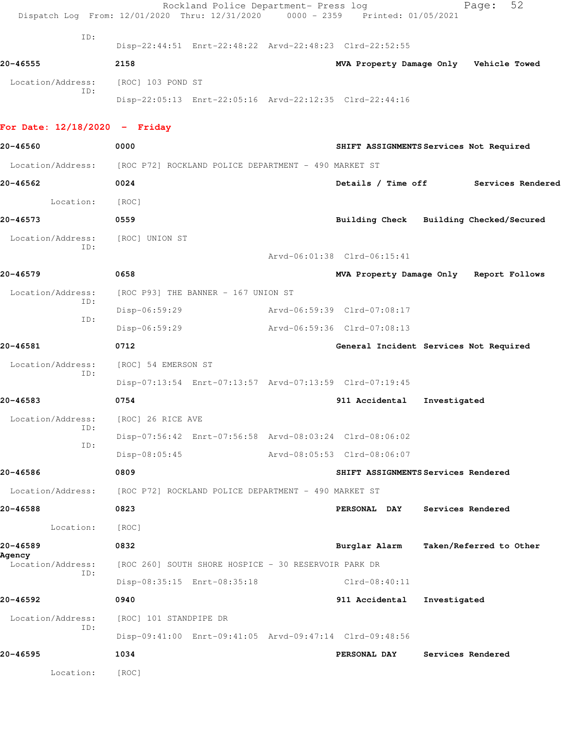|                                 | Rockland Police Department- Press log<br>Dispatch Log From: 12/01/2020 Thru: 12/31/2020 0000 - 2359 Printed: 01/05/2021 |                                         | Page:                   | 52                |  |
|---------------------------------|-------------------------------------------------------------------------------------------------------------------------|-----------------------------------------|-------------------------|-------------------|--|
| ID:                             | Disp-22:44:51 Enrt-22:48:22 Arvd-22:48:23 Clrd-22:52:55                                                                 |                                         |                         |                   |  |
| 20-46555                        | 2158                                                                                                                    | MVA Property Damage Only Vehicle Towed  |                         |                   |  |
| Location/Address:               | [ROC] 103 POND ST                                                                                                       |                                         |                         |                   |  |
| ID:                             | Disp-22:05:13 Enrt-22:05:16 Arvd-22:12:35 Clrd-22:44:16                                                                 |                                         |                         |                   |  |
| For Date: $12/18/2020 -$ Friday |                                                                                                                         |                                         |                         |                   |  |
| 20-46560                        | 0000                                                                                                                    | SHIFT ASSIGNMENTS Services Not Required |                         |                   |  |
|                                 | Location/Address: [ROC P72] ROCKLAND POLICE DEPARTMENT - 490 MARKET ST                                                  |                                         |                         |                   |  |
| 20-46562                        | 0024                                                                                                                    | Details / Time off                      |                         | Services Rendered |  |
| Location:                       | [ROC]                                                                                                                   |                                         |                         |                   |  |
| 20-46573                        | 0559                                                                                                                    | Building Check Building Checked/Secured |                         |                   |  |
| Location/Address:               | [ROC] UNION ST                                                                                                          |                                         |                         |                   |  |
| ID:                             |                                                                                                                         | Arvd-06:01:38 Clrd-06:15:41             |                         |                   |  |
| 20-46579                        | 0658                                                                                                                    | MVA Property Damage Only Report Follows |                         |                   |  |
| Location/Address:               | [ROC P93] THE BANNER - 167 UNION ST                                                                                     |                                         |                         |                   |  |
| ID:<br>ID:                      | Disp-06:59:29                                                                                                           | Arvd-06:59:39 Clrd-07:08:17             |                         |                   |  |
|                                 | Disp-06:59:29                                                                                                           | Arvd-06:59:36 Clrd-07:08:13             |                         |                   |  |
| 20-46581                        | 0712                                                                                                                    | General Incident Services Not Required  |                         |                   |  |
| Location/Address:<br>ID:        | [ROC] 54 EMERSON ST                                                                                                     |                                         |                         |                   |  |
|                                 | Disp-07:13:54 Enrt-07:13:57 Arvd-07:13:59 Clrd-07:19:45                                                                 |                                         |                         |                   |  |
| 20-46583                        | 0754                                                                                                                    | 911 Accidental                          | Investigated            |                   |  |
| Location/Address:<br>ID:        | [ROC] 26 RICE AVE                                                                                                       |                                         |                         |                   |  |
| ID:                             | Disp-07:56:42 Enrt-07:56:58 Arvd-08:03:24 Clrd-08:06:02                                                                 |                                         |                         |                   |  |
|                                 | $Disp-08:05:45$                                                                                                         | Arvd-08:05:53 Clrd-08:06:07             |                         |                   |  |
| 20-46586                        | 0809                                                                                                                    | SHIFT ASSIGNMENTS Services Rendered     |                         |                   |  |
| Location/Address:               | [ROC P72] ROCKLAND POLICE DEPARTMENT - 490 MARKET ST                                                                    |                                         |                         |                   |  |
| 20-46588                        | 0823                                                                                                                    | <b>PERSONAL DAY</b>                     | Services Rendered       |                   |  |
| Location:                       | [ROC]                                                                                                                   |                                         |                         |                   |  |
| 20-46589                        | 0832                                                                                                                    | Burglar Alarm                           | Taken/Referred to Other |                   |  |
| Agency<br>Location/Address:     | [ROC 260] SOUTH SHORE HOSPICE - 30 RESERVOIR PARK DR                                                                    |                                         |                         |                   |  |
| ID:                             | Disp-08:35:15 Enrt-08:35:18                                                                                             | Clrd-08:40:11                           |                         |                   |  |
| 20-46592                        | 0940                                                                                                                    | 911 Accidental                          | Investigated            |                   |  |
| Location/Address:               | [ROC] 101 STANDPIPE DR                                                                                                  |                                         |                         |                   |  |
| ID:                             | Disp-09:41:00 Enrt-09:41:05 Arvd-09:47:14 Clrd-09:48:56                                                                 |                                         |                         |                   |  |
| 20-46595                        | 1034                                                                                                                    | <b>PERSONAL DAY</b>                     | Services Rendered       |                   |  |
| Location:                       | [ROC]                                                                                                                   |                                         |                         |                   |  |
|                                 |                                                                                                                         |                                         |                         |                   |  |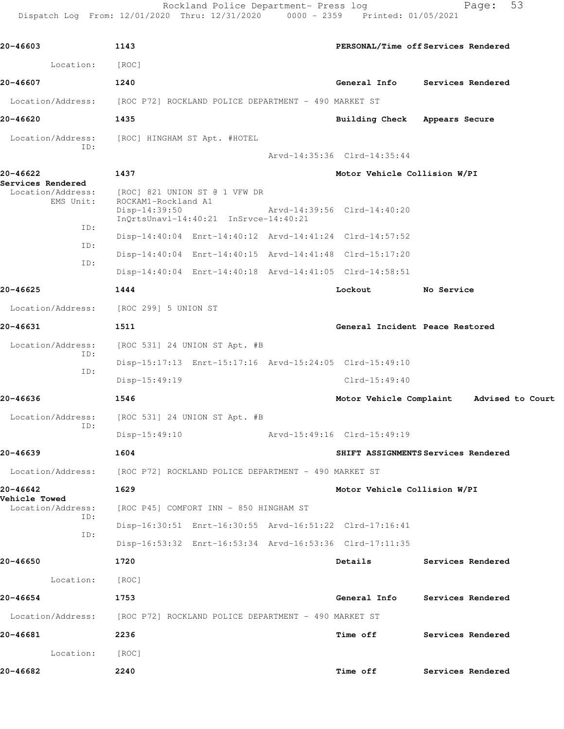Rockland Police Department- Press log Fage: 53

 Dispatch Log From: 12/01/2020 Thru: 12/31/2020 0000 - 2359 Printed: 01/05/2021 **20-46603 1143 PERSONAL/Time off Services Rendered** Location: [ROC] **20-46607 1240 General Info Services Rendered**

Location/Address: [ROC P72] ROCKLAND POLICE DEPARTMENT - 490 MARKET ST

**20-46620 1435 Building Check Appears Secure**

 Location/Address: [ROC] HINGHAM ST Apt. #HOTEL ID:

Arvd-14:35:36 Clrd-14:35:44

**20-46622 1437 Motor Vehicle Collision W/PI Services Rendered**  Location/Address: [ROC] 821 UNION ST @ 1 VFW DR EMS Unit: ROCKAM1-Rockland A1

 Disp-14:39:50 Arvd-14:39:56 Clrd-14:40:20 InQrtsUnavl-14:40:21 InSrvce-14:40:21 ID: Disp-14:40:04 Enrt-14:40:12 Arvd-14:41:24 Clrd-14:57:52 ID: Disp-14:40:04 Enrt-14:40:15 Arvd-14:41:48 Clrd-15:17:20 ID: Disp-14:40:04 Enrt-14:40:18 Arvd-14:41:05 Clrd-14:58:51

Disp-15:17:13 Enrt-15:17:16 Arvd-15:24:05 Clrd-15:49:10

Disp-15:49:19 Clrd-15:49:40

Disp-15:49:10 Arvd-15:49:16 Clrd-15:49:19

**20-46636 1546 Motor Vehicle Complaint Advised to Court**

**20-46625 1444 Lockout No Service**

Location/Address: [ROC 299] 5 UNION ST

**20-46631 1511 General Incident Peace Restored**

 Location/Address: [ROC 531] 24 UNION ST Apt. #B ID: ID:

Location/Address: [ROC 531] 24 UNION ST Apt. #B ID:

**20-46639 1604 SHIFT ASSIGNMENTS Services Rendered**

Location/Address: [ROC P72] ROCKLAND POLICE DEPARTMENT - 490 MARKET ST

**Vehicle Towed**  ID:

Location/Address: [ROC P72] ROCKLAND POLICE DEPARTMENT - 490 MARKET ST

**20-46681 2236 Time off Services Rendered**

Location: [ROC]

**20-46682 2240 Time off Services Rendered**

Disp-16:30:51 Enrt-16:30:55 Arvd-16:51:22 Clrd-17:16:41

**20-46642 1629 Motor Vehicle Collision W/PI**

Disp-16:53:32 Enrt-16:53:34 Arvd-16:53:36 Clrd-17:11:35

[ROC P45] COMFORT INN - 850 HINGHAM ST

**20-46650 1720 Details Services Rendered**

Location: [ROC]

**20-46654 1753 General Info Services Rendered**

ID: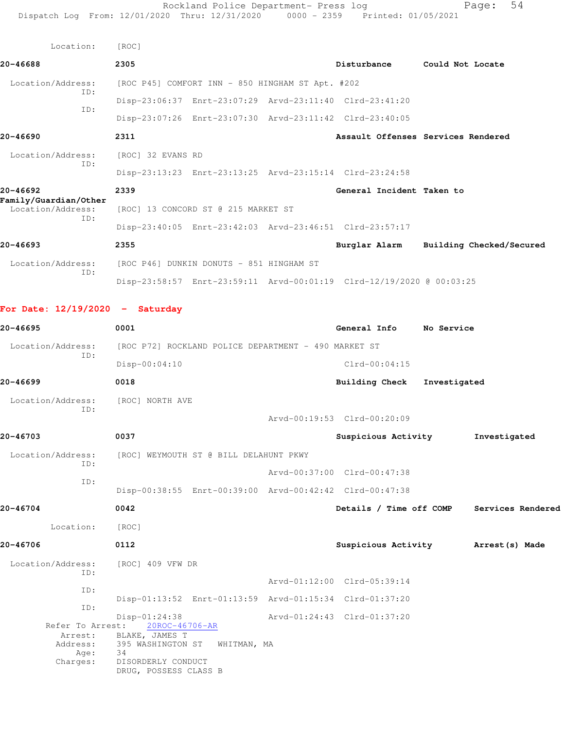| Location:                                                         | [ROC]             |                                                  |                                                                      |  |
|-------------------------------------------------------------------|-------------------|--------------------------------------------------|----------------------------------------------------------------------|--|
| 20-46688                                                          | 2305              |                                                  | Disturbance Could Not Locate                                         |  |
| Location/Address:<br>ID:                                          |                   | [ROC P45] COMFORT INN - 850 HINGHAM ST Apt. #202 |                                                                      |  |
|                                                                   |                   |                                                  | Disp-23:06:37 Enrt-23:07:29 Arvd-23:11:40 Clrd-23:41:20              |  |
| TD:                                                               |                   |                                                  | Disp-23:07:26 Enrt-23:07:30 Arvd-23:11:42 Clrd-23:40:05              |  |
| 20-46690                                                          | 2311              |                                                  | Assault Offenses Services Rendered                                   |  |
| Location/Address:<br>TD:                                          | [ROC] 32 EVANS RD |                                                  |                                                                      |  |
|                                                                   |                   |                                                  | Disp-23:13:23 Enrt-23:13:25 Arvd-23:15:14 Clrd-23:24:58              |  |
| 20-46692                                                          | 2339              |                                                  | General Incident Taken to                                            |  |
| Family/Guardian/Other<br>Location/Address:<br>ID:                 |                   | [ROC] 13 CONCORD ST @ 215 MARKET ST              |                                                                      |  |
|                                                                   |                   |                                                  | Disp-23:40:05 Enrt-23:42:03 Arvd-23:46:51 Clrd-23:57:17              |  |
| $20 - 46693$                                                      | 2355              |                                                  | Burglar Alarm Building Checked/Secured                               |  |
| Location/Address: [ROC P46] DUNKIN DONUTS - 851 HINGHAM ST<br>TD: |                   |                                                  |                                                                      |  |
|                                                                   |                   |                                                  | Disp-23:58:57 Enrt-23:59:11 Arvd-00:01:19 Clrd-12/19/2020 @ 00:03:25 |  |

## **For Date: 12/19/2020 - Saturday**

| 20-46695                                | 0001                                                     | General Info                | No Service   |                   |
|-----------------------------------------|----------------------------------------------------------|-----------------------------|--------------|-------------------|
| Location/Address:                       | [ROC P72] ROCKLAND POLICE DEPARTMENT - 490 MARKET ST     |                             |              |                   |
| TD:                                     | $Disp-00:04:10$                                          | $Clrd-00:04:15$             |              |                   |
| 20-46699                                | 0018                                                     | <b>Building Check</b>       | Investigated |                   |
| Location/Address:<br>TD:                | [ROC] NORTH AVE                                          |                             |              |                   |
|                                         |                                                          | Arvd-00:19:53 Clrd-00:20:09 |              |                   |
| 20-46703                                | 0037                                                     | Suspicious Activity         |              | Investigated      |
| Location/Address:<br>ID:                | [ROC] WEYMOUTH ST @ BILL DELAHUNT PKWY                   |                             |              |                   |
|                                         |                                                          | Arvd-00:37:00 Clrd-00:47:38 |              |                   |
| ID:                                     | Disp-00:38:55 Enrt-00:39:00 Arvd-00:42:42 Clrd-00:47:38  |                             |              |                   |
| 20-46704                                | 0042                                                     | Details / Time off COMP     |              | Services Rendered |
| Location:                               | [ROC]                                                    |                             |              |                   |
| 20-46706                                | 0112                                                     | Suspicious Activity         |              | Arrest (s) Made   |
| Location/Address:                       | [ROC] 409 VFW DR                                         |                             |              |                   |
| ID:<br>ID:                              |                                                          | Arvd-01:12:00 Clrd-05:39:14 |              |                   |
| ID:                                     | Disp-01:13:52 Enrt-01:13:59 Arvd-01:15:34 Clrd-01:37:20  |                             |              |                   |
| Refer To Arrest:                        | Disp-01:24:38<br>20ROC-46706-AR                          | Arvd-01:24:43 Clrd-01:37:20 |              |                   |
| Arrest:<br>Address:<br>Age:<br>Charges: | BLAKE, JAMES T<br>395 WASHINGTON ST<br>WHITMAN, MA<br>34 |                             |              |                   |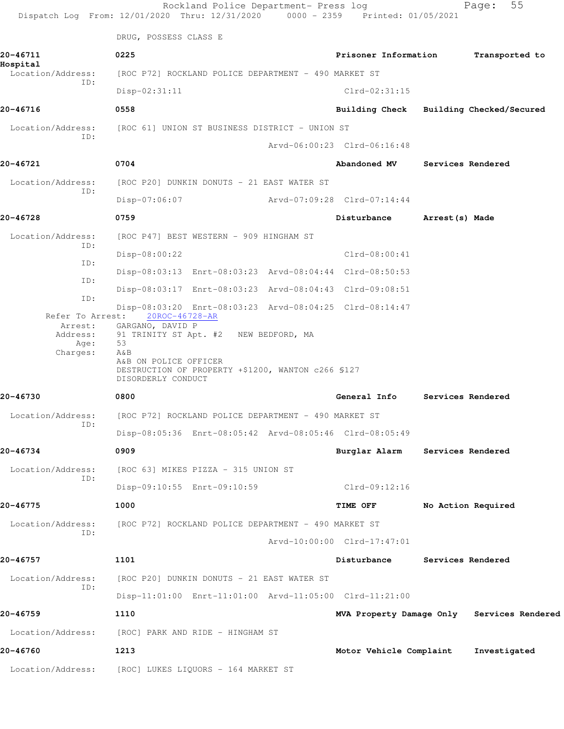|                                      | Rockland Police Department- Press log<br>Dispatch Log From: 12/01/2020 Thru: 12/31/2020 0000 - 2359 Printed: 01/05/2021                                                                                        |                             | 55<br>Page:                                |  |
|--------------------------------------|----------------------------------------------------------------------------------------------------------------------------------------------------------------------------------------------------------------|-----------------------------|--------------------------------------------|--|
|                                      | DRUG, POSSESS CLASS E                                                                                                                                                                                          |                             |                                            |  |
| 20-46711<br>Hospital                 | 0225                                                                                                                                                                                                           | Prisoner Information        | Transported to                             |  |
| Location/Address:<br>TD:             | [ROC P72] ROCKLAND POLICE DEPARTMENT - 490 MARKET ST                                                                                                                                                           |                             |                                            |  |
|                                      | $Disp-02:31:11$                                                                                                                                                                                                | $Clrd-02:31:15$             |                                            |  |
| 20-46716                             | 0558                                                                                                                                                                                                           |                             | Building Check Building Checked/Secured    |  |
| Location/Address:<br>TD:             | [ROC 61] UNION ST BUSINESS DISTRICT - UNION ST                                                                                                                                                                 |                             |                                            |  |
|                                      |                                                                                                                                                                                                                | Arvd-06:00:23 Clrd-06:16:48 |                                            |  |
| 20-46721                             | 0704                                                                                                                                                                                                           |                             | Abandoned MV Services Rendered             |  |
| Location/Address:<br>ID:             | [ROC P20] DUNKIN DONUTS - 21 EAST WATER ST                                                                                                                                                                     |                             |                                            |  |
|                                      | Disp-07:06:07                                                                                                                                                                                                  | Arvd-07:09:28 Clrd-07:14:44 |                                            |  |
| 20-46728                             | 0759                                                                                                                                                                                                           | Disturbance Arrest (s) Made |                                            |  |
| Location/Address:                    | [ROC P47] BEST WESTERN - 909 HINGHAM ST                                                                                                                                                                        |                             |                                            |  |
| ID:                                  | Disp-08:00:22                                                                                                                                                                                                  | $Clrd-08:00:41$             |                                            |  |
| ID:                                  | Disp-08:03:13 Enrt-08:03:23 Arvd-08:04:44 Clrd-08:50:53                                                                                                                                                        |                             |                                            |  |
| ID:                                  | Disp-08:03:17 Enrt-08:03:23 Arvd-08:04:43 Clrd-09:08:51                                                                                                                                                        |                             |                                            |  |
| ID:                                  | Disp-08:03:20 Enrt-08:03:23 Arvd-08:04:25 Clrd-08:14:47                                                                                                                                                        |                             |                                            |  |
| Refer To Arrest:<br>Age:<br>Charges: | 20ROC-46728-AR<br>Arrest: GARGANO, DAVID P<br>Address: 91 TRINITY ST Apt. #2 NEW BEDFORD, MA<br>53<br>AδB<br>A&B ON POLICE OFFICER<br>DESTRUCTION OF PROPERTY +\$1200, WANTON c266 \$127<br>DISORDERLY CONDUCT |                             |                                            |  |
| 20-46730                             | 0800                                                                                                                                                                                                           |                             | General Info Services Rendered             |  |
| Location/Address:                    | [ROC P72] ROCKLAND POLICE DEPARTMENT - 490 MARKET ST                                                                                                                                                           |                             |                                            |  |
| ID:                                  | Disp-08:05:36 Enrt-08:05:42 Arvd-08:05:46 Clrd-08:05:49                                                                                                                                                        |                             |                                            |  |
| 20-46734                             | 0909                                                                                                                                                                                                           | Burglar Alarm               | Services Rendered                          |  |
| Location/Address:                    | [ROC 63] MIKES PIZZA - 315 UNION ST                                                                                                                                                                            |                             |                                            |  |
| ID:                                  | Disp-09:10:55 Enrt-09:10:59                                                                                                                                                                                    | Clrd-09:12:16               |                                            |  |
| 20-46775                             | 1000                                                                                                                                                                                                           | TIME OFF                    | No Action Required                         |  |
| Location/Address:                    | [ROC P72] ROCKLAND POLICE DEPARTMENT - 490 MARKET ST                                                                                                                                                           |                             |                                            |  |
| ID:                                  |                                                                                                                                                                                                                | Arvd-10:00:00 Clrd-17:47:01 |                                            |  |
| 20-46757                             | 1101                                                                                                                                                                                                           | Disturbance                 | Services Rendered                          |  |
| Location/Address:                    | [ROC P20] DUNKIN DONUTS - 21 EAST WATER ST                                                                                                                                                                     |                             |                                            |  |
| ID:                                  | Disp-11:01:00 Enrt-11:01:00 Arvd-11:05:00 Clrd-11:21:00                                                                                                                                                        |                             |                                            |  |
| 20-46759                             | 1110                                                                                                                                                                                                           |                             | MVA Property Damage Only Services Rendered |  |
| Location/Address:                    | [ROC] PARK AND RIDE – HINGHAM ST                                                                                                                                                                               |                             |                                            |  |
| 20-46760                             | 1213                                                                                                                                                                                                           | Motor Vehicle Complaint     | Investigated                               |  |
| Location/Address:                    | [ROC] LUKES LIQUORS - 164 MARKET ST                                                                                                                                                                            |                             |                                            |  |
|                                      |                                                                                                                                                                                                                |                             |                                            |  |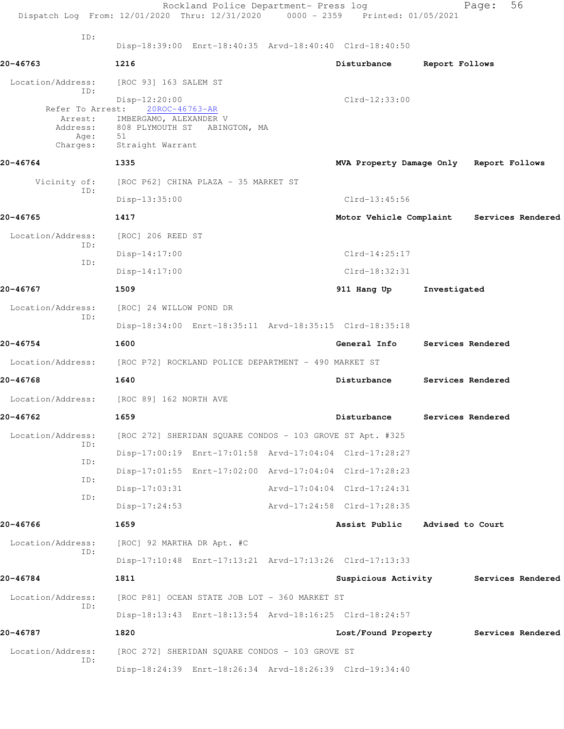|                          | Rockland Police Department- Press log<br>Dispatch Log From: 12/01/2020 Thru: 12/31/2020 0000 - 2359 Printed: 01/05/2021 |                                         |                  | 56<br>Page:       |  |
|--------------------------|-------------------------------------------------------------------------------------------------------------------------|-----------------------------------------|------------------|-------------------|--|
| ID:                      |                                                                                                                         |                                         |                  |                   |  |
|                          | Disp-18:39:00 Enrt-18:40:35 Arvd-18:40:40 Clrd-18:40:50                                                                 |                                         |                  |                   |  |
| 20-46763                 | 1216                                                                                                                    | Disturbance                             | Report Follows   |                   |  |
| Location/Address:<br>ID: | [ROC 93] 163 SALEM ST                                                                                                   |                                         |                  |                   |  |
| Refer To Arrest:         | Disp-12:20:00<br>20ROC-46763-AR                                                                                         | $Clrd-12:33:00$                         |                  |                   |  |
| Arrest:<br>Address:      | IMBERGAMO, ALEXANDER V<br>808 PLYMOUTH ST ABINGTON, MA                                                                  |                                         |                  |                   |  |
| Age:                     | 51                                                                                                                      |                                         |                  |                   |  |
| Charges:                 | Straight Warrant                                                                                                        |                                         |                  |                   |  |
| 20-46764                 | 1335                                                                                                                    | MVA Property Damage Only Report Follows |                  |                   |  |
| Vicinity of:<br>ID:      | [ROC P62] CHINA PLAZA - 35 MARKET ST                                                                                    |                                         |                  |                   |  |
|                          | Disp-13:35:00                                                                                                           | $Clrd-13:45:56$                         |                  |                   |  |
| 20-46765                 | 1417                                                                                                                    | Motor Vehicle Complaint                 |                  | Services Rendered |  |
| Location/Address:<br>ID: | [ROC] 206 REED ST                                                                                                       |                                         |                  |                   |  |
| ID:                      | $Disp-14:17:00$                                                                                                         | $Clrd-14:25:17$                         |                  |                   |  |
|                          | $Disp-14:17:00$                                                                                                         | $Clrd-18:32:31$                         |                  |                   |  |
| 20-46767                 | 1509                                                                                                                    | 911 Hang Up                             | Investigated     |                   |  |
| Location/Address:        | [ROC] 24 WILLOW POND DR                                                                                                 |                                         |                  |                   |  |
| ID:                      | Disp-18:34:00 Enrt-18:35:11 Arvd-18:35:15 Clrd-18:35:18                                                                 |                                         |                  |                   |  |
| 20-46754                 | 1600                                                                                                                    | General Info                            |                  | Services Rendered |  |
| Location/Address:        | [ROC P72] ROCKLAND POLICE DEPARTMENT - 490 MARKET ST                                                                    |                                         |                  |                   |  |
| 20-46768                 | 1640                                                                                                                    | Disturbance                             |                  | Services Rendered |  |
| Location/Address:        | [ROC 89] 162 NORTH AVE                                                                                                  |                                         |                  |                   |  |
| 20-46762                 | 1659                                                                                                                    | Disturbance                             |                  | Services Rendered |  |
| Location/Address:        | [ROC 272] SHERIDAN SQUARE CONDOS - 103 GROVE ST Apt. #325                                                               |                                         |                  |                   |  |
| ID:                      | Disp-17:00:19 Enrt-17:01:58 Arvd-17:04:04 Clrd-17:28:27                                                                 |                                         |                  |                   |  |
| ID:                      | Disp-17:01:55 Enrt-17:02:00 Arvd-17:04:04 Clrd-17:28:23                                                                 |                                         |                  |                   |  |
| ID:                      | $Disp-17:03:31$                                                                                                         | Arvd-17:04:04 Clrd-17:24:31             |                  |                   |  |
| ID:                      | $Disp-17:24:53$                                                                                                         | Arvd-17:24:58 Clrd-17:28:35             |                  |                   |  |
| 20-46766                 |                                                                                                                         | Assist Public                           |                  |                   |  |
|                          | 1659                                                                                                                    |                                         | Advised to Court |                   |  |
| Location/Address:<br>ID: | [ROC] 92 MARTHA DR Apt. #C                                                                                              |                                         |                  |                   |  |
|                          | Disp-17:10:48 Enrt-17:13:21 Arvd-17:13:26 Clrd-17:13:33                                                                 |                                         |                  |                   |  |
| 20-46784                 | 1811                                                                                                                    | Suspicious Activity Services Rendered   |                  |                   |  |
| Location/Address:<br>ID: | [ROC P81] OCEAN STATE JOB LOT - 360 MARKET ST                                                                           |                                         |                  |                   |  |
|                          | Disp-18:13:43 Enrt-18:13:54 Arvd-18:16:25 Clrd-18:24:57                                                                 |                                         |                  |                   |  |
| 20-46787                 | 1820                                                                                                                    | Lost/Found Property                     |                  | Services Rendered |  |
| Location/Address:<br>ID: | [ROC 272] SHERIDAN SQUARE CONDOS - 103 GROVE ST                                                                         |                                         |                  |                   |  |
|                          | Disp-18:24:39 Enrt-18:26:34 Arvd-18:26:39 Clrd-19:34:40                                                                 |                                         |                  |                   |  |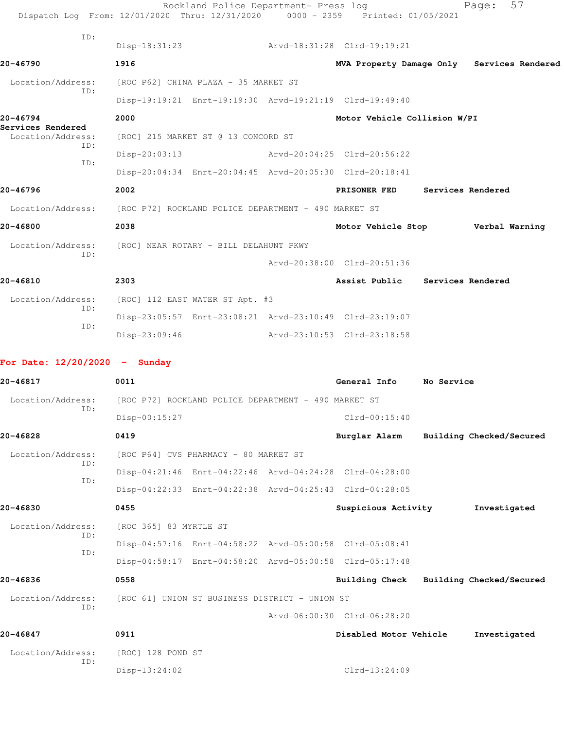|                                        | Rockland Police Department- Press log<br>Dispatch Log From: 12/01/2020 Thru: 12/31/2020 0000 - 2359 Printed: 01/05/2021 |                                   |                          | 57<br>Page:                                |
|----------------------------------------|-------------------------------------------------------------------------------------------------------------------------|-----------------------------------|--------------------------|--------------------------------------------|
| ID:                                    | Disp-18:31:23                                                                                                           | Arvd-18:31:28 Clrd-19:19:21       |                          |                                            |
| 20-46790                               | 1916                                                                                                                    |                                   |                          | MVA Property Damage Only Services Rendered |
| Location/Address:                      | [ROC P62] CHINA PLAZA - 35 MARKET ST                                                                                    |                                   |                          |                                            |
| ID:                                    | Disp-19:19:21 Enrt-19:19:30 Arvd-19:21:19 Clrd-19:49:40                                                                 |                                   |                          |                                            |
| 20-46794                               | 2000                                                                                                                    | Motor Vehicle Collision W/PI      |                          |                                            |
| Services Rendered<br>Location/Address: | [ROC] 215 MARKET ST @ 13 CONCORD ST                                                                                     |                                   |                          |                                            |
| ID:                                    | $Disp-20:03:13$                                                                                                         | Arvd-20:04:25 Clrd-20:56:22       |                          |                                            |
| ID:                                    | Disp-20:04:34 Enrt-20:04:45 Arvd-20:05:30 Clrd-20:18:41                                                                 |                                   |                          |                                            |
| 20-46796                               | 2002                                                                                                                    | PRISONER FED                      | <b>Services Rendered</b> |                                            |
|                                        | Location/Address: [ROC P72] ROCKLAND POLICE DEPARTMENT - 490 MARKET ST                                                  |                                   |                          |                                            |
| 20-46800                               | 2038                                                                                                                    | Motor Vehicle Stop Verbal Warning |                          |                                            |
| Location/Address:                      | [ROC] NEAR ROTARY - BILL DELAHUNT PKWY                                                                                  |                                   |                          |                                            |
| ID:                                    |                                                                                                                         | Arvd-20:38:00 Clrd-20:51:36       |                          |                                            |
| 20-46810                               | 2303                                                                                                                    | Assist Public Services Rendered   |                          |                                            |
| Location/Address:                      | [ROC] 112 EAST WATER ST Apt. #3                                                                                         |                                   |                          |                                            |
| ID:                                    | Disp-23:05:57 Enrt-23:08:21 Arvd-23:10:49 Clrd-23:19:07                                                                 |                                   |                          |                                            |
| ID:                                    | Disp-23:09:46                                                                                                           | Arvd-23:10:53 Clrd-23:18:58       |                          |                                            |
| For Date: $12/20/2020$ - Sunday        |                                                                                                                         |                                   |                          |                                            |
| 20-46817                               | 0011                                                                                                                    | General Info No Service           |                          |                                            |
| Location/Address:                      | [ROC P72] ROCKLAND POLICE DEPARTMENT - 490 MARKET ST                                                                    |                                   |                          |                                            |
| ID:                                    | Disp-00:15:27                                                                                                           | $Clrd-00:15:40$                   |                          |                                            |
| 20-46828                               | 0419                                                                                                                    | Burglar Alarm                     |                          | Building Checked/Secured                   |
| Location/Address:                      | [ROC P64] CVS PHARMACY - 80 MARKET ST                                                                                   |                                   |                          |                                            |
| ID:                                    | Disp-04:21:46 Enrt-04:22:46 Arvd-04:24:28 Clrd-04:28:00                                                                 |                                   |                          |                                            |
| ID:                                    | Disp-04:22:33 Enrt-04:22:38 Arvd-04:25:43 Clrd-04:28:05                                                                 |                                   |                          |                                            |
| 20-46830                               | 0455                                                                                                                    | Suspicious Activity               |                          | Investigated                               |
| Location/Address:                      | [ROC 365] 83 MYRTLE ST                                                                                                  |                                   |                          |                                            |
| ID:                                    | Disp-04:57:16 Enrt-04:58:22 Arvd-05:00:58 Clrd-05:08:41                                                                 |                                   |                          |                                            |
| ID:                                    | Disp-04:58:17 Enrt-04:58:20 Arvd-05:00:58 Clrd-05:17:48                                                                 |                                   |                          |                                            |
| 20-46836                               | 0558                                                                                                                    | <b>Building Check</b>             |                          | Building Checked/Secured                   |
| Location/Address:                      | [ROC 61] UNION ST BUSINESS DISTRICT - UNION ST                                                                          |                                   |                          |                                            |
| ID:                                    |                                                                                                                         | Arvd-06:00:30 Clrd-06:28:20       |                          |                                            |
| 20-46847                               | 0911                                                                                                                    | Disabled Motor Vehicle            |                          | Investigated                               |
| Location/Address:                      | [ROC] 128 POND ST                                                                                                       |                                   |                          |                                            |
| ID:                                    | $Disp-13:24:02$                                                                                                         | $Clrd-13:24:09$                   |                          |                                            |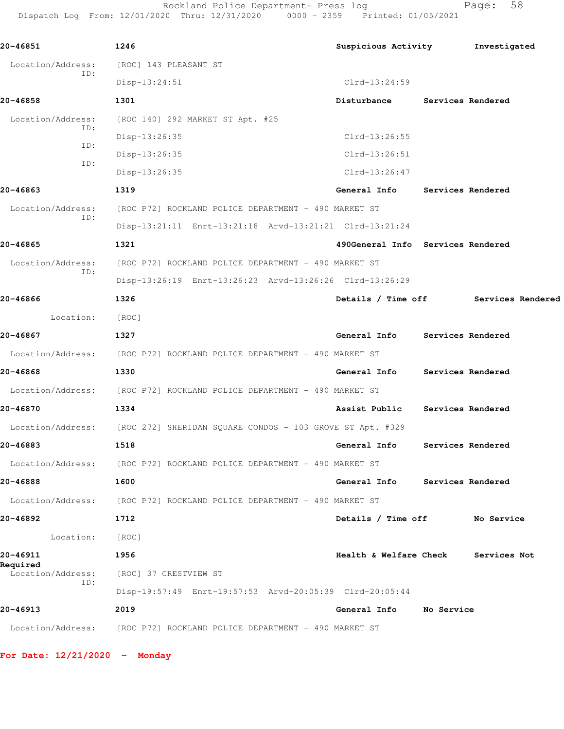Rockland Police Department- Press log entitled and Page: 58 Dispatch Log From: 12/01/2020 Thru: 12/31/2020 0000 - 2359 Printed: 01/05/2021

| 20-46851          | 1246                                                                        | Suspicious Activity                 | Investigated                         |
|-------------------|-----------------------------------------------------------------------------|-------------------------------------|--------------------------------------|
| Location/Address: | [ROC] 143 PLEASANT ST                                                       |                                     |                                      |
| ID:               | $Disp-13:24:51$                                                             | $Clrd-13:24:59$                     |                                      |
| 20-46858          | 1301                                                                        | Disturbance                         | Services Rendered                    |
| Location/Address: | [ROC 140] 292 MARKET ST Apt. #25                                            |                                     |                                      |
| ID:               | Disp-13:26:35                                                               | $Clrd-13:26:55$                     |                                      |
| ID:<br>ID:        | Disp-13:26:35                                                               | $Clrd-13:26:51$                     |                                      |
|                   | Disp-13:26:35                                                               | $Clrd-13:26:47$                     |                                      |
| 20-46863          | 1319                                                                        | General Info Services Rendered      |                                      |
| Location/Address: | [ROC P72] ROCKLAND POLICE DEPARTMENT - 490 MARKET ST                        |                                     |                                      |
| ID:               | Disp-13:21:11 Enrt-13:21:18 Arvd-13:21:21 Clrd-13:21:24                     |                                     |                                      |
| 20-46865          | 1321                                                                        | 490General Info Services Rendered   |                                      |
| Location/Address: | [ROC P72] ROCKLAND POLICE DEPARTMENT - 490 MARKET ST                        |                                     |                                      |
| ID:               | Disp-13:26:19 Enrt-13:26:23 Arvd-13:26:26 Clrd-13:26:29                     |                                     |                                      |
| 20-46866          | 1326                                                                        |                                     | Details / Time off Services Rendered |
| Location:         | [ROC]                                                                       |                                     |                                      |
| 20-46867          | 1327                                                                        | General Info Services Rendered      |                                      |
|                   | Location/Address: [ROC P72] ROCKLAND POLICE DEPARTMENT - 490 MARKET ST      |                                     |                                      |
| 20-46868          | 1330                                                                        | General Info Services Rendered      |                                      |
|                   | Location/Address: [ROC P72] ROCKLAND POLICE DEPARTMENT - 490 MARKET ST      |                                     |                                      |
| 20-46870          | 1334                                                                        | Assist Public Services Rendered     |                                      |
|                   | Location/Address: [ROC 272] SHERIDAN SQUARE CONDOS - 103 GROVE ST Apt. #329 |                                     |                                      |
| 20-46883          | 1518                                                                        | General Info Services Rendered      |                                      |
|                   | Location/Address: [ROC P72] ROCKLAND POLICE DEPARTMENT - 490 MARKET ST      |                                     |                                      |
| 20-46888          | 1600                                                                        | General Info Services Rendered      |                                      |
|                   | Location/Address: [ROC P72] ROCKLAND POLICE DEPARTMENT - 490 MARKET ST      |                                     |                                      |
| 20-46892          | 1712                                                                        | Details / Time off No Service       |                                      |
| Location:         | [ROC]                                                                       |                                     |                                      |
| 20-46911          | 1956                                                                        | Health & Welfare Check Services Not |                                      |
| Required          | Location/Address: [ROC] 37 CRESTVIEW ST                                     |                                     |                                      |
| ID:               | Disp-19:57:49 Enrt-19:57:53 Arvd-20:05:39 Clrd-20:05:44                     |                                     |                                      |
| 20-46913          | 2019                                                                        | General Info No Service             |                                      |
|                   | Location/Address: [ROC P72] ROCKLAND POLICE DEPARTMENT - 490 MARKET ST      |                                     |                                      |

**For Date: 12/21/2020 - Monday**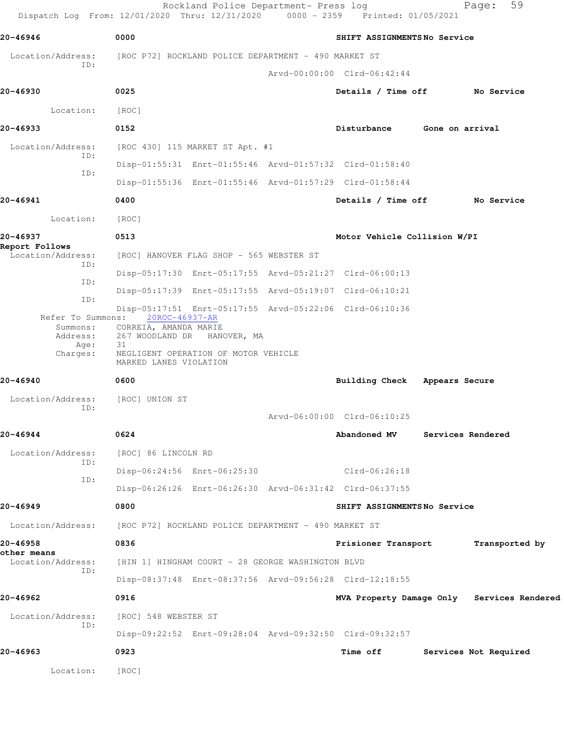|                                     | Dispatch Log From: 12/01/2020 Thru: 12/31/2020 0000 - 2359 Printed: 01/05/2021 | Rockland Police Department- Press log |                               |                 | 59<br>Page:                                |
|-------------------------------------|--------------------------------------------------------------------------------|---------------------------------------|-------------------------------|-----------------|--------------------------------------------|
| 20-46946                            | 0000                                                                           |                                       | SHIFT ASSIGNMENTSNo Service   |                 |                                            |
| Location/Address:                   | [ROC P72] ROCKLAND POLICE DEPARTMENT - 490 MARKET ST                           |                                       |                               |                 |                                            |
| ID:                                 |                                                                                |                                       | Arvd-00:00:00 Clrd-06:42:44   |                 |                                            |
| 20-46930                            | 0025                                                                           |                                       | Details / Time off No Service |                 |                                            |
| Location:                           | [ROC]                                                                          |                                       |                               |                 |                                            |
| 20-46933                            | 0152                                                                           |                                       | Disturbance                   | Gone on arrival |                                            |
| Location/Address:                   | [ROC 430] 115 MARKET ST Apt. #1                                                |                                       |                               |                 |                                            |
| ID:                                 | Disp-01:55:31 Enrt-01:55:46 Arvd-01:57:32 Clrd-01:58:40                        |                                       |                               |                 |                                            |
| ID:                                 | Disp-01:55:36 Enrt-01:55:46 Arvd-01:57:29 Clrd-01:58:44                        |                                       |                               |                 |                                            |
| 20-46941                            | 0400                                                                           |                                       | Details / Time off            |                 | No Service                                 |
| Location:                           | [ROC]                                                                          |                                       |                               |                 |                                            |
| 20-46937                            | 0513                                                                           |                                       | Motor Vehicle Collision W/PI  |                 |                                            |
| Report Follows<br>Location/Address: | [ROC] HANOVER FLAG SHOP - 565 WEBSTER ST                                       |                                       |                               |                 |                                            |
| ID:                                 | Disp-05:17:30 Enrt-05:17:55 Arvd-05:21:27 Clrd-06:00:13                        |                                       |                               |                 |                                            |
| ID:                                 | Disp-05:17:39 Enrt-05:17:55 Arvd-05:19:07 Clrd-06:10:21                        |                                       |                               |                 |                                            |
| ID:<br>Refer To Summons:            | Disp-05:17:51 Enrt-05:17:55 Arvd-05:22:06 Clrd-06:10:36<br>20ROC-46937-AR      |                                       |                               |                 |                                            |
| Summons:<br>Address:                | CORREIA, AMANDA MARIE<br>267 WOODLAND DR HANOVER, MA                           |                                       |                               |                 |                                            |
| Age:<br>Charges:                    | 31<br>NEGLIGENT OPERATION OF MOTOR VEHICLE<br>MARKED LANES VIOLATION           |                                       |                               |                 |                                            |
| 20-46940                            | 0600                                                                           |                                       | Building Check Appears Secure |                 |                                            |
| Location/Address:                   | [ROC] UNION ST                                                                 |                                       |                               |                 |                                            |
| ID:                                 |                                                                                |                                       | Arvd-06:00:00 Clrd-06:10:25   |                 |                                            |
| 20-46944                            | 0624                                                                           |                                       | Abandoned MV                  |                 | Services Rendered                          |
| Location/Address:                   | [ROC] 86 LINCOLN RD                                                            |                                       |                               |                 |                                            |
| ID:                                 | Disp-06:24:56 Enrt-06:25:30                                                    |                                       | Clrd-06:26:18                 |                 |                                            |
| ID:                                 | Disp-06:26:26 Enrt-06:26:30 Arvd-06:31:42 Clrd-06:37:55                        |                                       |                               |                 |                                            |
| 20-46949                            | 0800                                                                           |                                       | SHIFT ASSIGNMENTSNo Service   |                 |                                            |
| Location/Address:                   | [ROC P72] ROCKLAND POLICE DEPARTMENT - 490 MARKET ST                           |                                       |                               |                 |                                            |
| 20-46958                            | 0836                                                                           |                                       | Prisioner Transport           |                 | Transported by                             |
| other means<br>Location/Address:    | [HIN 1] HINGHAM COURT - 28 GEORGE WASHINGTON BLVD                              |                                       |                               |                 |                                            |
| ID:                                 | Disp-08:37:48 Enrt-08:37:56 Arvd-09:56:28 Clrd-12:18:55                        |                                       |                               |                 |                                            |
| 20-46962                            | 0916                                                                           |                                       |                               |                 | MVA Property Damage Only Services Rendered |
| Location/Address:                   | [ROC] 548 WEBSTER ST                                                           |                                       |                               |                 |                                            |
| ID:                                 | Disp-09:22:52 Enrt-09:28:04 Arvd-09:32:50 Clrd-09:32:57                        |                                       |                               |                 |                                            |
| 20-46963                            | 0923                                                                           |                                       | <b>Time off</b>               |                 | Services Not Required                      |
| Location:                           | [ROC]                                                                          |                                       |                               |                 |                                            |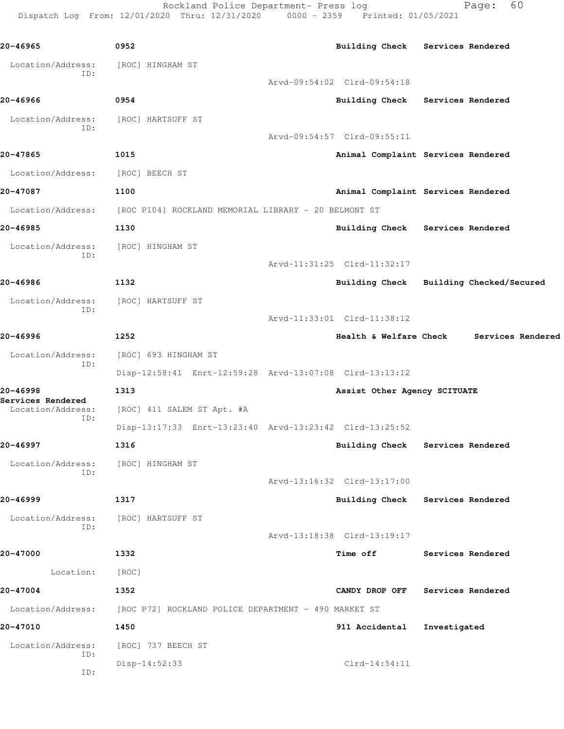Rockland Police Department- Press log Fage: 60 Dispatch Log From: 12/01/2020 Thru: 12/31/2020 0000 - 2359 Printed: 01/05/2021

**20-46965 0952 Building Check Services Rendered** Location/Address: [ROC] HINGHAM ST ID: Arvd-09:54:02 Clrd-09:54:18 **20-46966 0954 Building Check Services Rendered** Location/Address: [ROC] HARTSUFF ST ID: Arvd-09:54:57 Clrd-09:55:11 **20-47865 1015 Animal Complaint Services Rendered** Location/Address: [ROC] BEECH ST **20-47087 1100 Animal Complaint Services Rendered** Location/Address: [ROC P104] ROCKLAND MEMORIAL LIBRARY - 20 BELMONT ST **20-46985 1130 Building Check Services Rendered** Location/Address: [ROC] HINGHAM ST ID: Arvd-11:31:25 Clrd-11:32:17 **20-46986 1132 Building Check Building Checked/Secured** Location/Address: [ROC] HARTSUFF ST ID: Arvd-11:33:01 Clrd-11:38:12 **20-46996 1252 Health & Welfare Check Services Rendered** Location/Address: [ROC] 693 HINGHAM ST ID: Disp-12:58:41 Enrt-12:59:28 Arvd-13:07:08 Clrd-13:13:12 **20-46998 1313 Assist Other Agency SCITUATE Services Rendered**  Location/Address: [ROC] 411 SALEM ST Apt. #A ID: Disp-13:17:33 Enrt-13:23:40 Arvd-13:23:42 Clrd-13:25:52 **20-46997 1316 Building Check Services Rendered** Location/Address: [ROC] HINGHAM ST ID: Arvd-13:16:32 Clrd-13:17:00 **20-46999 1317 Building Check Services Rendered** Location/Address: [ROC] HARTSUFF ST ID: Arvd-13:18:38 Clrd-13:19:17 **20-47000 1332 Time off Services Rendered** Location: [ROC] **20-47004 1352 CANDY DROP OFF Services Rendered** Location/Address: [ROC P72] ROCKLAND POLICE DEPARTMENT - 490 MARKET ST **20-47010 1450 911 Accidental Investigated** Location/Address: [ROC] 737 BEECH ST ID: Disp-14:52:33 Clrd-14:54:11 ID: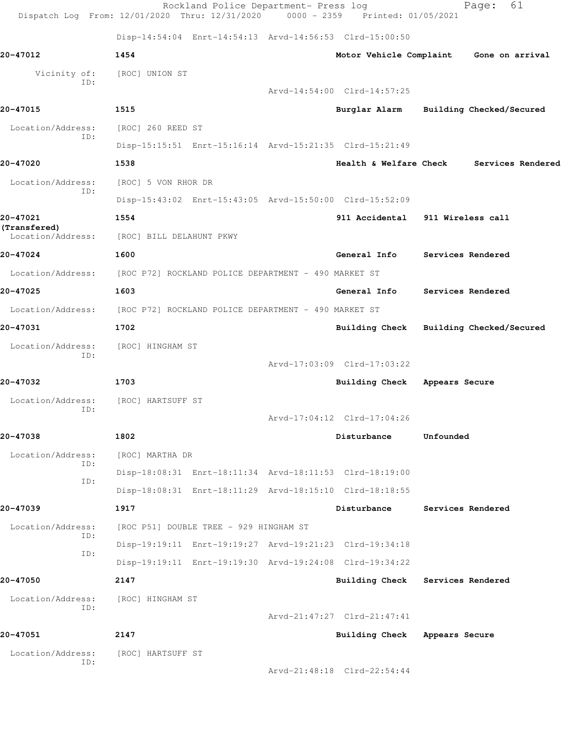|                          | Dispatch Log From: 12/01/2020 Thru: 12/31/2020 0000 - 2359 Printed: 01/05/2021 | Rockland Police Department- Press log |                                  |                   | 61<br>Page:              |
|--------------------------|--------------------------------------------------------------------------------|---------------------------------------|----------------------------------|-------------------|--------------------------|
|                          | Disp-14:54:04 Enrt-14:54:13 Arvd-14:56:53 Clrd-15:00:50                        |                                       |                                  |                   |                          |
| 20-47012                 | 1454                                                                           |                                       | Motor Vehicle Complaint          |                   | Gone on arrival          |
| Vicinity of:<br>ID:      | [ROC] UNION ST                                                                 |                                       |                                  |                   |                          |
|                          |                                                                                |                                       | Arvd-14:54:00 Clrd-14:57:25      |                   |                          |
| 20-47015                 | 1515                                                                           |                                       | Burglar Alarm                    |                   | Building Checked/Secured |
| Location/Address:<br>ID: | [ROC] 260 REED ST                                                              |                                       |                                  |                   |                          |
|                          | Disp-15:15:51 Enrt-15:16:14 Arvd-15:21:35 Clrd-15:21:49                        |                                       |                                  |                   |                          |
| 20-47020                 | 1538                                                                           |                                       | Health & Welfare Check           |                   | Services Rendered        |
| Location/Address:<br>ID: | [ROC] 5 VON RHOR DR                                                            |                                       |                                  |                   |                          |
|                          | Disp-15:43:02 Enrt-15:43:05 Arvd-15:50:00 Clrd-15:52:09                        |                                       |                                  |                   |                          |
| 20-47021<br>(Transfered) | 1554                                                                           |                                       | 911 Accidental 911 Wireless call |                   |                          |
| Location/Address:        | [ROC] BILL DELAHUNT PKWY                                                       |                                       |                                  |                   |                          |
| 20-47024                 | 1600                                                                           |                                       | General Info                     | Services Rendered |                          |
| Location/Address:        | [ROC P72] ROCKLAND POLICE DEPARTMENT - 490 MARKET ST                           |                                       |                                  |                   |                          |
| 20-47025                 | 1603                                                                           |                                       | General Info                     | Services Rendered |                          |
| Location/Address:        | [ROC P72] ROCKLAND POLICE DEPARTMENT - 490 MARKET ST                           |                                       |                                  |                   |                          |
| 20-47031                 | 1702                                                                           |                                       | <b>Building Check</b>            |                   | Building Checked/Secured |
| Location/Address:        | [ROC] HINGHAM ST                                                               |                                       |                                  |                   |                          |
| ID:                      |                                                                                |                                       | Arvd-17:03:09 Clrd-17:03:22      |                   |                          |
| 20-47032                 | 1703                                                                           |                                       | <b>Building Check</b>            | Appears Secure    |                          |
| Location/Address:        | [ROC] HARTSUFF ST                                                              |                                       |                                  |                   |                          |
| ID:                      |                                                                                |                                       | Arvd-17:04:12 Clrd-17:04:26      |                   |                          |
| 20-47038                 | 1802                                                                           |                                       | Disturbance                      | Unfounded         |                          |
| Location/Address:        | [ROC] MARTHA DR                                                                |                                       |                                  |                   |                          |
| ID:<br>ID:               | Disp-18:08:31 Enrt-18:11:34 Arvd-18:11:53 Clrd-18:19:00                        |                                       |                                  |                   |                          |
|                          | Disp-18:08:31 Enrt-18:11:29 Arvd-18:15:10 Clrd-18:18:55                        |                                       |                                  |                   |                          |
| 20-47039                 | 1917                                                                           |                                       | Disturbance                      | Services Rendered |                          |
| Location/Address:<br>ID: | [ROC P51] DOUBLE TREE - 929 HINGHAM ST                                         |                                       |                                  |                   |                          |
| ID:                      | Disp-19:19:11 Enrt-19:19:27 Arvd-19:21:23 Clrd-19:34:18                        |                                       |                                  |                   |                          |
|                          | Disp-19:19:11 Enrt-19:19:30 Arvd-19:24:08 Clrd-19:34:22                        |                                       |                                  |                   |                          |
| 20-47050                 | 2147                                                                           |                                       | Building Check Services Rendered |                   |                          |
| Location/Address:<br>ID: | [ROC] HINGHAM ST                                                               |                                       |                                  |                   |                          |
|                          |                                                                                |                                       | Arvd-21:47:27 Clrd-21:47:41      |                   |                          |
| 20-47051                 | 2147                                                                           |                                       | Building Check Appears Secure    |                   |                          |
| Location/Address:<br>ID: | [ROC] HARTSUFF ST                                                              |                                       |                                  |                   |                          |
|                          |                                                                                |                                       | Arvd-21:48:18 Clrd-22:54:44      |                   |                          |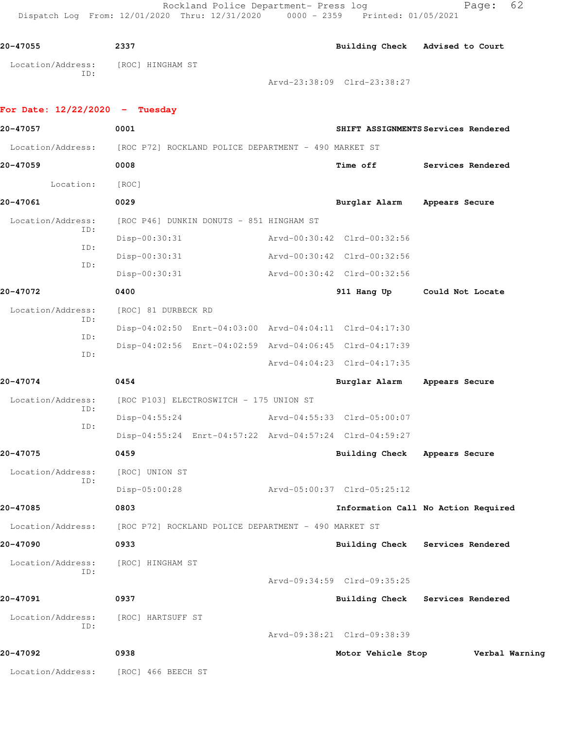Rockland Police Department- Press log Fage: 62 Dispatch Log From: 12/01/2020 Thru: 12/31/2020 0000 - 2359 Printed: 01/05/2021

**20-47055 2337 Building Check Advised to Court** Location/Address: [ROC] HINGHAM ST ID: Arvd-23:38:09 Clrd-23:38:27

## **For Date: 12/22/2020 - Tuesday 20-47057 0001 SHIFT ASSIGNMENTS Services Rendered** Location/Address: [ROC P72] ROCKLAND POLICE DEPARTMENT - 490 MARKET ST **20-47059 0008 Time off Services Rendered** Location: [ROC] **20-47061 0029 Burglar Alarm Appears Secure** Location/Address: [ROC P46] DUNKIN DONUTS - 851 HINGHAM ST ID: Disp-00:30:31 Arvd-00:30:42 Clrd-00:32:56 ID: Disp-00:30:31 Arvd-00:30:42 Clrd-00:32:56 ID: Disp-00:30:31 Arvd-00:30:42 Clrd-00:32:56 **20-47072 0400 911 Hang Up Could Not Locate** Location/Address: [ROC] 81 DURBECK RD ID: Disp-04:02:50 Enrt-04:03:00 Arvd-04:04:11 Clrd-04:17:30 ID: Disp-04:02:56 Enrt-04:02:59 Arvd-04:06:45 Clrd-04:17:39 ID: Arvd-04:04:23 Clrd-04:17:35 **20-47074 0454 Burglar Alarm Appears Secure** Location/Address: [ROC P103] ELECTROSWITCH - 175 UNION ST ID: Disp-04:55:24 Arvd-04:55:33 Clrd-05:00:07 ID: Disp-04:55:24 Enrt-04:57:22 Arvd-04:57:24 Clrd-04:59:27 **20-47075 0459 Building Check Appears Secure** Location/Address: [ROC] UNION ST ID: Disp-05:00:28 Arvd-05:00:37 Clrd-05:25:12 **20-47085 0803 Information Call No Action Required** Location/Address: [ROC P72] ROCKLAND POLICE DEPARTMENT - 490 MARKET ST **20-47090 0933 Building Check Services Rendered** Location/Address: [ROC] HINGHAM ST ID: Arvd-09:34:59 Clrd-09:35:25 **20-47091 0937 Building Check Services Rendered** Location/Address: [ROC] HARTSUFF ST ID: Arvd-09:38:21 Clrd-09:38:39 **20-47092 0938 Motor Vehicle Stop Verbal Warning** Location/Address: [ROC] 466 BEECH ST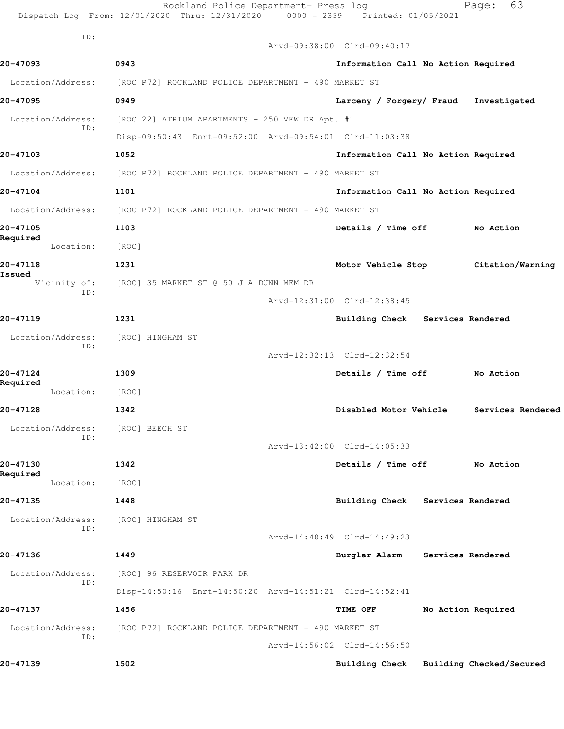|                        | ID: |                                                                        |                                         |                                          |
|------------------------|-----|------------------------------------------------------------------------|-----------------------------------------|------------------------------------------|
|                        |     |                                                                        | Arvd-09:38:00 Clrd-09:40:17             |                                          |
| 20-47093               |     | 0943                                                                   | Information Call No Action Required     |                                          |
| Location/Address:      |     | [ROC P72] ROCKLAND POLICE DEPARTMENT - 490 MARKET ST                   |                                         |                                          |
| 20-47095               |     | 0949                                                                   | Larceny / Forgery/ Fraud                | Investigated                             |
| Location/Address:      | ID: | [ROC 22] ATRIUM APARTMENTS - 250 VFW DR Apt. #1                        |                                         |                                          |
|                        |     | Disp-09:50:43 Enrt-09:52:00 Arvd-09:54:01 Clrd-11:03:38                |                                         |                                          |
| 20-47103               |     | 1052                                                                   | Information Call No Action Required     |                                          |
|                        |     | Location/Address: [ROC P72] ROCKLAND POLICE DEPARTMENT - 490 MARKET ST |                                         |                                          |
| 20-47104               |     | 1101                                                                   | Information Call No Action Required     |                                          |
| Location/Address:      |     | [ROC P72] ROCKLAND POLICE DEPARTMENT - 490 MARKET ST                   |                                         |                                          |
| 20-47105<br>Required   |     | 1103                                                                   | Details / Time off                      | No Action                                |
| Location:              |     | [ROC]                                                                  |                                         |                                          |
| 20-47118               |     | 1231                                                                   |                                         | Motor Vehicle Stop Citation/Warning      |
| Issued<br>Vicinity of: | ID: | [ROC] 35 MARKET ST @ 50 J A DUNN MEM DR                                |                                         |                                          |
|                        |     |                                                                        | Arvd-12:31:00 Clrd-12:38:45             |                                          |
| 20-47119               |     | 1231                                                                   | Building Check Services Rendered        |                                          |
| Location/Address:      |     | [ROC] HINGHAM ST                                                       |                                         |                                          |
|                        | ID: |                                                                        | Arvd-12:32:13 Clrd-12:32:54             |                                          |
| 20-47124               |     | 1309                                                                   | Details / Time off No Action            |                                          |
| Required<br>Location:  |     | [ROC]                                                                  |                                         |                                          |
| 20-47128               |     | 1342                                                                   |                                         | Disabled Motor Vehicle Services Rendered |
| Location/Address:      |     | [ROC] BEECH ST                                                         |                                         |                                          |
|                        | ID: |                                                                        | Arvd-13:42:00 Clrd-14:05:33             |                                          |
| 20-47130               |     | 1342                                                                   | Details / Time off No Action            |                                          |
| Required<br>Location:  |     | [ROC]                                                                  |                                         |                                          |
| 20-47135               |     | 1448                                                                   | Building Check Services Rendered        |                                          |
| Location/Address:      |     | [ROC] HINGHAM ST                                                       |                                         |                                          |
|                        | ID: |                                                                        | Arvd-14:48:49 Clrd-14:49:23             |                                          |
| 20-47136               |     | 1449                                                                   | Burglar Alarm Services Rendered         |                                          |
| Location/Address:      |     | [ROC] 96 RESERVOIR PARK DR                                             |                                         |                                          |
|                        | ID: | Disp-14:50:16 Enrt-14:50:20 Arvd-14:51:21 Clrd-14:52:41                |                                         |                                          |
| 20-47137               |     | 1456                                                                   | <b>TIME OFF</b>                         | No Action Required                       |
| Location/Address:      |     | [ROC P72] ROCKLAND POLICE DEPARTMENT - 490 MARKET ST                   |                                         |                                          |
|                        | ID: |                                                                        | Arvd-14:56:02 Clrd-14:56:50             |                                          |
|                        |     | 1502                                                                   | Building Check Building Checked/Secured |                                          |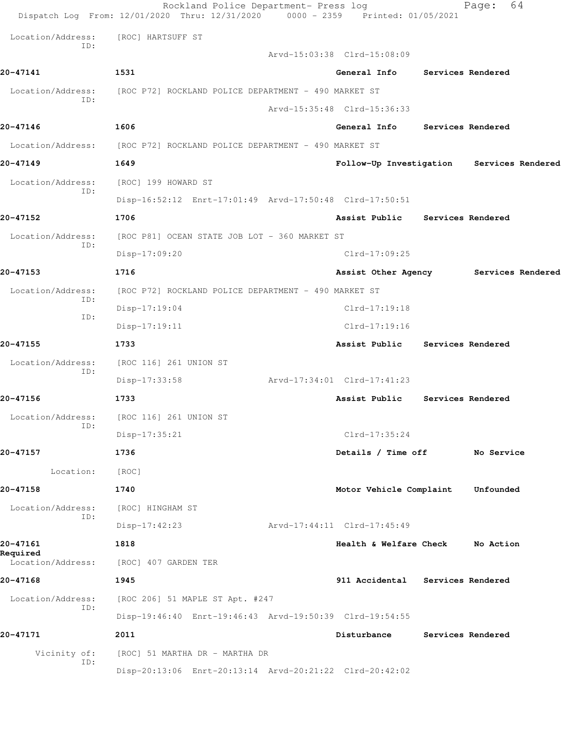|                      | Rockland Police Department- Press log<br>Dispatch Log From: 12/01/2020 Thru: 12/31/2020 0000 - 2359 Printed: 01/05/2021 |                                  | 64<br>Page:       |
|----------------------|-------------------------------------------------------------------------------------------------------------------------|----------------------------------|-------------------|
| Location/Address:    | [ROC] HARTSUFF ST                                                                                                       |                                  |                   |
| ID:                  |                                                                                                                         | Arvd-15:03:38 Clrd-15:08:09      |                   |
| 20-47141             | 1531                                                                                                                    | General Info Services Rendered   |                   |
| Location/Address:    | [ROC P72] ROCKLAND POLICE DEPARTMENT - 490 MARKET ST                                                                    |                                  |                   |
| ID:                  |                                                                                                                         | Arvd-15:35:48 Clrd-15:36:33      |                   |
| 20-47146             | 1606                                                                                                                    | General Info Services Rendered   |                   |
| Location/Address:    | [ROC P72] ROCKLAND POLICE DEPARTMENT - 490 MARKET ST                                                                    |                                  |                   |
| 20-47149             | 1649                                                                                                                    | Follow-Up Investigation          | Services Rendered |
| Location/Address:    | [ROC] 199 HOWARD ST                                                                                                     |                                  |                   |
| ID:                  | Disp-16:52:12 Enrt-17:01:49 Arvd-17:50:48 Clrd-17:50:51                                                                 |                                  |                   |
| 20-47152             | 1706                                                                                                                    | Assist Public Services Rendered  |                   |
| Location/Address:    | [ROC P81] OCEAN STATE JOB LOT - 360 MARKET ST                                                                           |                                  |                   |
| ID:                  | Disp-17:09:20                                                                                                           | $Clrd-17:09:25$                  |                   |
| 20-47153             | 1716                                                                                                                    | Assist Other Agency              | Services Rendered |
| Location/Address:    | [ROC P72] ROCKLAND POLICE DEPARTMENT - 490 MARKET ST                                                                    |                                  |                   |
| ID:                  | Disp-17:19:04                                                                                                           | $Clrd-17:19:18$                  |                   |
| ID:                  | $Disp-17:19:11$                                                                                                         | $Clrd-17:19:16$                  |                   |
| 20-47155             | 1733                                                                                                                    | Assist Public                    | Services Rendered |
| Location/Address:    | [ROC 116] 261 UNION ST                                                                                                  |                                  |                   |
| ID:                  | Disp-17:33:58                                                                                                           | Arvd-17:34:01 Clrd-17:41:23      |                   |
| 20-47156             | 1733                                                                                                                    | Assist Public                    | Services Rendered |
| Location/Address:    | [ROC 116] 261 UNION ST                                                                                                  |                                  |                   |
| ID:                  | Disp-17:35:21                                                                                                           | $Clrd-17:35:24$                  |                   |
| 20-47157             | 1736                                                                                                                    | Details / Time off               | No Service        |
| Location:            | [ROC]                                                                                                                   |                                  |                   |
| 20-47158             | 1740                                                                                                                    | Motor Vehicle Complaint          | Unfounded         |
| Location/Address:    | [ROC] HINGHAM ST                                                                                                        |                                  |                   |
| ID:                  | Disp-17:42:23                                                                                                           | Arvd-17:44:11 Clrd-17:45:49      |                   |
| 20-47161<br>Required | 1818                                                                                                                    | Health & Welfare Check           | No Action         |
| Location/Address:    | [ROC] 407 GARDEN TER                                                                                                    |                                  |                   |
| 20-47168             | 1945                                                                                                                    | 911 Accidental Services Rendered |                   |
| Location/Address:    | [ROC 206] 51 MAPLE ST Apt. #247                                                                                         |                                  |                   |
| ID:                  | Disp-19:46:40 Enrt-19:46:43 Arvd-19:50:39 Clrd-19:54:55                                                                 |                                  |                   |
| 20-47171             | 2011                                                                                                                    | Disturbance                      | Services Rendered |
| Vicinity of:<br>ID:  | [ROC] 51 MARTHA DR - MARTHA DR                                                                                          |                                  |                   |
|                      | Disp-20:13:06 Enrt-20:13:14 Arvd-20:21:22 Clrd-20:42:02                                                                 |                                  |                   |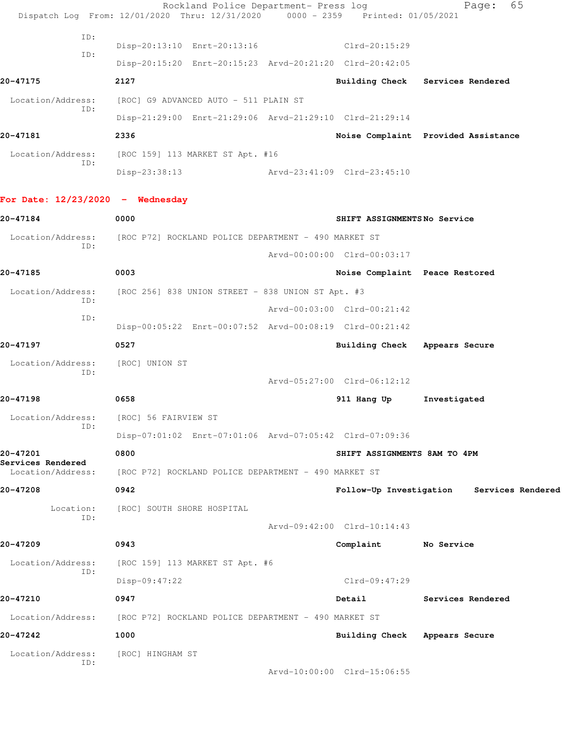Rockland Police Department- Press log Fage: 65 Dispatch Log From: 12/01/2020 Thru: 12/31/2020 0000 - 2359 Printed: 01/05/2021 ID: Disp-20:13:10 Enrt-20:13:16 Clrd-20:15:29 ID: Disp-20:15:20 Enrt-20:15:23 Arvd-20:21:20 Clrd-20:42:05 **20-47175 2127 Building Check Services Rendered** Location/Address: [ROC] G9 ADVANCED AUTO - 511 PLAIN ST ID: Disp-21:29:00 Enrt-21:29:06 Arvd-21:29:10 Clrd-21:29:14 **20-47181 2336 Noise Complaint Provided Assistance** Location/Address: [ROC 159] 113 MARKET ST Apt. #16 ID: Disp-23:38:13 Arvd-23:41:09 Clrd-23:45:10 **For Date: 12/23/2020 - Wednesday 20-47184 0000 SHIFT ASSIGNMENTS No Service** Location/Address: [ROC P72] ROCKLAND POLICE DEPARTMENT - 490 MARKET ST ID: Arvd-00:00:00 Clrd-00:03:17 **20-47185 0003 Noise Complaint Peace Restored** Location/Address: [ROC 256] 838 UNION STREET - 838 UNION ST Apt. #3 ID: Arvd-00:03:00 Clrd-00:21:42 ID: Disp-00:05:22 Enrt-00:07:52 Arvd-00:08:19 Clrd-00:21:42 **20-47197 0527 Building Check Appears Secure** Location/Address: [ROC] UNION ST ID: Arvd-05:27:00 Clrd-06:12:12 **20-47198 0658 911 Hang Up Investigated** Location/Address: [ROC] 56 FAIRVIEW ST ID: Disp-07:01:02 Enrt-07:01:06 Arvd-07:05:42 Clrd-07:09:36 **20-47201 0800 SHIFT ASSIGNMENTS 8AM TO 4PM Services Rendered**  Location/Address: [ROC P72] ROCKLAND POLICE DEPARTMENT - 490 MARKET ST **20-47208 0942 Follow-Up Investigation Services Rendered** Location: [ROC] SOUTH SHORE HOSPITAL ID: Arvd-09:42:00 Clrd-10:14:43 **20-47209 0943 Complaint No Service** Location/Address: [ROC 159] 113 MARKET ST Apt. #6 ID: Disp-09:47:22 Clrd-09:47:29

**20-47210 0947 Detail Services Rendered** Location/Address: [ROC P72] ROCKLAND POLICE DEPARTMENT - 490 MARKET ST

**20-47242 1000 Building Check Appears Secure** Location/Address: [ROC] HINGHAM ST ID:

Arvd-10:00:00 Clrd-15:06:55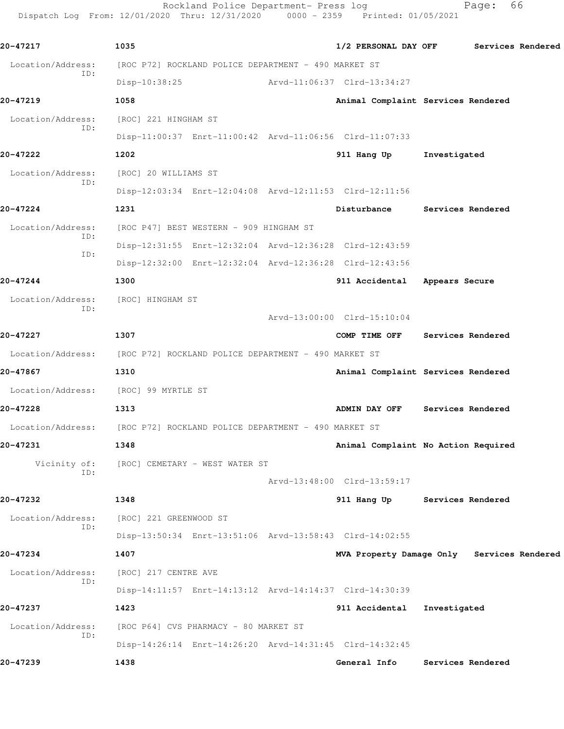Rockland Police Department- Press log France: 66 Dispatch Log From: 12/01/2020 Thru: 12/31/2020 0000 - 2359 Printed: 01/05/2021

**20-47217 1035 1/2 PERSONAL DAY OFF Services Rendered** Location/Address: [ROC P72] ROCKLAND POLICE DEPARTMENT - 490 MARKET ST ID: Disp-10:38:25 Arvd-11:06:37 Clrd-13:34:27 **20-47219 1058 Animal Complaint Services Rendered** Location/Address: [ROC] 221 HINGHAM ST ID: Disp-11:00:37 Enrt-11:00:42 Arvd-11:06:56 Clrd-11:07:33 **20-47222 1202 911 Hang Up Investigated** Location/Address: [ROC] 20 WILLIAMS ST ID: Disp-12:03:34 Enrt-12:04:08 Arvd-12:11:53 Clrd-12:11:56 **20-47224 1231 Disturbance Services Rendered** Location/Address: [ROC P47] BEST WESTERN - 909 HINGHAM ST ID: Disp-12:31:55 Enrt-12:32:04 Arvd-12:36:28 Clrd-12:43:59 ID: Disp-12:32:00 Enrt-12:32:04 Arvd-12:36:28 Clrd-12:43:56 **20-47244 1300 911 Accidental Appears Secure** Location/Address: [ROC] HINGHAM ST ID: Arvd-13:00:00 Clrd-15:10:04 **20-47227 1307 COMP TIME OFF Services Rendered** Location/Address: [ROC P72] ROCKLAND POLICE DEPARTMENT - 490 MARKET ST **20-47867 1310 Animal Complaint Services Rendered** Location/Address: [ROC] 99 MYRTLE ST **20-47228 1313 ADMIN DAY OFF Services Rendered** Location/Address: [ROC P72] ROCKLAND POLICE DEPARTMENT - 490 MARKET ST **20-47231 1348 Animal Complaint No Action Required** Vicinity of: [ROC] CEMETARY - WEST WATER ST ID: Arvd-13:48:00 Clrd-13:59:17 **20-47232 1348 911 Hang Up Services Rendered** Location/Address: [ROC] 221 GREENWOOD ST ID: Disp-13:50:34 Enrt-13:51:06 Arvd-13:58:43 Clrd-14:02:55 **20-47234 1407 MVA Property Damage Only Services Rendered** Location/Address: [ROC] 217 CENTRE AVE ID: Disp-14:11:57 Enrt-14:13:12 Arvd-14:14:37 Clrd-14:30:39 **20-47237 1423 911 Accidental Investigated** Location/Address: [ROC P64] CVS PHARMACY - 80 MARKET ST ID: Disp-14:26:14 Enrt-14:26:20 Arvd-14:31:45 Clrd-14:32:45 **20-47239 1438 General Info Services Rendered**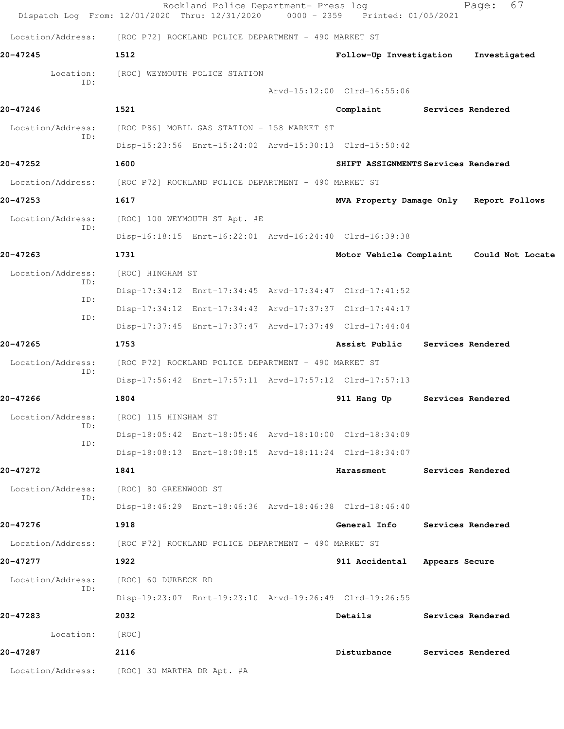|                          | Rockland Police Department- Press log<br>Dispatch Log From: 12/01/2020 Thru: 12/31/2020 0000 - 2359 Printed: 01/05/2021 |                               | 67<br>Page:                              |
|--------------------------|-------------------------------------------------------------------------------------------------------------------------|-------------------------------|------------------------------------------|
| Location/Address:        | [ROC P72] ROCKLAND POLICE DEPARTMENT - 490 MARKET ST                                                                    |                               |                                          |
| 20-47245                 | 1512                                                                                                                    | Follow-Up Investigation       | Investigated                             |
| Location:                | [ROC] WEYMOUTH POLICE STATION                                                                                           |                               |                                          |
| TD:                      |                                                                                                                         | Arvd-15:12:00 Clrd-16:55:06   |                                          |
| 20-47246                 | 1521                                                                                                                    | Complaint                     | Services Rendered                        |
| Location/Address:        | [ROC P86] MOBIL GAS STATION - 158 MARKET ST                                                                             |                               |                                          |
| TD:                      | Disp-15:23:56 Enrt-15:24:02 Arvd-15:30:13 Clrd-15:50:42                                                                 |                               |                                          |
| 20-47252                 | 1600                                                                                                                    |                               | SHIFT ASSIGNMENTS Services Rendered      |
| Location/Address:        | [ROC P72] ROCKLAND POLICE DEPARTMENT - 490 MARKET ST                                                                    |                               |                                          |
| 20-47253                 | 1617                                                                                                                    |                               | MVA Property Damage Only Report Follows  |
| Location/Address:        | [ROC] 100 WEYMOUTH ST Apt. #E                                                                                           |                               |                                          |
| ID:                      | Disp-16:18:15 Enrt-16:22:01 Arvd-16:24:40 Clrd-16:39:38                                                                 |                               |                                          |
| 20-47263                 | 1731                                                                                                                    |                               | Motor Vehicle Complaint Could Not Locate |
| Location/Address:        | [ROC] HINGHAM ST                                                                                                        |                               |                                          |
| ID:                      | Disp-17:34:12 Enrt-17:34:45 Arvd-17:34:47 Clrd-17:41:52                                                                 |                               |                                          |
| TD:                      | Disp-17:34:12 Enrt-17:34:43 Arvd-17:37:37 Clrd-17:44:17                                                                 |                               |                                          |
| ID:                      | Disp-17:37:45 Enrt-17:37:47 Arvd-17:37:49 Clrd-17:44:04                                                                 |                               |                                          |
| 20-47265                 | 1753                                                                                                                    | Assist Public                 | Services Rendered                        |
| Location/Address:<br>ID: | [ROC P72] ROCKLAND POLICE DEPARTMENT - 490 MARKET ST                                                                    |                               |                                          |
|                          | Disp-17:56:42 Enrt-17:57:11 Arvd-17:57:12 Clrd-17:57:13                                                                 |                               |                                          |
| 20-47266                 | 1804                                                                                                                    | 911 Hang Up                   | Services Rendered                        |
| Location/Address:<br>ID: | [ROC] 115 HINGHAM ST                                                                                                    |                               |                                          |
| ID:                      | Disp-18:05:42 Enrt-18:05:46 Arvd-18:10:00 Clrd-18:34:09                                                                 |                               |                                          |
|                          | Disp-18:08:13 Enrt-18:08:15 Arvd-18:11:24 Clrd-18:34:07                                                                 |                               |                                          |
| 20-47272                 | 1841                                                                                                                    | Harassment                    | Services Rendered                        |
| Location/Address:<br>ID: | [ROC] 80 GREENWOOD ST                                                                                                   |                               |                                          |
|                          | Disp-18:46:29 Enrt-18:46:36 Arvd-18:46:38 Clrd-18:46:40                                                                 |                               |                                          |
| 20-47276                 | 1918                                                                                                                    | General Info                  | Services Rendered                        |
| Location/Address:        | [ROC P72] ROCKLAND POLICE DEPARTMENT - 490 MARKET ST                                                                    |                               |                                          |
| 20-47277                 | 1922                                                                                                                    | 911 Accidental Appears Secure |                                          |
| Location/Address:<br>ID: | [ROC] 60 DURBECK RD                                                                                                     |                               |                                          |
|                          | Disp-19:23:07 Enrt-19:23:10 Arvd-19:26:49 Clrd-19:26:55                                                                 |                               |                                          |
| 20-47283                 | 2032                                                                                                                    | Details                       | Services Rendered                        |
| Location:                | [ROC]                                                                                                                   |                               |                                          |
| 20-47287                 | 2116                                                                                                                    | Disturbance                   | Services Rendered                        |
| Location/Address:        | [ROC] 30 MARTHA DR Apt. #A                                                                                              |                               |                                          |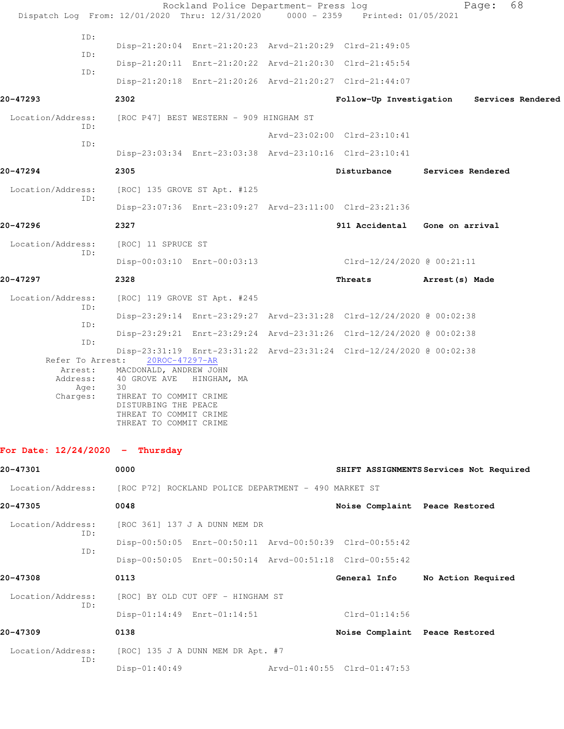| Dispatch Log From: 12/01/2020 Thru: 12/31/2020 0000 - 2359 Printed: 01/05/2021 |                                                                                                                                                                                          | Rockland Police Department- Press log |                                                                      | Page:                                     | 68 |
|--------------------------------------------------------------------------------|------------------------------------------------------------------------------------------------------------------------------------------------------------------------------------------|---------------------------------------|----------------------------------------------------------------------|-------------------------------------------|----|
| ID:<br>ID:<br>ID:                                                              | Disp-21:20:04 Enrt-21:20:23 Arvd-21:20:29 Clrd-21:49:05<br>Disp-21:20:11 Enrt-21:20:22 Arvd-21:20:30 Clrd-21:45:54                                                                       |                                       |                                                                      |                                           |    |
| 20-47293                                                                       | Disp-21:20:18 Enrt-21:20:26 Arvd-21:20:27 Clrd-21:44:07<br>2302                                                                                                                          |                                       |                                                                      | Follow-Up Investigation Services Rendered |    |
| Location/Address:                                                              | [ROC P47] BEST WESTERN - 909 HINGHAM ST                                                                                                                                                  |                                       |                                                                      |                                           |    |
| ID:                                                                            |                                                                                                                                                                                          |                                       | Arvd-23:02:00 Clrd-23:10:41                                          |                                           |    |
| ID:                                                                            | Disp-23:03:34 Enrt-23:03:38 Arvd-23:10:16 Clrd-23:10:41                                                                                                                                  |                                       |                                                                      |                                           |    |
| 20-47294                                                                       | 2305                                                                                                                                                                                     |                                       | Disturbance                                                          | Services Rendered                         |    |
| Location/Address:                                                              | [ROC] 135 GROVE ST Apt. #125                                                                                                                                                             |                                       |                                                                      |                                           |    |
| ID:                                                                            | Disp-23:07:36 Enrt-23:09:27 Arvd-23:11:00 Clrd-23:21:36                                                                                                                                  |                                       |                                                                      |                                           |    |
| 20-47296                                                                       | 2327                                                                                                                                                                                     |                                       | 911 Accidental Gone on arrival                                       |                                           |    |
| Location/Address:                                                              | [ROC] 11 SPRUCE ST                                                                                                                                                                       |                                       |                                                                      |                                           |    |
| ID:                                                                            | Disp-00:03:10 Enrt-00:03:13                                                                                                                                                              |                                       | Clrd-12/24/2020 @ 00:21:11                                           |                                           |    |
| 20-47297                                                                       | 2328                                                                                                                                                                                     |                                       | Threats                                                              | Arrest(s) Made                            |    |
| Location/Address:                                                              | [ROC] 119 GROVE ST Apt. #245                                                                                                                                                             |                                       |                                                                      |                                           |    |
| ID:                                                                            |                                                                                                                                                                                          |                                       | Disp-23:29:14 Enrt-23:29:27 Arvd-23:31:28 Clrd-12/24/2020 @ 00:02:38 |                                           |    |
| ID:<br>ID:                                                                     |                                                                                                                                                                                          |                                       | Disp-23:29:21 Enrt-23:29:24 Arvd-23:31:26 Clrd-12/24/2020 @ 00:02:38 |                                           |    |
| Refer To Arrest:<br>Address:<br>Age:<br>Charges:                               | 20ROC-47297-AR<br>Arrest: MACDONALD, ANDREW JOHN<br>40 GROVE AVE HINGHAM, MA<br>30<br>THREAT TO COMMIT CRIME<br>DISTURBING THE PEACE<br>THREAT TO COMMIT CRIME<br>THREAT TO COMMIT CRIME |                                       | Disp-23:31:19 Enrt-23:31:22 Arvd-23:31:24 Clrd-12/24/2020 @ 00:02:38 |                                           |    |
| For Date: $12/24/2020 -$ Thursday                                              |                                                                                                                                                                                          |                                       |                                                                      |                                           |    |
| 20-47301                                                                       | 0000                                                                                                                                                                                     |                                       |                                                                      | SHIFT ASSIGNMENTS Services Not Required   |    |
| Location/Address:                                                              | [ROC P72] ROCKLAND POLICE DEPARTMENT - 490 MARKET ST                                                                                                                                     |                                       |                                                                      |                                           |    |
| 20-47305                                                                       | 0048                                                                                                                                                                                     |                                       | Noise Complaint Peace Restored                                       |                                           |    |
| Location/Address:<br>ID:                                                       | [ROC 361] 137 J A DUNN MEM DR                                                                                                                                                            |                                       |                                                                      |                                           |    |
| ID:                                                                            | Disp-00:50:05 Enrt-00:50:11 Arvd-00:50:39 Clrd-00:55:42                                                                                                                                  |                                       |                                                                      |                                           |    |
|                                                                                | Disp-00:50:05 Enrt-00:50:14 Arvd-00:51:18 Clrd-00:55:42                                                                                                                                  |                                       |                                                                      |                                           |    |
| 20-47308                                                                       | 0113                                                                                                                                                                                     |                                       | General Info                                                         | No Action Required                        |    |
| Location/Address:<br>ID:                                                       | [ROC] BY OLD CUT OFF - HINGHAM ST                                                                                                                                                        |                                       |                                                                      |                                           |    |
|                                                                                | Disp-01:14:49 Enrt-01:14:51                                                                                                                                                              |                                       | $Clrd-01:14:56$                                                      |                                           |    |
| 20-47309                                                                       | 0138                                                                                                                                                                                     |                                       | Noise Complaint Peace Restored                                       |                                           |    |
| Location/Address:<br>ID:                                                       | [ROC] 135 J A DUNN MEM DR Apt. #7                                                                                                                                                        |                                       |                                                                      |                                           |    |
|                                                                                | Disp-01:40:49                                                                                                                                                                            |                                       | Arvd-01:40:55 Clrd-01:47:53                                          |                                           |    |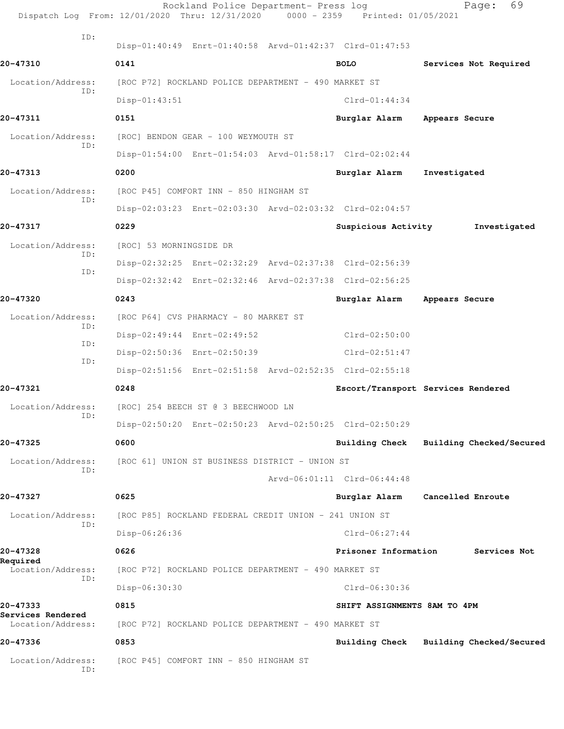| Dispatch Log From: 12/01/2020 Thru: 12/31/2020 0000 - 2359 Printed: 01/05/2021 |                         | Rockland Police Department- Press log                   |                                                         | 69<br>Page:                             |  |
|--------------------------------------------------------------------------------|-------------------------|---------------------------------------------------------|---------------------------------------------------------|-----------------------------------------|--|
| ID:                                                                            |                         |                                                         | Disp-01:40:49 Enrt-01:40:58 Arvd-01:42:37 Clrd-01:47:53 |                                         |  |
| 20-47310                                                                       | 0141                    |                                                         | <b>BOLO</b>                                             | Services Not Required                   |  |
| Location/Address:                                                              |                         | [ROC P72] ROCKLAND POLICE DEPARTMENT - 490 MARKET ST    |                                                         |                                         |  |
| ID:                                                                            | $Disp-01:43:51$         |                                                         | $C1rd-01:44:34$                                         |                                         |  |
| 20-47311                                                                       | 0151                    |                                                         | Burglar Alarm                                           | Appears Secure                          |  |
| Location/Address:                                                              |                         | [ROC] BENDON GEAR - 100 WEYMOUTH ST                     |                                                         |                                         |  |
| ID:                                                                            |                         |                                                         | Disp-01:54:00 Enrt-01:54:03 Arvd-01:58:17 Clrd-02:02:44 |                                         |  |
| 20-47313                                                                       | 0200                    |                                                         | Burglar Alarm                                           | Investigated                            |  |
| Location/Address:                                                              |                         | [ROC P45] COMFORT INN - 850 HINGHAM ST                  |                                                         |                                         |  |
| ID:                                                                            |                         |                                                         | Disp-02:03:23 Enrt-02:03:30 Arvd-02:03:32 Clrd-02:04:57 |                                         |  |
| 20-47317                                                                       | 0229                    |                                                         | Suspicious Activity                                     | Investigated                            |  |
| Location/Address:                                                              | [ROC] 53 MORNINGSIDE DR |                                                         |                                                         |                                         |  |
| ID:                                                                            |                         | Disp-02:32:25 Enrt-02:32:29 Arvd-02:37:38 Clrd-02:56:39 |                                                         |                                         |  |
| ID:                                                                            |                         | Disp-02:32:42 Enrt-02:32:46 Arvd-02:37:38 Clrd-02:56:25 |                                                         |                                         |  |
| 20-47320                                                                       | 0243                    |                                                         | Burglar Alarm                                           | Appears Secure                          |  |
| Location/Address:                                                              |                         | [ROC P64] CVS PHARMACY - 80 MARKET ST                   |                                                         |                                         |  |
| ID:                                                                            |                         | Disp-02:49:44 Enrt-02:49:52                             | $Clrd-02:50:00$                                         |                                         |  |
| ID:                                                                            |                         | Disp-02:50:36 Enrt-02:50:39                             | $Clrd-02:51:47$                                         |                                         |  |
| ID:                                                                            |                         | Disp-02:51:56 Enrt-02:51:58 Arvd-02:52:35 Clrd-02:55:18 |                                                         |                                         |  |
| 20-47321                                                                       | 0248                    |                                                         |                                                         | Escort/Transport Services Rendered      |  |
| Location/Address:                                                              |                         | [ROC] 254 BEECH ST @ 3 BEECHWOOD LN                     |                                                         |                                         |  |
| ID:                                                                            |                         | Disp-02:50:20 Enrt-02:50:23 Arvd-02:50:25 Clrd-02:50:29 |                                                         |                                         |  |
| 20-47325                                                                       | 0600                    |                                                         | Building Check                                          | Building Checked/Secured                |  |
| Location/Address:                                                              |                         | [ROC 61] UNION ST BUSINESS DISTRICT - UNION ST          |                                                         |                                         |  |
| ID:                                                                            |                         |                                                         | Arvd-06:01:11 Clrd-06:44:48                             |                                         |  |
| 20-47327                                                                       | 0625                    |                                                         | Burglar Alarm                                           | Cancelled Enroute                       |  |
| Location/Address:                                                              |                         | [ROC P85] ROCKLAND FEDERAL CREDIT UNION - 241 UNION ST  |                                                         |                                         |  |
| ID:                                                                            | Disp-06:26:36           |                                                         | $Clrd-06:27:44$                                         |                                         |  |
| 20-47328                                                                       | 0626                    |                                                         | Prisoner Information                                    | Services Not                            |  |
| Required<br>Location/Address:                                                  |                         | [ROC P72] ROCKLAND POLICE DEPARTMENT - 490 MARKET ST    |                                                         |                                         |  |
| ID:                                                                            | Disp-06:30:30           |                                                         | Clrd-06:30:36                                           |                                         |  |
| 20-47333                                                                       | 0815                    |                                                         | SHIFT ASSIGNMENTS 8AM TO 4PM                            |                                         |  |
| Services Rendered<br>Location/Address:                                         |                         | [ROC P72] ROCKLAND POLICE DEPARTMENT - 490 MARKET ST    |                                                         |                                         |  |
| 20-47336                                                                       | 0853                    |                                                         |                                                         | Building Check Building Checked/Secured |  |
| Location/Address:<br>ID:                                                       |                         | [ROC P45] COMFORT INN - 850 HINGHAM ST                  |                                                         |                                         |  |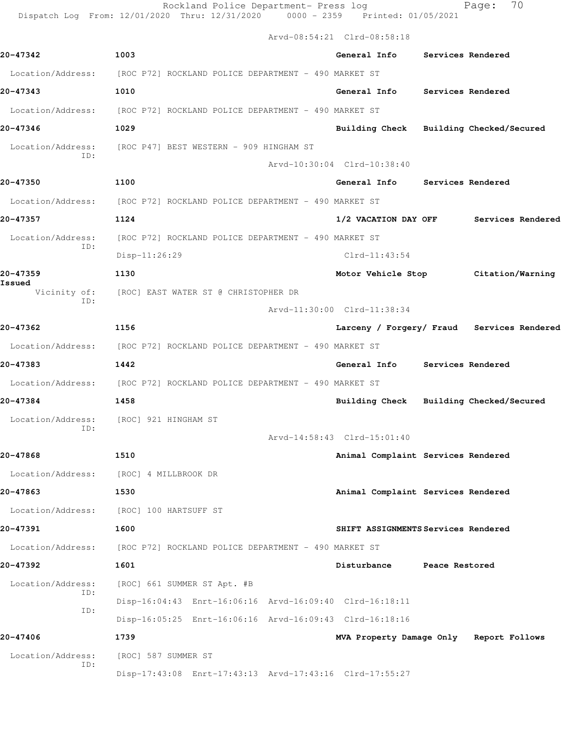Rockland Police Department- Press log entitled Page: 70 Dispatch Log From: 12/01/2020 Thru: 12/31/2020 0000 - 2359 Printed: 01/05/2021

Arvd-08:54:21 Clrd-08:58:18

| 20-47342                      | 1003                                                                   | General Info Services Rendered          |                |                                            |  |  |  |
|-------------------------------|------------------------------------------------------------------------|-----------------------------------------|----------------|--------------------------------------------|--|--|--|
|                               | Location/Address: [ROC P72] ROCKLAND POLICE DEPARTMENT - 490 MARKET ST |                                         |                |                                            |  |  |  |
| 20-47343                      | 1010                                                                   | General Info Services Rendered          |                |                                            |  |  |  |
|                               | Location/Address: [ROC P72] ROCKLAND POLICE DEPARTMENT - 490 MARKET ST |                                         |                |                                            |  |  |  |
| 20-47346                      | 1029                                                                   | Building Check Building Checked/Secured |                |                                            |  |  |  |
| TD:                           | Location/Address: [ROC P47] BEST WESTERN - 909 HINGHAM ST              |                                         |                |                                            |  |  |  |
|                               |                                                                        | Arvd-10:30:04 Clrd-10:38:40             |                |                                            |  |  |  |
| 20-47350                      | 1100                                                                   | General Info Services Rendered          |                |                                            |  |  |  |
|                               | Location/Address: [ROC P72] ROCKLAND POLICE DEPARTMENT - 490 MARKET ST |                                         |                |                                            |  |  |  |
| 20-47357                      | 1124                                                                   |                                         |                | 1/2 VACATION DAY OFF Services Rendered     |  |  |  |
| Location/Address:<br>ID:      | [ROC P72] ROCKLAND POLICE DEPARTMENT - 490 MARKET ST                   |                                         |                |                                            |  |  |  |
|                               | Disp-11:26:29                                                          | $Clrd-11:43:54$                         |                |                                            |  |  |  |
| 20-47359                      | 1130                                                                   | Motor Vehicle Stop Citation/Warning     |                |                                            |  |  |  |
| Issued<br>Vicinity of:<br>TD: | [ROC] EAST WATER ST @ CHRISTOPHER DR                                   |                                         |                |                                            |  |  |  |
|                               |                                                                        | Arvd-11:30:00 Clrd-11:38:34             |                |                                            |  |  |  |
| 20-47362                      | 1156                                                                   |                                         |                | Larceny / Forgery/ Fraud Services Rendered |  |  |  |
|                               | Location/Address: [ROC P72] ROCKLAND POLICE DEPARTMENT - 490 MARKET ST |                                         |                |                                            |  |  |  |
| 20-47383                      | 1442                                                                   | General Info Services Rendered          |                |                                            |  |  |  |
|                               | Location/Address: [ROC P72] ROCKLAND POLICE DEPARTMENT - 490 MARKET ST |                                         |                |                                            |  |  |  |
| 20-47384                      | 1458                                                                   | Building Check Building Checked/Secured |                |                                            |  |  |  |
| Location/Address:<br>ID:      | [ROC] 921 HINGHAM ST                                                   |                                         |                |                                            |  |  |  |
|                               |                                                                        | Arvd-14:58:43 Clrd-15:01:40             |                |                                            |  |  |  |
| 20-47868                      | 1510                                                                   | Animal Complaint Services Rendered      |                |                                            |  |  |  |
|                               | Location/Address: [ROC] 4 MILLBROOK DR                                 |                                         |                |                                            |  |  |  |
| 20-47863                      | 1530                                                                   | Animal Complaint Services Rendered      |                |                                            |  |  |  |
| Location/Address:             | [ROC] 100 HARTSUFF ST                                                  |                                         |                |                                            |  |  |  |
| 20-47391                      | 1600                                                                   | SHIFT ASSIGNMENTS Services Rendered     |                |                                            |  |  |  |
| Location/Address:             | [ROC P72] ROCKLAND POLICE DEPARTMENT - 490 MARKET ST                   |                                         |                |                                            |  |  |  |
| 20-47392                      | 1601                                                                   | Disturbance                             | Peace Restored |                                            |  |  |  |
| Location/Address:<br>ID:      | [ROC] 661 SUMMER ST Apt. #B                                            |                                         |                |                                            |  |  |  |
| ID:                           | Disp-16:04:43 Enrt-16:06:16 Arvd-16:09:40 Clrd-16:18:11                |                                         |                |                                            |  |  |  |
|                               | Disp-16:05:25 Enrt-16:06:16 Arvd-16:09:43 Clrd-16:18:16                |                                         |                |                                            |  |  |  |
| 20-47406                      | 1739                                                                   | MVA Property Damage Only Report Follows |                |                                            |  |  |  |
| Location/Address:<br>ID:      | [ROC] 587 SUMMER ST                                                    |                                         |                |                                            |  |  |  |
|                               | Disp-17:43:08 Enrt-17:43:13 Arvd-17:43:16 Clrd-17:55:27                |                                         |                |                                            |  |  |  |
|                               |                                                                        |                                         |                |                                            |  |  |  |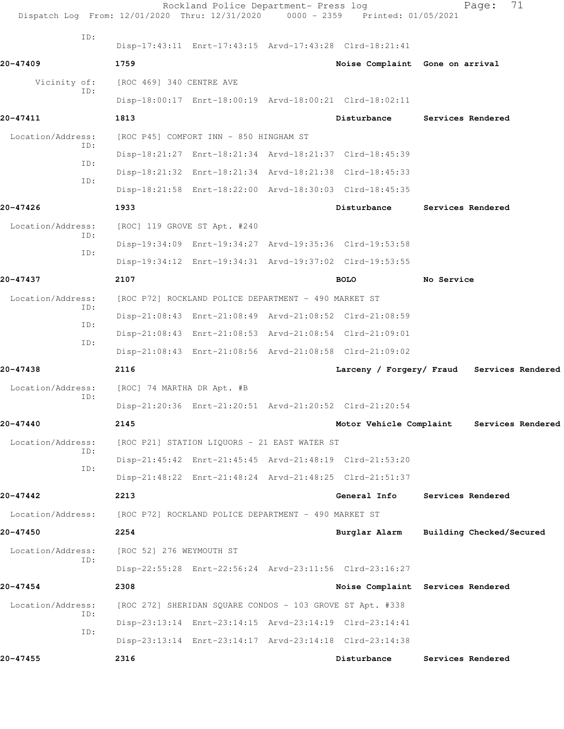| Dispatch Log From: 12/01/2020 Thru: 12/31/2020 0000 - 2359 Printed: 01/05/2021 |                                                      | Rockland Police Department- Press log                     |                                   |            | 71<br>Page:                                |  |
|--------------------------------------------------------------------------------|------------------------------------------------------|-----------------------------------------------------------|-----------------------------------|------------|--------------------------------------------|--|
| ID:                                                                            |                                                      | Disp-17:43:11 Enrt-17:43:15 Arvd-17:43:28 Clrd-18:21:41   |                                   |            |                                            |  |
| 20-47409                                                                       | 1759                                                 |                                                           | Noise Complaint Gone on arrival   |            |                                            |  |
| Vicinity of:                                                                   | [ROC 469] 340 CENTRE AVE                             |                                                           |                                   |            |                                            |  |
| ID:                                                                            |                                                      | Disp-18:00:17 Enrt-18:00:19 Arvd-18:00:21 Clrd-18:02:11   |                                   |            |                                            |  |
| 20-47411                                                                       | 1813                                                 |                                                           | Disturbance                       |            | Services Rendered                          |  |
| Location/Address:                                                              |                                                      | [ROC P45] COMFORT INN - 850 HINGHAM ST                    |                                   |            |                                            |  |
| ID:                                                                            |                                                      | Disp-18:21:27 Enrt-18:21:34 Arvd-18:21:37 Clrd-18:45:39   |                                   |            |                                            |  |
| ID:                                                                            |                                                      | Disp-18:21:32 Enrt-18:21:34 Arvd-18:21:38 Clrd-18:45:33   |                                   |            |                                            |  |
| ID:                                                                            |                                                      | Disp-18:21:58 Enrt-18:22:00 Arvd-18:30:03 Clrd-18:45:35   |                                   |            |                                            |  |
| 20-47426                                                                       | 1933                                                 |                                                           | Disturbance                       |            | Services Rendered                          |  |
| Location/Address:                                                              |                                                      | [ROC] 119 GROVE ST Apt. #240                              |                                   |            |                                            |  |
| ID:                                                                            |                                                      | Disp-19:34:09 Enrt-19:34:27 Arvd-19:35:36 Clrd-19:53:58   |                                   |            |                                            |  |
| ID:                                                                            |                                                      | Disp-19:34:12 Enrt-19:34:31 Arvd-19:37:02 Clrd-19:53:55   |                                   |            |                                            |  |
| 20-47437                                                                       | 2107                                                 |                                                           | <b>BOLO</b>                       | No Service |                                            |  |
| Location/Address:                                                              |                                                      | [ROC P72] ROCKLAND POLICE DEPARTMENT - 490 MARKET ST      |                                   |            |                                            |  |
| ID:                                                                            |                                                      | Disp-21:08:43 Enrt-21:08:49 Arvd-21:08:52 Clrd-21:08:59   |                                   |            |                                            |  |
| ID:                                                                            |                                                      | Disp-21:08:43 Enrt-21:08:53 Arvd-21:08:54 Clrd-21:09:01   |                                   |            |                                            |  |
| ID:                                                                            |                                                      | Disp-21:08:43 Enrt-21:08:56 Arvd-21:08:58 Clrd-21:09:02   |                                   |            |                                            |  |
| 20-47438                                                                       | 2116                                                 |                                                           |                                   |            | Larceny / Forgery/ Fraud Services Rendered |  |
| Location/Address:                                                              | [ROC] 74 MARTHA DR Apt. #B                           |                                                           |                                   |            |                                            |  |
| ID:                                                                            |                                                      | Disp-21:20:36 Enrt-21:20:51 Arvd-21:20:52 Clrd-21:20:54   |                                   |            |                                            |  |
| 20-47440                                                                       | 2145                                                 |                                                           | Motor Vehicle Complaint           |            | Services Rendered                          |  |
| Location/Address:                                                              |                                                      | [ROC P21] STATION LIQUORS - 21 EAST WATER ST              |                                   |            |                                            |  |
| ID:                                                                            |                                                      | Disp-21:45:42 Enrt-21:45:45 Arvd-21:48:19 Clrd-21:53:20   |                                   |            |                                            |  |
| ID:                                                                            |                                                      | Disp-21:48:22 Enrt-21:48:24 Arvd-21:48:25 Clrd-21:51:37   |                                   |            |                                            |  |
| 20-47442                                                                       | 2213                                                 |                                                           | General Info                      |            | Services Rendered                          |  |
| Location/Address:                                                              | [ROC P72] ROCKLAND POLICE DEPARTMENT - 490 MARKET ST |                                                           |                                   |            |                                            |  |
| 20-47450                                                                       | 2254                                                 |                                                           | Burglar Alarm                     |            | Building Checked/Secured                   |  |
| Location/Address:                                                              | [ROC 52] 276 WEYMOUTH ST                             |                                                           |                                   |            |                                            |  |
| ID:                                                                            |                                                      | Disp-22:55:28 Enrt-22:56:24 Arvd-23:11:56 Clrd-23:16:27   |                                   |            |                                            |  |
| 20-47454                                                                       | 2308                                                 |                                                           | Noise Complaint Services Rendered |            |                                            |  |
| Location/Address:                                                              |                                                      | [ROC 272] SHERIDAN SQUARE CONDOS - 103 GROVE ST Apt. #338 |                                   |            |                                            |  |
| ID:                                                                            |                                                      | Disp-23:13:14 Enrt-23:14:15 Arvd-23:14:19 Clrd-23:14:41   |                                   |            |                                            |  |
| ID:                                                                            |                                                      | Disp-23:13:14 Enrt-23:14:17 Arvd-23:14:18 Clrd-23:14:38   |                                   |            |                                            |  |
| 20-47455                                                                       | 2316                                                 |                                                           | Disturbance                       |            | Services Rendered                          |  |
|                                                                                |                                                      |                                                           |                                   |            |                                            |  |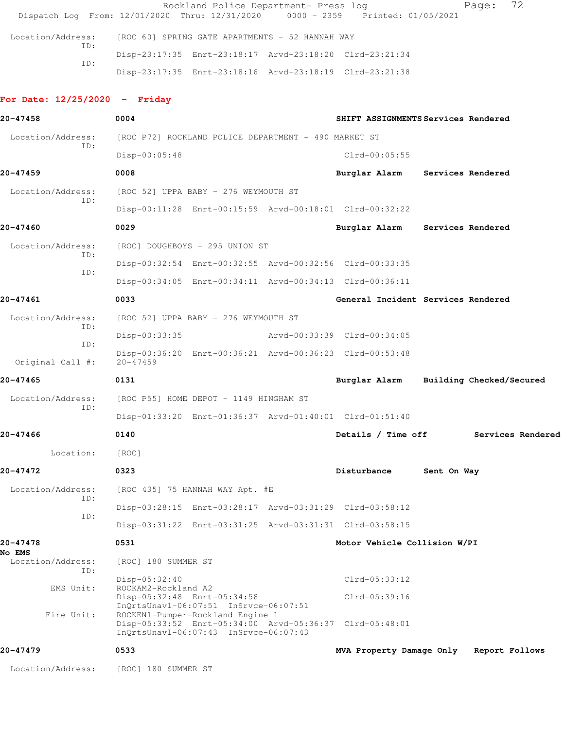|     | Rockland Police Department- Press log                                          | Page: 72 |
|-----|--------------------------------------------------------------------------------|----------|
|     | Dispatch Log From: 12/01/2020 Thru: 12/31/2020 0000 - 2359 Printed: 01/05/2021 |          |
|     |                                                                                |          |
|     | Location/Address: [ROC 60] SPRING GATE APARTMENTS - 52 HANNAH WAY              |          |
| ID: | Disp-23:17:35 Enrt-23:18:17 Arvd-23:18:20 Clrd-23:21:34                        |          |
| ID: |                                                                                |          |
|     | Disp-23:17:35 Enrt-23:18:16 Arvd-23:18:19 Clrd-23:21:38                        |          |

## **For Date: 12/25/2020 - Friday**

| 20-47458                           | 0004                                                 |                                                                                                                    |  | SHIFT ASSIGNMENTS Services Rendered                     |             |                          |  |
|------------------------------------|------------------------------------------------------|--------------------------------------------------------------------------------------------------------------------|--|---------------------------------------------------------|-------------|--------------------------|--|
| Location/Address:                  | [ROC P72] ROCKLAND POLICE DEPARTMENT - 490 MARKET ST |                                                                                                                    |  |                                                         |             |                          |  |
| TD:                                | $Disp-00:05:48$                                      |                                                                                                                    |  | $Clrd-00:05:55$                                         |             |                          |  |
| 20-47459                           | 0008                                                 |                                                                                                                    |  | Burglar Alarm                                           |             | Services Rendered        |  |
| Location/Address:                  | [ROC 52] UPPA BABY - 276 WEYMOUTH ST                 |                                                                                                                    |  |                                                         |             |                          |  |
| TD:                                |                                                      |                                                                                                                    |  | Disp-00:11:28 Enrt-00:15:59 Arvd-00:18:01 Clrd-00:32:22 |             |                          |  |
| 20-47460                           | 0029                                                 |                                                                                                                    |  | Burglar Alarm                                           |             | Services Rendered        |  |
| Location/Address:                  |                                                      | [ROC] DOUGHBOYS - 295 UNION ST                                                                                     |  |                                                         |             |                          |  |
| ID:                                |                                                      |                                                                                                                    |  | Disp-00:32:54 Enrt-00:32:55 Arvd-00:32:56 Clrd-00:33:35 |             |                          |  |
| ID:                                |                                                      |                                                                                                                    |  | Disp-00:34:05 Enrt-00:34:11 Arvd-00:34:13 Clrd-00:36:11 |             |                          |  |
| 20-47461                           | 0033                                                 |                                                                                                                    |  | General Incident Services Rendered                      |             |                          |  |
| Location/Address:                  |                                                      | [ROC 52] UPPA BABY - 276 WEYMOUTH ST                                                                               |  |                                                         |             |                          |  |
| ID:                                | Disp-00:33:35                                        |                                                                                                                    |  | Arvd-00:33:39 Clrd-00:34:05                             |             |                          |  |
| ID:<br>Original Call #:            | $20 - 47459$                                         |                                                                                                                    |  | Disp-00:36:20 Enrt-00:36:21 Arvd-00:36:23 Clrd-00:53:48 |             |                          |  |
| 20-47465                           | 0131                                                 |                                                                                                                    |  | Burglar Alarm                                           |             | Building Checked/Secured |  |
| Location/Address:                  |                                                      | [ROC P55] HOME DEPOT - 1149 HINGHAM ST                                                                             |  |                                                         |             |                          |  |
| ID:                                |                                                      |                                                                                                                    |  | Disp-01:33:20 Enrt-01:36:37 Arvd-01:40:01 Clrd-01:51:40 |             |                          |  |
| 20-47466                           | 0140                                                 |                                                                                                                    |  | Details / Time off                                      |             | Services Rendered        |  |
| Location:                          | [ROC]                                                |                                                                                                                    |  |                                                         |             |                          |  |
| 20-47472                           | 0323                                                 |                                                                                                                    |  | Disturbance                                             | Sent On Way |                          |  |
| Location/Address:                  |                                                      | [ROC 435] 75 HANNAH WAY Apt. #E                                                                                    |  |                                                         |             |                          |  |
| ID:                                |                                                      |                                                                                                                    |  | Disp-03:28:15 Enrt-03:28:17 Arvd-03:31:29 Clrd-03:58:12 |             |                          |  |
| ID:                                |                                                      |                                                                                                                    |  | Disp-03:31:22 Enrt-03:31:25 Arvd-03:31:31 Clrd-03:58:15 |             |                          |  |
| 20-47478                           | 0531                                                 |                                                                                                                    |  | Motor Vehicle Collision W/PI                            |             |                          |  |
| <b>No EMS</b><br>Location/Address: | [ROC] 180 SUMMER ST                                  |                                                                                                                    |  |                                                         |             |                          |  |
| ID:                                | Disp-05:32:40                                        |                                                                                                                    |  | $Clrd-05:33:12$                                         |             |                          |  |
| EMS Unit:                          | ROCKAM2-Rockland A2                                  | Disp-05:32:48 Enrt-05:34:58                                                                                        |  | Clrd-05:39:16                                           |             |                          |  |
| Fire Unit:                         |                                                      | InQrtsUnavl-06:07:51 InSrvce-06:07:51<br>ROCKEN1-Pumper-Rockland Engine 1<br>InOrtsUnavl-06:07:43 InSrvce-06:07:43 |  | Disp-05:33:52 Enrt-05:34:00 Arvd-05:36:37 Clrd-05:48:01 |             |                          |  |
| 20-47479                           | 0533                                                 |                                                                                                                    |  | MVA Property Damage Only                                |             | Report Follows           |  |
| Location/Address:                  | [ROC] 180 SUMMER ST                                  |                                                                                                                    |  |                                                         |             |                          |  |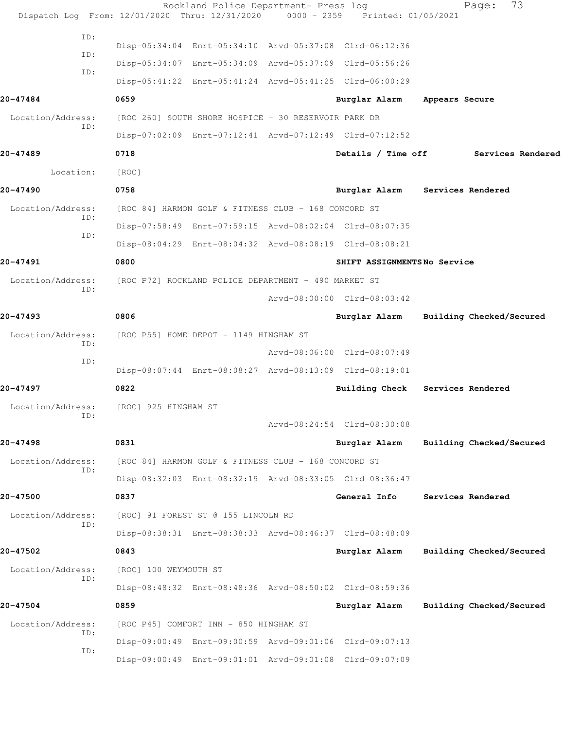|                          | Rockland Police Department- Press log<br>Dispatch Log From: 12/01/2020 Thru: 12/31/2020 0000 - 2359 Printed: 01/05/2021 |                             | Page:                    | 73                |
|--------------------------|-------------------------------------------------------------------------------------------------------------------------|-----------------------------|--------------------------|-------------------|
| ID:                      |                                                                                                                         |                             |                          |                   |
| ID:                      | Disp-05:34:04 Enrt-05:34:10 Arvd-05:37:08 Clrd-06:12:36                                                                 |                             |                          |                   |
| ID:                      | Disp-05:34:07 Enrt-05:34:09 Arvd-05:37:09 Clrd-05:56:26                                                                 |                             |                          |                   |
|                          | Disp-05:41:22 Enrt-05:41:24 Arvd-05:41:25 Clrd-06:00:29                                                                 |                             |                          |                   |
| 20-47484                 | 0659                                                                                                                    | Burglar Alarm               | Appears Secure           |                   |
| Location/Address:<br>ID: | [ROC 260] SOUTH SHORE HOSPICE - 30 RESERVOIR PARK DR                                                                    |                             |                          |                   |
|                          | Disp-07:02:09 Enrt-07:12:41 Arvd-07:12:49 Clrd-07:12:52                                                                 |                             |                          |                   |
| 20-47489                 | 0718                                                                                                                    | Details / Time off          |                          | Services Rendered |
| Location:                | [ROC]                                                                                                                   |                             |                          |                   |
| 20-47490                 | 0758                                                                                                                    | Burglar Alarm               | Services Rendered        |                   |
| Location/Address:<br>ID: | [ROC 84] HARMON GOLF & FITNESS CLUB - 168 CONCORD ST                                                                    |                             |                          |                   |
| ID:                      | Disp-07:58:49 Enrt-07:59:15 Arvd-08:02:04 Clrd-08:07:35                                                                 |                             |                          |                   |
|                          | Disp-08:04:29 Enrt-08:04:32 Arvd-08:08:19 Clrd-08:08:21                                                                 |                             |                          |                   |
| 20-47491                 | 0800                                                                                                                    | SHIFT ASSIGNMENTSNo Service |                          |                   |
| Location/Address:<br>ID: | [ROC P72] ROCKLAND POLICE DEPARTMENT - 490 MARKET ST                                                                    |                             |                          |                   |
|                          |                                                                                                                         | Arvd-08:00:00 Clrd-08:03:42 |                          |                   |
| 20-47493                 | 0806                                                                                                                    | Burglar Alarm               | Building Checked/Secured |                   |
| Location/Address:        | [ROC P55] HOME DEPOT - 1149 HINGHAM ST                                                                                  |                             |                          |                   |
| ID:<br>ID:               |                                                                                                                         | Arvd-08:06:00 Clrd-08:07:49 |                          |                   |
|                          | Disp-08:07:44 Enrt-08:08:27 Arvd-08:13:09 Clrd-08:19:01                                                                 |                             |                          |                   |
| 20-47497                 | 0822                                                                                                                    | Building Check              | Services Rendered        |                   |
|                          | Location/Address: [ROC] 925 HINGHAM ST                                                                                  |                             |                          |                   |
| ID:                      |                                                                                                                         | Arvd-08:24:54 Clrd-08:30:08 |                          |                   |
| 20-47498                 | 0831                                                                                                                    | Burglar Alarm               | Building Checked/Secured |                   |
| Location/Address:        | [ROC 84] HARMON GOLF & FITNESS CLUB - 168 CONCORD ST                                                                    |                             |                          |                   |
| ID:                      | Disp-08:32:03 Enrt-08:32:19 Arvd-08:33:05 Clrd-08:36:47                                                                 |                             |                          |                   |
| 20-47500                 | 0837                                                                                                                    | General Info                | Services Rendered        |                   |
| Location/Address:        | [ROC] 91 FOREST ST @ 155 LINCOLN RD                                                                                     |                             |                          |                   |
| ID:                      | Disp-08:38:31 Enrt-08:38:33 Arvd-08:46:37 Clrd-08:48:09                                                                 |                             |                          |                   |
| 20-47502                 | 0843                                                                                                                    | Burglar Alarm               | Building Checked/Secured |                   |
| Location/Address:        | [ROC] 100 WEYMOUTH ST                                                                                                   |                             |                          |                   |
| ID:                      | Disp-08:48:32 Enrt-08:48:36 Arvd-08:50:02 Clrd-08:59:36                                                                 |                             |                          |                   |
| 20-47504                 | 0859                                                                                                                    | Burglar Alarm               | Building Checked/Secured |                   |
| Location/Address:        | [ROC P45] COMFORT INN - 850 HINGHAM ST                                                                                  |                             |                          |                   |
| ID:                      | Disp-09:00:49 Enrt-09:00:59 Arvd-09:01:06 Clrd-09:07:13                                                                 |                             |                          |                   |
| ID:                      | Disp-09:00:49 Enrt-09:01:01 Arvd-09:01:08 Clrd-09:07:09                                                                 |                             |                          |                   |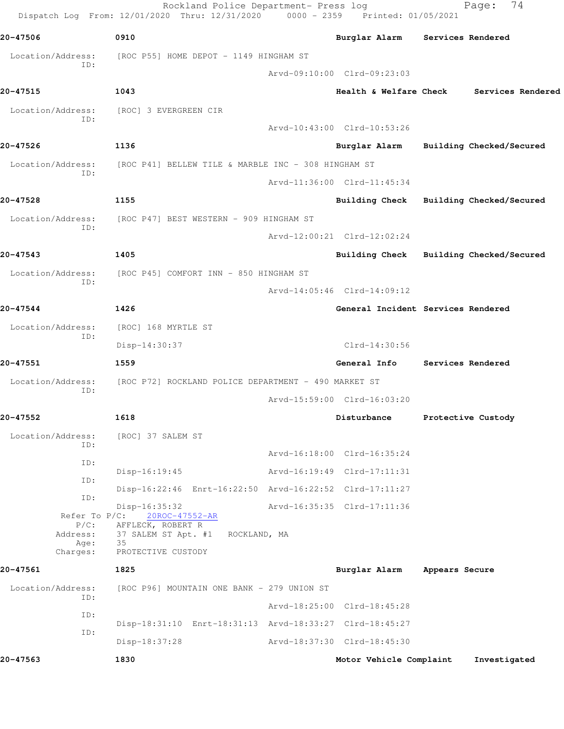|                             | Rockland Police Department- Press log<br>Dispatch Log From: 12/01/2020 Thru: 12/31/2020 0000 - 2359 Printed: 01/05/2021 |                                         |                   | 74<br>Page:              |
|-----------------------------|-------------------------------------------------------------------------------------------------------------------------|-----------------------------------------|-------------------|--------------------------|
| 20-47506                    | 0910                                                                                                                    | Burglar Alarm Services Rendered         |                   |                          |
| Location/Address:<br>ID:    | [ROC P55] HOME DEPOT - 1149 HINGHAM ST                                                                                  |                                         |                   |                          |
|                             |                                                                                                                         | Arvd-09:10:00 Clrd-09:23:03             |                   |                          |
| 20-47515                    | 1043                                                                                                                    | <b>Health &amp; Welfare Check</b>       |                   | Services Rendered        |
| Location/Address:<br>ID:    | [ROC] 3 EVERGREEN CIR                                                                                                   |                                         |                   |                          |
|                             |                                                                                                                         | Arvd-10:43:00 Clrd-10:53:26             |                   |                          |
| 20-47526                    | 1136                                                                                                                    | Burglar Alarm                           |                   | Building Checked/Secured |
| Location/Address:<br>ID:    | [ROC P41] BELLEW TILE & MARBLE INC - 308 HINGHAM ST                                                                     |                                         |                   |                          |
|                             |                                                                                                                         | Arvd-11:36:00 Clrd-11:45:34             |                   |                          |
| 20-47528                    | 1155                                                                                                                    | Building Check Building Checked/Secured |                   |                          |
| Location/Address:           | [ROC P47] BEST WESTERN - 909 HINGHAM ST                                                                                 |                                         |                   |                          |
| ID:                         |                                                                                                                         | Arvd-12:00:21 Clrd-12:02:24             |                   |                          |
| 20-47543                    | 1405                                                                                                                    | Building Check Building Checked/Secured |                   |                          |
| Location/Address:           | [ROC P45] COMFORT INN - 850 HINGHAM ST                                                                                  |                                         |                   |                          |
| ID:                         |                                                                                                                         | Arvd-14:05:46 Clrd-14:09:12             |                   |                          |
| 20-47544                    | 1426                                                                                                                    | General Incident Services Rendered      |                   |                          |
| Location/Address:           | [ROC] 168 MYRTLE ST                                                                                                     |                                         |                   |                          |
| ID:                         | Disp-14:30:37                                                                                                           | $Clrd-14:30:56$                         |                   |                          |
| 20-47551                    | 1559                                                                                                                    | <b>General Info</b>                     | Services Rendered |                          |
| Location/Address:           | [ROC P72] ROCKLAND POLICE DEPARTMENT - 490 MARKET ST                                                                    |                                         |                   |                          |
| ID:                         |                                                                                                                         | Arvd-15:59:00 Clrd-16:03:20             |                   |                          |
| 20-47552                    | 1618                                                                                                                    | Disturbance                             |                   | Protective Custody       |
| Location/Address:           | [ROC] 37 SALEM ST                                                                                                       |                                         |                   |                          |
| ID:                         |                                                                                                                         | Arvd-16:18:00 Clrd-16:35:24             |                   |                          |
| ID:                         | Disp-16:19:45                                                                                                           | Arvd-16:19:49 Clrd-17:11:31             |                   |                          |
| ID:                         | Disp-16:22:46 Enrt-16:22:50 Arvd-16:22:52 Clrd-17:11:27                                                                 |                                         |                   |                          |
| ID:                         | Disp-16:35:32                                                                                                           | Arvd-16:35:35 Clrd-17:11:36             |                   |                          |
| Refer To $P/C$ :<br>$P/C$ : | 20ROC-47552-AR<br>AFFLECK, ROBERT R                                                                                     |                                         |                   |                          |
| Address:<br>Age:            | 37 SALEM ST Apt. #1<br>ROCKLAND, MA<br>35                                                                               |                                         |                   |                          |
| Charges:                    | PROTECTIVE CUSTODY                                                                                                      |                                         |                   |                          |
| 20-47561                    | 1825                                                                                                                    | Burglar Alarm                           | Appears Secure    |                          |
| Location/Address:<br>ID:    | [ROC P96] MOUNTAIN ONE BANK - 279 UNION ST                                                                              |                                         |                   |                          |
| ID:                         |                                                                                                                         | Arvd-18:25:00 Clrd-18:45:28             |                   |                          |
| ID:                         | Disp-18:31:10 Enrt-18:31:13 Arvd-18:33:27 Clrd-18:45:27                                                                 |                                         |                   |                          |
|                             | Disp-18:37:28                                                                                                           | Arvd-18:37:30 Clrd-18:45:30             |                   |                          |
| 20-47563                    | 1830                                                                                                                    | Motor Vehicle Complaint                 |                   | Investigated             |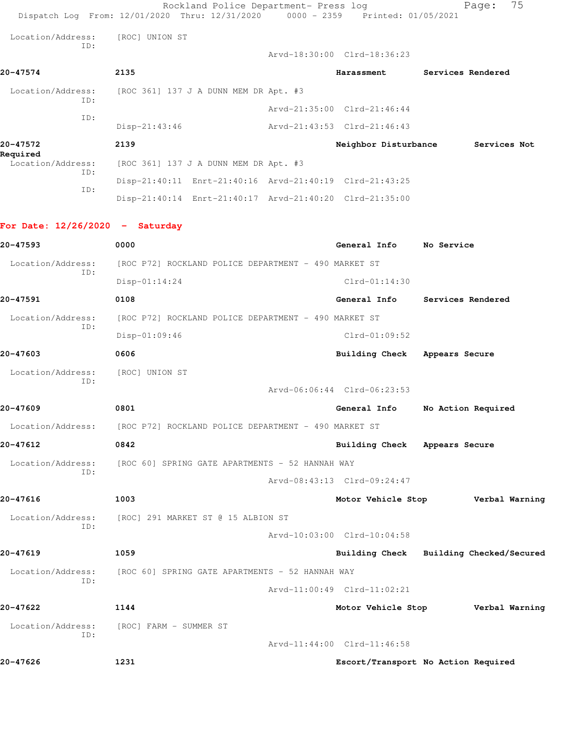|                                   | Rockland Police Department- Press log<br>Dispatch Log From: 12/01/2020 Thru: 12/31/2020 0000 - 2359 Printed: 01/05/2021 |                               | 75<br>Page:                             |
|-----------------------------------|-------------------------------------------------------------------------------------------------------------------------|-------------------------------|-----------------------------------------|
| Location/Address:                 | [ROC] UNION ST                                                                                                          |                               |                                         |
| ID:                               |                                                                                                                         | Arvd-18:30:00 Clrd-18:36:23   |                                         |
| 20-47574                          | 2135                                                                                                                    | Harassment                    | Services Rendered                       |
| Location/Address:                 | [ROC 361] 137 J A DUNN MEM DR Apt. #3                                                                                   |                               |                                         |
| ID:<br>ID:                        |                                                                                                                         | Arvd-21:35:00 Clrd-21:46:44   |                                         |
|                                   | Disp-21:43:46                                                                                                           | Arvd-21:43:53 Clrd-21:46:43   |                                         |
| 20-47572<br>Required              | 2139                                                                                                                    | Neighbor Disturbance          | Services Not                            |
| Location/Address:<br>ID:          | [ROC 361] 137 J A DUNN MEM DR Apt. #3                                                                                   |                               |                                         |
| ID:                               | Disp-21:40:11 Enrt-21:40:16 Arvd-21:40:19 Clrd-21:43:25                                                                 |                               |                                         |
|                                   | Disp-21:40:14 Enrt-21:40:17 Arvd-21:40:20 Clrd-21:35:00                                                                 |                               |                                         |
| For Date: $12/26/2020 -$ Saturday |                                                                                                                         |                               |                                         |
| 20-47593                          | 0000                                                                                                                    | General Info                  | No Service                              |
| Location/Address:<br>ID:          | [ROC P72] ROCKLAND POLICE DEPARTMENT - 490 MARKET ST                                                                    |                               |                                         |
|                                   | $Disp-01:14:24$                                                                                                         | $Clrd-01:14:30$               |                                         |
| 20-47591                          | 0108                                                                                                                    | General Info                  | Services Rendered                       |
| Location/Address:<br>ID:          | [ROC P72] ROCKLAND POLICE DEPARTMENT - 490 MARKET ST                                                                    |                               |                                         |
|                                   | Disp-01:09:46                                                                                                           | $Clrd-01:09:52$               |                                         |
| 20-47603                          | 0606                                                                                                                    | <b>Building Check</b>         | Appears Secure                          |
| Location/Address:<br>ID:          | [ROC] UNION ST                                                                                                          |                               |                                         |
|                                   |                                                                                                                         | Arvd-06:06:44 Clrd-06:23:53   |                                         |
| 20-47609                          | 0801                                                                                                                    | General Info                  | No Action Required                      |
|                                   | Location/Address: [ROC P72] ROCKLAND POLICE DEPARTMENT - 490 MARKET ST                                                  |                               |                                         |
| 20-47612                          | 0842                                                                                                                    | Building Check Appears Secure |                                         |
| ID:                               | Location/Address: [ROC 60] SPRING GATE APARTMENTS - 52 HANNAH WAY                                                       |                               |                                         |
|                                   |                                                                                                                         | Arvd-08:43:13 Clrd-09:24:47   |                                         |
| 20-47616                          | 1003                                                                                                                    | Motor Vehicle Stop            | Verbal Warning                          |
| Location/Address:<br>ID:          | [ROC] 291 MARKET ST @ 15 ALBION ST                                                                                      |                               |                                         |
|                                   |                                                                                                                         | Arvd-10:03:00 Clrd-10:04:58   |                                         |
| 20-47619                          | 1059                                                                                                                    |                               | Building Check Building Checked/Secured |
| Location/Address:<br>ID:          | [ROC 60] SPRING GATE APARTMENTS - 52 HANNAH WAY                                                                         |                               |                                         |
|                                   |                                                                                                                         | Arvd-11:00:49 Clrd-11:02:21   |                                         |
| 20-47622                          | 1144                                                                                                                    | Motor Vehicle Stop            | Verbal Warning                          |
| Location/Address:<br>ID:          | [ROC] FARM - SUMMER ST                                                                                                  |                               |                                         |
|                                   |                                                                                                                         | Arvd-11:44:00 Clrd-11:46:58   |                                         |
| 20-47626                          | 1231                                                                                                                    |                               | Escort/Transport No Action Required     |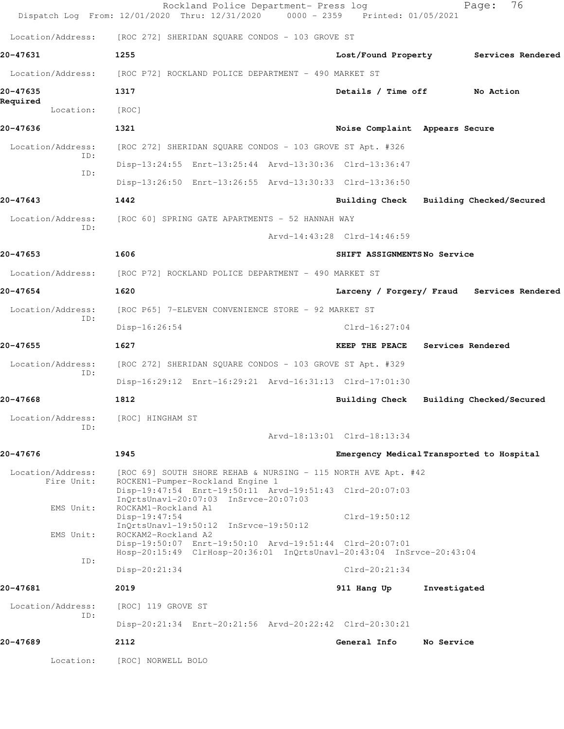|                                   | Rockland Police Department- Press log<br>Dispatch Log From: 12/01/2020 Thru: 12/31/2020                                         | 0000 - 2359 Printed: 01/05/2021 | 76<br>Page:                                |
|-----------------------------------|---------------------------------------------------------------------------------------------------------------------------------|---------------------------------|--------------------------------------------|
| Location/Address:                 | [ROC 272] SHERIDAN SQUARE CONDOS - 103 GROVE ST                                                                                 |                                 |                                            |
| 20-47631                          | 1255                                                                                                                            | Lost/Found Property             | Services Rendered                          |
| Location/Address:                 | [ROC P72] ROCKLAND POLICE DEPARTMENT - 490 MARKET ST                                                                            |                                 |                                            |
| 20-47635<br>Required<br>Location: | 1317<br>[ROC]                                                                                                                   | Details / Time off              | No Action                                  |
| 20-47636                          | 1321                                                                                                                            | Noise Complaint Appears Secure  |                                            |
| Location/Address:                 | [ROC 272] SHERIDAN SQUARE CONDOS - 103 GROVE ST Apt. #326                                                                       |                                 |                                            |
| ID:                               | Disp-13:24:55 Enrt-13:25:44 Arvd-13:30:36 Clrd-13:36:47                                                                         |                                 |                                            |
| ID:                               | Disp-13:26:50 Enrt-13:26:55 Arvd-13:30:33 Clrd-13:36:50                                                                         |                                 |                                            |
| 20-47643                          | 1442                                                                                                                            |                                 | Building Check Building Checked/Secured    |
| Location/Address:                 | [ROC 60] SPRING GATE APARTMENTS - 52 HANNAH WAY                                                                                 |                                 |                                            |
| ID:                               |                                                                                                                                 | Arvd-14:43:28 Clrd-14:46:59     |                                            |
| 20-47653                          | 1606                                                                                                                            | SHIFT ASSIGNMENTSNo Service     |                                            |
| Location/Address:                 | [ROC P72] ROCKLAND POLICE DEPARTMENT - 490 MARKET ST                                                                            |                                 |                                            |
| 20-47654                          | 1620                                                                                                                            |                                 | Larceny / Forgery/ Fraud Services Rendered |
| Location/Address:                 | [ROC P65] 7-ELEVEN CONVENIENCE STORE - 92 MARKET ST                                                                             |                                 |                                            |
| ID:                               | Disp-16:26:54                                                                                                                   | $Clrd-16:27:04$                 |                                            |
| 20-47655                          | 1627                                                                                                                            | KEEP THE PEACE                  | Services Rendered                          |
| Location/Address:<br>ID:          | [ROC 272] SHERIDAN SQUARE CONDOS - 103 GROVE ST Apt. #329                                                                       |                                 |                                            |
|                                   | Disp-16:29:12 Enrt-16:29:21 Arvd-16:31:13 Clrd-17:01:30                                                                         |                                 |                                            |
| 20-47668                          | 1812                                                                                                                            |                                 | Building Check Building Checked/Secured    |
| Location/Address:<br>ID:          | [ROC] HINGHAM ST                                                                                                                |                                 |                                            |
|                                   |                                                                                                                                 | Arvd-18:13:01 Clrd-18:13:34     |                                            |
| 20-47676                          | 1945                                                                                                                            |                                 | Emergency Medical Transported to Hospital  |
| Location/Address:<br>Fire Unit:   | [ROC 69] SOUTH SHORE REHAB & NURSING - 115 NORTH AVE Apt. #42<br>ROCKEN1-Pumper-Rockland Engine 1                               |                                 |                                            |
|                                   | Disp-19:47:54 Enrt-19:50:11 Arvd-19:51:43 Clrd-20:07:03<br>InQrtsUnavl-20:07:03 InSrvce-20:07:03                                |                                 |                                            |
| EMS Unit:                         | ROCKAM1-Rockland A1<br>Disp-19:47:54                                                                                            | $Clrd-19:50:12$                 |                                            |
| EMS Unit:                         | InQrtsUnavl-19:50:12 InSrvce-19:50:12<br>ROCKAM2-Rockland A2                                                                    |                                 |                                            |
|                                   | Disp-19:50:07 Enrt-19:50:10 Arvd-19:51:44 Clrd-20:07:01<br>Hosp-20:15:49 ClrHosp-20:36:01 InQrtsUnavl-20:43:04 InSrvce-20:43:04 |                                 |                                            |
| ID:                               | Disp-20:21:34                                                                                                                   | $Clrd-20:21:34$                 |                                            |
| 20-47681                          | 2019                                                                                                                            | 911 Hang Up                     | Investigated                               |
| Location/Address:<br>ID:          | [ROC] 119 GROVE ST                                                                                                              |                                 |                                            |
|                                   | Disp-20:21:34 Enrt-20:21:56 Arvd-20:22:42 Clrd-20:30:21                                                                         |                                 |                                            |
| 20-47689                          | 2112                                                                                                                            | General Info                    | No Service                                 |
| Location:                         | [ROC] NORWELL BOLO                                                                                                              |                                 |                                            |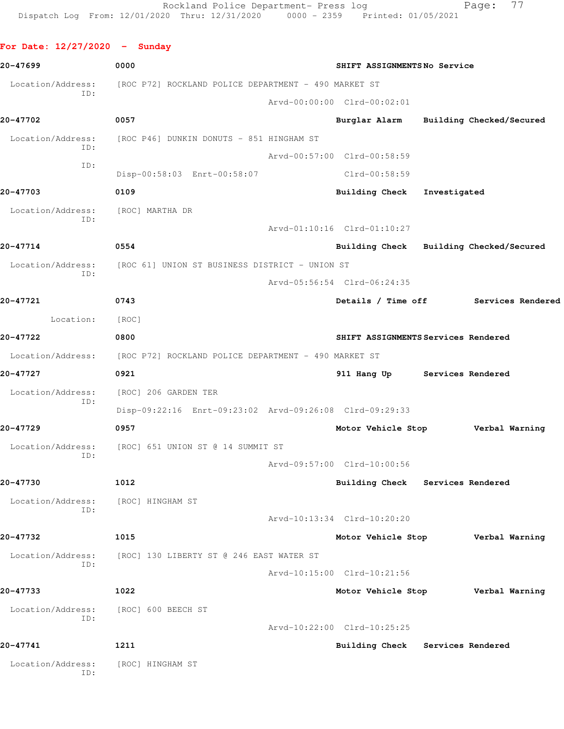| For Date: $12/27/2020 -$ Sunday |                                                                                                                                             |                                                                                                                                                                                                                                                                                                                                                                                                                                                                                                                        |                                                                                                                                                                                                                                                                                                                                                                                                           |
|---------------------------------|---------------------------------------------------------------------------------------------------------------------------------------------|------------------------------------------------------------------------------------------------------------------------------------------------------------------------------------------------------------------------------------------------------------------------------------------------------------------------------------------------------------------------------------------------------------------------------------------------------------------------------------------------------------------------|-----------------------------------------------------------------------------------------------------------------------------------------------------------------------------------------------------------------------------------------------------------------------------------------------------------------------------------------------------------------------------------------------------------|
| 0000                            |                                                                                                                                             |                                                                                                                                                                                                                                                                                                                                                                                                                                                                                                                        |                                                                                                                                                                                                                                                                                                                                                                                                           |
|                                 |                                                                                                                                             |                                                                                                                                                                                                                                                                                                                                                                                                                                                                                                                        |                                                                                                                                                                                                                                                                                                                                                                                                           |
|                                 |                                                                                                                                             |                                                                                                                                                                                                                                                                                                                                                                                                                                                                                                                        |                                                                                                                                                                                                                                                                                                                                                                                                           |
| 0057                            |                                                                                                                                             |                                                                                                                                                                                                                                                                                                                                                                                                                                                                                                                        |                                                                                                                                                                                                                                                                                                                                                                                                           |
|                                 |                                                                                                                                             |                                                                                                                                                                                                                                                                                                                                                                                                                                                                                                                        |                                                                                                                                                                                                                                                                                                                                                                                                           |
|                                 |                                                                                                                                             |                                                                                                                                                                                                                                                                                                                                                                                                                                                                                                                        |                                                                                                                                                                                                                                                                                                                                                                                                           |
| Disp-00:58:03 Enrt-00:58:07     |                                                                                                                                             |                                                                                                                                                                                                                                                                                                                                                                                                                                                                                                                        |                                                                                                                                                                                                                                                                                                                                                                                                           |
| 0109                            |                                                                                                                                             |                                                                                                                                                                                                                                                                                                                                                                                                                                                                                                                        |                                                                                                                                                                                                                                                                                                                                                                                                           |
| [ROC] MARTHA DR                 |                                                                                                                                             |                                                                                                                                                                                                                                                                                                                                                                                                                                                                                                                        |                                                                                                                                                                                                                                                                                                                                                                                                           |
|                                 |                                                                                                                                             |                                                                                                                                                                                                                                                                                                                                                                                                                                                                                                                        |                                                                                                                                                                                                                                                                                                                                                                                                           |
| 0554                            |                                                                                                                                             |                                                                                                                                                                                                                                                                                                                                                                                                                                                                                                                        |                                                                                                                                                                                                                                                                                                                                                                                                           |
|                                 |                                                                                                                                             |                                                                                                                                                                                                                                                                                                                                                                                                                                                                                                                        |                                                                                                                                                                                                                                                                                                                                                                                                           |
|                                 |                                                                                                                                             |                                                                                                                                                                                                                                                                                                                                                                                                                                                                                                                        |                                                                                                                                                                                                                                                                                                                                                                                                           |
| 0743                            |                                                                                                                                             |                                                                                                                                                                                                                                                                                                                                                                                                                                                                                                                        |                                                                                                                                                                                                                                                                                                                                                                                                           |
| [ROC]                           |                                                                                                                                             |                                                                                                                                                                                                                                                                                                                                                                                                                                                                                                                        |                                                                                                                                                                                                                                                                                                                                                                                                           |
| 0800                            |                                                                                                                                             |                                                                                                                                                                                                                                                                                                                                                                                                                                                                                                                        |                                                                                                                                                                                                                                                                                                                                                                                                           |
|                                 |                                                                                                                                             |                                                                                                                                                                                                                                                                                                                                                                                                                                                                                                                        |                                                                                                                                                                                                                                                                                                                                                                                                           |
| 0921                            |                                                                                                                                             |                                                                                                                                                                                                                                                                                                                                                                                                                                                                                                                        |                                                                                                                                                                                                                                                                                                                                                                                                           |
| [ROC] 206 GARDEN TER            |                                                                                                                                             |                                                                                                                                                                                                                                                                                                                                                                                                                                                                                                                        |                                                                                                                                                                                                                                                                                                                                                                                                           |
|                                 |                                                                                                                                             |                                                                                                                                                                                                                                                                                                                                                                                                                                                                                                                        |                                                                                                                                                                                                                                                                                                                                                                                                           |
| 0957                            |                                                                                                                                             |                                                                                                                                                                                                                                                                                                                                                                                                                                                                                                                        |                                                                                                                                                                                                                                                                                                                                                                                                           |
|                                 |                                                                                                                                             |                                                                                                                                                                                                                                                                                                                                                                                                                                                                                                                        |                                                                                                                                                                                                                                                                                                                                                                                                           |
|                                 |                                                                                                                                             |                                                                                                                                                                                                                                                                                                                                                                                                                                                                                                                        |                                                                                                                                                                                                                                                                                                                                                                                                           |
| 1012                            | <b>Building Check</b>                                                                                                                       |                                                                                                                                                                                                                                                                                                                                                                                                                                                                                                                        |                                                                                                                                                                                                                                                                                                                                                                                                           |
| [ROC] HINGHAM ST                |                                                                                                                                             |                                                                                                                                                                                                                                                                                                                                                                                                                                                                                                                        |                                                                                                                                                                                                                                                                                                                                                                                                           |
|                                 |                                                                                                                                             |                                                                                                                                                                                                                                                                                                                                                                                                                                                                                                                        |                                                                                                                                                                                                                                                                                                                                                                                                           |
| 1015                            |                                                                                                                                             |                                                                                                                                                                                                                                                                                                                                                                                                                                                                                                                        | Verbal Warning                                                                                                                                                                                                                                                                                                                                                                                            |
|                                 |                                                                                                                                             |                                                                                                                                                                                                                                                                                                                                                                                                                                                                                                                        |                                                                                                                                                                                                                                                                                                                                                                                                           |
|                                 |                                                                                                                                             |                                                                                                                                                                                                                                                                                                                                                                                                                                                                                                                        |                                                                                                                                                                                                                                                                                                                                                                                                           |
| 1022                            |                                                                                                                                             |                                                                                                                                                                                                                                                                                                                                                                                                                                                                                                                        | Verbal Warning                                                                                                                                                                                                                                                                                                                                                                                            |
| [ROC] 600 BEECH ST              |                                                                                                                                             |                                                                                                                                                                                                                                                                                                                                                                                                                                                                                                                        |                                                                                                                                                                                                                                                                                                                                                                                                           |
|                                 |                                                                                                                                             |                                                                                                                                                                                                                                                                                                                                                                                                                                                                                                                        |                                                                                                                                                                                                                                                                                                                                                                                                           |
| 1211                            |                                                                                                                                             |                                                                                                                                                                                                                                                                                                                                                                                                                                                                                                                        |                                                                                                                                                                                                                                                                                                                                                                                                           |
| [ROC] HINGHAM ST                |                                                                                                                                             |                                                                                                                                                                                                                                                                                                                                                                                                                                                                                                                        |                                                                                                                                                                                                                                                                                                                                                                                                           |
|                                 | [ROC P46] DUNKIN DONUTS - 851 HINGHAM ST<br>Location/Address: [ROC] 651 UNION ST @ 14 SUMMIT ST<br>[ROC] 130 LIBERTY ST @ 246 EAST WATER ST | [ROC P72] ROCKLAND POLICE DEPARTMENT - 490 MARKET ST<br>Arvd-00:00:00 Clrd-00:02:01<br>Arvd-00:57:00 Clrd-00:58:59<br>$Clrd-00:58:59$<br>Arvd-01:10:16 Clrd-01:10:27<br>Location/Address: [ROC 61] UNION ST BUSINESS DISTRICT - UNION ST<br>Arvd-05:56:54 Clrd-06:24:35<br>[ROC P72] ROCKLAND POLICE DEPARTMENT - 490 MARKET ST<br>Disp-09:22:16 Enrt-09:23:02 Arvd-09:26:08 Clrd-09:29:33<br>Arvd-09:57:00 Clrd-10:00:56<br>Arvd-10:13:34 Clrd-10:20:20<br>Arvd-10:15:00 Clrd-10:21:56<br>Arvd-10:22:00 Clrd-10:25:25 | SHIFT ASSIGNMENTSNo Service<br>Burglar Alarm Building Checked/Secured<br>Building Check Investigated<br>Building Check Building Checked/Secured<br>Details / Time off Services Rendered<br>SHIFT ASSIGNMENTS Services Rendered<br>911 Hang Up Services Rendered<br>Motor Vehicle Stop Verbal Warning<br>Services Rendered<br>Motor Vehicle Stop<br>Motor Vehicle Stop<br>Building Check Services Rendered |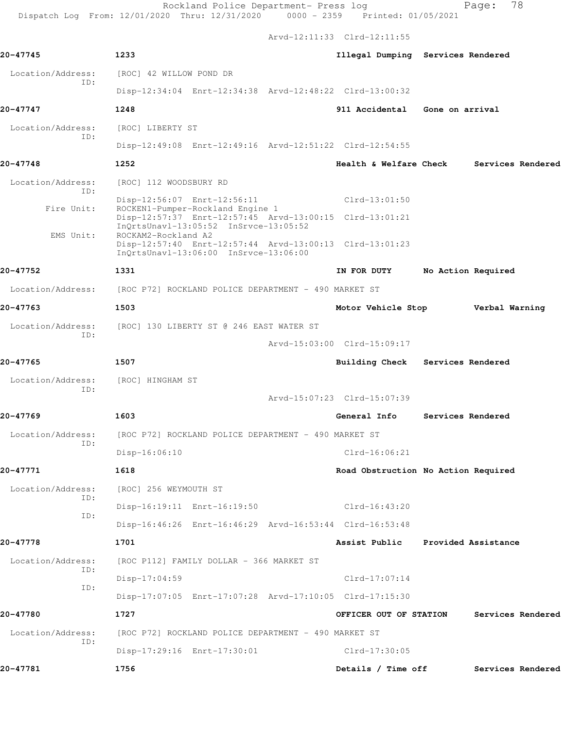Rockland Police Department- Press log entitled Page: 78

Dispatch Log From: 12/01/2020 Thru: 12/31/2020 0000 - 2359 Printed: 01/05/2021

Arvd-12:11:33 Clrd-12:11:55

| 20-47745                 | 1233                                                                                                                                 |                             | Illegal Dumping Services Rendered   |
|--------------------------|--------------------------------------------------------------------------------------------------------------------------------------|-----------------------------|-------------------------------------|
| Location/Address:        | [ROC] 42 WILLOW POND DR                                                                                                              |                             |                                     |
| ID:                      | Disp-12:34:04 Enrt-12:34:38 Arvd-12:48:22 Clrd-13:00:32                                                                              |                             |                                     |
| 20-47747                 | 1248                                                                                                                                 | 911 Accidental              | Gone on arrival                     |
| Location/Address:        | [ROC] LIBERTY ST                                                                                                                     |                             |                                     |
| ID:                      | Disp-12:49:08 Enrt-12:49:16 Arvd-12:51:22 Clrd-12:54:55                                                                              |                             |                                     |
| 20-47748                 | 1252                                                                                                                                 | Health & Welfare Check      | Services Rendered                   |
| Location/Address:        | [ROC] 112 WOODSBURY RD                                                                                                               |                             |                                     |
| ID:<br>Fire Unit:        | Disp-12:56:07 Enrt-12:56:11                                                                                                          | $Clrd-13:01:50$             |                                     |
|                          | ROCKEN1-Pumper-Rockland Engine 1<br>Disp-12:57:37 Enrt-12:57:45 Arvd-13:00:15 Clrd-13:01:21<br>InOrtsUnavl-13:05:52 InSrvce-13:05:52 |                             |                                     |
| EMS Unit:                | ROCKAM2-Rockland A2<br>Disp-12:57:40 Enrt-12:57:44 Arvd-13:00:13 Clrd-13:01:23<br>InQrtsUnavl-13:06:00 InSrvce-13:06:00              |                             |                                     |
| 20-47752                 | 1331                                                                                                                                 | IN FOR DUTY                 | No Action Required                  |
| Location/Address:        | [ROC P72] ROCKLAND POLICE DEPARTMENT - 490 MARKET ST                                                                                 |                             |                                     |
| 20-47763                 |                                                                                                                                      |                             |                                     |
|                          | 1503                                                                                                                                 | Motor Vehicle Stop          | Verbal Warning                      |
| Location/Address:<br>ID: | [ROC] 130 LIBERTY ST @ 246 EAST WATER ST                                                                                             |                             |                                     |
|                          |                                                                                                                                      | Arvd-15:03:00 Clrd-15:09:17 |                                     |
| 20-47765                 | 1507                                                                                                                                 |                             | Building Check Services Rendered    |
| Location/Address:<br>ID: | [ROC] HINGHAM ST                                                                                                                     |                             |                                     |
|                          |                                                                                                                                      | Arvd-15:07:23 Clrd-15:07:39 |                                     |
| 20-47769                 | 1603                                                                                                                                 | General Info                | Services Rendered                   |
| Location/Address:<br>ID: | [ROC P72] ROCKLAND POLICE DEPARTMENT - 490 MARKET ST                                                                                 |                             |                                     |
|                          | Disp-16:06:10                                                                                                                        | Clrd-16:06:21               |                                     |
| 20-47771                 | 1618                                                                                                                                 |                             | Road Obstruction No Action Required |
| Location/Address:<br>ID: | [ROC] 256 WEYMOUTH ST                                                                                                                |                             |                                     |
| ID:                      | Disp-16:19:11 Enrt-16:19:50                                                                                                          | $Clrd-16:43:20$             |                                     |
|                          | Disp-16:46:26 Enrt-16:46:29 Arvd-16:53:44 Clrd-16:53:48                                                                              |                             |                                     |
| 20-47778                 | 1701                                                                                                                                 | Assist Public               | Provided Assistance                 |
| Location/Address:<br>ID: | [ROC P112] FAMILY DOLLAR - 366 MARKET ST                                                                                             |                             |                                     |
| ID:                      | $Disp-17:04:59$                                                                                                                      | $Clrd-17:07:14$             |                                     |
|                          | Disp-17:07:05 Enrt-17:07:28 Arvd-17:10:05 Clrd-17:15:30                                                                              |                             |                                     |
| 20-47780                 | 1727                                                                                                                                 | OFFICER OUT OF STATION      | Services Rendered                   |
| Location/Address:<br>ID: | [ROC P72] ROCKLAND POLICE DEPARTMENT - 490 MARKET ST                                                                                 |                             |                                     |
|                          | Disp-17:29:16 Enrt-17:30:01                                                                                                          | Clrd-17:30:05               |                                     |
| 20-47781                 | 1756                                                                                                                                 | Details / Time off          | Services Rendered                   |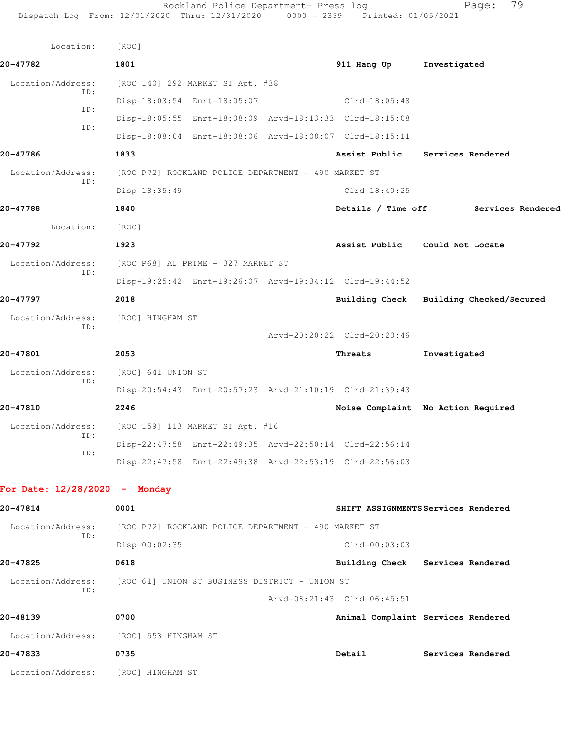| Location:                       | [ROC]                                                   |                             |                                         |
|---------------------------------|---------------------------------------------------------|-----------------------------|-----------------------------------------|
| 20-47782                        | 1801                                                    | 911 Hang Up                 | Investigated                            |
| Location/Address:               | [ROC 140] 292 MARKET ST Apt. #38                        |                             |                                         |
| ID:                             | Disp-18:03:54 Enrt-18:05:07                             | $Clrd-18:05:48$             |                                         |
| ID:                             | Disp-18:05:55 Enrt-18:08:09 Arvd-18:13:33 Clrd-18:15:08 |                             |                                         |
| ID:                             | Disp-18:08:04 Enrt-18:08:06 Arvd-18:08:07 Clrd-18:15:11 |                             |                                         |
| 20-47786                        | 1833                                                    | Assist Public               | Services Rendered                       |
| Location/Address:<br>ID:        | [ROC P72] ROCKLAND POLICE DEPARTMENT - 490 MARKET ST    |                             |                                         |
|                                 | Disp-18:35:49                                           | $Clrd-18:40:25$             |                                         |
| 20-47788                        | 1840                                                    | Details / Time off          | Services Rendered                       |
| Location:                       | [ROC]                                                   |                             |                                         |
| 20-47792                        | 1923                                                    |                             | Assist Public Could Not Locate          |
| Location/Address:               | [ROC P68] AL PRIME - 327 MARKET ST                      |                             |                                         |
| ID:                             | Disp-19:25:42 Enrt-19:26:07 Arvd-19:34:12 Clrd-19:44:52 |                             |                                         |
| 20-47797                        | 2018                                                    |                             | Building Check Building Checked/Secured |
| Location/Address:               | [ROC] HINGHAM ST                                        |                             |                                         |
| ID:                             |                                                         | Arvd-20:20:22 Clrd-20:20:46 |                                         |
| 20-47801                        | 2053                                                    | Threats                     | Investigated                            |
| Location/Address:               | [ROC] 641 UNION ST                                      |                             |                                         |
| ID:                             | Disp-20:54:43 Enrt-20:57:23 Arvd-21:10:19 Clrd-21:39:43 |                             |                                         |
| 20-47810                        | 2246                                                    |                             | Noise Complaint No Action Required      |
| Location/Address:               | [ROC 159] 113 MARKET ST Apt. #16                        |                             |                                         |
| ID:                             | Disp-22:47:58 Enrt-22:49:35 Arvd-22:50:14 Clrd-22:56:14 |                             |                                         |
| ID:                             | Disp-22:47:58 Enrt-22:49:38 Arvd-22:53:19 Clrd-22:56:03 |                             |                                         |
|                                 |                                                         |                             |                                         |
| For Date: $12/28/2020 -$ Monday |                                                         |                             |                                         |
| 20-47814                        | 0001                                                    |                             | SHIFT ASSIGNMENTS Services Rendered     |
| Location/Address:<br>ID:        | [ROC P72] ROCKLAND POLICE DEPARTMENT - 490 MARKET ST    |                             |                                         |
|                                 | Disp-00:02:35                                           | Clrd-00:03:03               |                                         |
| 20-47825                        | 0618                                                    |                             | Building Check Services Rendered        |
| Location/Address:<br>ID:        | [ROC 61] UNION ST BUSINESS DISTRICT - UNION ST          |                             |                                         |
|                                 |                                                         | Arvd-06:21:43 Clrd-06:45:51 |                                         |
| 20-48139                        | 0700                                                    |                             | Animal Complaint Services Rendered      |
| Location/Address:               | [ROC] 553 HINGHAM ST                                    |                             |                                         |
| 20-47833                        | 0735                                                    | Detail                      | Services Rendered                       |

Location/Address: [ROC] HINGHAM ST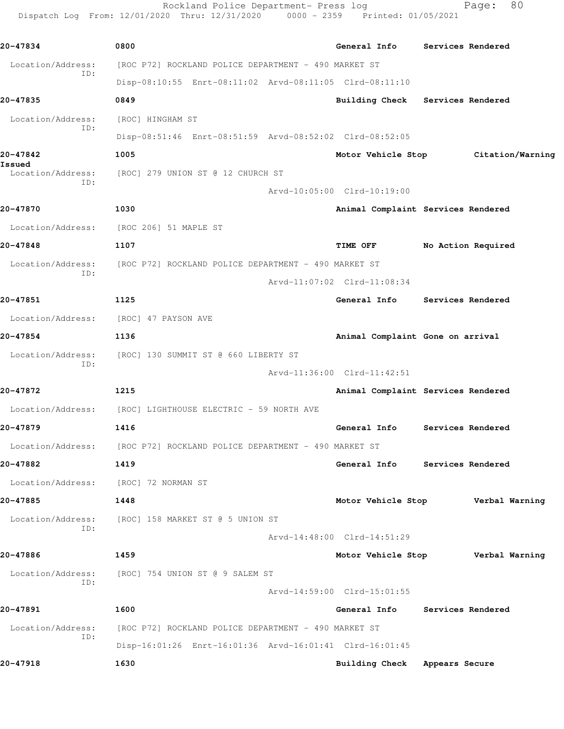Rockland Police Department- Press log Fage: 80 Dispatch Log From: 12/01/2020 Thru: 12/31/2020 0000 - 2359 Printed: 01/05/2021

**20-47834 0800 General Info Services Rendered** Location/Address: [ROC P72] ROCKLAND POLICE DEPARTMENT - 490 MARKET ST ID: Disp-08:10:55 Enrt-08:11:02 Arvd-08:11:05 Clrd-08:11:10 **20-47835 0849 Building Check Services Rendered** Location/Address: [ROC] HINGHAM ST ID: Disp-08:51:46 Enrt-08:51:59 Arvd-08:52:02 Clrd-08:52:05 **20-47842 1005 Motor Vehicle Stop Citation/Warning Issued**  Location/Address: [ROC] 279 UNION ST @ 12 CHURCH ST ID: Arvd-10:05:00 Clrd-10:19:00 **20-47870 1030 Animal Complaint Services Rendered** Location/Address: [ROC 206] 51 MAPLE ST **20-47848 1107 TIME OFF No Action Required** Location/Address: [ROC P72] ROCKLAND POLICE DEPARTMENT - 490 MARKET ST ID: Arvd-11:07:02 Clrd-11:08:34 **20-47851 1125 General Info Services Rendered** Location/Address: [ROC] 47 PAYSON AVE **20-47854 1136 Animal Complaint Gone on arrival** Location/Address: [ROC] 130 SUMMIT ST @ 660 LIBERTY ST ID: Arvd-11:36:00 Clrd-11:42:51 **20-47872 1215 Animal Complaint Services Rendered** Location/Address: [ROC] LIGHTHOUSE ELECTRIC - 59 NORTH AVE **20-47879 1416 General Info Services Rendered** Location/Address: [ROC P72] ROCKLAND POLICE DEPARTMENT - 490 MARKET ST **20-47882 1419 General Info Services Rendered** Location/Address: [ROC] 72 NORMAN ST **20-47885 1448 Motor Vehicle Stop Verbal Warning** Location/Address: [ROC] 158 MARKET ST @ 5 UNION ST ID: Arvd-14:48:00 Clrd-14:51:29 **20-47886 1459 Motor Vehicle Stop Verbal Warning** Location/Address: [ROC] 754 UNION ST @ 9 SALEM ST ID: Arvd-14:59:00 Clrd-15:01:55 **20-47891 1600 General Info Services Rendered** Location/Address: [ROC P72] ROCKLAND POLICE DEPARTMENT - 490 MARKET ST ID: Disp-16:01:26 Enrt-16:01:36 Arvd-16:01:41 Clrd-16:01:45 **20-47918 1630 Building Check Appears Secure**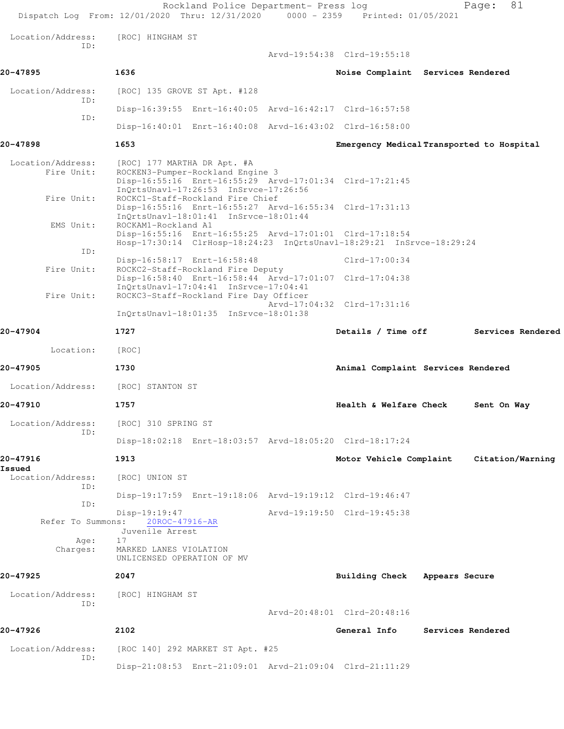|                                 | Rockland Police Department- Press log<br>Dispatch Log From: 12/01/2020 Thru: 12/31/2020 0000 - 2359 Printed: 01/05/2021                                             |                                           | 81<br>Page:       |
|---------------------------------|---------------------------------------------------------------------------------------------------------------------------------------------------------------------|-------------------------------------------|-------------------|
| Location/Address:<br>ID:        | [ROC] HINGHAM ST                                                                                                                                                    |                                           |                   |
|                                 |                                                                                                                                                                     | Arvd-19:54:38 Clrd-19:55:18               |                   |
| 20-47895                        | 1636                                                                                                                                                                | Noise Complaint Services Rendered         |                   |
| Location/Address:               | [ROC] 135 GROVE ST Apt. #128                                                                                                                                        |                                           |                   |
| ID:                             | Disp-16:39:55 Enrt-16:40:05 Arvd-16:42:17 Clrd-16:57:58                                                                                                             |                                           |                   |
| ID:                             | Disp-16:40:01 Enrt-16:40:08 Arvd-16:43:02 Clrd-16:58:00                                                                                                             |                                           |                   |
| 20-47898                        | 1653                                                                                                                                                                | Emergency Medical Transported to Hospital |                   |
| Location/Address:<br>Fire Unit: | [ROC] 177 MARTHA DR Apt. #A<br>ROCKEN3-Pumper-Rockland Engine 3<br>Disp-16:55:16 Enrt-16:55:29 Arvd-17:01:34 Clrd-17:21:45<br>InQrtsUnavl-17:26:53 InSrvce-17:26:56 |                                           |                   |
| Fire Unit:                      | ROCKC1-Staff-Rockland Fire Chief<br>Disp-16:55:16 Enrt-16:55:27 Arvd-16:55:34 Clrd-17:31:13<br>InQrtsUnavl-18:01:41 InSrvce-18:01:44                                |                                           |                   |
| EMS Unit:<br>ID:                | ROCKAM1-Rockland A1<br>Disp-16:55:16 Enrt-16:55:25 Arvd-17:01:01 Clrd-17:18:54<br>Hosp-17:30:14 ClrHosp-18:24:23 InQrtsUnavl-18:29:21 InSrvce-18:29:24              |                                           |                   |
| Fire Unit:                      | Disp-16:58:17 Enrt-16:58:48<br>ROCKC2-Staff-Rockland Fire Deputy                                                                                                    | $Clrd-17:00:34$                           |                   |
|                                 | Disp-16:58:40 Enrt-16:58:44 Arvd-17:01:07 Clrd-17:04:38<br>InQrtsUnavl-17:04:41 InSrvce-17:04:41                                                                    |                                           |                   |
| Fire Unit:                      | ROCKC3-Staff-Rockland Fire Day Officer                                                                                                                              | Arvd-17:04:32 Clrd-17:31:16               |                   |
|                                 | $InQrtsUnav1-18:01:35$ $InSrvce-18:01:38$                                                                                                                           |                                           |                   |
| 20-47904                        | 1727                                                                                                                                                                | Details / Time off                        | Services Rendered |
| Location:                       | [ROC]                                                                                                                                                               |                                           |                   |
| 20-47905                        | 1730                                                                                                                                                                | Animal Complaint Services Rendered        |                   |
| Location/Address:               | [ROC] STANTON ST                                                                                                                                                    |                                           |                   |
| 20-47910                        | 1757                                                                                                                                                                | Health & Welfare Check                    | Sent On Way       |
| Location/Address:               | [ROC] 310 SPRING ST                                                                                                                                                 |                                           |                   |
| ID:                             | Disp-18:02:18 Enrt-18:03:57 Arvd-18:05:20 Clrd-18:17:24                                                                                                             |                                           |                   |
| 20-47916                        | 1913                                                                                                                                                                | Motor Vehicle Complaint                   | Citation/Warning  |
| Issued<br>Location/Address:     | [ROC] UNION ST                                                                                                                                                      |                                           |                   |
| ID:                             | Disp-19:17:59 Enrt-19:18:06 Arvd-19:19:12 Clrd-19:46:47                                                                                                             |                                           |                   |
| ID:<br>Refer To Summons:        | Disp-19:19:47<br>20ROC-47916-AR                                                                                                                                     | Arvd-19:19:50 Clrd-19:45:38               |                   |
| Age:<br>Charges:                | Juvenile Arrest<br>17<br>MARKED LANES VIOLATION<br>UNLICENSED OPERATION OF MV                                                                                       |                                           |                   |
| 20-47925                        | 2047                                                                                                                                                                | Building Check Appears Secure             |                   |
| Location/Address:<br>ID:        | [ROC] HINGHAM ST                                                                                                                                                    |                                           |                   |
|                                 |                                                                                                                                                                     | Arvd-20:48:01 Clrd-20:48:16               |                   |
| 20-47926                        | 2102                                                                                                                                                                | General Info                              | Services Rendered |
| Location/Address:<br>ID:        | [ROC 140] 292 MARKET ST Apt. #25                                                                                                                                    |                                           |                   |
|                                 | Disp-21:08:53 Enrt-21:09:01 Arvd-21:09:04 Clrd-21:11:29                                                                                                             |                                           |                   |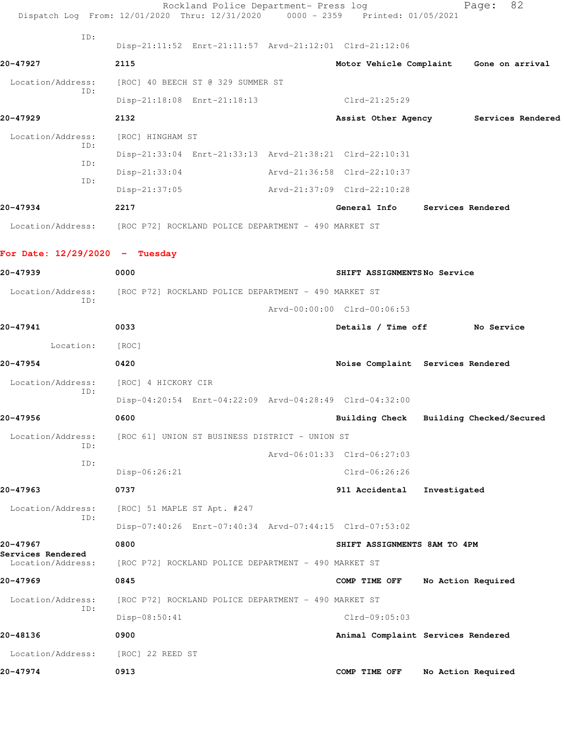|                                  | Rockland Police Department- Press log<br>Dispatch Log From: 12/01/2020 Thru: 12/31/2020 0000 - 2359 Printed: 01/05/2021 |                              | 82<br>Page:                             |
|----------------------------------|-------------------------------------------------------------------------------------------------------------------------|------------------------------|-----------------------------------------|
| TD:                              | Disp-21:11:52 Enrt-21:11:57 Arvd-21:12:01 Clrd-21:12:06                                                                 |                              |                                         |
| 20-47927                         | 2115                                                                                                                    |                              | Motor Vehicle Complaint Gone on arrival |
| Location/Address:                | [ROC] 40 BEECH ST @ 329 SUMMER ST                                                                                       |                              |                                         |
| ID:                              | Disp-21:18:08 Enrt-21:18:13                                                                                             | Clrd-21:25:29                |                                         |
| 20-47929                         | 2132                                                                                                                    |                              | Assist Other Agency Services Rendered   |
| Location/Address:                | [ROC] HINGHAM ST                                                                                                        |                              |                                         |
| ID:                              | Disp-21:33:04 Enrt-21:33:13 Arvd-21:38:21 Clrd-22:10:31                                                                 |                              |                                         |
| ID:                              | $Disp-21:33:04$                                                                                                         | Arvd-21:36:58 Clrd-22:10:37  |                                         |
| ID:                              | $Disp-21:37:05$                                                                                                         | Arvd-21:37:09 Clrd-22:10:28  |                                         |
| 20-47934                         | 2217                                                                                                                    |                              | General Info Services Rendered          |
|                                  | Location/Address: [ROC P72] ROCKLAND POLICE DEPARTMENT - 490 MARKET ST                                                  |                              |                                         |
| For Date: $12/29/2020 -$ Tuesday |                                                                                                                         |                              |                                         |
| 20-47939                         | 0000                                                                                                                    | SHIFT ASSIGNMENTSNo Service  |                                         |
| Location/Address:                | [ROC P72] ROCKLAND POLICE DEPARTMENT - 490 MARKET ST                                                                    |                              |                                         |
| ID:                              |                                                                                                                         | Arvd-00:00:00 Clrd-00:06:53  |                                         |
| 20-47941                         | 0033                                                                                                                    |                              | Details / Time off No Service           |
| Location:                        | [ROC]                                                                                                                   |                              |                                         |
| 20-47954                         | 0420                                                                                                                    |                              | Noise Complaint Services Rendered       |
| Location/Address:                | [ROC] 4 HICKORY CIR                                                                                                     |                              |                                         |
| ID:                              | Disp-04:20:54 Enrt-04:22:09 Arvd-04:28:49 Clrd-04:32:00                                                                 |                              |                                         |
| 20-47956                         | 0600                                                                                                                    | <b>Building Check</b>        | Building Checked/Secured                |
| Location/Address:<br>ID:         | [ROC 61] UNION ST BUSINESS DISTRICT - UNION ST                                                                          |                              |                                         |
| ID:                              |                                                                                                                         | Arvd-06:01:33 Clrd-06:27:03  |                                         |
|                                  | Disp-06:26:21                                                                                                           | $Clrd-06:26:26$              |                                         |
| 20-47963                         | 0737                                                                                                                    | 911 Accidental               | Investigated                            |
| Location/Address:<br>ID:         | [ROC] 51 MAPLE ST Apt. #247                                                                                             |                              |                                         |
|                                  | Disp-07:40:26 Enrt-07:40:34 Arvd-07:44:15 Clrd-07:53:02                                                                 |                              |                                         |
| 20-47967<br>Services Rendered    | 0800                                                                                                                    | SHIFT ASSIGNMENTS 8AM TO 4PM |                                         |
| Location/Address:                | [ROC P72] ROCKLAND POLICE DEPARTMENT - 490 MARKET ST                                                                    |                              |                                         |
| 20-47969                         | 0845                                                                                                                    | COMP TIME OFF                | No Action Required                      |
| Location/Address:                | [ROC P72] ROCKLAND POLICE DEPARTMENT - 490 MARKET ST                                                                    |                              |                                         |
| ID:                              | Disp-08:50:41                                                                                                           | $Clrd-09:05:03$              |                                         |
| 20-48136                         | 0900                                                                                                                    |                              | Animal Complaint Services Rendered      |
| Location/Address:                | [ROC] 22 REED ST                                                                                                        |                              |                                         |
| 20-47974                         | 0913                                                                                                                    | COMP TIME OFF                | No Action Required                      |
|                                  |                                                                                                                         |                              |                                         |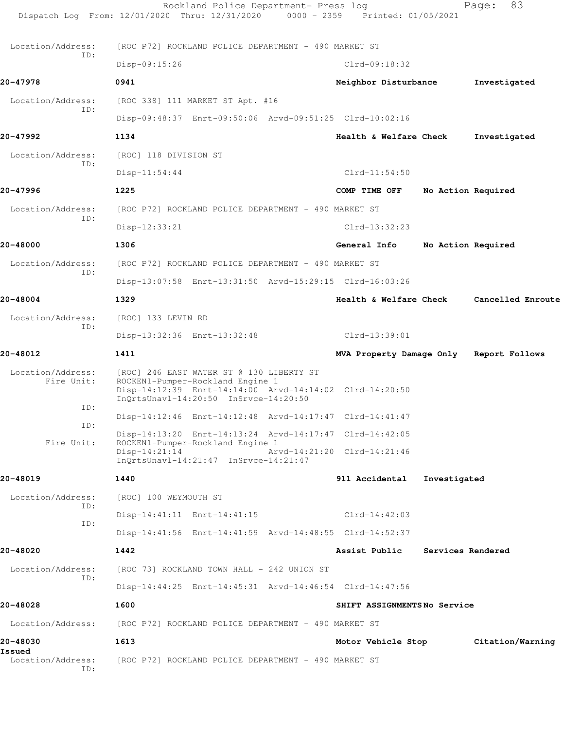|                                 | Rockland Police Department- Press log<br>Dispatch Log From: 12/01/2020 Thru: 12/31/2020<br>$0000 - 2359$                                                                         | Printed: 01/05/2021         |                          | 83<br>Page:       |
|---------------------------------|----------------------------------------------------------------------------------------------------------------------------------------------------------------------------------|-----------------------------|--------------------------|-------------------|
| Location/Address:               | [ROC P72] ROCKLAND POLICE DEPARTMENT - 490 MARKET ST                                                                                                                             |                             |                          |                   |
| ID:                             | Disp-09:15:26                                                                                                                                                                    | $Clrd-09:18:32$             |                          |                   |
| 20-47978                        | 0941                                                                                                                                                                             | Neighbor Disturbance        |                          | Investigated      |
| Location/Address:               | [ROC 338] 111 MARKET ST Apt. #16                                                                                                                                                 |                             |                          |                   |
| ID:                             | Disp-09:48:37 Enrt-09:50:06 Arvd-09:51:25 Clrd-10:02:16                                                                                                                          |                             |                          |                   |
| 20-47992                        | 1134                                                                                                                                                                             | Health & Welfare Check      |                          | Investigated      |
| Location/Address:               | [ROC] 118 DIVISION ST                                                                                                                                                            |                             |                          |                   |
| ID:                             | $Disp-11:54:44$                                                                                                                                                                  | $Clrd-11:54:50$             |                          |                   |
| 20-47996                        | 1225                                                                                                                                                                             | COMP TIME OFF               | No Action Required       |                   |
| Location/Address:<br>ID:        | [ROC P72] ROCKLAND POLICE DEPARTMENT - 490 MARKET ST                                                                                                                             |                             |                          |                   |
|                                 | Disp-12:33:21                                                                                                                                                                    | $Clrd-13:32:23$             |                          |                   |
| 20-48000                        | 1306                                                                                                                                                                             | General Info                | No Action Required       |                   |
| Location/Address:<br>ID:        | [ROC P72] ROCKLAND POLICE DEPARTMENT - 490 MARKET ST                                                                                                                             |                             |                          |                   |
|                                 | Disp-13:07:58 Enrt-13:31:50 Arvd-15:29:15 Clrd-16:03:26                                                                                                                          |                             |                          |                   |
| 20-48004                        | 1329                                                                                                                                                                             | Health & Welfare Check      |                          | Cancelled Enroute |
| Location/Address:<br>ID:        | [ROC] 133 LEVIN RD                                                                                                                                                               |                             |                          |                   |
|                                 | Disp-13:32:36 Enrt-13:32:48                                                                                                                                                      | Clrd-13:39:01               |                          |                   |
| 20-48012                        | 1411                                                                                                                                                                             | MVA Property Damage Only    |                          | Report Follows    |
| Location/Address:<br>Fire Unit: | [ROC] 246 EAST WATER ST @ 130 LIBERTY ST<br>ROCKEN1-Pumper-Rockland Engine 1<br>Disp-14:12:39 Enrt-14:14:00 Arvd-14:14:02 Clrd-14:20:50<br>InOrtsUnavl-14:20:50 InSrvce-14:20:50 |                             |                          |                   |
| ID:                             | Disp-14:12:46 Enrt-14:12:48 Arvd-14:17:47 Clrd-14:41:47                                                                                                                          |                             |                          |                   |
| ID:                             | Disp-14:13:20 Enrt-14:13:24 Arvd-14:17:47 Clrd-14:42:05                                                                                                                          |                             |                          |                   |
| Fire Unit:                      | ROCKEN1-Pumper-Rockland Engine 1<br>$Disp-14:21:14$<br>$InQrtsUnav1-14:21:47$ $InSrvce-14:21:47$                                                                                 | Arvd-14:21:20 Clrd-14:21:46 |                          |                   |
| 20-48019                        | 1440                                                                                                                                                                             | 911 Accidental              | Investigated             |                   |
| Location/Address:<br>ID:        | [ROC] 100 WEYMOUTH ST                                                                                                                                                            |                             |                          |                   |
| ID:                             | Disp-14:41:11 Enrt-14:41:15                                                                                                                                                      | $Clrd-14:42:03$             |                          |                   |
|                                 | Disp-14:41:56 Enrt-14:41:59 Arvd-14:48:55 Clrd-14:52:37                                                                                                                          |                             |                          |                   |
| 20-48020                        | 1442                                                                                                                                                                             | Assist Public               | <b>Services Rendered</b> |                   |
| Location/Address:<br>ID:        | [ROC 73] ROCKLAND TOWN HALL - 242 UNION ST                                                                                                                                       |                             |                          |                   |
|                                 | Disp-14:44:25 Enrt-14:45:31 Arvd-14:46:54 Clrd-14:47:56                                                                                                                          |                             |                          |                   |
| 20-48028                        | 1600                                                                                                                                                                             | SHIFT ASSIGNMENTSNo Service |                          |                   |
| Location/Address:               | [ROC P72] ROCKLAND POLICE DEPARTMENT - 490 MARKET ST                                                                                                                             |                             |                          |                   |
| 20-48030<br>Issued              | 1613                                                                                                                                                                             | Motor Vehicle Stop          |                          | Citation/Warning  |
| Location/Address:<br>ID:        | [ROC P72] ROCKLAND POLICE DEPARTMENT - 490 MARKET ST                                                                                                                             |                             |                          |                   |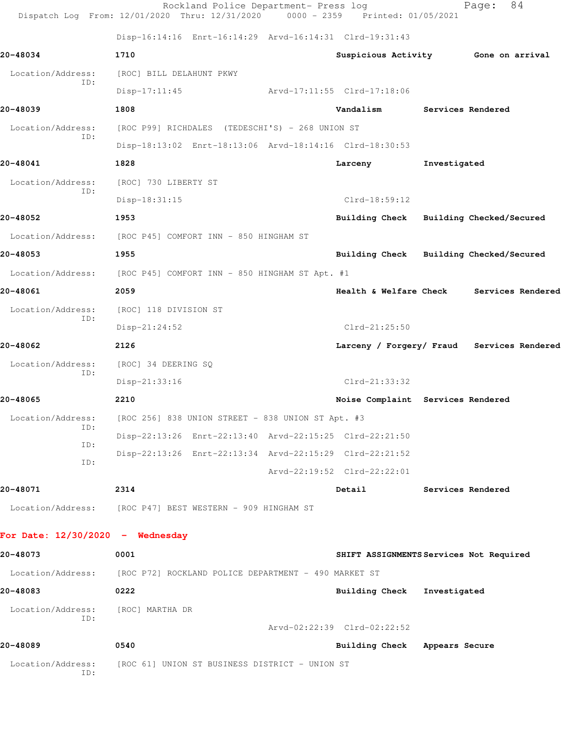|                                    | Rockland Police Department- Press log<br>Dispatch Log From: 12/01/2020 Thru: 12/31/2020 0000 - 2359 Printed: 01/05/2021 |                               | 84<br>Page:                                |
|------------------------------------|-------------------------------------------------------------------------------------------------------------------------|-------------------------------|--------------------------------------------|
|                                    | Disp-16:14:16 Enrt-16:14:29 Arvd-16:14:31 Clrd-19:31:43                                                                 |                               |                                            |
| 20-48034                           | 1710                                                                                                                    |                               | Suspicious Activity 6one on arrival        |
| Location/Address:                  | [ROC] BILL DELAHUNT PKWY                                                                                                |                               |                                            |
| ID:                                | $Disp-17:11:45$                                                                                                         | Arvd-17:11:55 Clrd-17:18:06   |                                            |
| 20-48039                           | 1808                                                                                                                    | Vandalism                     | Services Rendered                          |
| Location/Address:                  | [ROC P99] RICHDALES (TEDESCHI'S) - 268 UNION ST                                                                         |                               |                                            |
| TD:                                | Disp-18:13:02 Enrt-18:13:06 Arvd-18:14:16 Clrd-18:30:53                                                                 |                               |                                            |
| 20-48041                           | 1828                                                                                                                    | Larceny                       | Investigated                               |
| Location/Address:                  | [ROC] 730 LIBERTY ST                                                                                                    |                               |                                            |
| ID:                                | Disp-18:31:15                                                                                                           | $Clrd-18:59:12$               |                                            |
| 20-48052                           | 1953                                                                                                                    |                               | Building Check Building Checked/Secured    |
|                                    | Location/Address: [ROC P45] COMFORT INN - 850 HINGHAM ST                                                                |                               |                                            |
| 20-48053                           | 1955                                                                                                                    |                               | Building Check Building Checked/Secured    |
| Location/Address:                  | [ROC P45] COMFORT INN - 850 HINGHAM ST Apt. #1                                                                          |                               |                                            |
| 20-48061                           | 2059                                                                                                                    | Health & Welfare Check        | Services Rendered                          |
| Location/Address:                  | [ROC] 118 DIVISION ST                                                                                                   |                               |                                            |
| ID:                                | $Disp-21:24:52$                                                                                                         | $Clrd-21:25:50$               |                                            |
| 20-48062                           | 2126                                                                                                                    |                               | Larceny / Forgery/ Fraud Services Rendered |
| Location/Address:                  | [ROC] 34 DEERING SQ                                                                                                     |                               |                                            |
| ID:                                | Disp-21:33:16                                                                                                           | $Clrd-21:33:32$               |                                            |
| 20-48065                           | 2210                                                                                                                    |                               | Noise Complaint Services Rendered          |
| Location/Address:                  | [ROC 256] 838 UNION STREET - 838 UNION ST Apt. #3                                                                       |                               |                                            |
| ID:                                | Disp-22:13:26 Enrt-22:13:40 Arvd-22:15:25 Clrd-22:21:50                                                                 |                               |                                            |
| ID:                                | Disp-22:13:26 Enrt-22:13:34 Arvd-22:15:29 Clrd-22:21:52                                                                 |                               |                                            |
| ID:                                |                                                                                                                         | Arvd-22:19:52 Clrd-22:22:01   |                                            |
| 20-48071                           | 2314                                                                                                                    | Detail                        | Services Rendered                          |
| Location/Address:                  | [ROC P47] BEST WESTERN - 909 HINGHAM ST                                                                                 |                               |                                            |
| For Date: $12/30/2020 -$ Wednesday |                                                                                                                         |                               |                                            |
| 20-48073                           | 0001                                                                                                                    |                               | SHIFT ASSIGNMENTS Services Not Required    |
|                                    | Location/Address: [ROC P72] ROCKLAND POLICE DEPARTMENT - 490 MARKET ST                                                  |                               |                                            |
| 20-48083                           | 0222                                                                                                                    | <b>Building Check</b>         | Investigated                               |
| Location/Address:                  | [ROC] MARTHA DR                                                                                                         |                               |                                            |
| ID:                                |                                                                                                                         | Arvd-02:22:39 Clrd-02:22:52   |                                            |
| 20-48089                           | 0540                                                                                                                    | Building Check Appears Secure |                                            |
| Location/Address:<br>ID:           | [ROC 61] UNION ST BUSINESS DISTRICT - UNION ST                                                                          |                               |                                            |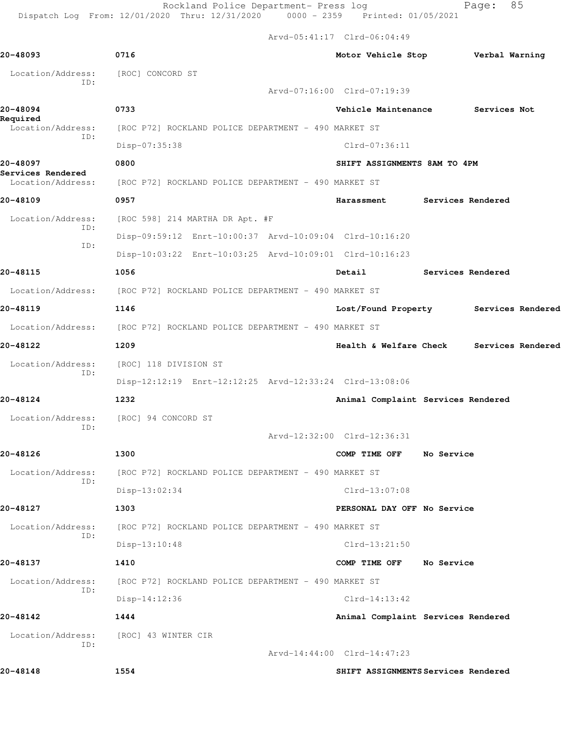Rockland Police Department- Press log Fage: 85 Dispatch Log From: 12/01/2020 Thru: 12/31/2020 0000 - 2359 Printed: 01/05/2021

Arvd-05:41:17 Clrd-06:04:49

**20-48093 0716 Motor Vehicle Stop Verbal Warning** Location/Address: [ROC] CONCORD ST ID: Arvd-07:16:00 Clrd-07:19:39 **20-48094 0733 Vehicle Maintenance Services Not Required**  Location/Address: [ROC P72] ROCKLAND POLICE DEPARTMENT - 490 MARKET ST ID: Disp-07:35:38 Clrd-07:36:11 **20-48097 0800 SHIFT ASSIGNMENTS 8AM TO 4PM Services Rendered**  Location/Address: [ROC P72] ROCKLAND POLICE DEPARTMENT - 490 MARKET ST **20-48109 0957 Harassment Services Rendered** Location/Address: [ROC 598] 214 MARTHA DR Apt. #F ID: Disp-09:59:12 Enrt-10:00:37 Arvd-10:09:04 Clrd-10:16:20 ID: Disp-10:03:22 Enrt-10:03:25 Arvd-10:09:01 Clrd-10:16:23 **20-48115 1056 Detail Services Rendered** Location/Address: [ROC P72] ROCKLAND POLICE DEPARTMENT - 490 MARKET ST **20-48119 1146 Lost/Found Property Services Rendered** Location/Address: [ROC P72] ROCKLAND POLICE DEPARTMENT - 490 MARKET ST **20-48122 1209 Health & Welfare Check Services Rendered** Location/Address: [ROC] 118 DIVISION ST ID: Disp-12:12:19 Enrt-12:12:25 Arvd-12:33:24 Clrd-13:08:06 **20-48124 1232 Animal Complaint Services Rendered** Location/Address: [ROC] 94 CONCORD ST ID: Arvd-12:32:00 Clrd-12:36:31 **20-48126 1300 COMP TIME OFF No Service** Location/Address: [ROC P72] ROCKLAND POLICE DEPARTMENT - 490 MARKET ST ID: Disp-13:02:34 Clrd-13:07:08 **20-48127 1303 PERSONAL DAY OFF No Service** Location/Address: [ROC P72] ROCKLAND POLICE DEPARTMENT - 490 MARKET ST ID: Disp-13:10:48 Clrd-13:21:50 **20-48137 1410 COMP TIME OFF No Service** Location/Address: [ROC P72] ROCKLAND POLICE DEPARTMENT - 490 MARKET ST ID: Disp-14:12:36 Clrd-14:13:42 **20-48142 1444 Animal Complaint Services Rendered** Location/Address: [ROC] 43 WINTER CIR ID: Arvd-14:44:00 Clrd-14:47:23 **20-48148 1554 SHIFT ASSIGNMENTS Services Rendered**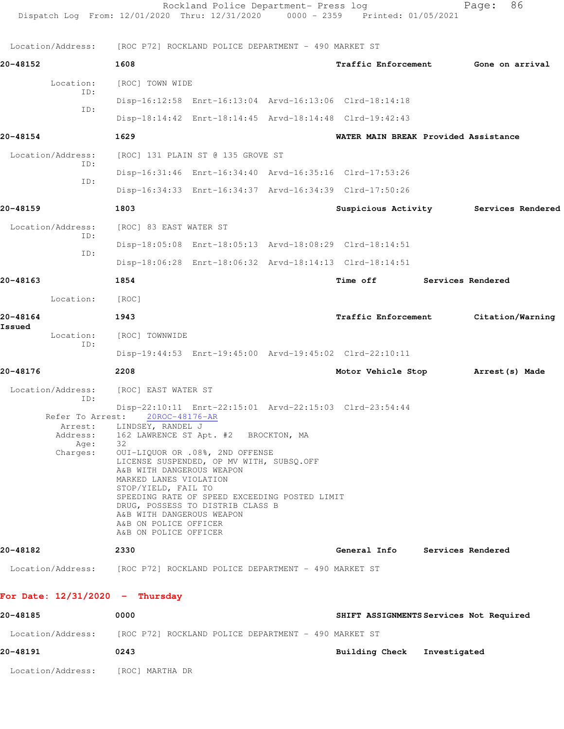| Dispatch Log From: 12/01/2020 Thru: 12/31/2020 0000 - 2359 Printed: 01/05/2021 |                                                                                                                                                                                                                                                                                                                                                                                                                             | Rockland Police Department- Press log |                                                         |                          | 86<br>Page:      |  |
|--------------------------------------------------------------------------------|-----------------------------------------------------------------------------------------------------------------------------------------------------------------------------------------------------------------------------------------------------------------------------------------------------------------------------------------------------------------------------------------------------------------------------|---------------------------------------|---------------------------------------------------------|--------------------------|------------------|--|
| Location/Address: [ROC P72] ROCKLAND POLICE DEPARTMENT - 490 MARKET ST         |                                                                                                                                                                                                                                                                                                                                                                                                                             |                                       |                                                         |                          |                  |  |
| 20-48152                                                                       | 1608                                                                                                                                                                                                                                                                                                                                                                                                                        |                                       | Traffic Enforcement                                     |                          | Gone on arrival  |  |
| Location:                                                                      | [ROC] TOWN WIDE                                                                                                                                                                                                                                                                                                                                                                                                             |                                       |                                                         |                          |                  |  |
| ID:                                                                            |                                                                                                                                                                                                                                                                                                                                                                                                                             |                                       | Disp-16:12:58 Enrt-16:13:04 Arvd-16:13:06 Clrd-18:14:18 |                          |                  |  |
| ID:                                                                            |                                                                                                                                                                                                                                                                                                                                                                                                                             |                                       | Disp-18:14:42 Enrt-18:14:45 Arvd-18:14:48 Clrd-19:42:43 |                          |                  |  |
| 20-48154                                                                       | 1629                                                                                                                                                                                                                                                                                                                                                                                                                        |                                       | WATER MAIN BREAK Provided Assistance                    |                          |                  |  |
| Location/Address:                                                              | [ROC] 131 PLAIN ST @ 135 GROVE ST                                                                                                                                                                                                                                                                                                                                                                                           |                                       |                                                         |                          |                  |  |
| ID:                                                                            |                                                                                                                                                                                                                                                                                                                                                                                                                             |                                       | Disp-16:31:46 Enrt-16:34:40 Arvd-16:35:16 Clrd-17:53:26 |                          |                  |  |
| ID:                                                                            |                                                                                                                                                                                                                                                                                                                                                                                                                             |                                       | Disp-16:34:33 Enrt-16:34:37 Arvd-16:34:39 Clrd-17:50:26 |                          |                  |  |
| 20-48159                                                                       | 1803                                                                                                                                                                                                                                                                                                                                                                                                                        |                                       | Suspicious Activity Services Rendered                   |                          |                  |  |
| Location/Address:                                                              | [ROC] 83 EAST WATER ST                                                                                                                                                                                                                                                                                                                                                                                                      |                                       |                                                         |                          |                  |  |
| ID:                                                                            |                                                                                                                                                                                                                                                                                                                                                                                                                             |                                       | Disp-18:05:08 Enrt-18:05:13 Arvd-18:08:29 Clrd-18:14:51 |                          |                  |  |
| ID:                                                                            |                                                                                                                                                                                                                                                                                                                                                                                                                             |                                       | Disp-18:06:28 Enrt-18:06:32 Arvd-18:14:13 Clrd-18:14:51 |                          |                  |  |
| 20-48163                                                                       | 1854                                                                                                                                                                                                                                                                                                                                                                                                                        |                                       | Time off                                                | <b>Services Rendered</b> |                  |  |
| Location:                                                                      | [ROC]                                                                                                                                                                                                                                                                                                                                                                                                                       |                                       |                                                         |                          |                  |  |
| 20-48164                                                                       | 1943                                                                                                                                                                                                                                                                                                                                                                                                                        |                                       | Traffic Enforcement                                     |                          | Citation/Warning |  |
| Issued<br>Location:                                                            | [ROC] TOWNWIDE                                                                                                                                                                                                                                                                                                                                                                                                              |                                       |                                                         |                          |                  |  |
| ID:                                                                            |                                                                                                                                                                                                                                                                                                                                                                                                                             |                                       | Disp-19:44:53 Enrt-19:45:00 Arvd-19:45:02 Clrd-22:10:11 |                          |                  |  |
| 20-48176                                                                       | 2208                                                                                                                                                                                                                                                                                                                                                                                                                        |                                       | Motor Vehicle Stop                                      |                          | Arrest (s) Made  |  |
| Location/Address:                                                              | [ROC] EAST WATER ST                                                                                                                                                                                                                                                                                                                                                                                                         |                                       |                                                         |                          |                  |  |
| ID:<br>Refer To Arrest:<br>Arrest:<br>Age:<br>Charges:                         | 20ROC-48176-AR<br>LINDSEY, RANDEL J<br>Address: 162 LAWRENCE ST Apt. #2 BROCKTON, MA<br>32<br>OUI-LIQUOR OR .08%, 2ND OFFENSE<br>LICENSE SUSPENDED, OP MV WITH, SUBSQ.OFF<br>A&B WITH DANGEROUS WEAPON<br>MARKED LANES VIOLATION<br>STOP/YIELD, FAIL TO<br>SPEEDING RATE OF SPEED EXCEEDING POSTED LIMIT<br>DRUG, POSSESS TO DISTRIB CLASS B<br>A&B WITH DANGEROUS WEAPON<br>A&B ON POLICE OFFICER<br>A&B ON POLICE OFFICER |                                       | Disp-22:10:11 Enrt-22:15:01 Arvd-22:15:03 Clrd-23:54:44 |                          |                  |  |
| 20-48182                                                                       | 2330                                                                                                                                                                                                                                                                                                                                                                                                                        |                                       | General Info Services Rendered                          |                          |                  |  |
| Location/Address: [ROC P72] ROCKLAND POLICE DEPARTMENT - 490 MARKET ST         |                                                                                                                                                                                                                                                                                                                                                                                                                             |                                       |                                                         |                          |                  |  |
| For Date: $12/31/2020 -$ Thursday                                              |                                                                                                                                                                                                                                                                                                                                                                                                                             |                                       |                                                         |                          |                  |  |
| 20-48185                                                                       | 0000                                                                                                                                                                                                                                                                                                                                                                                                                        |                                       | SHIFT ASSIGNMENTS Services Not Required                 |                          |                  |  |
| Location/Address: [ROC P72] ROCKLAND POLICE DEPARTMENT - 490 MARKET ST         |                                                                                                                                                                                                                                                                                                                                                                                                                             |                                       |                                                         |                          |                  |  |
| 20-48191                                                                       | 0243                                                                                                                                                                                                                                                                                                                                                                                                                        |                                       | Building Check Investigated                             |                          |                  |  |
| Location/Address: [ROC] MARTHA DR                                              |                                                                                                                                                                                                                                                                                                                                                                                                                             |                                       |                                                         |                          |                  |  |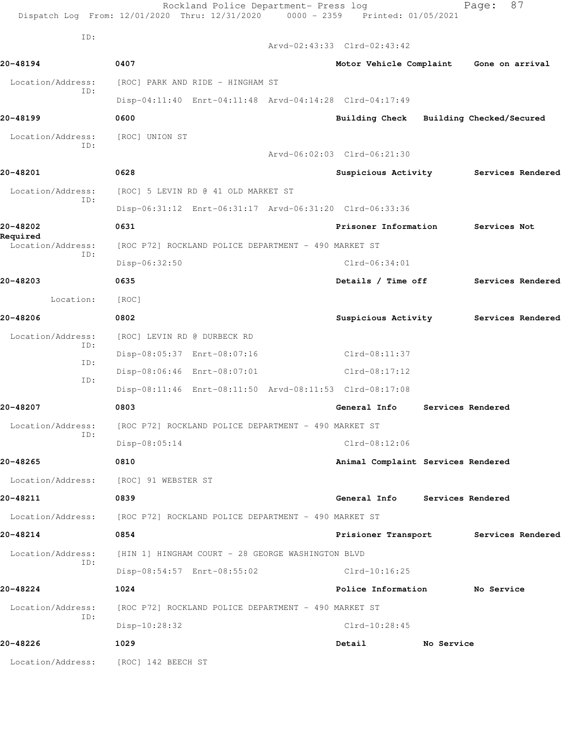|                                       | Rockland Police Department- Press log<br>Dispatch Log From: 12/01/2020 Thru: 12/31/2020 0000 - 2359 Printed: 01/05/2021 |                                         |                               | Page:             | 87                |  |
|---------------------------------------|-------------------------------------------------------------------------------------------------------------------------|-----------------------------------------|-------------------------------|-------------------|-------------------|--|
| ID:                                   |                                                                                                                         | Arvd-02:43:33 Clrd-02:43:42             |                               |                   |                   |  |
| 20-48194                              | 0407                                                                                                                    | Motor Vehicle Complaint Gone on arrival |                               |                   |                   |  |
| Location/Address:<br>ID:              | [ROC] PARK AND RIDE - HINGHAM ST                                                                                        |                                         |                               |                   |                   |  |
|                                       | Disp-04:11:40 Enrt-04:11:48 Arvd-04:14:28 Clrd-04:17:49                                                                 |                                         |                               |                   |                   |  |
| 20-48199                              | 0600                                                                                                                    | Building Check Building Checked/Secured |                               |                   |                   |  |
| Location/Address:<br>ID:              | [ROC] UNION ST                                                                                                          |                                         |                               |                   |                   |  |
|                                       |                                                                                                                         | Arvd-06:02:03 Clrd-06:21:30             |                               |                   |                   |  |
| 20-48201                              | 0628                                                                                                                    | Suspicious Activity                     |                               |                   | Services Rendered |  |
| Location/Address:<br>ID:              | [ROC] 5 LEVIN RD @ 41 OLD MARKET ST                                                                                     |                                         |                               |                   |                   |  |
|                                       | Disp-06:31:12 Enrt-06:31:17 Arvd-06:31:20 Clrd-06:33:36                                                                 |                                         |                               |                   |                   |  |
| 20-48202                              | 0631                                                                                                                    |                                         | Prisoner Information          |                   | Services Not      |  |
| Required<br>Location/Address:<br>ID:  | [ROC P72] ROCKLAND POLICE DEPARTMENT - 490 MARKET ST                                                                    |                                         |                               |                   |                   |  |
|                                       | Disp-06:32:50                                                                                                           |                                         | $Clrd-06:34:01$               |                   |                   |  |
| 20-48203                              | 0635                                                                                                                    |                                         | Details / Time off            |                   | Services Rendered |  |
| Location:                             | [ROC]                                                                                                                   |                                         |                               |                   |                   |  |
| 20-48206                              | 0802                                                                                                                    | Suspicious Activity                     |                               |                   | Services Rendered |  |
| Location/Address:                     | [ROC] LEVIN RD @ DURBECK RD                                                                                             |                                         |                               |                   |                   |  |
| ID:<br>ID:<br>ID:                     | Disp-08:05:37 Enrt-08:07:16                                                                                             | $Clrd-08:11:37$                         |                               |                   |                   |  |
|                                       | Disp-08:06:46 Enrt-08:07:01                                                                                             | $Clrd-08:17:12$                         |                               |                   |                   |  |
|                                       | Disp-08:11:46 Enrt-08:11:50 Arvd-08:11:53 Clrd-08:17:08                                                                 |                                         |                               |                   |                   |  |
| 20-48207                              | 0803                                                                                                                    | General Info                            |                               | Services Rendered |                   |  |
| Location/Address:                     | [ROC P72] ROCKLAND POLICE DEPARTMENT - 490 MARKET ST                                                                    |                                         |                               |                   |                   |  |
| ID:                                   | Disp-08:05:14                                                                                                           | Clrd-08:12:06                           |                               |                   |                   |  |
| 20-48265                              | 0810                                                                                                                    | Animal Complaint Services Rendered      |                               |                   |                   |  |
| Location/Address: [ROC] 91 WEBSTER ST |                                                                                                                         |                                         |                               |                   |                   |  |
| 20-48211                              | 0839                                                                                                                    | General Info Services Rendered          |                               |                   |                   |  |
|                                       | Location/Address: [ROC P72] ROCKLAND POLICE DEPARTMENT - 490 MARKET ST                                                  |                                         |                               |                   |                   |  |
| 20-48214                              | 0854                                                                                                                    | Prisioner Transport Services Rendered   |                               |                   |                   |  |
| Location/Address:<br>ID:              | [HIN 1] HINGHAM COURT - 28 GEORGE WASHINGTON BLVD                                                                       |                                         |                               |                   |                   |  |
|                                       | Disp-08:54:57 Enrt-08:55:02                                                                                             |                                         | Clrd-10:16:25                 |                   |                   |  |
| 20-48224                              | 1024                                                                                                                    |                                         | Police Information No Service |                   |                   |  |
| Location/Address:<br>ID:              | [ROC P72] ROCKLAND POLICE DEPARTMENT - 490 MARKET ST                                                                    |                                         |                               |                   |                   |  |
|                                       | Disp-10:28:32                                                                                                           | $Clrd-10:28:45$                         |                               |                   |                   |  |
| 20-48226                              | 1029                                                                                                                    | Detail                                  | No Service                    |                   |                   |  |
| Location/Address: [ROC] 142 BEECH ST  |                                                                                                                         |                                         |                               |                   |                   |  |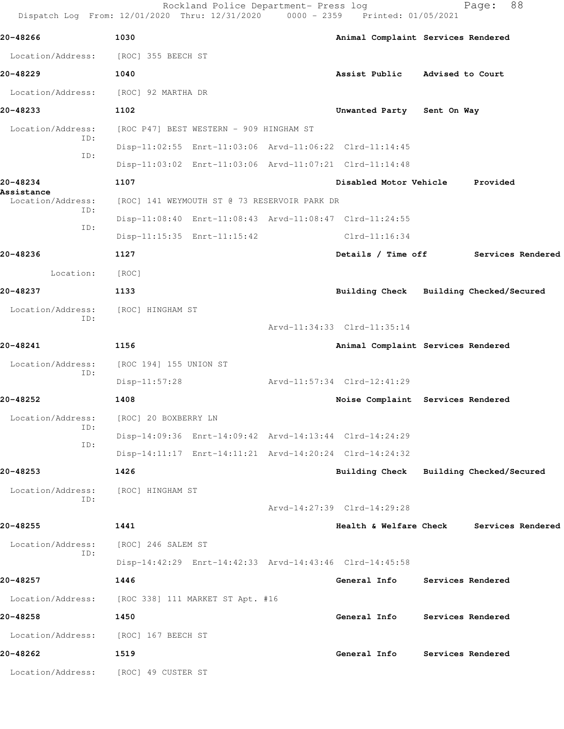|                                               | Dispatch Log From: 12/01/2020 Thru: 12/31/2020          |  | 0000 - 2359 Printed: 01/05/2021         |  |                          |  |
|-----------------------------------------------|---------------------------------------------------------|--|-----------------------------------------|--|--------------------------|--|
| 20-48266                                      | 1030                                                    |  | Animal Complaint Services Rendered      |  |                          |  |
|                                               | Location/Address: [ROC] 355 BEECH ST                    |  |                                         |  |                          |  |
| 20-48229                                      | 1040                                                    |  | Assist Public Advised to Court          |  |                          |  |
|                                               | Location/Address: [ROC] 92 MARTHA DR                    |  |                                         |  |                          |  |
| 20-48233                                      | 1102                                                    |  | Unwanted Party Sent On Way              |  |                          |  |
| Location/Address:<br>ID:<br>ID:               | [ROC P47] BEST WESTERN - 909 HINGHAM ST                 |  |                                         |  |                          |  |
|                                               | Disp-11:02:55 Enrt-11:03:06 Arvd-11:06:22 Clrd-11:14:45 |  |                                         |  |                          |  |
|                                               | Disp-11:03:02 Enrt-11:03:06 Arvd-11:07:21 Clrd-11:14:48 |  |                                         |  |                          |  |
| 20-48234                                      | 1107                                                    |  | Disabled Motor Vehicle Provided         |  |                          |  |
| Assistance<br>Location/Address:<br>ID:<br>ID: | [ROC] 141 WEYMOUTH ST @ 73 RESERVOIR PARK DR            |  |                                         |  |                          |  |
|                                               | Disp-11:08:40 Enrt-11:08:43 Arvd-11:08:47 Clrd-11:24:55 |  |                                         |  |                          |  |
|                                               | Disp-11:15:35 Enrt-11:15:42                             |  | $Clrd-11:16:34$                         |  |                          |  |
| 20-48236                                      | 1127                                                    |  | Details / Time off                      |  | Services Rendered        |  |
| Location:                                     | [ROC]                                                   |  |                                         |  |                          |  |
| 20-48237                                      | 1133                                                    |  | Building Check Building Checked/Secured |  |                          |  |
| Location/Address:<br>ID:                      | [ROC] HINGHAM ST                                        |  |                                         |  |                          |  |
|                                               |                                                         |  | Arvd-11:34:33 Clrd-11:35:14             |  |                          |  |
| 20-48241                                      | 1156                                                    |  | Animal Complaint Services Rendered      |  |                          |  |
| Location/Address:<br>ID:                      | [ROC 194] 155 UNION ST                                  |  |                                         |  |                          |  |
|                                               | $Disp-11:57:28$                                         |  | Arvd-11:57:34 Clrd-12:41:29             |  |                          |  |
| 20-48252                                      | 1408                                                    |  | Noise Complaint Services Rendered       |  |                          |  |
| Location/Address:<br>ID:<br>ID:               | [ROC] 20 BOXBERRY LN                                    |  |                                         |  |                          |  |
|                                               | Disp-14:09:36 Enrt-14:09:42 Arvd-14:13:44 Clrd-14:24:29 |  |                                         |  |                          |  |
|                                               | Disp-14:11:17 Enrt-14:11:21 Arvd-14:20:24 Clrd-14:24:32 |  |                                         |  |                          |  |
| 20-48253                                      | 1426                                                    |  | <b>Building Check</b>                   |  | Building Checked/Secured |  |
| Location/Address:<br>ID:                      | [ROC] HINGHAM ST                                        |  |                                         |  |                          |  |
|                                               |                                                         |  | Arvd-14:27:39 Clrd-14:29:28             |  |                          |  |
| 20-48255                                      | 1441                                                    |  | Health & Welfare Check                  |  | Services Rendered        |  |
| Location/Address:<br>ID:                      | [ROC] 246 SALEM ST                                      |  |                                         |  |                          |  |
|                                               | Disp-14:42:29 Enrt-14:42:33 Arvd-14:43:46 Clrd-14:45:58 |  |                                         |  |                          |  |
| 20-48257                                      | 1446                                                    |  | General Info                            |  | Services Rendered        |  |
|                                               |                                                         |  |                                         |  |                          |  |

Rockland Police Department- Press log Page: 88

 Location/Address: [ROC 338] 111 MARKET ST Apt. #16 **20-48258 1450 General Info Services Rendered** Location/Address: [ROC] 167 BEECH ST **20-48262 1519 General Info Services Rendered**

Location/Address: [ROC] 49 CUSTER ST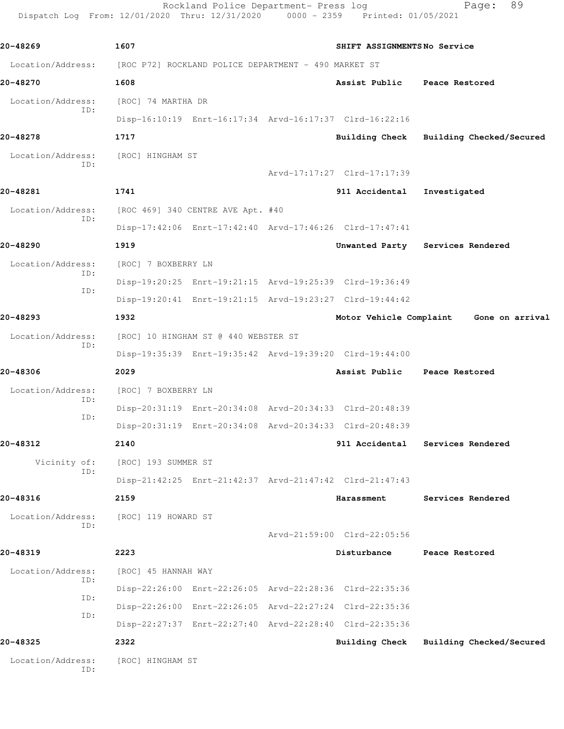```
Rockland Police Department- Press log Fage: 89
   Dispatch Log From: 12/01/2020 Thru: 12/31/2020 0000 - 2359 Printed: 01/05/2021
20-48269 1607 SHIFT ASSIGNMENTS No Service
 Location/Address: [ROC P72] ROCKLAND POLICE DEPARTMENT - 490 MARKET ST
20-48270 1608 Assist Public Peace Restored
  Location/Address: [ROC] 74 MARTHA DR
            ID: 
                 Disp-16:10:19 Enrt-16:17:34 Arvd-16:17:37 Clrd-16:22:16
20-48278 1717 Building Check Building Checked/Secured
 Location/Address: [ROC] HINGHAM ST
            ID: 
                                        Arvd-17:17:27 Clrd-17:17:39
20-48281 1741 911 Accidental Investigated
  Location/Address: [ROC 469] 340 CENTRE AVE Apt. #40
            ID: 
                 Disp-17:42:06 Enrt-17:42:40 Arvd-17:46:26 Clrd-17:47:41
20-48290 1919 Unwanted Party Services Rendered
  Location/Address: [ROC] 7 BOXBERRY LN
            ID: 
                 Disp-19:20:25 Enrt-19:21:15 Arvd-19:25:39 Clrd-19:36:49
            ID: 
                 Disp-19:20:41 Enrt-19:21:15 Arvd-19:23:27 Clrd-19:44:42
20-48293 1932 Motor Vehicle Complaint Gone on arrival
  Location/Address: [ROC] 10 HINGHAM ST @ 440 WEBSTER ST
            ID: 
                 Disp-19:35:39 Enrt-19:35:42 Arvd-19:39:20 Clrd-19:44:00
20-48306 2029 Assist Public Peace Restored
  Location/Address: [ROC] 7 BOXBERRY LN
            ID: 
                 Disp-20:31:19 Enrt-20:34:08 Arvd-20:34:33 Clrd-20:48:39
            ID:
```
Disp-20:31:19 Enrt-20:34:08 Arvd-20:34:33 Clrd-20:48:39

Arvd-21:59:00 Clrd-22:05:56

**20-48312 2140 911 Accidental Services Rendered** Vicinity of: [ROC] 193 SUMMER ST ID: Disp-21:42:25 Enrt-21:42:37 Arvd-21:47:42 Clrd-21:47:43

## **20-48316 2159 Harassment Services Rendered**

 Location/Address: [ROC] 119 HOWARD ST ID:

## **20-48319 2223 Disturbance Peace Restored** ID:

 Location/Address: [ROC] 45 HANNAH WAY Disp-22:26:00 Enrt-22:26:05 Arvd-22:28:36 Clrd-22:35:36 ID: Disp-22:26:00 Enrt-22:26:05 Arvd-22:27:24 Clrd-22:35:36 ID: Disp-22:27:37 Enrt-22:27:40 Arvd-22:28:40 Clrd-22:35:36

**20-48325 2322 Building Check Building Checked/Secured**

Location/Address: [ROC] HINGHAM ST ID: